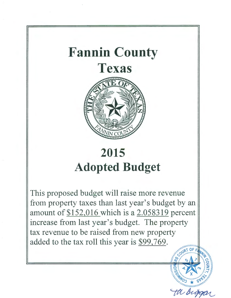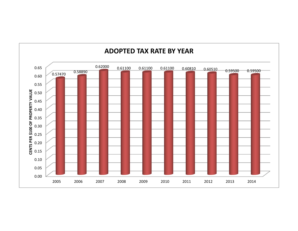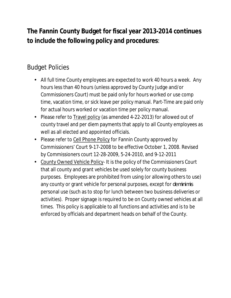## **The Fannin County Budget for fiscal year 2013-2014 continues to include the following policy and procedures**:

## Budget Policies

- All full time County employees are expected to work 40 hours a week. Any hours less than 40 hours (unless approved by County Judge and/or Commissioners Court) must be paid only for hours worked or use comp time, vacation time, or sick leave per policy manual. Part-Time are paid only for actual hours worked or vacation time per policy manual.
- Please refer to Travel policy (as amended 4-22-2013) for allowed out of county travel and per diem payments that apply to all County employees as well as all elected and appointed officials.
- Please refer to Cell Phone Policy for Fannin County approved by Commissioners' Court 9-17-2008 to be effective October 1, 2008. Revised by Commissioners court 12-28-2009, 5-24-2010, and 9-12-2011
- County Owned Vehicle Policy- It is the policy of the Commissioners Court that all county and grant vehicles be used solely for county business purposes. Employees are prohibited from using (or allowing others to use) any county or grant vehicle for personal purposes, except for *de minimis* personal use (such as to stop for lunch between two business deliveries or activities). Proper signage is required to be on County owned vehicles at all times. This policy is applicable to all functions and activities and is to be enforced by officials and department heads on behalf of the County.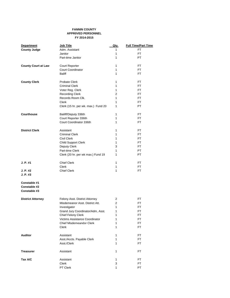#### **FANNIN COUNTY APPR0VED PERSONNEL FY 2014-2015**

| <b>Department</b>                            | Job Title                           | Qty.           | <b>Full Time/Part Time</b> |
|----------------------------------------------|-------------------------------------|----------------|----------------------------|
| <b>County Judge</b>                          | Adm. Assistant                      | 1              | <b>FT</b>                  |
|                                              | Janitor                             | 1              | <b>FT</b>                  |
|                                              | Part-time Janitor                   | 1              | <b>PT</b>                  |
| <b>County Court at Law</b>                   | Court Reporter                      | 1              | FT.                        |
|                                              | Court Coordinator                   | 1              | <b>FT</b>                  |
|                                              | <b>Baliff</b>                       | 1              | FT.                        |
| <b>County Clerk</b>                          | Probate Clerk                       | 1              | FT.                        |
|                                              | <b>Criminal Clerk</b>               | 1              | FT.                        |
|                                              | Voter Reg. Clerk                    | 1              | FT.                        |
|                                              | <b>Recording Clerk</b>              | $\overline{c}$ | FT.                        |
|                                              | Records Room Clk.                   | 1              | FT.                        |
|                                              | <b>Clerk</b>                        | 1              | <b>FT</b>                  |
|                                              | Clerk (15 hr. per wk. max.) Fund 20 | 1              | <b>PT</b>                  |
| <b>Courthouse</b>                            | Bailiff/Deputy 336th                | 1              | FT.                        |
|                                              | Court Reporter 336th                | 1              | FT.                        |
|                                              | Court Coordinator 336th             | 1              | FT.                        |
| <b>District Clerk</b>                        | Assistant                           | 1              | FT.                        |
|                                              | <b>Criminal Clerk</b>               | 1              | FT.                        |
|                                              | <b>Civil Clerk</b>                  | 1              | FT.                        |
|                                              | <b>Child Support Clerk</b>          | 1              | FT.                        |
|                                              | Deputy Clerk                        | 3              | FT.                        |
|                                              | Part-time Clerk                     | 1              | <b>PT</b>                  |
|                                              | Clerk (20 hr. per wk max.) Fund 19  | 1              | <b>PT</b>                  |
| J. P. #1                                     | <b>Chief Clerk</b>                  | 1              | FT.                        |
|                                              | Clerk                               | 1              | FT.                        |
| J. P. #2<br>J. P. #3                         | <b>Chief Clerk</b>                  | 1              | <b>FT</b>                  |
| Constable #1<br>Constable #2<br>Constable #3 |                                     |                |                            |
| <b>District Attorney</b>                     | Felony Asst. District Attorney      | 2              | FT.                        |
|                                              | Misdemeanor Asst. District Att.     | $\overline{c}$ | FT.                        |
|                                              | Investigator                        | 1              | FT.                        |
|                                              | Grand Jury Coordinator/Adm, Asst.   | 1              | FT.                        |
|                                              | Chief Felony Clerk                  | 1              | FT.                        |
|                                              | Victims Assistance Coordinator      | 1              | FT.                        |
|                                              | <b>Chief Misdemeandor Clerk</b>     | 1              | FT.                        |
|                                              | Clerk                               | 1              | FT.                        |
| <b>Auditor</b>                               | Assistant                           | 1              | FT.                        |
|                                              | Asst./Accts. Payable Clerk          | 1              | FT.                        |
|                                              | Asst./Clerk                         | 1              | FT.                        |
| <b>Treasurer</b>                             | Assistant                           | 1              | FT.                        |
| Tax A/C                                      | Assistant                           | 1              | FT.                        |
|                                              | Clerk                               | 3              | FT.                        |
|                                              | PT Clerk                            | 1              | PT                         |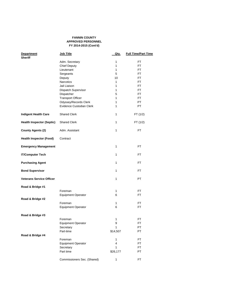### **FANNIN COUNTY APPROVED PERSONNEL FY 2014-2015 (Cont'd)**

| <b>Department</b>                | Job Title                   | Qty.          | <b>Full Time/Part Time</b> |
|----------------------------------|-----------------------------|---------------|----------------------------|
| <b>Sheriff</b>                   |                             |               |                            |
|                                  | Adm. Secretary              | 1             | <b>FT</b>                  |
|                                  | <b>Chief Deputy</b>         | 1             | FT.                        |
|                                  | Lieutenant                  | 1             | FT.                        |
|                                  | Sergeants                   | 5             | FT.                        |
|                                  | Deputy                      | 10            | FT.                        |
|                                  | Narcotics                   | 1             | FT.                        |
|                                  | Jail Liaison                | 1             | FT.                        |
|                                  | Dispatch Supervisor         | 1             | FT.                        |
|                                  | Dispatcher                  | 5             | FT.                        |
|                                  | <b>Transport Officer</b>    | 1             | FT.                        |
|                                  | Odyssey/Records Clerk       | 1             | PT                         |
|                                  | Evidence Custodian Clerk    | 1             | PT                         |
| <b>Indigent Health Care</b>      | <b>Shared Clerk</b>         | 1             | FT(1/2)                    |
| <b>Health Inspector (Septic)</b> | <b>Shared Clerk</b>         | 1             | FT(1/2)                    |
| <b>County Agents (2)</b>         | Adm. Assistant              | 1             | FT                         |
| <b>Health Inspector (Food)</b>   | Contract                    |               |                            |
| <b>Emergency Management</b>      |                             | 1             | <b>FT</b>                  |
| <b>IT/Computer Tech</b>          |                             | 1             | FT.                        |
| <b>Purchasing Agent</b>          |                             | 1             | FT.                        |
| <b>Bond Supervisor</b>           |                             | 1             | FT.                        |
| <b>Veterans Service Officer</b>  |                             | 1             | <b>PT</b>                  |
| Road & Bridge #1                 |                             |               |                            |
|                                  | Foreman                     | 1             | <b>FT</b>                  |
|                                  | <b>Equipment Operator</b>   | 6             | <b>FT</b>                  |
| Road & Bridge #2                 |                             |               |                            |
|                                  | Foreman                     | 1             | <b>FT</b>                  |
|                                  | <b>Equipment Operator</b>   | 6             | FT.                        |
| Road & Bridge #3                 |                             |               |                            |
|                                  | Foreman                     | 1             | FT.                        |
|                                  | <b>Equipment Operator</b>   | 9             | FT.                        |
|                                  | Secretary                   | 1             | PT                         |
|                                  | Part-time                   | \$14,507      | PT                         |
| Road & Bridge #4                 |                             |               |                            |
|                                  | Foreman                     | 1             | FT.                        |
|                                  | <b>Equipment Operator</b>   | 4             | FT.                        |
|                                  | Secretary<br>Part time      | 1<br>\$26,177 | <b>FT</b><br>PT            |
|                                  |                             |               |                            |
|                                  | Commissioners Sec. (Shared) | 1             | FT.                        |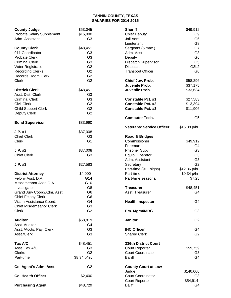## **FANNIN COUNTY, TEXAS SALARIES FOR 2014-2015**

| <b>County Judge</b>            | \$53,045       | <b>Sheriff</b>                   | \$49,912       |
|--------------------------------|----------------|----------------------------------|----------------|
| Probate Salary Supplement      | \$15,000       | <b>Chief Deputy</b>              | G9             |
| Adm. Assistant                 | G <sub>3</sub> | Jail Adm.                        | G <sub>6</sub> |
|                                |                | Lieutenant                       | G8             |
| <b>County Clerk</b>            | \$48,451       | Sergeant (5 max.)                | G7             |
| 911 Coordinator                | G <sub>3</sub> | Adm. Asst.                       | G <sub>3</sub> |
| <b>Probate Clerk</b>           | G <sub>3</sub> | Deputy                           | G <sub>6</sub> |
| <b>Criminal Clerk</b>          | G <sub>3</sub> | <b>Dispatch Supervisor</b>       | G <sub>5</sub> |
| Voter Registration             | G <sub>2</sub> | Dispatch                         | G3L2           |
| <b>Recording Clerks</b>        | G <sub>2</sub> | <b>Transport Officer</b>         | G <sub>6</sub> |
| <b>Records Room Clerk</b>      | G <sub>2</sub> |                                  |                |
|                                | G <sub>2</sub> | Chief Juv. Prob.                 |                |
| Clerk                          |                |                                  | \$58,296       |
|                                |                | Juvenile Prob.                   | \$37,175       |
| <b>Districk Clerk</b>          | \$48,451       | Juvenile Prob.                   | \$33,634       |
| Asst. Dist. Clerk              | G <sub>3</sub> |                                  |                |
| <b>Criminal Clerk</b>          | G <sub>3</sub> | <b>Constable Pct. #1</b>         | \$27,583       |
| <b>Civil Clerk</b>             | G <sub>2</sub> | <b>Constable Pct. #2</b>         | \$13,394       |
| <b>Child Support Clerk</b>     | G <sub>2</sub> | <b>Constable Pct. #3</b>         | \$11,906       |
| Deputy Clerk                   | G <sub>2</sub> |                                  |                |
|                                |                | <b>Computer Tech.</b>            | G <sub>5</sub> |
| <b>Bond Supervisor</b>         | \$33,990       |                                  |                |
|                                |                | <b>Veterans' Service Officer</b> | \$16.88 p/hr.  |
| $J.P.$ #1                      | \$37,008       |                                  |                |
| <b>Chief Clerk</b>             | G <sub>3</sub> | <b>Road &amp; Bridges</b>        |                |
| Clerk                          | G <sub>1</sub> | Commissioner                     | \$49,912       |
|                                |                |                                  |                |
|                                |                | Foreman                          | G4             |
| $J.P.$ #2                      | \$37,008       | Prisoner Supv.                   | G <sub>3</sub> |
| <b>Chief Clerk</b>             | G <sub>3</sub> | Equip. Operator                  | G <sub>3</sub> |
|                                |                | Adm. Assistant                   | G <sub>3</sub> |
| $J.P.$ #3                      | \$27,583       | Secretary                        | G <sub>2</sub> |
|                                |                | Part-time (911 signs)            | \$12.36 p/hr.  |
| <b>District Attorney</b>       | \$4,000        | Part-time                        | \$9.34 p/hr.   |
| Felony Asst. D.A.              | G14            | Part-time seasonal               | \$7.25         |
| Misdemeanor Asst. D.A.         | G10            |                                  |                |
| Investigator                   | G8             | <b>Treasurer</b>                 | \$48,451       |
| Grand Jury Coord/Adm. Asst     | G <sub>6</sub> | Asst. Treasurer                  | G4             |
| <b>Chief Felony Clerk</b>      | G6             |                                  |                |
| Victim Assistance Coord.       | G4             | <b>Health Inspector</b>          | G4             |
|                                |                |                                  |                |
| <b>Chief Misdemeanor Clerk</b> | G <sub>3</sub> |                                  |                |
| Clerk                          | G <sub>2</sub> | Em. Mgmt/MRC                     | G <sub>3</sub> |
|                                |                |                                  |                |
| <b>Auditor</b>                 | \$58,819       | <b>Janitor</b>                   | G <sub>2</sub> |
| Asst. Auditor                  | G4             |                                  |                |
| Asst. /Accts. Pay. Clerk       | G <sub>3</sub> | <b>IHC Officer</b>               | G4             |
| Asst./Clerk                    | G <sub>3</sub> | <b>Shared Clerk</b>              | G <sub>2</sub> |
|                                |                |                                  |                |
| Tax A/C                        | \$48,451       | 336th District Court             |                |
| Asst. Tax A/C                  | G <sub>3</sub> | <b>Court Reporter</b>            | \$59,759       |
| <b>Clerks</b>                  | G <sub>2</sub> | <b>Court Coordinator</b>         | G <sub>3</sub> |
| Part-time                      | \$8.34 p/hr.   | <b>Bailiff</b>                   | G4             |
|                                |                |                                  |                |
| Co. Agent's Adm. Asst.         | G <sub>2</sub> | <b>County Court at Law</b>       |                |
|                                |                | Judge                            | \$140,000      |
| <b>Co. Health Officer</b>      | \$2,400        | <b>Court Coordinator</b>         | G3             |
|                                |                |                                  |                |
|                                |                | <b>Court Reporter</b>            | \$54,914       |
| <b>Purchasing Agent</b>        | \$48,729       | <b>Baliff</b>                    | G4             |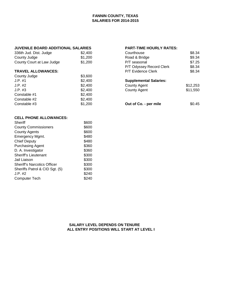### **FANNIN COUNTY, TEXAS SALARIES FOR 2014-2015**

|  |  | <b>JUVENILE BOARD ADDITIONAL SALARIES</b> |  |
|--|--|-------------------------------------------|--|
|--|--|-------------------------------------------|--|

| 336th Jud. Dist. Judge    | \$2, |
|---------------------------|------|
| County Judge              | \$1. |
| County Court at Law Judge | \$1, |

#### **TRAVEL ALLOWANCES:**

| County Judge | \$3,600 |                               |          |
|--------------|---------|-------------------------------|----------|
| J.P. #1      | \$2,400 | <b>Supplemental Salaries:</b> |          |
| J.P. #2      | \$2,400 | County Agent                  | \$12,253 |
| J.P. #3      | \$2,400 | County Agent                  | \$11,550 |
| Constable #1 | \$2,400 |                               |          |
| Constable #2 | \$2,400 |                               |          |
| Constable #3 | \$1,200 | Out of Co. - per mile         | \$0.45   |

| JUVENILE BOARD ADDITIONAL SALARIES |         | <b>PART-TIME HOURLY RATES:</b> |          |  |
|------------------------------------|---------|--------------------------------|----------|--|
| 336th Jud. Dist. Judge             | \$2,400 | Courthouse                     | \$8.34   |  |
| County Judge                       | \$1,200 | Road & Bridge                  | \$9.34   |  |
| County Court at Law Judge          | \$1,200 | P/T seasonal                   | \$7.25   |  |
|                                    |         | P/T Odyssey Record Clerk       | \$8.34   |  |
| <b>TRAVEL ALLOWANCES:</b>          |         | P/T Evidence Clerk             | \$8.34   |  |
| County Judge                       | \$3,600 |                                |          |  |
| J.P. #1                            | \$2,400 | <b>Supplemental Salaries:</b>  |          |  |
| J.P. #2                            | \$2,400 | <b>County Agent</b>            | \$12,253 |  |
| J.P. #3                            | \$2,400 | <b>County Agent</b>            | \$11,550 |  |
| Constable #1                       | \$2,400 |                                |          |  |
| Constable #2                       | \$2,400 |                                |          |  |
| Constable #3                       | \$1,200 | Out of Co. - per mile          | \$0.45   |  |
|                                    |         |                                |          |  |

|                                   | <b>CELL PHONE ALLOWANCES:</b> |
|-----------------------------------|-------------------------------|
| $C_{\rm b}$ $\sim$ $\mathbf{r}$ . |                               |

| Sheriff                            | \$600 |
|------------------------------------|-------|
| <b>County Commissioners</b>        | \$600 |
| <b>County Agents</b>               | \$600 |
| Emergency Mgmt.                    | \$480 |
| <b>Chief Deputy</b>                | \$480 |
| <b>Purchasing Agent</b>            | \$360 |
| D. A. Investigator                 | \$360 |
| <b>Sheriff's Lieutenant</b>        | \$300 |
| Jail Liaison                       | \$300 |
| <b>Sheriff's Narcotics Officer</b> | \$300 |
| Sheriffs Patrol & CID Sgt. (5)     | \$300 |
| $J.P.$ #2                          | \$240 |
| <b>Computer Tech</b>               | \$240 |

 **SALARY LEVEL DEPENDS ON TENURE ALL ENTRY POSITIONS WILL START AT LEVEL I**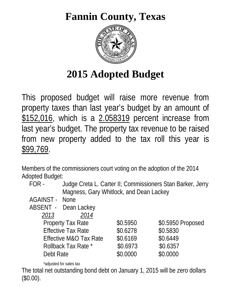# **Fannin County, Texas**



# **2015 Adopted Budget**

This proposed budget will raise more revenue from property taxes than last year's budget by an amount of \$152,016, which is a 2.058319 percent increase from last year's budget. The property tax revenue to be raised from new property added to the tax roll this year is \$99,769.

Members of the commissioners court voting on the adoption of the 2014 Adopted Budget:

FOR - Judge Creta L. Carter II; Commissioners Stan Barker, Jerry Magness, Gary Whitlock, and Dean Lackey

AGAINST - None

ABSENT - Dean Lackey

| 2013<br>2014                      |          |                   |
|-----------------------------------|----------|-------------------|
| <b>Property Tax Rate</b>          | \$0.5950 | \$0.5950 Proposed |
| <b>Effective Tax Rate</b>         | \$0.6278 | \$0.5830          |
| <b>Effective M&amp;O Tax Rate</b> | \$0.6169 | \$0.6449          |
| Rollback Tax Rate *               | \$0.6973 | \$0.6357          |
| Debt Rate                         | \$0.0000 | \$0.0000          |

\*adjusted for sales tax

The total net outstanding bond debt on January 1, 2015 will be zero dollars (\$0.00).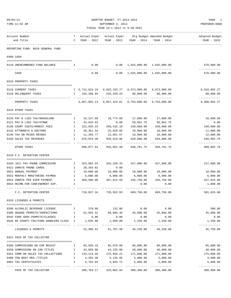#### ADOPTED BUDGET FY 2014-2015 PAGE 1 TIME:11:02 AM SEPTEMBER 2, 2014 PREPARER:0008 FISCAL YEAR 10-1-2014 to 9-30-2015

| Account Number<br>and Title                                     | $\mathbb{C}$ | YEAR - 2012            |                                                              | YEAR - 2013 YEAR - 2014                      | T Actual Exper Actual Exper Org Budget Amended Budget<br>YEAR - 2014 | Adopted Budget<br>YEAR - 2015 |
|-----------------------------------------------------------------|--------------|------------------------|--------------------------------------------------------------|----------------------------------------------|----------------------------------------------------------------------|-------------------------------|
| REPORTING FUND: 0010 GENERAL FUND                               |              |                        |                                                              |                                              |                                                                      |                               |
| 0300 CASH                                                       |              |                        |                                                              |                                              |                                                                      |                               |
| 0110 UNENCUMBERED FUND BALANCE                                  |              | $I \qquad \qquad 0.00$ | $0.00 \quad 1,625,000.00 \quad 1,625,000.00$                 |                                              |                                                                      | 678,000.00                    |
|                                                                 |              |                        |                                                              |                                              | -------------                                                        | -------------                 |
| CASH                                                            |              | 0.00                   |                                                              | $0.00 \quad 1,625,000.00 \quad 1,625,000.00$ |                                                                      | 678,000.00                    |
| 0310 PROPERTY TAXES                                             |              |                        |                                                              |                                              |                                                                      |                               |
| 0110 CURRENT TAXES                                              |              |                        | I 6,712,624.19 6,632,163.77 6,673,000.00 6,673,000.00        |                                              |                                                                      | 6,918,892.27                  |
| 0120 DELINQUENT TAXES                                           |              | I 155,266.94           | 235,259.24                                                   | 80,000.00                                    | 80,000.00                                                            | 80,000.00                     |
|                                                                 |              |                        |                                                              |                                              |                                                                      | ------------                  |
| PROPERTY TAXES                                                  |              |                        | 6,867,891.13    6,867,423.01    6,753,000.00    6,753,000.00 |                                              |                                                                      | 6,998,892.27                  |
| 0318 OTHER TAXES                                                |              |                        |                                                              |                                              |                                                                      |                               |
| 0120 PAY N LIEU TAX/GRASSLAND                                   | $\mathbf{I}$ | 19,127.09              | 18,774.09                                                    | 17,000.00                                    | 17,000.00                                                            | 16,000.00                     |
| 0121 PAY N LIEU TAX/UTRWD                                       | Ι.           | 44,625.63              | 0.00                                                         | 50,861.75                                    | 50,861.75                                                            | 0.00                          |
| 0130 COURT COSTS/ARREST FEES                                    | $\mathbb{I}$ | 223,935.23             | 259,418.10                                                   | 240,000.00                                   | 240,000.00                                                           | 240,000.00                    |
| 0132 ATTORNEYS & DOCTORS                                        | $\mathbb{I}$ | 20,451.34              | 25,028.66                                                    | 10,000.00                                    | 10,000.00                                                            | 11,000.00                     |
| 0140 TAX ON MIXED DRINKS                                        | $\mathbf{I}$ | 11,293.77              | 12,051.57                                                    | 10,900.00                                    | 10,900.00                                                            | 12,000.00                     |
| 0160 SALES TAX REVENUES                                         | I.           | 670,644.48             | 630,619.06                                                   | 620,000.00                                   | 620,000.00                                                           | 630,082.76<br>-----------     |
| OTHER TAXES                                                     |              | 990,077.54             | 945,891.48                                                   | 948,761.75                                   | 948,761.75                                                           | 909,082.76                    |
| 0319 F.C. DETENTION CENTER                                      |              |                        |                                                              |                                              |                                                                      |                               |
| 0420 JAIL PAY PHONE COMMISSION                                  | $\mathbf{I}$ | 323,902.54             | 345,320.43                                                   | 327,000.00                                   | 327,000.00                                                           | 227,000.00                    |
| 0422 INMATE PHONE CARDS                                         | Ι.           | 28,354.62              | 0.00                                                         |                                              |                                                                      |                               |
| 0551 ANNUAL PAYMENT                                             | $\mathbf{I}$ | 10,000.00              | 10,000.00                                                    |                                              | 10,000.00    10,000.00                                               | 10,000.00                     |
| 0552 MONTHLY MONITORING PAYMEN<br>$\mathbb{I}$ and $\mathbb{I}$ |              | 6,000.00               | 6,000.00                                                     | 6,000.00                                     | 6,000.00                                                             | 6,000.00                      |
| 0553 INMATE PER DIEM PAYMENT<br>$\mathbb{I}$ and $\mathbb{I}$   |              | 350,580.00             | 367,612.50                                                   | 346,750.00                                   | 346,750.00                                                           | 337,625.00                    |
| 0554 REIMB.FOR CONFINEMENT EXP.                                 | I            |                        |                                                              | 0.00                                         | 0.00                                                                 | 1,000.00<br>.                 |
| F.C. DETENTION CENTER                                           |              | 718,837.16             | 728,932.93 689,750.00                                        |                                              | 689,750.00                                                           | 581,625.00                    |
| 0320 LICENSES & PERMITS                                         |              |                        |                                                              |                                              |                                                                      |                               |
|                                                                 |              |                        |                                                              |                                              |                                                                      |                               |
| 0200 ALCOHLIC BEVERAGE LICENSE                                  | Ι.           | 270.00                 | 132.00                                                       | 0.00                                         | 0.00                                                                 | 500.00                        |
| 0300 SEWAGE PERMITS/INSPECTIONS                                 | $\mathbf{I}$ | 52,691.31              | 60,605.40                                                    | 45,000.00                                    | 45,000.00                                                            | 45,000.00                     |
| 0545 FOOD SERV. PERMITS/CLASSES                                 | $\mathbf I$  | 0.00                   | 0.00                                                         | 0.00                                         | 0.00                                                                 | 0.00                          |
| 0546 \$5 COUNTY FEE/FOOD HANDLERS CLASS I                       |              | 1,035.00               | 1,050.00<br>------------                                     | 1,250.00<br>_____________                    | 1,250.00<br>---------                                                | 1,250.00<br>-------------     |
| LICENSES & PERMITS                                              |              | 53,996.31              | 61,787.40                                                    | 46,250.00                                    | 46,250.00                                                            | 46,750.00                     |
| 0321 FEES OF TAX COLLECTOR                                      |              |                        |                                                              |                                              |                                                                      |                               |
| 0200 COMMISSIONS ON CAR REGIST                                  | I            | 93,930.19              | 95,970.06                                                    | 80,000.00                                    | 80,000.00                                                            | 85,000.00                     |
| 0250 COMMISSION ON CAR TITLES                                   | I            | 43,665.00              | 44,235.00                                                    | 40,000.00                                    | 40,000.00                                                            | 40,000.00                     |
| 0251 COMM.ON SALES TAX COLLECTIONS                              | $\mathbf I$  | 133, 114.56            | 175,058.21                                                   | 171,600.00                                   | 171,600.00                                                           | 175,000.00                    |
| 0400 TPW BOAT REG./TITLES                                       | $\mathbf I$  | 4,202.39               | 5,135.95                                                     | 3,000.00                                     | 3,000.00                                                             | 3,000.00                      |
| 0901 TAX CERTIFICATES                                           | I            | 5,792.03               | 5,663.72                                                     | 5,800.00                                     | 5,800.00                                                             | 5,800.00                      |
|                                                                 |              | - --------------       |                                                              |                                              |                                                                      | -------------                 |

FEES OF TAX COLLECTOR 280,704.17 326,062.94 300,400.00 300,400.00 308,800.00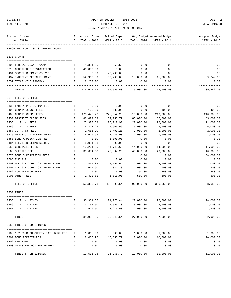| 09/02/14                                                      |                                 | ADOPTED BUDGET FY 2014-2015        | PAGE<br>-2                                                         |                                     |                                                       |                             |
|---------------------------------------------------------------|---------------------------------|------------------------------------|--------------------------------------------------------------------|-------------------------------------|-------------------------------------------------------|-----------------------------|
| TIME:11:02 AM                                                 |                                 | SEPTEMBER 2, 2014                  | PREPARER: 0008                                                     |                                     |                                                       |                             |
|                                                               |                                 | FISCAL YEAR 10-1-2014 to 9-30-2015 |                                                                    |                                     |                                                       |                             |
| Account Number                                                |                                 |                                    |                                                                    |                                     | T Actual Exper Actual Exper Org Budget Amended Budget | Adopted Budget              |
| and Title                                                     |                                 | C YEAR - 2012                      |                                                                    | YEAR - 2013 YEAR - 2014 YEAR - 2014 |                                                       | YEAR - 2015                 |
| REPORTING FUND: 0010 GENERAL FUND                             |                                 |                                    |                                                                    |                                     |                                                       |                             |
| 0330 GRANTS                                                   |                                 |                                    |                                                                    |                                     |                                                       |                             |
|                                                               |                                 |                                    |                                                                    |                                     |                                                       |                             |
| 0100 FEDERAL GRANT-SCAAP                                      | $\mathbf{I}$                    | 4,381.26                           | 58.50                                                              | 0.00                                | 0.00                                                  | 0.00                        |
| 0313 COURTHOUSE RESTORATION                                   | $\mathbf{I}$                    | 40,000.00                          | 0.00                                                               | 0.00                                | 0.00                                                  | 0.00                        |
| 0431 SECOEECB GRANT CS0710                                    | $\mathbf{I}$ and $\mathbf{I}$ . | $0.00$ $72,209.00$                 |                                                                    | 0.00                                | 0.00                                                  | 0.00                        |
| 0437 INDIGENT DEFENSE GRANT                                   |                                 |                                    | $I$ 52,963.50 32,293.00 15,000.00 15,000.00                        |                                     |                                                       | 39,242.00                   |
| 0559 TEXAS VINE PROGRAM                                       |                                 | I 18,283.00<br>_______________     | 0.00<br>-----------                                                | 0.00                                | 0.00                                                  | 0.00<br>----------          |
| GRANTS                                                        |                                 |                                    | 115,627.76  104,560.50  15,000.00  15,000.00                       |                                     |                                                       | 39,242.00                   |
| 0340 FEES OF OFFICE                                           |                                 |                                    |                                                                    |                                     |                                                       |                             |
| 0135 FAMILY PROTECTION FEE                                    | $\mathbf{I}$                    | 0.00                               | 0.00                                                               | 0.00                                | 0.00                                                  | 0.00                        |
| 0400 COUNTY JUDGE FEES                                        | $\mathbb{I}$                    | 166.00                             | 182.00                                                             | 400.00                              | 400.00                                                | 400.00                      |
| 0403 COUNTY CLERK FEES                                        | $\mathbb{I}$                    | 173,477.26                         | 225,052.23                                                         | 210,000.00                          | 210,000.00                                            | 210,000.00                  |
| 0450 DISTRICT CLERK FEES                                      | $\mathbb{I}$                    | 82,624.83                          | 89,758.79                                                          | 85,000.00                           | 85,000.00                                             | 85,000.00                   |
| 0455 J. P. #1 FEES                                            | $\mathbb{I}$                    | 27,970.69                          | 25,712.90                                                          | 22,000.00                           | 22,000.00                                             | 22,000.00                   |
| 0456 J. P. #2 FEES                                            | $\mathbb{I}$                    | 5,272.26                           | 7,906.56                                                           | 6,000.00                            | 6,000.00                                              | 6,000.00                    |
| 0457 J. P. #3 FEES                                            | $\mathbf{I}$                    | 1,685.70                           | 2,403.20                                                           | 2,000.00                            | 2,000.00                                              | 2,000.00                    |
| 0475 DISTRICT ATTORNEY FEES                                   | $\mathbb{I}$                    | 6,629.99                           | 12,140.03                                                          | 7,000.00                            | 7,000.00                                              | 7,000.00                    |
| 0480 BOND APPLICATION FEE                                     | $\mathbf{I}$                    | 0.00                               | 1,000.00                                                           | 0.00                                | 0.00                                                  | 0.00                        |
| 0484 ELECTION REIMBURSEMENTS<br>$\mathbf{I}$ and $\mathbf{I}$ |                                 | 5,091.03                           | 900.00                                                             | 0.00                                | 0.00                                                  | 0.00                        |
| 0550 CONSTABLE FEES                                           | $\mathbf{I}$                    | 13,261.25                          | 14,749.65                                                          | 14,000.00                           | 14,000.00                                             | 14,000.00                   |
| 0560 SHERIFF FEES                                             | $\mathbf{I}$                    | 39,604.68                          | 48,867.26                                                          | 40,000.00                           | 40,000.00                                             | 40,000.00                   |
| 0573 BOND SUPERVISION FEES                                    | $\mathbf{I}$                    |                                    |                                                                    | 0.00                                | 0.00                                                  | 38,000.00                   |
| 0595 E.E.P.A.                                                 | $\mathbf{I}$                    | 0.00                               | 0.00                                                               | 0.00                                | 0.00                                                  | 0.00                        |
| 0600 D.C.6TH COURT OF APPEALS FEE                             | $\mathbf{I}$                    |                                    | 1,465.33 1,595.64 2,000.00                                         |                                     | 2,000.00                                              | 2,000.00                    |
| 0601 C.C.6TH COURT OF APPEALS FEE                             | $\mathbf{I}$                    | 644.90                             | 827.38                                                             | 900.00                              | 900.00                                                | 900.00                      |
| 0652 SUBDIVISION FEES                                         |                                 | I 0.00                             | 0.00                                                               | 250.00                              | 250.00                                                | 250.00                      |
| 0900 OTHER FEES                                               | $\mathbf{I}$                    | 1,492.81                           | 1,810.00                                                           | 500.00                              | 500.00                                                | 500.00                      |
| FEES OF OFFICE                                                |                                 |                                    | ------------------------------<br>359,386.73 432,905.64 390,050.00 |                                     | ------------<br>390,050.00                            | -------------<br>428,050.00 |
| 0350 FINES                                                    |                                 |                                    |                                                                    |                                     |                                                       |                             |
| 0455 J. P. #1 FINES                                           | Ι.                              | 30,961.36                          | 21,276.44                                                          | 22,000.00                           | 22,000.00                                             | 18,000.00                   |
| 0456 J. P. #2 FINES                                           | $\mathbf{I}$                    | 3,101.50                           | 1,556.70                                                           | 3,000.00                            | 3,000.00                                              | 3,000.00                    |
| 0457 J. P. #3 FINES                                           | T.                              | 929.50                             | 2,216.50                                                           | 2,000.00                            | 2,000.00                                              | 1,900.00                    |
| FINES                                                         |                                 | 34,992.36                          | 25,049.64                                                          | 27,000.00                           | ----------<br>27,000.00                               | -------------<br>22,900.00  |
| 0352 FINES & FORFEITURES                                      |                                 |                                    |                                                                    |                                     |                                                       |                             |
|                                                               |                                 |                                    |                                                                    |                                     |                                                       |                             |
| 0100 10% COMM.ON SURETY BAIL BOND FEE                         | I                               | 1,065.00                           | 900.00                                                             | 1,000.00                            | 1,000.00                                              | 1,000.00                    |
| 0201 BOND FORFEITURES                                         | I                               | 18,466.96                          | 15,858.72                                                          | 10,000.00                           | 10,000.00                                             | 10,000.00                   |
| 0202 PTR BOND                                                 | $\mathbbm{I}$                   | 0.00                               | 0.00                                                               | 0.00                                | 0.00                                                  | 0.00                        |
| 0203 GPS/SCRAM MONITOR PAYMENT                                | I                               | 0.00                               | 0.00                                                               | 0.00                                | 0.00                                                  | 0.00                        |

---- ---------------------------------- - ------------- ------------- ------------- ------------- ------------- FINES & FORFEITURES 19,531.96 16,758.72 11,000.00 11,000.00 11,000.00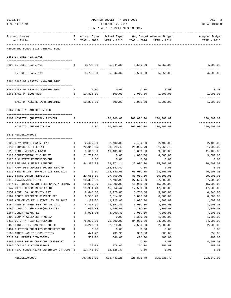#### ADOPTED BUDGET FY 2014-2015 PAGE 3 TIME:11:02 AM SEPTEMBER 2, 2014 PREPARER:0008 FISCAL YEAR 10-1-2014 to 9-30-2015

| Account Number<br>and Title                                 |                    | $C$ YEAR - 2012                       |                                     | YEAR - 2013 YEAR - 2014   | T Actual Exper Actual Exper Org Budget Amended Budget<br>YEAR - 2014 | Adopted Budget<br>YEAR - 2015 |
|-------------------------------------------------------------|--------------------|---------------------------------------|-------------------------------------|---------------------------|----------------------------------------------------------------------|-------------------------------|
| REPORTING FUND: 0010 GENERAL FUND                           |                    |                                       |                                     |                           |                                                                      |                               |
| 0360 INTEREST EARNINGS                                      |                    |                                       |                                     |                           |                                                                      |                               |
| 0100 INTEREST EARNINGS                                      |                    | I 5,735.80 5,544.32 5,550.00 5,550.00 |                                     |                           |                                                                      | 4,500.00                      |
| INTEREST EARNINGS                                           |                    |                                       | 5,735.80 5,544.32 5,550.00 5,550.00 |                           |                                                                      | 4,500.00                      |
| 0364 SALE OF ASSETS LAND/BUILDING                           |                    |                                       |                                     |                           |                                                                      |                               |
| 0162 SALE OF ASSETS LAND/BUILDING<br>0163 SALE OF EQUIPMENT | $\mathbb{I}$       | I 0.00<br>10,895.00                   | 0.00<br>500.00                      | 0.00<br>1,000.00          | 0.00<br>1,000.00                                                     | 0.00<br>1,000.00              |
|                                                             |                    |                                       |                                     | ----------                | -----------                                                          | -------------                 |
| SALE OF ASSETS LAND/BUILDING                                |                    | 10,895.00                             | 500.00                              | 1,000.00                  | 1,000.00                                                             | 1,000.00                      |
| 0367 HOSPITAL AUTHORITY-IHC                                 |                    |                                       |                                     |                           |                                                                      |                               |
| 0100 HOSPITAL QUARTERLY PAYMENT                             | Ι.                 |                                       |                                     | 100,000.00 200,000.00     | 200,000.00                                                           | 200,000.00                    |
| HOSPITAL AUTHORITY-IHC                                      |                    | 0.00                                  |                                     | 100,000.00 200,000.00     | 200,000.00                                                           | 200,000.00                    |
| 0370 MISCELLANEOUS                                          |                    |                                       |                                     |                           |                                                                      |                               |
|                                                             |                    |                                       |                                     |                           |                                                                      |                               |
| 0100 KFYN-RADIO TOWER RENT                                  | $\mathbf{I}$       | 2,400.00                              | 2,400.00                            | 2,400.00                  | 2,400.00                                                             | 2,400.00                      |
| 0112 TOBACCO SETTLEMENT                                     | $\mathbf{I}$       | 20,046.15                             | 21,328.40                           | 21,065.79                 | 21,065.79                                                            | 21,000.00                     |
| 0115 RENT- VERIZON TOWER<br>0120 CONTRIBUTION IHC TRUST     | Ι.<br>$\mathbf{I}$ | 9,660.00<br>21,704.80                 | 11,109.00<br>0.00                   | 9,660.00<br>4,000.00      | 9,660.00<br>4,000.00                                                 | 11,109.00<br>3,500.00         |
| 0125 IHC STATE REIMBURSEMENT                                | $\mathbf{I}$       | 0.00                                  | 0.00                                | 0.00                      | 0.00                                                                 | 0.00                          |
| 0130 REFUNDS & MISCELLANEOUS                                | Ι.                 | 54,380.03                             | 28,371.14                           | 25,000.00                 | 25,000.00                                                            | 20,000.00                     |
| 0134 APPR.DIST.EXCESS BUDGET REFUND                         | Ι.                 |                                       | 188,342.42                          | 0.00                      | 0.00                                                                 | 0.00                          |
| 0135 HEALTH INS. SURPLUS DISTRIBUTION                       | Ι.                 | 0.00                                  | 153,040.00                          | 63,000.00                 | 63,000.00                                                            | 40,000.00                     |
| 0139 STATE JUROR REIMB.FEE                                  | Ι.                 | 20,658.00                             | 27,750.00                           | 30,000.00                 | 30,000.00                                                            | 20,000.00                     |
| 0143 D.A.SALARY REIMB.                                      | I.                 | 18,333.32                             | 27,499.98                           | 27,500.00                 | 27,500.00                                                            | 27,500.00                     |
| 0144 CO. JUDGE COURT FEES SALARY REIMB. I                   |                    | 15,000.00                             | 15,000.00                           | 15,000.00                 | 15,000.00                                                            | 15,000.00                     |
| 0147 UTILITIES REIMBURSEMENT                                | Ι.                 | 19,931.49                             | 15,952.44                           | 17,500.00                 | 17,500.00                                                            | 17,500.00                     |
| 0151 ASST. DA LONGEVITY PAY                                 | $\mathbf{I}$       | 2,640.00                              | 3,120.00                            | 3,760.00                  | 3,760.00                                                             | 4,240.00                      |
| 0162 COURT REPORTER SERVICE FEE                             | $\mathbf{I}$       | 6,585.70                              | 7,314.33                            | 6,000.00                  | 6,000.00                                                             | 6,000.00                      |
| 0163 ADM.OF COURT JUSTICE 10% SB 1417 I                     |                    | 1,124.30                              | 1,222.88                            | 1,000.00                  | 1,000.00                                                             | 1,000.00                      |
| 0164 TIME PAYMENT FEE 40% SB 1417                           | Ι.                 | 4,497.60                              | 4,891.86                            | 3,000.00                  | 3,000.00                                                             | 3,000.00                      |
| 0166 JUDICIAL SUPP.FEE(60 CENTS)                            | Ι.                 | 1,009.84                              | 1,198.03                            | 1,300.00                  | 1,300.00                                                             | 1,300.00                      |
| 0167 JUROR REIMB.FEE                                        | Ι.                 | 6,906.76                              | 8,200.43                            | 7,000.00                  | 7,000.00                                                             | 7,000.00                      |
| 0408 COUNTY WELLNESS PROGRAM                                | I                  |                                       | 0.00                                | 1,300.00                  | 1,300.00                                                             | 1,300.00                      |
| 0410 CO CT AT LAW SUPPLEMENT                                | Ι.                 | 75,000.00                             | 75,000.00                           | 84,000.00                 | 84,000.00                                                            | 84,000.00                     |
| 0450 DIST. CLK. PASSPORT PHOTO                              | Ι.                 | 3,240.00                              | 2,910.00                            | 2,500.00                  | 2,500.00                                                             | 2,500.00                      |
| 0484 ELECTION SUPPLIES REIMBURSEMENT                        | Ι.                 | 0.00                                  | 0.00                                | 0.00                      | 0.00                                                                 | 0.00                          |
| 0509 CANDY MACHINE COMMISSION                               | $\mathbf I$        | 441.22                                | 439.95                              | 300.00                    | 300.00                                                               | 350.00                        |
| 0510 DR. PEPPER COMMISSION                                  | Ι.                 | 554.00                                | 546.00                              | 400.00                    | 400.00                                                               | 400.00                        |
| 0562 STATE REIMB.OFFENDER TRANSPORT                         | I                  |                                       |                                     | 0.00                      | 0.00                                                                 | 4,000.00                      |
| 0565 COCA-COLA COMMISSIONS                                  | I.                 | 26.88                                 | 178.02                              | 150.00                    | 150.00                                                               | 150.00                        |
| 0575 TJJD FUNDS REIMB.DETENTION CNT.COST I                  |                    | 13,742.00                             | 12,626.37<br>------------           | 0.00<br>--------------    | 0.00<br>------------                                                 | 0.00<br>-------------         |
| MISCELLANEOUS                                               |                    | 297,882.09                            |                                     | 608, 441. 25 325, 835. 79 | 325,835.79                                                           | 293,249.00                    |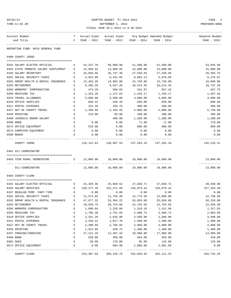#### $\begin{tabular}{lllllll} \bf 09/02/14 & \bf ADOPTED BUDGET & FY & 2014-2015 & \bf \end{tabular} \begin{tabular}{lllllllll} \bf 09/02/14 & \bf PAGE & 4 \\ \bf 17ME:11:02 AM & \bf PREPARENT:0008 & \bf \end{tabular}$ TIME:11:02 AM SEPTEMBER 2, 2014 PREPARER:0008 FISCAL YEAR 10-1-2014 to 9-30-2015

| Account Number                                                               |              |               | T Actual Exper Actual Exper Org Budget Amended Budget |                                     |            | Adopted Budget             |
|------------------------------------------------------------------------------|--------------|---------------|-------------------------------------------------------|-------------------------------------|------------|----------------------------|
| and Title                                                                    |              | C YEAR - 2012 |                                                       | YEAR - 2013 YEAR - 2014 YEAR - 2014 |            | YEAR - 2015                |
|                                                                              |              |               |                                                       |                                     |            |                            |
| REPORTING FUND: 0010 GENERAL FUND                                            |              |               |                                                       |                                     |            |                            |
| 0400 COUNTY JUDGE                                                            |              |               |                                                       |                                     |            |                            |
| 0101 SALARY ELECTED OFFICIAL                                                 | Е            | 42,237.78     | 50,000.08                                             | 51,500.00                           | 51,500.00  | 53,045.00                  |
| 0104 STATE PROBATE SALARY SUPPLEMENT                                         | Е            | 14,999.92     | 14,999.92                                             | 15,000.00                           | 15,000.00  | 15,000.00                  |
| 0105 SALARY SECRETARY                                                        | Е            | 25,958.66     | 26,737.36                                             | 27,539.56                           | 27,539.56  | 28,365.75                  |
| 0201 SOCIAL SECURITY TAXES                                                   | Е            | 4,931.08      | 5,441.82                                              | 6,093.13                            | 5,978.84   | 6,275.07                   |
| 0202 GROUP HEALTH & DENTAL INSURANCE                                         | $\mathbf{E}$ | 13,463.28     | 14,893.88                                             | 15,720.00                           | 15,720.00  | 16,660.00                  |
| 0203 RETIREMENT                                                              | Е            | 8,395.20      | 9,637.20                                              | 10,514.45                           | 10,514.45  | 10,737.18                  |
| 0204 WORKERS' COMPENSATION                                                   | $\mathbf E$  | 474.20        | 569.04                                                | 542.87                              | 657.16     | 647.75                     |
| 0205 MEDICARE TAX                                                            | Е            | 1,153.26      | 1,272.62                                              | 1,433.17                            | 1,433.17   | 1,467.56                   |
| 0225 TRAVEL ALLOWANCE                                                        | Е            | 3,600.00      | 3,600.00                                              | 3,600.00                            | 3,600.00   | 3,600.00                   |
| 0310 OFFICE SUPPLIES                                                         | Е            | 668.31        | 546.18                                                | 650.00                              | 650.00     | 800.00                     |
| 0311 POSTAL EXPENSES                                                         | Е            | 231.28        | 293.79                                                | 400.00                              | 400.00     | 400.00                     |
| 0427 OUT OF COUNTY TRAVEL                                                    | $\mathbf{E}$ | 1,389.89      | 2,445.55                                              | 2,000.00                            | 2,000.00   | 5,750.00                   |
| 0435 PRINTING                                                                | $\mathbf{E}$ | 119.80        | 59.90                                                 | 200.00                              | 200.00     | 200.00                     |
| 0468 JUVENILE BOARD SALARY                                                   | Е            |               | 400.00                                                | 1,200.00                            | 1,200.00   | 1,200.00                   |
| 0480 BOND                                                                    | Е            | 0.00          | 0.00                                                  | 71.00                               | 71.00      | 178.00                     |
| 0572 OFFICE EQUIPMENT                                                        | E            | 519.98        | 0.00                                                  | 800.00                              | 800.00     | 800.00                     |
| 0574 COMPUTER EQUIPMENT                                                      | Е            | 0.00          | 0.00                                                  | 0.00                                | 0.00       | 0.00                       |
| 0590 BOOKS                                                                   | E            | 0.00          | 0.00                                                  | 0.00                                | 0.00       | 0.00                       |
|                                                                              |              |               |                                                       |                                     | ---------  | -------------              |
| COUNTY JUDGE                                                                 |              |               | 118, 142.64 130, 897.34 137, 264.18 137, 264.18       |                                     |            | 145, 126. 31               |
| 0401 911 COORDINATOR                                                         |              |               |                                                       |                                     |            |                            |
|                                                                              |              |               |                                                       |                                     |            |                            |
| $\mathbf{E}$ and $\mathbf{E}$ and $\mathbf{E}$<br>0403 TCOG RURAL ADDRESSING |              |               | $13,000.00$ $18,000.00$ $18,000.00$ $18,000.00$       |                                     |            | 23,000.00                  |
| 911 COORDINATOR                                                              |              |               | 13,000.00  18,000.00  18,000.00  18,000.00            |                                     |            | -------------<br>23,000.00 |
| 0403 COUNTY CLERK                                                            |              |               |                                                       |                                     |            |                            |
|                                                                              |              |               |                                                       |                                     |            |                            |
| 0101 SALARY ELECTED OFFICIAL                                                 | E            |               | 44,339.36 45,669.52 47,039.71                         |                                     | 47,039.71  | 48,450.90                  |
| 0104 SALARY DEPUTIES                                                         | $E$ and $E$  | 150,277.70    |                                                       | 152,471.60 159,079.42               | 159,079.42 | 157,334.40                 |
| 0107 REGULAR-TEMP. PART-TIME                                                 | E            | 0.00          | 0.00                                                  | 0.00                                | 0.00       | 0.00                       |
| 0201 SOCIAL SECURITY TAXES                                                   |              | E 11,573.82   | 11,763.36                                             | 12,779.38                           | 12,686.88  | 12,758.69                  |
| 0202 GROUP HEALTH & DENTAL INSURANCE                                         |              | E 47,677.32   | 53,304.22                                             | 55,020.00                           | 55,020.00  | 58,310.00                  |
| 0203 RETIREMENT                                                              | Е            | 19,639.75     | 20,724.06                                             | 22,755.55                           | 22,755.55  | 22,636.38                  |
| 0204 WORKERS COMPENSATION                                                    | E            | 1,099.04      | 1,220.60                                              | 1,319.16                            | 1,411.66   | 1,317.03                   |
| 0205 MEDICARE TAX                                                            | E            | 2,706.36      | 2,751.05                                              | 2,988.72                            | 2,988.72   | 2,983.89                   |
| 0310 OFFICE SUPPLIES                                                         | Ε            | 3,331.20      | 2,645.88                                              | 3,500.00                            | 3,500.00   | 3,500.00                   |
| 0311 POSTAL EXPENSES                                                         | Ε            | 2,258.31      | 1,617.70                                              | 1,500.00                            | 1,500.00   | 1,500.00                   |
| 0427 OUT OF COUNTY TRAVEL                                                    | E            | 2,300.69      | 2,795.94                                              | 4,000.00                            | 4,000.00   | 4,000.00                   |
| 0435 PRINTING                                                                | Е            | 1,522.85      | 630.72                                                | 1,400.00                            | 1,400.00   | 1,400.00                   |
| 0437 IMAGING/INDEXING                                                        | Е            | 27, 111.29    | 12,487.16                                             | 18,000.00                           | 17,960.00  | 14,000.00                  |
| 0480 BOND                                                                    | E            | 520.00        | 200.00                                                | 563.00                              | 563.00     | 428.00                     |
| 0481 DUES                                                                    | Ε            | 50.00         | 170.00                                                | 85.00                               | 125.00     | 125.00                     |
| 0572 OFFICE EQUIPMENT                                                        | Ε            | 0.00          | 684.98                                                | 2,000.00                            | 2,081.60   | 0.00                       |
|                                                                              |              |               |                                                       |                                     |            | ---------                  |

COUNTY CLERK 314,407.69 309,136.79 332,029.94 332,111.54 328,744.29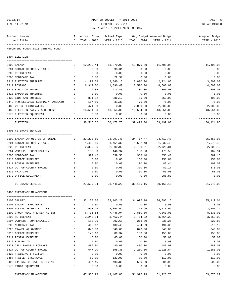#### ADOPTED BUDGET FY 2014-2015 PAGE 5 TIME:11:02 AM SEPTEMBER 2, 2014 PREPARER:0008 FISCAL YEAR 10-1-2014 to 9-30-2015

| Account Number                       |              |             |                                                   |                                     | T Actual Exper Actual Exper Org Budget Amended Budget | Adopted Budget   |
|--------------------------------------|--------------|-------------|---------------------------------------------------|-------------------------------------|-------------------------------------------------------|------------------|
| and Title                            |              |             | C YEAR - 2012 YEAR - 2013 YEAR - 2014 YEAR - 2014 |                                     |                                                       | YEAR - 2015      |
| REPORTING FUND: 0010 GENERAL FUND    |              |             |                                                   |                                     |                                                       |                  |
| 0404 ELECTION                        |              |             |                                                   |                                     |                                                       |                  |
| 0109 SALARY                          | Е            | 12,290.44   |                                                   | 11,870.00    11,870.00    11,495.95 |                                                       | 11,495.95        |
| 0201 SOCIAL SECURITY TAXES           | E            | 0.00        | 98.31                                             | 0.00                                | 0.00                                                  | 0.00             |
| 0203 RETIREMENT                      | E            | 0.00        | 0.00                                              | 0.00                                | 0.00                                                  | 0.00             |
| 0205 MEDICARE TAX                    | E            | 0.00        | 22.99                                             | 0.00                                | 0.00                                                  | 0.00             |
| 0310 ELECTION SUPPLIES               | E            | 4,199.69    | 2,840.15                                          | 2,800.00                            | 2,924.05                                              | 3,800.00         |
| 0311 POSTAGE                         | Е            | 6,919.30    | 1,396.47                                          | 8,500.00                            | 8,500.00                                              | 4,500.00         |
| 0427 ELECTION TRAVEL                 | $\mathbf{E}$ | 79.34       | 273.43                                            | 300.00                              | 300.00                                                | 300.00           |
| 0428 EMPLOYEE TRAINING               | E            | 0.00        | 0.00                                              | 0.00                                | 0.00                                                  | 0.00             |
| 0430 BIDS AND NOTICES                | Е            | 811.02      | 386.10                                            | 400.00                              | 650.00                                                | 400.00           |
| 0442 PROFESSIONAL SERVICE/TRANSLATOR | Е            | 187.50      | 31.30                                             | 75.00                               | 75.00                                                 | 75.00            |
| 0483 VOTER REGISTRATION              | Е            | 474.03      | 0.00                                              | 2,000.00                            | 2,000.00                                              | 2,000.00         |
| 0485 ELECTION MAINT. AGREEMENT       |              | E 13,554.00 | 13,554.00                                         | 13,554.00                           | 13,554.00                                             | 13,554.00        |
| 0573 ELECTION EQUIPMENT              | E            | 0.00        | 0.00                                              | 0.00                                | 0.00                                                  | 0.00             |
|                                      |              |             |                                                   |                                     |                                                       | .                |
| ELECTION                             |              |             | 38,515.32 30,472.75 39,499.00 39,499.00           |                                     |                                                       | 36,124.95        |
| 0405 VETERANS'SERVICE                |              |             |                                                   |                                     |                                                       |                  |
|                                      |              |             |                                                   |                                     |                                                       |                  |
| 0102 SALARY APPOINTED OFFICIAL       | E            |             | 23, 298.60 23, 997.48                             | 24,717.47                           | 24,717.47                                             | 25, 458.98       |
| 0201 SOCIAL SECURITY TAXES           | E            | 1,408.16    |                                                   | 1,451.32 1,532.48                   | 1,532.48                                              | 1,578.46         |
| 0203 RETIREMENT                      | E            | 2,350.96    | 2,509.90                                          | 2,728.81                            | 2,728.81                                              | 2,800.49         |
| 0204 WORKERS' COMPENSATION           | E            | 132.80      | 146.94                                            | 158.00                              | 170.56                                                | 162.94           |
| 0205 MEDICARE TAX                    | Е            | 329.42      | 339.56                                            | 358.40                              | 358.40                                                | 369.16           |
| 0310 OFFICE SUPPLIES                 | $\mathbf{E}$ | 0.00        | 0.00                                              | 150.00                              | 150.00                                                | 150.00           |
| 0311 POSTAL EXPENSES                 | E            | 0.00        | 0.00                                              | 100.00                              | 87.44                                                 | 100.00           |
| 0427 OUT OF COUNTY TRAVEL            | E            | 0.00        | 0.00                                              | 370.00                              | 81.17                                                 | 370.00           |
| 0435 PRINTING                        | E            | 0.00        | 0.00                                              | 50.00                               | 50.00                                                 | 50.00            |
| 0572 OFFICE EQUIPMENT                | Е            | 0.00        | 0.00                                              | 0.00                                | 288.83                                                | 0.00<br>-------- |
| VETERANS ' SERVICE                   |              |             | 27,519.94 28,445.20 30,165.16 30,165.16           |                                     |                                                       | 31,040.03        |
| 0406 EMERGENCY MANAGEMENT            |              |             |                                                   |                                     |                                                       |                  |
| 0103 SALARY                          |              | 32,138.86   | 33,103.20                                         | 34,096.16                           | 34,096.16                                             | 35,119.04        |
| 0107 SALARY TEMP./EXTRA              | Е            | 0.00        | 0.00                                              | 0.00                                | 0.00                                                  | 0.00             |
| 0201 SOCIAL SECURITY TAXES           | E            | 1,993.26    | 2,054.62                                          | 2,113.96                            | 2,113.96                                              | 2,207.14         |
| 0202 GROUP HEALTH & DENTAL INS       | E            | 6,731.64    | 7,446.94                                          | 7,860.00                            | 7,860.00                                              | 8,330.00         |
| 0203 RETIREMENT                      | Е            | 3, 243.04   | 3,462.44                                          | 3,764.22                            | 3,764.22                                              | 3,863.09         |
| 0204 WORKERS' COMPENSATION           | $\mathbf E$  | 183.20      | 202.68                                            | 218.00                              | 235.26                                                | 227.83           |
| 0205 MEDICARE TAX                    | $\mathbf E$  | 466.12      | 480.40                                            | 494.39                              | 494.39                                                | 516.19           |
| 0225 TRAVEL ALLOWANCE                | $\mathbf E$  | 840.00      | 840.00                                            | 840.00                              | 840.00                                                | 840.00           |
| 0310 OFFICE SUPPLIES                 | $\mathbf E$  | 148.16      | 80.34                                             | 150.00                              | 150.00                                                | 150.00           |
| 0311 POSTAL EXPENSE                  | E            | 45.00       | 45.00                                             | 50.00                               | 50.00                                                 | 50.00            |
| 0422 R&M RADIO                       | $\mathbf E$  | 0.00        | 0.00                                              | 0.00                                | 0.00                                                  | 0.00             |
| 0423 CELL PHONE ALLOWANCE            | $\mathbf E$  | 480.00      | 480.00                                            | 480.00                              | 480.00                                                | 480.00           |
| 0427 OUT OF COUNTY TRAVEL            | $\mathbf E$  | 547.20      | 595.35                                            | 1,280.00                            | 1,228.84                                              | 1,280.00         |
| 0428 TRAINING & TUITION              | Е            | 0.00        | 0.00                                              | 0.00                                | 0.00                                                  | 0.00             |
| 0487 TRAILER INSURANCE               | E            | 52.00       | 123.00                                            | 80.00                               | 112.00                                                | 112.00           |
| 0490 911 RADIO TOWER BUILDING        | E            | 497.45      | 493.89                                            | 500.00                              | 501.90                                                | 500.00           |
| 0573 RADIO EQUIPMENT                 | Е            | 0.00        | 0.00                                              | 0.00                                | 0.00                                                  | 0.00             |
|                                      |              |             |                                                   |                                     |                                                       | -------------    |

EMERGENCY MANAGEMENT 47,365.93 49,407.86 51,926.73 51,926.73 53,675.29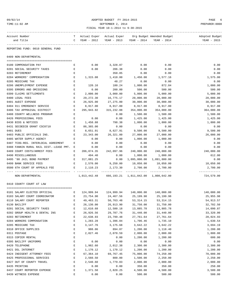#### 09/02/14 ADOPTED BUDGET FY 2014-2015 PAGE 6 TIME:11:02 AM SEPTEMBER 2, 2014 PREPARER:0008 FISCAL YEAR 10-1-2014 to 9-30-2015

| Account Number                               |              |               |                              |                                                            |                           | T Actual Exper Actual Exper Org Budget Amended Budget Netter Adopted Budget |
|----------------------------------------------|--------------|---------------|------------------------------|------------------------------------------------------------|---------------------------|-----------------------------------------------------------------------------|
| and Title                                    |              | C YEAR - 2012 |                              | YEAR - 2013 YEAR - 2014 YEAR - 2014                        |                           | YEAR - 2015                                                                 |
|                                              |              |               |                              |                                                            |                           |                                                                             |
| REPORTING FUND: 0010 GENERAL FUND            |              |               |                              |                                                            |                           |                                                                             |
| 0409 NON-DEPARTMENTAL                        |              |               |                              |                                                            |                           |                                                                             |
| 0100 COMPENSATION PAY                        | Е            | 0.00          | 3,328.87                     | 0.00                                                       | 0.00                      | 0.00                                                                        |
| 0201 SOCIAL SECURITY TAXES                   | $\mathbf{E}$ | 0.00          | 206.38                       | 0.00                                                       | 0.00                      | 0.00                                                                        |
| 0203 RETIREMENT                              | Е            |               | 350.85                       | 0.00                                                       | 0.00                      | 0.00                                                                        |
| 0204 WORKERS' COMPENSATION                   | E            |               | 1,315.08 1,410.00            | 1,450.00                                                   | 1,577.16                  | 1,575.00                                                                    |
| 0205 MEDICARE TAX                            | Е            |               | 48.27                        | 0.00                                                       | 0.00                      | 0.00                                                                        |
| 0206 UNEMPLOYMENT EXPENSE                    | E            | 120.16        | 180.24                       | 1,000.00                                                   | 872.84                    | 1,000.00                                                                    |
| 0395 ERRORS AND OMISSIONS                    | $\mathbf{E}$ | 0.00          | 200.00                       | 500.00                                                     | 500.00                    | 500.00                                                                      |
| 0399 CLAIMS SETTLEMENTS                      | E            | 2,000.00      | 3,000.00                     | 5,000.00                                                   | 5,000.00                  | 5,000.00                                                                    |
| 0400 LEGAL FEES                              | Е            | 29,272.30     | 16,775.17                    | 20,000.00                                                  | 20,000.00                 | 20,000.00                                                                   |
| 0401 AUDIT EXPENSE                           | Ε            | 26,925.00     | 27,275.00                    | 30,000.00                                                  | 30,000.00                 | 30,000.00                                                                   |
| 0404 911 EMERGENCY SERVICE                   | E            | 8,917.00      | 8,917.00                     | 8,917.00                                                   | 8,917.00                  | 8,917.00                                                                    |
| 0406 TAX APPRAISAL DISTRICT                  | E            | 295,943.92    | 315,232.88                   | 354,000.00                                                 | 354,000.00                | 364,000.00                                                                  |
| 0408 COUNTY WELLNESS PROGRAM                 | $\mathbf{E}$ |               | 0.00                         | 1,500.00                                                   | 1,500.00                  | 1,500.00                                                                    |
| 0426 PROFESSIONAL FEES                       | E            | 0.00          | 0.00                         | 1,425.00                                                   | 1,425.00                  | 1,425.00                                                                    |
| 0430 BIDS & NOTICES                          | E            | 1,458.88      | 798.38                       | 1,800.00                                                   | 1,800.00                  | 1,800.00                                                                    |
| 0431 SECOEECB GRANT CSC0710                  | E            | 86,365.00     | 0.00                         | 0.00                                                       | 0.00                      | 0.00                                                                        |
| 0481 DUES                                    | Е            | 8,651.91      | 8,627.91                     | 9,500.00                                                   | 9,500.00                  | 9,500.00                                                                    |
| 0483 PUBLIC OFFICIALS INS.                   | E            | 23,343.00     | 26,321.00                    | 27,000.00                                                  | 27,000.00                 | 26,000.00                                                                   |
| 0485 WATER SUPPLY AGENCY                     | Е            | 0.00          | 0.00                         | 1,000.00                                                   | 1,000.00                  | 0.00                                                                        |
| 0487 TCOG-REG. INTERLOCAL AGREEMENT          | Е            | 0.00          | 0.00                         | 0.00                                                       | 0.00                      | 0.00                                                                        |
| 0488 FANNIN RURAL RAIL DIST.-LEASE PMT. E    |              | 0.00          | 0.00                         | 0.00                                                       | 0.00                      | 0.00                                                                        |
| 0489 COURT COSTS/ARREST FEES                 | Е            | 206,874.35    | 242,097.96                   | 240,000.00                                                 | 240,000.00                | 240,000.00                                                                  |
| 0490 MISCELLANEOUS                           | E            | 494.40        | 0.00                         | 1,000.00                                                   | 1,000.00                  | 612.00                                                                      |
| 0495 '98 JAIL BOND PAYMENT                   | E            | 317,081.25    | 0.00                         |                                                            | 1,095,000.00 1,091,800.00 | 0.00                                                                        |
| 0499 BANK SERVICE FEES                       |              | E 2,570.00    |                              | 9,250.00 10,050.00                                         | 10,050.00                 | 10,050.00                                                                   |
| 0500 6TH COURT OF APPEALS FEE                |              |               | E 2,110.23 2,173.30 2,700.00 |                                                            | 2,700.00                  | 2,700.00                                                                    |
|                                              |              |               |                              |                                                            |                           | -------------                                                               |
| NON-DEPARTMENTAL                             |              |               |                              | 1,013,442.48    666,193.21    1,811,842.00    1,808,642.00 |                           | 724,579.00                                                                  |
| 0410 COUNTY COURT AT LAW                     |              |               |                              |                                                            |                           |                                                                             |
| 0101 SALARY ELECTED OFFICIAL<br>$\mathbf{E}$ |              |               |                              | $124,999.94$ $124,999.94$ $140,000.00$ $140,000.00$        |                           | 140,000.00                                                                  |
| 0103 SALARY COURT COORDINATOR                | E            | 23,754.90     | 24,467.56 25,199.98          |                                                            | 25,199.98                 | 25,955.98                                                                   |
| 0110 SALARY COURT REPORTER                   |              |               |                              | E 49,463.31 50,763.48 53,314.15                            | 53,314.15                 | 54,913.57                                                                   |
| 0130 BAILIFF                                 | Ε            | 26,130.00     | 26,913.90                    | 31,750.00                                                  | 31,750.00                 | 32,702.50                                                                   |
| 0201 SOCIAL SECURITY TAXES                   | E            | 12,610.68     | 12,580.18                    | 13,885.78                                                  | 13,885.78                 | 14,090.87                                                                   |
| 0202 GROUP HEALTH & DENTAL INS               | E            | 26,926.56     | 29,787.76                    | 31,440.00                                                  | 31,440.00                 | 33,320.00                                                                   |
| 0203 RETIREMENT                              | Ε            | 22,638.93     | 23,799.48                    | 27,761.64                                                  | 27,761.64                 | 28,024.93                                                                   |
| 0204 WORKERS COMPENSATION                    | E            | 1,283.28      | 1,396.84                     | 1,706.46                                                   | 1,735.10                  | 1,630.54                                                                    |
| 0205 MEDICARE TAX                            | $\mathbf E$  | 3,147.76      | 3,175.68                     | 3,642.22                                                   | 3,642.22                  | 3,694.19                                                                    |
| 0310 OFFICE SUPPLIES                         | E            | 988.06        | 894.07                       | 1,200.00                                                   | 1,118.40                  | 1,200.00                                                                    |
| 0311 POSTAGE                                 | E            | 2,027.46      | 2,078.59                     | 2,000.00                                                   | 2,000.00                  | 1,800.00                                                                    |
| 0315 COPIER RENTAL                           | E            |               | 0.00                         | 1,200.00                                                   | 1,200.00                  | 600.00                                                                      |
| 0395 BAILIFF UNIFORMS                        | E            | 0.00          | 0.00                         | 0.00                                                       | 0.00                      | 0.00                                                                        |
| 0420 TELEPHONE                               | E            | 1,982.60      | 2,012.38                     | 2,300.00                                                   | 2,300.00                  | 2,300.00                                                                    |
| 0421 DSL INTERNET                            | E            | 1,170.12      | 1,170.12                     | 1,200.00                                                   | 1,200.00                  | 1,200.00                                                                    |
| 0424 INDIGENT ATTORNEY FEES                  | E            | 67,364.10     | 69,767.45                    | 75,000.00                                                  | 74,250.00                 | 70,000.00                                                                   |
| 0425 PROFESSIONAL SERVICES                   | E            | 2,560.50      | 800.00                       | 1,500.00                                                   | 2,250.00                  | 2,250.00                                                                    |
| 0427 OUT OF COUNTY TRAVEL                    | Ε            | 2,540.60      | 1,779.03                     | 2,000.00                                                   | 2,000.00                  | 2,000.00                                                                    |
| 0435 PRINTING                                | E            | 0.00          | 0.00                         | 350.00                                                     | 350.00                    | 250.00                                                                      |
| 0437 COURT REPORTER EXPENSE                  | E            | 1,371.50      | 2,820.25                     | 4,500.00                                                   | 4,500.00                  | 3,500.00                                                                    |

0439 WITNESS EXPENSE E 0.00 0.00 500.00 500.00 500.00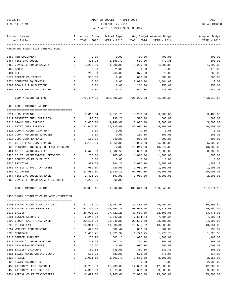#### 09/02/14 ADOPTED BUDGET FY 2014-2015 PAGE 7 TIME:11:02 AM SEPTEMBER 2, 2014 PREPARER:0008 FISCAL YEAR 10-1-2014 to 9-30-2015

| Account Number                           |              |             | T Actual Exper Actual Exper Org Budget Amended Budget |             |             | Adopted Budget           |
|------------------------------------------|--------------|-------------|-------------------------------------------------------|-------------|-------------|--------------------------|
| and Title                                | $\mathbf{C}$ | YEAR - 2012 | YEAR - 2013                                           | YEAR - 2014 | YEAR - 2014 | YEAR - 2015              |
| REPORTING FUND: 0010 GENERAL FUND        |              |             |                                                       |             |             |                          |
| 0453 R&M EOUIPMENT                       | Е            | 0.00        | 0.00                                                  | 400.00      | 400.00      | 400.00                   |
| 0467 VISITING JUDGE                      | Е            | 416.96      | 1,586.72                                              | 500.00      | 471.36      | 500.00                   |
| 0468 JUVENILE BOARD SALARY               | Е            | 1,200.00    | 1,200.00                                              | 1,200.00    | 1,200.00    | 1,200.00                 |
| 0480 BONDS                               | $\mathbf{E}$ | 0.00        | 71.00                                                 | 0.00        | 0.00        | 178.00                   |
| 0481 DUES                                | E            | 265.00      | 265.00                                                | 375.00      | 375.00      | 265.00                   |
| 0572 OFFICE EOUIPMENT                    | Е            | 585.00      | 0.00                                                  | 600.00      | 600.00      | 600.00                   |
| 0574 COMPUTER EQUIPMENT                  | Е            | 0.00        | 0.00                                                  | 2,000.00    | 2,081.60    | 0.00                     |
| 0590 BOOKS & PUBLICATIONS                | Е            | 0.00        | 0.00                                                  | 250.00      | 250.00      | 250.00                   |
| 0591 LEXIS NEXIS ONLINE LEGAL            | Е            | 0.00        | 475.84                                                | 520.00      | 520.00      | 585.00                   |
| COUNTY COURT AT LAW                      |              | 373,427.26  | 382,805.27 426,295.23 426,295.23                      |             |             | ----------<br>423,910.58 |
| 0425 COURT ADMINISTRATION                |              |             |                                                       |             |             |                          |
|                                          |              |             |                                                       |             |             |                          |
| 0311 JURY POSTAGE                        | Е            | 3,013.64    | 3,051.75                                              | 3,200.00    | 3,200.00    | 3,400.00                 |
| 0312 DISTRICT JURY SUPPLIES              | E            | 190.62      | 230.28                                                | 500.00      | 500.00      | 500.00                   |
| 0313 GRAND JURY EXPENSE                  | Е            | 5,060.00    | 4,940.00                                              | 5,000.00    | 5,000.00    | 5,000.00                 |
| 0314 PETIT JURY EXPENSE                  | Е            | 21,015.00   | 29,830.00                                             | 46,000.00   | 46,000.00   | 46,000.00                |
| 0316 COUNTY COURT JURY EXP.              | E            | 0.00        | 0.00                                                  | 0.00        | 0.00        | 0.00                     |
| 0317 COURT REPORTER SUPPLIES             | E            | 0.00        | 0.00                                                  | 100.00      | 100.00      | 100.00                   |
| 0318 J.P. JURY EXPENSE                   | Ε            | 150.00      | 340.00                                                | 800.00      | 800.00      | 800.00                   |
| 0319 CO.CT.@LAW JURY EXPENSE             | Е            | 6,105.00    | 1,669.00                                              | 5,000.00    | 5,000.00    | 5,000.00                 |
| 0422 REGIONAL INDIGENT DEFENSE PROGRAM   | Е            |             | 0.00                                                  | 10,040.00   | 10,040.00   | 13,386.00                |
| 0424 CO.CT. ATTORNEY FEES                | Е            | 2,425.00    | 1,982.50                                              | 3,000.00    | 7,000.00    | 8,000.00                 |
| 0425 CO.CT. PROFESSIONAL SERVICES        | Е            | 1,238.00    | 205.00                                                | 1,000.00    | 1,000.00    | 1,000.00                 |
| 0426 COUNTY COURT SUPPLIES               | Е            | 0.00        | 0.00                                                  | 0.00        | 0.00        | 0.00                     |
| 0435 PRINTING                            | Е            | 981.65      | 944.25                                                | 2,000.00    | 2,000.00    | 1,588.10                 |
| 0465 PHYSICAL EVID. ANALYSES             | Е            | 989.00      | 720.00                                                | 1,000.00    | 1,000.00    | 1,000.00                 |
| 0466 AUTOPSIES                           | E            | 23,989.00   | 43,640.15                                             | 50,000.00   | 46,000.00   | 50,000.00                |
| 0467 VISITING JUDGE EXPENSE              | E            | 2,476.20    | 693.91                                                | 3,000.00    | 3,000.00    | 2,000.00                 |
| 0468 JUVENILE BOARD SALARY-CO.JUDGE      | Е            | 1,200.00    | 800.00                                                |             |             |                          |
| COURT ADMINISTRATION                     |              |             | 68,833.11 89,046.84 130,640.00 130,640.00             |             |             | ----------<br>137,774.10 |
| 0435 336TH DISTRICT COURT ADMINISTRATION |              |             |                                                       |             |             |                          |
|                                          |              |             |                                                       |             |             |                          |
| 0103 SALARY COURT COORDINATOR            | Ε            | 27,721.20   | 28,552.94                                             | 29,409.55   | 29,409.55   | 30,291.84                |
| 0110 SALARY COURT REPORTER               | Ε            | 53,399.93   | 55, 164.30                                            | 58,018.50   | 58,018.50   | 59,759.06                |
| 0130 BAILIFF                             | E            | 26,913.90   | 27,721.20                                             | 32,500.00   | 32,500.00   | 33, 475.00               |
| 0201 SOCIAL SECURITY                     | E            | 6,246.03    | 6,543.36                                              | 7,584.34    | 7,584.34    | 7,807.41                 |
| 0202 GROUP HEALTH INSURANCE              | Ε            | 20,194.92   | 22,340.82                                             | 23,580.00   | 23,580.00   | 24,990.00                |
| 0203 RETIREMENT                          | E            | 10,941.35   | 11,905.96                                             | 13,505.02   | 13,505.02   | 13,851.85                |
| 0204 WORKERS COMPENSATION                | $\mathbf E$  | 623.16      | 689.42                                                | 862.66      | 862.66      | 790.57                   |
| 0205 MEDICARE                            | E            | 1,460.75    | 1,529.99                                              | 1,773.75    | 1,773.75    | 1,825.93                 |
| 0310 OFFICE SUPPLIES                     | E            | 1,266.26    | 503.16                                                | 1,000.00    | 1,000.00    | 1,100.00                 |
| 0311 DISTRICT JUDGE POSTAGE              | $\mathbf E$  | 223.98      | 267.37                                                | 350.00      | 350.00      | 350.00                   |
| 0352 GPS/SCRAM MONITORS                  | E            | 170.50      | 0.00                                                  | 1,000.00    | 996.57      | 1,000.00                 |
| 0395 BAILIFF UNIFORMS                    | E            | 89.63       | 735.00                                                | 300.00      | 333.43      | 300.00                   |
| 0421 LEXIS NEXIS ONLINE LEGAL            | $\mathbf E$  | 506.00      | 532.00                                                | 576.00      | 576.00      | 614.00                   |
| 0427 TRAVEL                              | E            | 2,021.69    | 1,701.73                                              | 2,500.00    | 2,500.00    | 2,050.00                 |
| 0428 TRAINING/TUITION                    | E            |             |                                                       | 0.00        | 0.00        | 2,000.00                 |
| 0432 ATTORNEY FEES JUVENILE              | Ε            | 12,253.50   | 15,233.00                                             | 12,000.00   | 12,000.00   | 12,000.00                |
| 0433 ATTORNEY FEES DRUG CT               | E            | 4,300.00    | 3,575.00                                              | 3,600.00    | 3,600.00    | 3,600.00                 |

0434 APPEAL COURT TRANSCRIPTS E 16,099.00 3,765.00 25,000.00 25,000.00 25,000.00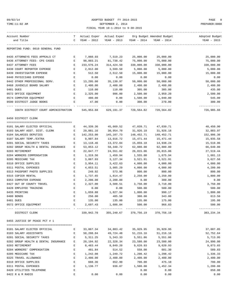#### 09/02/14 ADOPTED BUDGET FY 2014-2015 PAGE 8 TIME:11:02 AM SEPTEMBER 2, 2014 PREPARER:0008 FISCAL YEAR 10-1-2014 to 9-30-2015

| Account Number                                                                  |                                                                                                |                           |                       |                     | T Actual Exper Actual Exper Org Budget Amended Budget | Adopted Budget          |
|---------------------------------------------------------------------------------|------------------------------------------------------------------------------------------------|---------------------------|-----------------------|---------------------|-------------------------------------------------------|-------------------------|
| and Title                                                                       |                                                                                                | C YEAR - 2012             |                       |                     | YEAR - 2013 YEAR - 2014 YEAR - 2014                   | YEAR - 2015             |
| REPORTING FUND: 0010 GENERAL FUND                                               |                                                                                                |                           |                       |                     |                                                       |                         |
|                                                                                 |                                                                                                |                           |                       |                     |                                                       |                         |
| 0435 ATTORNEYS FEES APPEALS CT                                                  | $\mathbf{E}$                                                                                   | 7,860.93                  | 7,519.23              | 25,000.00           | 25,000.00                                             | 25,000.00               |
| 0436 ATTORNEY FEES- CPS CASES                                                   | E                                                                                              | 98,003.21                 | 81,738.42             | 75,000.00           | 75,000.00                                             | 75,000.00               |
| 0437 ATTORNEY FEES                                                              | Е                                                                                              | 233,576.24                | 314,424.50            | 330,000.00          | 330,000.00                                            | 330,000.00              |
| 0438 COURT REPORTER EXPENSE                                                     | $\mathbf{E}% _{t}\left  \mathbf{1}\right\rangle =\mathbf{1}_{t}\left  \mathbf{1}\right\rangle$ | 2,912.00                  | 3,599.50              | 5,000.00            | 5,000.00                                              | 5,000.00                |
| 0439 INVESTIGATOR EXPENSE                                                       | E                                                                                              | 512.50                    | 2,512.50              | 15,000.00           | 15,000.00                                             | 15,000.00               |
| 0440 PHYSICIANS EXPENSE                                                         | Е                                                                                              | 0.00                      | 0.00                  | 0.00                | 0.00                                                  | 0.00                    |
| 0442 OTHER PROFESSIONAL SERV.                                                   | $\mathbf{E}$                                                                                   | 13,295.00                 | 35,130.97             | 50,000.00           | 50,000.00                                             | 50,000.00               |
| 0468 JUVENILE BOARD SALARY                                                      | E                                                                                              | 2,400.00                  | 2,400.00              | 2,400.00            | 2,400.00                                              | 2,400.00                |
| 0481 DUES                                                                       | $\mathbf{E}$                                                                                   | 110.00                    | 110.00                | 305.00              | 305.00                                                | 435.00                  |
| 0572 OFFICE EQUIPMENT                                                           | E                                                                                              | 2,325.00                  | 996.00                | 2,500.00            | 2,959.20                                              | 2,500.00                |
| 0574 COMPUTER EQUIPMENT                                                         | $\mathbf{E}$                                                                                   | 480.00                    | 0.00                  | 1,500.00 1,040.80   |                                                       | 545.00                  |
| 0590 DISTRICT JUDGE BOOKS                                                       | Е                                                                                              | 47.00<br>---------------- | 0.00                  | 300.00              | 270.00                                                | 300.00<br>------------- |
| 336TH DISTRICT COURT ADMINISTRATION 545,953.68 629,191.37 720,564.82 720,564.82 |                                                                                                |                           |                       |                     |                                                       | 726,985.66              |
| 0450 DISTRICT CLERK                                                             |                                                                                                |                           |                       |                     |                                                       |                         |
| 0101 SALARY ELECTED OFFICIAL                                                    | E                                                                                              | 44,339.36                 | 45,669.52             | 47,039.71 47,039.71 |                                                       | 48,450.90               |
| 0103 SALARY ASST. DIST. CLERK                                                   | E                                                                                              | 29,881.16                 | 30,954.70             | 31,926.18           | 31,926.18                                             | 32,883.97               |
| 0104 SALARIES DEPUTIES                                                          | E                                                                                              | 142,253.00                | 145,107.73            | 148,452.71          | 148,452.71                                            | 152,906.30              |
| 0107 SALARY TEMP./EXTRA                                                         | Е                                                                                              | 9,997.84                  | 13,016.72             | 15,471.44           | 15,471.44                                             | 15,935.58               |
| 0201 SOCIAL SECURITY TAXES                                                      | Е                                                                                              | 13,118.46                 | 13,372.04             | 15,059.18           | 14,938.24                                             | 15,510.96               |
| 0202 GROUP HEALTH & DENTAL INSURANCE                                            | Е                                                                                              | 53,853.12                 | 58,340.72             | 62,880.00           | 62,880.00                                             | 66,640.00               |
| 0203 RETIREMENT                                                                 | Е                                                                                              | 22,847.77                 | 24,551.82             | 26,815.06           | 26,815.06                                             | 27,519.44               |
| 0204 WORKERS COMPENSATION                                                       | $\mathbf{E}% _{t}\left  \mathbf{1}\right\rangle =\mathbf{1}_{t}\left  \mathbf{1}\right\rangle$ | 1,319.56                  | 1,459.94              | 1,555.00            | 1,675.94                                              | 1,601.13                |
| 0205 MEDICARE TAX                                                               | $\mathbf{E}% _{t}\left  \mathbf{1}\right\rangle =\mathbf{1}_{t}\left  \mathbf{1}\right\rangle$ | 3,067.93                  | 3,127.34              | 3,521.91            | 3,521.91                                              | 3,627.56                |
| 0310 OFFICE SUPPLIES                                                            | Е                                                                                              | 3,954.11                  | 3,422.63              | 4,000.00            | 4,000.00                                              | 4,000.00                |
| 0311 POSTAL EXPENSES                                                            | Е                                                                                              | 4,053.51                  | 3,985.29              | 4,000.00            | 4,000.00                                              | 4,200.00                |
| 0313 PASSPORT PHOTO SUPPLIES                                                    | $\mathbf{E}$                                                                                   | 249.92                    | 573.96                | 800.00              | 800.00                                                | 800.00                  |
| 0315 COPIER RENTAL                                                              | $\mathbf{E}$                                                                                   | 1,737.65                  | 1,814.47              | 2,250.00            | 2,250.00                                              | 1,800.00                |
| 0353 COMPUTER EXPENSE                                                           | $\mathbf{E}% _{t}\left  \mathbf{1}\right\rangle =\mathbf{1}_{t}\left  \mathbf{1}\right\rangle$ | 2,200.00                  | 2,200.00              | 0.00                | 300.00                                                | 0.00                    |
| 0427 OUT OF COUNTY TRAVEL                                                       | Е                                                                                              | 2,327.00                  | 3,508.51              | 3,750.00            | 3,710.00                                              | 3,750.00                |
| 0428 EMPLOYEE TRAINING                                                          | Е                                                                                              | 0.00                      | 0.00                  | 500.00              | 500.00                                                | 500.00                  |
| 0435 PRINTING                                                                   | $\mathbf{E}$                                                                                   | 1,659.88                  | 1,827.94              | 1,800.00            | 990.17                                                | 1,800.00                |
| 0480 BONDS                                                                      | Е                                                                                              | 250.00                    | 485.50                | 300.00              | 343.00                                                | 613.50                  |
| 0481 DUES                                                                       |                                                                                                | 135.00                    | 135.00                | 135.00              | 175.00                                                | 195.00                  |
| 0572 OFFICE EQUIPMENT                                                           | $E$ and $E$                                                                                    |                           | 2,697.43 1,686.84     | 500.00              | 966.83                                                | 500.00                  |
|                                                                                 |                                                                                                |                           |                       |                     | --------------                                        | -------------           |
| DISTRICT CLERK                                                                  |                                                                                                |                           | 339,942.70 355,240.67 | 370,756.19          | 370,756.19                                            | 383, 234.34             |
| 0455 JUSTICE OF PEACE PCT # 1                                                   |                                                                                                |                           |                       |                     |                                                       |                         |
| 0101 SALARY ELECTED OFFICIAL                                                    | E                                                                                              | 33,867.34                 | 34,883.42             | 35,929.95           | 35,929.95                                             | 37,007.85               |
| 0103 SALARY ASSISTANTS                                                          | Е                                                                                              | 50,208.04                 | 49,724.48             | 51,216.16           | 51,216.16                                             | 52,752.64               |
| 0201 SOCIAL SECURITY TAXES                                                      | Е                                                                                              | 5,311.25                  | 5,343.33              | 5,551.86            | 5,551.86                                              | 5,713.95                |
| 0202 GROUP HEALTH & DENTAL INSURANCE                                            | Е                                                                                              | 20,194.92                 | 22,328.34             | 23,580.00           | 23,580.00                                             | 24,990.00               |
| 0203 RETIREMENT                                                                 | Е                                                                                              | 8,483.44                  | 8,849.20              | 9,620.93            | 9,620.93                                              | 9,873.65                |
| 0204 WORKERS' COMPENSATION                                                      | Ε                                                                                              | 481.84                    | 514.52                | 558.00              | 601.30                                                | 589.83                  |
| 0205 MEDICARE TAX                                                               | Е                                                                                              | 1,242.08                  | 1,249.72              | 1,298.42            | 1,298.42                                              | 1,336.33                |
| 0225 TRAVEL ALLOWANCE                                                           | E                                                                                              | 2,400.00                  | 2,400.00              | 2,400.00            | 2,400.00                                              | 2,400.00                |
| 0310 OFFICE SUPPLIES                                                            | Ε                                                                                              | 688.36                    | 652.90                | 700.00              | 475.10                                                | 700.00                  |
| 0311 POSTAL EXPENSES                                                            | E                                                                                              | 1,138.77                  | 936.87                | 1,500.00            | 1,452.34                                              | 1,200.00                |
| 0420 UTILITIES TELEPHONE                                                        | $\mathbf E$                                                                                    |                           |                       | 0.00                | 0.00                                                  | 650.00                  |
| 0422 R & M RADIO                                                                | Ε                                                                                              | 0.00                      | 0.00                  | 0.00                | 0.00                                                  | 0.00                    |
|                                                                                 |                                                                                                |                           |                       |                     |                                                       |                         |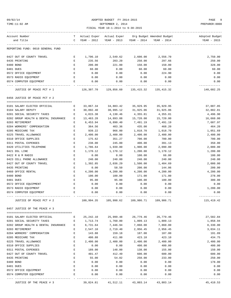#### $\begin{tabular}{lllllllll} \hline 09/02/14 & \multicolumn{3}{l}{{\small \tt{ADOPTED BUDGET}}}& FY & 2014-2015 & \multicolumn{3}{l}{{\small \tt{PAGE}}} & 9 \\ \hline {\small \tt{TIME}:11:02~AM} & \multicolumn{3}{l}{{\small \tt{PREPARER}:0008}} & \multicolumn{3}{l}{{\small \tt{FISCALYEAR BICAL}:\,0008}} & \multicolumn{3}{l}{{\small \tt{PREFAMER}:0008}} & \multicolumn{3}{l}{{\small \tt{PREFARER}:0008}} \\ \hline \end{$ TIME:11:02 AM SEPTEMBER 2, 2014 PREPARER:0008 FISCAL YEAR 10-1-2014 to 9-30-2015

| Account Number                                |                    |                  | T Actual Exper Actual Exper Org Budget Amended Budget |                    |                 | Adopted Budget                        |
|-----------------------------------------------|--------------------|------------------|-------------------------------------------------------|--------------------|-----------------|---------------------------------------|
| and Title                                     |                    | C YEAR - 2012    | YEAR - 2013                                           | YEAR - 2014        | YEAR - 2014     | YEAR - 2015                           |
| REPORTING FUND: 0010 GENERAL FUND             |                    |                  |                                                       |                    |                 |                                       |
| 0427 OUT OF COUNTY TRAVEL                     | $\mathbf{E}$       | 1,796.10         | 2,549.62                                              | 2,600.00           | 2,556.70        | 2,750.00                              |
| 0435 PRINTING                                 | Е                  | 235.56           | 203.20                                                | 250.00             | 297.66          | 250.00                                |
| 0480 BOND                                     | E                  | 200.00           | 221.00                                                | 150.00             | 150.00          | 328.00                                |
| 0481 DUES                                     | E                  | 60.00            | 0.00                                                  | 60.00              | 60.00           | 60.00                                 |
| 0572 OFFICE EQUIPMENT                         | E                  | 0.00             | 0.00                                                  | 0.00               | 224.90          | 0.00                                  |
| 0573 RADIO EQUIPMENT                          | E                  | 0.00             | 0.00                                                  | 0.00               | 0.00            | 0.00                                  |
| 0574 COMPUTER EQUIPMENT                       | Е                  | 0.00             | 0.00                                                  | 0.00               | 0.00            | 0.00                                  |
| JUSTICE OF PEACE PCT # 1                      |                    | 126,307.70       | 129,856.60 135,415.32 135,415.32                      |                    |                 | ------------<br>140,602.25            |
| 0456 JUSTICE OF PEACE PCT # 2                 |                    |                  |                                                       |                    |                 |                                       |
|                                               |                    |                  |                                                       |                    |                 |                                       |
| 0101 SALARY ELECTED OFFICIAL                  | E                  | 33,867.34        | 34,883.42                                             | 35,929.95          | 35,929.95       | 37,007.85                             |
| 0104 SALARY DEPUTY                            | Е                  | 30,092.40        | 30,995.12                                             | 31,925.06          | 31,925.06       | 32,882.81                             |
| 0201 SOCIAL SECURITY TAXES                    | Е                  | 4,015.38         | 4,130.46                                              | 4,355.81           | 4,355.81        | 4,496.90                              |
| 0202 GROUP HEALTH & DENTAL INSURANCE          | Е                  | 13,463.28        | 14,893.88                                             | 15,720.00          | 15,720.00       | 16,660.00                             |
| 0203 RETIREMENT                               | Е                  | 6,453.94         | 6,890.40                                              | 7,491.19           | 7,491.19        | 7,687.97                              |
| 0204 WORKERS' COMPENSATION                    | $\mathbf{E}% _{0}$ | 364.56           | 403.36                                                | 435.00             | 468.20          | 464.20                                |
| 0205 MEDICARE TAX                             | E                  | 939.22           | 966.00                                                | 1,018.70           | 1,018.70        | 1,051.69                              |
| 0225 TRAVEL ALLOWANCE                         | $\mathbf{E}$       | 2,400.00         | 2,400.00                                              | 2,400.00           | 2,400.00        | 2,400.00                              |
| 0310 OFFICE SUPPLIES                          | E                  | 175.62           | 351.27                                                | 700.00             | 700.00          | 700.00                                |
| 0311 POSTAL EXPENSES                          | Е                  | 238.00           | 245.00                                                | 400.00             | 391.13          | 350.00                                |
| 0420 UTILITIES TELEPHONE                      | Е                  | 1,786.64         | 1,939.80                                              | 1,900.00           | 2,090.00        | 2,000.00                              |
| 0421 DSL LINE                                 | $\mathbf{E}% _{0}$ | 1,170.12         | 1,170.12                                              | 1,200.00           | 1,170.12        | 1,200.00                              |
| 0422 R & M RADIO<br>0423 CELL PHONE ALLOWANCE | E<br>E             | 0.00             | 0.00<br>240.00                                        | 100.00             | 66.80<br>240.00 | 100.00                                |
| 0427 OUT OF COUNTY TRAVEL                     | E                  | 240.00           | 2,036.29                                              | 240.00<br>1,500.00 | 1,404.69        | 240.00<br>2,000.00                    |
| 0435 PRINTING                                 | E                  | 1,392.85<br>0.00 | 58.50                                                 | 200.00             | 144.06          | 200.00                                |
| 0460 OFFICE RENTAL                            | Е                  | 4,200.00         | 4,200.00                                              | 4,200.00           | 4,200.00        | 4,200.00                              |
| 0480 BOND                                     | Е                  | 100.00           | 100.00                                                | 171.00             | 171.00          | 278.00                                |
| 0481 DUES                                     | E                  | 95.00            | 95.00                                                 | 100.00             | 100.00          | 300.00                                |
| 0572 OFFICE EQUIPMENT                         | E                  | 0.00             | 0.00                                                  | 0.00               | 0.00            | 0.00                                  |
| 0573 RADIO EQUIPMENT                          | Е                  | 0.00             | 0.00                                                  | 0.00               | 0.00            | 1,200.00                              |
| 0574 COMPUTER EQUIPMENT                       | Е                  | 0.00             | 0.00                                                  | 0.00               | 0.00            | 0.00                                  |
| JUSTICE OF PEACE PCT # 2                      |                    |                  | 100,994.35   105,998.62   109,986.71   109,986.71     |                    |                 | -------------<br>$115\,, 419\,. \,42$ |
| 0457 JUSTICE OF THE PEACE # 3                 |                    |                  |                                                       |                    |                 |                                       |
|                                               |                    |                  |                                                       |                    |                 |                                       |
| 0101 SALARY ELECTED OFFICIAL                  | Е                  | 25,242.10        | 25,999.48                                             | 26,779.46          | 26,779.46       | 27,582.84                             |
| 0201 SOCIAL SECURITY TAXES                    | Е                  | 1,713.74         | 1,760.80                                              | 1,809.13           | 1,809.13        | 1,858.94                              |
| 0202 GROUP HEALTH & DENTAL INSURANCE          | E                  | 6,731.64         | 7,446.94                                              | 7,860.00           | 7,860.00        | 8,330.00                              |
| 0203 RETIREMENT                               | Е                  | 2,547.10         | 2,719.40                                              | 2,956.45           | 2,956.45        | 3,034.11                              |
| 0204 WORKERS' COMPENSATION                    | Е                  | 143.88           | 159.18                                                | 187.00             | 187.00          | 191.89                                |
| 0205 MEDICARE TAX                             | Е                  | 400.88           | 411.80                                                | 423.10             | 423.10          | 434.75                                |
| 0225 TRAVEL ALLOWANCE                         | Е                  | 2,400.00         | 2,400.00                                              | 2,400.00           | 2,400.00        | 2,400.00                              |
| 0310 OFFICE SUPPLIES                          | Е                  | 0.00             | 0.00                                                  | 400.00             | 400.00          | 400.00                                |
| 0311 POSTAL EXPENSES                          | Ε                  | 189.00           | 148.00                                                | 138.00             | 155.00          | 150.00                                |
| 0427 OUT OF COUNTY TRAVEL                     | Ε                  | 401.47           | 412.49                                                | 600.00             | 600.00          | 600.00                                |
| 0435 PRINTING                                 | Е                  | 55.00            | 54.02                                                 | 250.00             | 233.00          | 250.00                                |
| 0480 BOND                                     | Е                  | 0.00             | 0.00                                                  | 0.00               | 0.00            | 178.00                                |
| 0481 DUES                                     | Е                  | 0.00             | 0.00                                                  | 0.00               | 0.00            | 0.00                                  |
| 0572 OFFICE EQUIPMENT                         | E                  | 0.00             | 0.00                                                  | 0.00               | 0.00            | 0.00                                  |
| 0574 COMPUTER EQUIPMENT                       | Е                  | 0.00             | 0.00                                                  | 0.00               | 0.00            | 0.00                                  |
|                                               |                    |                  |                                                       |                    |                 | -------------                         |

JUSTICE OF THE PEACE # 3 39,824.81 41,512.11 43,803.14 43,803.14 43,803.14 45,410.53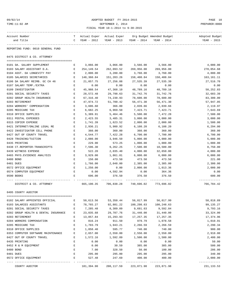#### 09/02/14 ADOPTED BUDGET FY 2014-2015 PAGE 10 TIME:11:02 AM SEPTEMBER 2, 2014 PREPARER:0008 FISCAL YEAR 10-1-2014 to 9-30-2015

| Account Number                       |              |               | T Actual Exper Actual Exper Org Budget Amended Budget |                                     |               | Adopted Budget       |
|--------------------------------------|--------------|---------------|-------------------------------------------------------|-------------------------------------|---------------|----------------------|
| and Title                            |              | C YEAR - 2012 |                                                       | YEAR - 2013 YEAR - 2014 YEAR - 2014 |               | YEAR - 2015          |
|                                      |              |               |                                                       |                                     |               |                      |
| REPORTING FUND: 0010 GENERAL FUND    |              |               |                                                       |                                     |               |                      |
| 0475 DISTRICT & CO. ATTORNEY         |              |               |                                                       |                                     |               |                      |
|                                      |              |               |                                                       |                                     |               |                      |
| 0101 DA. SALARY SUPPLEMENT           | E            | 3,066.00      | 3,066.00                                              | 3,566.00                            | 3,566.00      | 4,000.00             |
| 0103 SALARY ASSISTANT D.A.           | E            | 254,149.54    | 262,093.52                                            | 269,956.00                          | 269,956.00    | 278,054.68           |
| 0104 ASST. DA LONGEVITY PAY          | E            | 2,800.00      | 3,280.00                                              | 3,760.00                            | 3,760.00      | 4,880.00             |
| 0105 SALARIES SECRETARIES            | E            | 148,360.84    | 151,203.26                                            | 158,408.84                          | 158,408.84    | 163, 161. 11         |
| 0106 DA SALARY REIMB. GC CH 46       | $\mathbf{E}$ | 21,057.75     | 27,256.08                                             | 27,535.39                           | 27,535.39     | 27,516.70            |
| 0107 SALARY TEMP./EXTRA              | E            | 0.00          | 0.00                                                  | 0.00                                | 0.00          | 0.00                 |
| 0109 INVESTIGATOR                    | E            | 45,988.54     | 47,368.10                                             | 48,789.16                           | 48,789.16     | 50,252.83            |
| 0201 SOCIAL SECURITY TAXES           | E            | 28,572.48     | 29,798.63                                             | 31,742.76                           | 31,742.76     | 32,683.39            |
| 0202 GROUP HEALTH INSURANCE          | E            | 67,316.40     | 74,230.93                                             | 78,600.00                           | 78,600.00     | 83,300.00            |
| 0203 RETIREMENT                      | Е            | 47,974.72     | 51,700.42                                             | 56,471.30                           | 56,471.30     | 57,947.05            |
| 0204 WORKERS' COMPENSATION           | E            | 3,606.60      | 366.00                                                | 2,039.66                            | 2,039.66      | 2,119.97             |
| 0205 MEDICARE TAX                    | E            | 6,682.25      | 6,969.50                                              | 7,423.71                            | 7,423.71      | 7,643.69             |
| 0310 OFFICE SUPPLIES                 | E            | 5,389.91      | 5,464.46                                              | 5,500.00                            | 7,472.28      | 7,500.00             |
| 0311 POSTAL EXPENSES                 | Е            | 2,423.55      | 3,485.31                                              | 3,000.00                            | 3,000.00      | 3,000.00             |
| 0315 COPIER EXPENSE                  | Е            | 1,741.39      | 1,623.52                                              | 2,000.00                            | 2,000.00      | 1,500.00             |
| 0421 INTERNET/ONLINE LEGAL RE        | E            | 2,936.21      | 5,980.92                                              | 6,108.20                            | 6,108.20      | 6,294.00             |
| 0422 INVESTIGATOR CELL PHONE         | E            | 360.00        | 360.00                                                | 360.00                              | 360.00        | 360.00               |
| 0427 OUT OF COUNTY TRAVEL            | E            | 4,544.77      | 7,422.28                                              | 6,700.00                            | 7,700.00      | 6,700.00             |
| 0428 TRAINING/TUITION                | E            | 2,080.00      | 3,946.50                                              | 5,000.00                            | 4,000.00      | 5,000.00             |
| 0435 PRINTING                        | E            | 229.90        | 573.25                                                | 1,000.00                            | 1,000.00      | 1,000.00             |
| 0438 CT.REPORTER-TRANSCRIPTS         | E            | 7,596.30      | 9,262.25                                              | 7,500.00                            | 10,500.00     | 8,750.00             |
| 0439 WITNESS EXPENSE                 | E            | 522.20        | 2,035.40                                              | 4,000.00                            | 32,650.00     | 4,000.00             |
| 0465 PHYS. EVIDENCE ANALYSIS         | E            | 3,929.00      | 1,861.01                                              | 6,000.00                            | 6,000.00      | 6,000.00             |
| 0480 BOND                            | E            | 150.00        | 473.50                                                | 473.50                              | 473.50        | 221.00               |
| 0481 DUES                            | E            | 1,766.00      | 2,048.00                                              | 2,385.00                            | 2,385.00      | 2,300.00             |
| 0572 OFFICE EQUIPMENT                | E            | 1,250.00      | 0.00                                                  | 2,000.00                            | 1,013.36      | 2,000.00             |
| 0574 COMPUTER EQUIPMENT              | E            | 0.00          | 4,592.94                                              | 0.00                                | 364.36        | 0.00                 |
| 0590 BOOKS                           | E            | 696.00        | 376.50                                                | 376.50                              | 376.50        | 600.00<br>---------- |
| DISTRICT & CO. ATTORNEY              |              | 665,190.35    | 706,838.28 740,696.02 773,696.02                      |                                     |               | 766,784.42           |
| 0495 COUNTY AUDITOR                  |              |               |                                                       |                                     |               |                      |
| 0102 SALARY APPOINTED OFFICIAL       |              | 50,613.56     | 53,350.44                                             | 56,017.99                           | 56,017.99     | 58,818.89            |
| 0103 SALARIES ASSISTANTS             | Е            | 78,765.27     | 92,881.22                                             | 100,298.63                          | 100,248.63    | 99, 135. 27          |
| 0201 SOCIAL SECURITY TAXES           | Е            | 7,285.48      | 8,309.09                                              | 9,691.63                            | 9,592.84      | 9,793.16             |
| 0202 GROUP HEALTH & DENTAL INSURANCE | Е            | 23,035.68     | 29,787.76                                             | 31,440.00                           | 31,440.00     | 33, 324.00           |
| 0203 RETIREMENT                      | Е            | 13,057.84     | 15,293.93                                             | 17,257.35                           | 17,257.35     | 17,374.96            |
| 0204 WORKERS COMPENSATION            | Ε            | 816.24        | 911.50                                                | 979.79                              | 1,078.58      | 1,010.91             |
| 0205 MEDICARE TAX                    | Е            | 1,703.79      | 1,943.21                                              | 2,266.59                            | 2,266.59      | 2,290.34             |
| 0310 OFFICE SUPPLIES                 | Е            | 1,058.40      | 595.77                                                | 740.00                              | 740.00        | 900.00               |
| 0353 COMPUTER SOFTWARE MAINTENANCE   | Е            | 2,657.00      | 2,550.00                                              | 2,550.00                            | 2,550.00      | 2,910.00             |
| 0427 OUT OF COUNTY TRAVEL            | Е            | 1,572.16      | 1,592.89                                              | 1,500.00                            | 1,500.00      | 2,400.00             |
| 0435 PRINTING                        | Ε            | 0.00          | 0.00                                                  | 0.00                                | 0.00          | 50.00                |
| 0452 R & M EQUIPMENT                 | Ε            | 0.00          | 30.59                                                 | 385.00                              | 385.00        | 500.00               |
| 0480 BOND                            | Е            | 7.00          | 328.50                                                | 50.00                               | 100.00        | 286.00               |
| 0481 DUES                            | Е            | 295.00        | 295.00                                                | 295.00                              | 295.00        | 340.00               |
| 0572 OFFICE EQUIPMENT                | E            | 527.48        | 247.69                                                | 400.00                              | 400.00        | 2,000.00             |
|                                      |              |               |                                                       |                                     | ------------- | -------------        |

COUNTY AUDITOR 181,394.90 208,117.59 223,871.98 223,871.98 231,133.53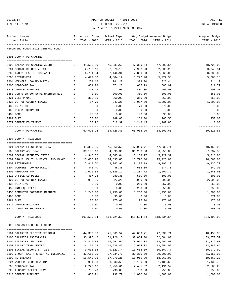#### 09/02/14 ADOPTED BUDGET FY 2014-2015 PAGE 11 TIME:11:02 AM SEPTEMBER 2, 2014 PREPARER:0008 FISCAL YEAR 10-1-2014 to 9-30-2015

| Account Number                                                     |              |               |                                               |            |                       | T Actual Exper Actual Exper Org Budget Amended Budget               Adopted Budget |
|--------------------------------------------------------------------|--------------|---------------|-----------------------------------------------|------------|-----------------------|------------------------------------------------------------------------------------|
| and Title                                                          |              | C YEAR - 2012 | YEAR - 2013 YEAR - 2014 YEAR - 2014           |            |                       | YEAR - 2015                                                                        |
| REPORTING FUND: 0010 GENERAL FUND                                  |              |               |                                               |            |                       |                                                                                    |
| 0496 COUNTY PURCHASING                                             |              |               |                                               |            |                       |                                                                                    |
|                                                                    |              |               |                                               |            |                       |                                                                                    |
| 0103 SALARY PURCHASING AGENT                                       | E            | 44,593.90     | 45,931.60                                     | 47,309.64  | 47,309.64             | 48,728.93                                                                          |
| 0201 SOCIAL SECURITY TAXES                                         | E            | 2,787.16      | 2,870.10                                      | 2,933.20   | 2,933.20              | 3,043.51                                                                           |
| 0202 GROUP HEALTH INSURANCE                                        | E            | 6,731.64      | 7,446.94                                      | 7,860.00   | 7,860.00              | 8,330.00                                                                           |
| 0203 RETIREMENT                                                    | E            | 4,499.80      | 4,804.12                                      | 5,222.98   | 5,222.98              | 5,360.18                                                                           |
| 0204 WORKERS' COMPENSATION                                         | $\mathbf{E}$ | 254.16        | 281.22                                        | 303.00     | 326.44                | 314.17                                                                             |
| 0205 MEDICARE TAX                                                  | E            | 651.78        | 671.28                                        | 685.99     | 685.99                | 711.79                                                                             |
| 0310 OFFICE SUPPLIES                                               | E            | 342.13        | 411.90                                        | 400.00     | 400.00                | 400.00                                                                             |
| 0353 COMPUTER SOFTWARE MAINTENANCE                                 | Е            | 0.00          | 300.00                                        | 300.00     | 300.00                | 350.00                                                                             |
| 0421 CELL PHONE                                                    | Е            | 360.00        | 360.00                                        | 360.00     | 360.00                | 360.00                                                                             |
| 0427 OUT OF COUNTY TRAVEL                                          | Е            | 87.75         | 947.25                                        | 1,007.00   | 1,007.00              | 1,200.00                                                                           |
| 0435 PRINTING                                                      | Е            | 0.00          | 0.00                                          | 70.00      | 70.00                 | 70.00                                                                              |
| 0452 R & M EQUIPMENT                                               | $\mathbf{E}$ | 0.00          | 0.00                                          | 0.00       | 0.00                  | 0.00                                                                               |
| 0480 BOND                                                          | $\mathbf{E}$ | 93.00         | 0.00                                          | 93.00      | 93.00                 | 0.00                                                                               |
| 0481 DUES                                                          | E            | 50.00         | 189.00                                        | 289.00     | 265.56                | 450.00                                                                             |
| 0572 OFFICE EQUIPMENT                                              | E            | 63.92         | 512.99                                        |            | 1,249.45 1,167.85     | 0.00                                                                               |
|                                                                    |              |               |                                               |            |                       | -------------                                                                      |
| COUNTY PURCHASING                                                  |              |               | 60,515.24   64,726.40   68,083.26   68,001.66 |            |                       | 69,318.58                                                                          |
| 0497 COUNTY TREASURER                                              |              |               |                                               |            |                       |                                                                                    |
| 0101 SALARY ELECTED OFFICIAL<br><b>EXECUTIVE</b>                   |              |               | 44,339.36 45,669.52 47,039.71                 |            | 47,039.71             | 48,450.90                                                                          |
| 0103 SALARY ASSISTANT                                              | E            | 33,102.16     | 34,095.36                                     | 36,250.00  | 36,250.00             | 37,337.50                                                                          |
| 0201 SOCIAL SECURITY TAXES                                         | Е            | 4,346.62      | 4,383.84                                      | 5,163.97   | 5,122.32              | 5,318.88                                                                           |
| 0202 GROUP HEALTH & DENTAL INSURANCE                               | E            | 13,463.28     | 14,893.88                                     | 15,720.00  | 15,720.00             | 16,660.00                                                                          |
| 0203 RETIREMENT                                                    | Е            | 7,814.60      | 8,342.92                                      | 9,195.19   | 9,195.19              | 9,436.72                                                                           |
| 0204 WORKERS' COMPENSATION                                         | E            | 441.40        | 488.38                                        | 533.05     | 574.70                | 549.05                                                                             |
| 0205 MEDICARE TAX                                                  | E            | 1,016.33      | 1,025.12                                      | 1,207.72   | 1,207.72              | 1,243.93                                                                           |
| 0310 OFFICE SUPPLIES                                               | E            | 487.73        | 380.36                                        | 500.00     | 500.00                | 500.00                                                                             |
| 0427 OUT OF COUNTY TRAVEL                                          | E            | 913.56        | 927.21                                        | 1,000.00   | 993.00                | 2,000.00                                                                           |
| 0435 PRINTING                                                      | E            | 0.00          | 0.00                                          | 250.00     | 257.00                | 250.00                                                                             |
| 0452 R&M EQUIPMENT                                                 | E            | 0.00          | 0.00                                          | 250.00     | 250.00                | 250.00                                                                             |
| 0453 COMPUTER SOFTWARE MAINTEN<br><b>Expanding Contract Except</b> |              | 1,243.00      | 1,250.00                                      | 1,250.00   | 1,250.00              | 1,300.00                                                                           |
| 0480 BOND                                                          | Е            | 0.00          | 93.00                                         | 0.00       | 0.00                  | 271.00                                                                             |
| 0481 DUES                                                          |              | 175.00        | 175.00                                        | 175.00     | 175.00                | 175.00                                                                             |
| 0572 OFFICE EQUIPMENT                                              | Е            | 176.00        | 0.00                                          | 0.00       | 0.00                  | 0.00                                                                               |
| 0574 COMPUTER EQUIPMENT                                            | $\mathbf{E}$ | 0.00          | 0.00                                          | 0.00       | 0.00                  | 450.00                                                                             |
|                                                                    |              |               |                                               |            | . _ _ _ _ _ _ _ _ _ _ |                                                                                    |
| COUNTY TREASURER                                                   |              | 107,519.04    | 111,724.59                                    | 118,534.64 | 118,534.64            | 124, 192.98                                                                        |
| 0499 TAX ASSESSOR-COLLECTOR                                        |              |               |                                               |            |                       |                                                                                    |
|                                                                    |              |               |                                               |            |                       |                                                                                    |
| 0101 SALARIES ELECTED OFFICIAL                                     | Е            | 44,339.36     | 45,669.52                                     | 47,039.71  | 47,039.71             | 48,450.90                                                                          |
| 0103 SALARIES ASSISTANTS                                           | Е            | 30,996.42     | 31,926.18                                     | 32,884.00  | 32,884.00             | 33,870.52                                                                          |
| 0104 SALARIES DEPUTIES                                             | Е            | 74,419.02     | 76,651.64                                     | 78,951.08  | 78,951.08             | 81, 319.61                                                                         |
| 0107 SALARY TEMP./EXTRA                                            | $\mathbf E$  | 14,160.12     | 11,936.46                                     | 12,954.02  | 12,954.02             | 13,342.64                                                                          |
| 0201 SOCIAL SECURITY TAXES                                         | E            | 9,531.08      | 9,623.74                                      | 10,653.39  | 10,567.77             | 10,972.99                                                                          |
| 0202 GROUP HEALTH & DENTAL INSURANCE                               | Е            | 33,658.20     | 37, 234.70                                    | 39,300.00  | 39,300.00             | 41,650.00                                                                          |
| 0203 RETIREMENT                                                    | Е            | 16,540.26     | 17,379.26                                     | 18,969.90  | 18,969.90             | 19,468.20                                                                          |
| 0204 WORKERS COMPENSATION                                          | Е            | 934.28        | 1,033.68                                      | 1,100.00   | 1,185.62              | 1,132.70                                                                           |
| 0205 MEDICARE TAX                                                  | Ε            | 2,229.16      | 2,250.61                                      | 2,491.52   | 2,491.52              | 2,566.26                                                                           |
| 0225 LEONARD OFFICE TRAVEL                                         | E            | 793.20        | 793.88                                        | 750.00     | 750.00                | 750.00                                                                             |

0310 OFFICE SUPPLIES E 867.71 992.77 1,000.00 1,000.00 1,000.00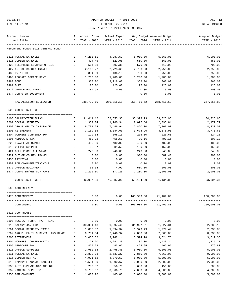#### 09/02/14 ADOPTED BUDGET FY 2014-2015 PAGE 12 TIME:11:02 AM SEPTEMBER 2, 2014 PREPARER:0008 FISCAL YEAR 10-1-2014 to 9-30-2015

| Account Number                       |                    |               |                                         |                             | T Actual Exper Actual Exper Org Budget Amended Budget | Adopted Budget               |
|--------------------------------------|--------------------|---------------|-----------------------------------------|-----------------------------|-------------------------------------------------------|------------------------------|
| and Title                            |                    | C YEAR - 2012 |                                         |                             | YEAR - 2013 YEAR - 2014 YEAR - 2014                   | YEAR - 2015                  |
| REPORTING FUND: 0010 GENERAL FUND    |                    |               |                                         |                             |                                                       |                              |
| 0311 POSTAL EXPENSES                 | E                  |               | 4,283.51 4,987.59 6,000.00              |                             | 5,860.00                                              | 6,000.00                     |
| 0315 COPIER EXPENSE                  | E                  | 494.45        | 523.06                                  | 560.00                      | 560.00                                                | 450.00                       |
| 0420 TELEPHONE LEONARD OFFICE        | E                  | 564.18        | 607.31                                  | 570.00                      | 710.00                                                | 700.00                       |
| 0427 OUT OF COUNTY TRAVEL            | E                  | 2,160.27      | 2,725.63                                | 2,750.00                    | 2,750.00                                              | 2,750.00                     |
| 0435 PRINTING                        | E                  | 884.89        | 436.15                                  | 750.00                      | 750.00                                                | 750.00                       |
| 0460 LEONARD OFFICE RENT             | E                  | 1,200.00      | 1,200.00                                | 1,200.00                    | 1,200.00                                              | 1,200.00                     |
| 0480 BOND                            | E                  | 368.00        | 3,918.00                                | 368.00                      | 368.00                                                | 368.00                       |
| 0481 DUES                            | $\mathbf{E}$       | 125.00        | 125.00                                  | 125.00                      | 125.00                                                | 125.00                       |
| 0572 OFFICE EQUIPMENT                | $\mathbf{E}$       | 189.99        | 0.00                                    | 0.00                        | 0.00                                                  | 400.00                       |
| 0574 COMPUTER EQUIPMENT              | Е                  |               |                                         | 0.00                        | 0.00                                                  | 0.00                         |
| TAX ASSESSOR-COLLECTOR               |                    |               | 238,739.10 250,015.18 258,416.62        |                             | 258,416.62                                            | -------------<br>267, 266.82 |
| 0503 COMPUTER/IT DEPT.               |                    |               |                                         |                             |                                                       |                              |
|                                      |                    |               |                                         |                             |                                                       |                              |
| 0103 SALARY-TECHNICIAN               | Е                  |               | 31,411.12 32,353.36 33,323.93 33,323.93 |                             |                                                       | 34, 323.65                   |
| 0201 SOCIAL SECURITY                 | E                  | 1,934.04      | 1,960.34                                | 2,095.84                    | 2,095.84                                              | 2,172.71                     |
| 0202 GROUP HEALTH INSURANCE          | E                  | 6,731.64      | 7,446.94                                | 7,860.00                    | 7,860.00                                              | 8,330.00                     |
| 0203 RETIREMENT                      | Е                  | 3,169.66      | 3,384.00                                | 3,678.96                    | 3,678.96                                              | 3,775.60                     |
| 0204 WORKERS COMPENSATION            | $\mathbf{E}% _{0}$ | 179.04        | 198.10                                  | 216.00                      | 226.60                                                | 224.28                       |
| 0205 MEDICARE TAX                    | E                  | 452.32        | 458.50                                  | 490.16                      | 490.16                                                | 508.13                       |
| 0225 TRAVEL ALLOWANCE                | Е                  | 480.00        | 480.00                                  | 480.00                      | 480.00                                                | 480.00                       |
| 0310 OFFICE SUPPLIES                 | Е                  | 58.37         | 84.53                                   | 150.00                      | 150.00                                                | 150.00                       |
| 0421 CELL PHONE ALLOWANCE            | E                  | 240.00        | 240.00                                  | 240.00                      | 240.00                                                | 240.00                       |
| 0427 OUT OF COUNTY TRAVEL            | $\mathbf{E}$       | 0.00          | 0.00                                    | 900.00                      | 889.40                                                | 900.00                       |
| 0435 PRINTING                        | $\mathbf{E}$       | 0.00          | 0.00                                    | 0.00                        | 0.00                                                  | 0.00                         |
| 0453 R&M COMPUTER/TRAINING           | E                  | 0.00          | 0.00                                    | 0.00                        | 0.00                                                  | 0.00                         |
| 0572 OFFICE EQUIPMENT                | E                  | 65.64         | 4.99                                    | 500.00                      | 500.00                                                | 200.00                       |
| 0574 COMPUTER/WEB SOFTWARE           |                    | E 1,296.00    | 377.20                                  | 1,200.00                    | 1,200.00                                              | 2,000.00                     |
| COMPUTER/IT DEPT.                    |                    |               | 46,017.83 46,987.96 51,134.89 51,134.89 |                             |                                                       | -------------<br>53,304.37   |
| 0509 CONTINGENCY                     |                    |               |                                         |                             |                                                       |                              |
|                                      |                    |               |                                         |                             |                                                       |                              |
| 0475 CONTINGENCY                     | Е                  | 0.00          |                                         | $0.00$ 165,909.80 21,409.80 |                                                       | 250,000.00                   |
| CONTINGENCY                          |                    | 0.00          | 0.00                                    | 165,909.80                  | 21,409.80                                             | 250,000.00                   |
| 0510 COURTHOUSE                      |                    |               |                                         |                             |                                                       |                              |
|                                      |                    |               |                                         |                             |                                                       |                              |
| 0107 REGULAR TEMP. - PART TIME       | Ε                  | 0.00          | 0.00                                    | 0.00                        | 0.00                                                  | 0.00                         |
| 0115 SALARY JANITOR                  | Ε                  | 30,094.48     | 30,997.46                               | 31,927.31                   | 31,927.31                                             | 32,885.13                    |
| 0201 SOCIAL SECURITY TAXES           | E                  | 1,836.82      | 1,894.34                                | 1,979.49                    | 1,979.49                                              | 2,038.88                     |
| 0202 GROUP HEALTH & DENTAL INSURANCE | Ε                  | 6,731.64      | 7,446.94                                | 7,860.00                    | 7,860.00                                              | 8,330.00                     |
| 0203 RETIREMENT                      | Ε                  | 3,036.82      | 3,242.14                                | 3,524.78                    | 3,524.78                                              | 3,617.36                     |
| 0204 WORKERS' COMPENSATION           | Ε                  | 1,122.60      | 1,241.30                                | 1,287.00                    | 1,430.34                                              | 1,325.27                     |
| 0205 MEDICARE TAX                    | E                  | 429.52        | 443.02                                  | 462.95                      | 462.95                                                | 476.83                       |
| 0310 OFFICE SUPPLIES                 | E                  | 2,980.88      | 2,498.48                                | 5,000.00                    | 5,000.00                                              | 5,000.00                     |
| 0311 POSTAL EXPENSE                  | Ε                  | 2,832.13      | 2,537.27                                | 7,860.00                    | 7,860.00                                              | 9,000.00                     |
| 0315 COPIER RENTAL                   | Ε                  | 4,931.62      | 4,879.52                                | 5,000.00                    | 5,000.00                                              | 5,000.00                     |
| 0316 EMPLOYEE AWARDS BANQUET         | Ε                  | 1,531.60      | 1,592.67                                | 2,000.00                    | 2,000.00                                              | 2,000.00                     |
| 0330 AUTO EXPENSE-GAS AND OIL        | E                  | 299.52        | 556.76                                  | 600.00                      | 456.66                                                | 600.00                       |
| 0332 JANITOR SUPPLIES                | Ε                  | 3,786.67      | 3,666.70                                | 4,000.00                    | 4,000.00                                              | 4,000.00                     |

0353 R&M COMPUTER E 1,007.76 405.00 5,000.00 5,000.00 5,000.00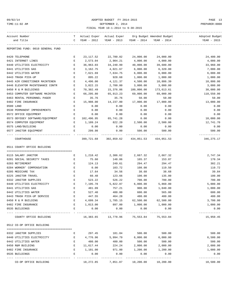#### 09/02/14 ADOPTED BUDGET FY 2014-2015 PAGE 13 TIME:11:02 AM SEPTEMBER 2, 2014 PREPARER:0008 FISCAL YEAR 10-1-2014 to 9-30-2015

| Account Number<br>T Actual Exper Actual Exper Org Budget Amended Budget<br>Adopted Budget<br>C YEAR - 2012<br>YEAR - 2013 YEAR - 2014 YEAR - 2014<br>YEAR - 2015<br>and Title<br>REPORTING FUND: 0010 GENERAL FUND<br>24,000.00<br>24,400.00<br>0420 TELEPHONE<br>Е<br>23,117.52<br>22,780.02<br>24,000.00<br>2,573.04<br>2,904.21<br>4,000.00<br>4,000.00<br>0421 INTERNET LINES<br>Е<br>4,000.00<br>36,963.03<br>34,240.99<br>40,000.00<br>33,960.00<br>0440 UTILITIES ELECTRICITY<br>Е<br>39,680.00<br>0441 UTILITIES GAS<br>$\mathbf{E}% _{0}$<br>4,021.67<br>6,000.00<br>6,320.00<br>7,000.00<br>3,162.75<br>0442 UTILITIES WATER<br>7,621.69<br>7,634.75<br>6,000.00<br>6,000.00<br>6,000.00<br>Е<br>928.68<br>0443 TRASH PICK-UP<br>895.22<br>1,000.00<br>Е<br>1,000.00<br>1,000.00<br>4,121.37<br>4,500.00<br>10,800.00<br>0445 AIR CONDITIONER MAINTENEN<br>Е<br>4,496.00<br>10,886.39<br>3,000.00<br>3,000.00<br>0446 ELEVATOR MAINTENANCE CONTR<br>3,822.15<br>2,700.00<br>3,000.00<br>Е<br>70,302.49<br>180,000.00<br>30,000.00<br>0450 R & M BUILDINGS<br>Е<br>15,376.86<br>173,613.61<br>66,295.80<br>69,000.00<br>69,000.00<br>110,550.00<br>0453 COMPUTER SOFTWARE MAINTEN<br>Е<br>65,913.23<br>0463 RENTAL PERSONNEL PAGER<br>35.76<br>50.00<br>E<br>35.76<br>50.00<br>50.00<br>0482 FIRE INSURANCE<br>15,908.00<br>14,237.00<br>17,000.00<br>17,000.00<br>13,000.00<br>Е<br>0500 LAND<br>Е<br>0.00<br>0.00<br>0.00<br>0.00<br>0.00<br>0.00<br>0.00<br>0530 PERMANENT IMPROVEMENTS<br>Е<br>0.00<br>0.00<br>0.00<br>0572 OFFICE EQUIPMENT<br>0.00<br>0.00<br>Е<br>0.00<br>0.00<br>0.00<br>102,496.95 65,741.28<br>0573 ODYSSEY SOFTWARE/EQUIPMENT<br>$\mathbf{E}$ and $\mathbf{E}$ and $\mathbf{E}$<br>10,000.00<br>0.00<br>0.00<br>1,109.24<br>822.20<br>2,500.00<br>0574 COMPUTER EQUIPMENT<br>2,500.00<br>12,741.70<br>E<br>0575 LAND/BUILDING<br>0.00<br>0.00<br>0.00<br>E<br>0.00<br>0.00<br>299.98<br>0.00<br>500.00<br>0577 JANITOR EQUIPMENT<br>Е<br>500.00<br>500.00<br>-----------<br>------------ -------------<br>399,721.68 302,859.62 434,051.53 434,051.53<br>346,275.17<br>COURTHOUSE<br>0511 COUNTY OFFICE BUILDING<br>2,747.34<br>0115 SALARY JANITOR<br>1,218.42<br>2,386.62<br>2,667.32<br>2,667.32<br>Е<br>0201 SOCIAL SECURITY TAXES<br>148.06<br>170.34<br>Е<br>75.60<br>165.37<br>153.87<br>124.13<br>0203 RETIREMENT<br>302.21<br>Е<br>249.61<br>294.47<br>294.47<br>0204 WORKER' COMPENSATION<br>0.00<br>110.72<br>E<br>103.72<br>108.00<br>119.50<br>0205 MEDICARE TAX<br>34.56<br>38.68<br>39.84<br>Е<br>17.64<br>38.68<br>0225 JANITOR TRAVEL<br>100.00<br>Е<br>60.48<br>123.66<br>100.00<br>135.00<br>0332 JANITOR SUPPLIES<br>E<br>700.00<br>523.22<br>526.22<br>700.00<br>700.00<br>0440 UTILITIES ELECTRICITY<br>5,822.87<br>6,000.00<br>5,860.00<br>5,000.00<br>Е<br>7,195.78<br>0441 UTILITIES GAS<br>900.00<br>1,040.00<br>1,000.00<br>Е<br>481.09<br>757.21<br>0442 UTILITIES WATER<br>480.00<br>600.00<br>565.00<br>600.00<br>Е<br>527.40<br>480.00<br>0443 TRASH PICK-UP SERVICE<br>Е<br>447.55<br>464.28<br>480.00<br>480.00<br>3,700.00<br>0450 R & M BUILDING<br>4,699.34<br>1,785.15<br>62,500.00<br>62,500.00<br>0482 FIRE INSURANCE<br>1,013.00<br>897.00<br>1,000.00<br>1,000.00<br>1,000.00<br>Е<br>0.00<br>0535 BUILDINGS<br>Е<br>0.00<br>0.00<br>0.00<br>0.00<br>----------<br>---------<br>----------<br>75,553.84<br>15,950.45<br>COUNTY OFFICE BUILDING<br>16,383.65<br>13,778.96<br>75,553.84<br>0512 CO-OP OFFICE BUILDING<br>0332 JANITOR SUPPLIES<br>297.45<br>181.84<br>500.00<br>500.00<br>500.00<br>Ε<br>0440 UTILITIES ELECTRICITY<br>6,500.00<br>4,776.96<br>5,994.79<br>6,000.00<br>6,000.00<br>Ε<br>0442 UTILITIES WATER<br>480.00<br>480.00<br>500.00<br>500.00<br>500.00<br>Ε<br>0450 R&M BUILDING<br>11,617.44<br>224.24<br>2,000.00<br>2,000.00<br>2,000.00<br>Ε<br>0482 FIRE INSURANCE<br>E<br>1,101.00<br>971.00<br>1,200.00<br>1,200.00<br>1,000.00<br>0535 BUILDINGS<br>E<br>0.00<br>0.00<br>0.00<br>0.00<br>0.00<br>----------<br>18,272.85<br>10,200.00<br>10,200.00<br>10,500.00<br>CO-OP OFFICE BUILDING<br>7,851.87 |  |  |  |  |
|-----------------------------------------------------------------------------------------------------------------------------------------------------------------------------------------------------------------------------------------------------------------------------------------------------------------------------------------------------------------------------------------------------------------------------------------------------------------------------------------------------------------------------------------------------------------------------------------------------------------------------------------------------------------------------------------------------------------------------------------------------------------------------------------------------------------------------------------------------------------------------------------------------------------------------------------------------------------------------------------------------------------------------------------------------------------------------------------------------------------------------------------------------------------------------------------------------------------------------------------------------------------------------------------------------------------------------------------------------------------------------------------------------------------------------------------------------------------------------------------------------------------------------------------------------------------------------------------------------------------------------------------------------------------------------------------------------------------------------------------------------------------------------------------------------------------------------------------------------------------------------------------------------------------------------------------------------------------------------------------------------------------------------------------------------------------------------------------------------------------------------------------------------------------------------------------------------------------------------------------------------------------------------------------------------------------------------------------------------------------------------------------------------------------------------------------------------------------------------------------------------------------------------------------------------------------------------------------------------------------------------------------------------------------------------------------------------------------------------------------------------------------------------------------------------------------------------------------------------------------------------------------------------------------------------------------------------------------------------------------------------------------------------------------------------------------------------------------------------------------------------------------------------------------------------------------------------------------------------------------------------------------------------------------------------------------------------------------------------------------------------------------------------------------------------------------------------------------------------------------------------------------------------------------------------------------------------------------------------------------------------------------------------------------------------------------------------------------------------------------------------------------------------------------------------------------------------------------------------------------------------------------------------------------------------------------------------------------------------------------------------------------------------------------------------------------------------------------------------------------|--|--|--|--|
|                                                                                                                                                                                                                                                                                                                                                                                                                                                                                                                                                                                                                                                                                                                                                                                                                                                                                                                                                                                                                                                                                                                                                                                                                                                                                                                                                                                                                                                                                                                                                                                                                                                                                                                                                                                                                                                                                                                                                                                                                                                                                                                                                                                                                                                                                                                                                                                                                                                                                                                                                                                                                                                                                                                                                                                                                                                                                                                                                                                                                                                                                                                                                                                                                                                                                                                                                                                                                                                                                                                                                                                                                                                                                                                                                                                                                                                                                                                                                                                                                                                                                                                 |  |  |  |  |
|                                                                                                                                                                                                                                                                                                                                                                                                                                                                                                                                                                                                                                                                                                                                                                                                                                                                                                                                                                                                                                                                                                                                                                                                                                                                                                                                                                                                                                                                                                                                                                                                                                                                                                                                                                                                                                                                                                                                                                                                                                                                                                                                                                                                                                                                                                                                                                                                                                                                                                                                                                                                                                                                                                                                                                                                                                                                                                                                                                                                                                                                                                                                                                                                                                                                                                                                                                                                                                                                                                                                                                                                                                                                                                                                                                                                                                                                                                                                                                                                                                                                                                                 |  |  |  |  |
|                                                                                                                                                                                                                                                                                                                                                                                                                                                                                                                                                                                                                                                                                                                                                                                                                                                                                                                                                                                                                                                                                                                                                                                                                                                                                                                                                                                                                                                                                                                                                                                                                                                                                                                                                                                                                                                                                                                                                                                                                                                                                                                                                                                                                                                                                                                                                                                                                                                                                                                                                                                                                                                                                                                                                                                                                                                                                                                                                                                                                                                                                                                                                                                                                                                                                                                                                                                                                                                                                                                                                                                                                                                                                                                                                                                                                                                                                                                                                                                                                                                                                                                 |  |  |  |  |
|                                                                                                                                                                                                                                                                                                                                                                                                                                                                                                                                                                                                                                                                                                                                                                                                                                                                                                                                                                                                                                                                                                                                                                                                                                                                                                                                                                                                                                                                                                                                                                                                                                                                                                                                                                                                                                                                                                                                                                                                                                                                                                                                                                                                                                                                                                                                                                                                                                                                                                                                                                                                                                                                                                                                                                                                                                                                                                                                                                                                                                                                                                                                                                                                                                                                                                                                                                                                                                                                                                                                                                                                                                                                                                                                                                                                                                                                                                                                                                                                                                                                                                                 |  |  |  |  |
|                                                                                                                                                                                                                                                                                                                                                                                                                                                                                                                                                                                                                                                                                                                                                                                                                                                                                                                                                                                                                                                                                                                                                                                                                                                                                                                                                                                                                                                                                                                                                                                                                                                                                                                                                                                                                                                                                                                                                                                                                                                                                                                                                                                                                                                                                                                                                                                                                                                                                                                                                                                                                                                                                                                                                                                                                                                                                                                                                                                                                                                                                                                                                                                                                                                                                                                                                                                                                                                                                                                                                                                                                                                                                                                                                                                                                                                                                                                                                                                                                                                                                                                 |  |  |  |  |
|                                                                                                                                                                                                                                                                                                                                                                                                                                                                                                                                                                                                                                                                                                                                                                                                                                                                                                                                                                                                                                                                                                                                                                                                                                                                                                                                                                                                                                                                                                                                                                                                                                                                                                                                                                                                                                                                                                                                                                                                                                                                                                                                                                                                                                                                                                                                                                                                                                                                                                                                                                                                                                                                                                                                                                                                                                                                                                                                                                                                                                                                                                                                                                                                                                                                                                                                                                                                                                                                                                                                                                                                                                                                                                                                                                                                                                                                                                                                                                                                                                                                                                                 |  |  |  |  |
|                                                                                                                                                                                                                                                                                                                                                                                                                                                                                                                                                                                                                                                                                                                                                                                                                                                                                                                                                                                                                                                                                                                                                                                                                                                                                                                                                                                                                                                                                                                                                                                                                                                                                                                                                                                                                                                                                                                                                                                                                                                                                                                                                                                                                                                                                                                                                                                                                                                                                                                                                                                                                                                                                                                                                                                                                                                                                                                                                                                                                                                                                                                                                                                                                                                                                                                                                                                                                                                                                                                                                                                                                                                                                                                                                                                                                                                                                                                                                                                                                                                                                                                 |  |  |  |  |
|                                                                                                                                                                                                                                                                                                                                                                                                                                                                                                                                                                                                                                                                                                                                                                                                                                                                                                                                                                                                                                                                                                                                                                                                                                                                                                                                                                                                                                                                                                                                                                                                                                                                                                                                                                                                                                                                                                                                                                                                                                                                                                                                                                                                                                                                                                                                                                                                                                                                                                                                                                                                                                                                                                                                                                                                                                                                                                                                                                                                                                                                                                                                                                                                                                                                                                                                                                                                                                                                                                                                                                                                                                                                                                                                                                                                                                                                                                                                                                                                                                                                                                                 |  |  |  |  |
|                                                                                                                                                                                                                                                                                                                                                                                                                                                                                                                                                                                                                                                                                                                                                                                                                                                                                                                                                                                                                                                                                                                                                                                                                                                                                                                                                                                                                                                                                                                                                                                                                                                                                                                                                                                                                                                                                                                                                                                                                                                                                                                                                                                                                                                                                                                                                                                                                                                                                                                                                                                                                                                                                                                                                                                                                                                                                                                                                                                                                                                                                                                                                                                                                                                                                                                                                                                                                                                                                                                                                                                                                                                                                                                                                                                                                                                                                                                                                                                                                                                                                                                 |  |  |  |  |
|                                                                                                                                                                                                                                                                                                                                                                                                                                                                                                                                                                                                                                                                                                                                                                                                                                                                                                                                                                                                                                                                                                                                                                                                                                                                                                                                                                                                                                                                                                                                                                                                                                                                                                                                                                                                                                                                                                                                                                                                                                                                                                                                                                                                                                                                                                                                                                                                                                                                                                                                                                                                                                                                                                                                                                                                                                                                                                                                                                                                                                                                                                                                                                                                                                                                                                                                                                                                                                                                                                                                                                                                                                                                                                                                                                                                                                                                                                                                                                                                                                                                                                                 |  |  |  |  |
|                                                                                                                                                                                                                                                                                                                                                                                                                                                                                                                                                                                                                                                                                                                                                                                                                                                                                                                                                                                                                                                                                                                                                                                                                                                                                                                                                                                                                                                                                                                                                                                                                                                                                                                                                                                                                                                                                                                                                                                                                                                                                                                                                                                                                                                                                                                                                                                                                                                                                                                                                                                                                                                                                                                                                                                                                                                                                                                                                                                                                                                                                                                                                                                                                                                                                                                                                                                                                                                                                                                                                                                                                                                                                                                                                                                                                                                                                                                                                                                                                                                                                                                 |  |  |  |  |
|                                                                                                                                                                                                                                                                                                                                                                                                                                                                                                                                                                                                                                                                                                                                                                                                                                                                                                                                                                                                                                                                                                                                                                                                                                                                                                                                                                                                                                                                                                                                                                                                                                                                                                                                                                                                                                                                                                                                                                                                                                                                                                                                                                                                                                                                                                                                                                                                                                                                                                                                                                                                                                                                                                                                                                                                                                                                                                                                                                                                                                                                                                                                                                                                                                                                                                                                                                                                                                                                                                                                                                                                                                                                                                                                                                                                                                                                                                                                                                                                                                                                                                                 |  |  |  |  |
|                                                                                                                                                                                                                                                                                                                                                                                                                                                                                                                                                                                                                                                                                                                                                                                                                                                                                                                                                                                                                                                                                                                                                                                                                                                                                                                                                                                                                                                                                                                                                                                                                                                                                                                                                                                                                                                                                                                                                                                                                                                                                                                                                                                                                                                                                                                                                                                                                                                                                                                                                                                                                                                                                                                                                                                                                                                                                                                                                                                                                                                                                                                                                                                                                                                                                                                                                                                                                                                                                                                                                                                                                                                                                                                                                                                                                                                                                                                                                                                                                                                                                                                 |  |  |  |  |
|                                                                                                                                                                                                                                                                                                                                                                                                                                                                                                                                                                                                                                                                                                                                                                                                                                                                                                                                                                                                                                                                                                                                                                                                                                                                                                                                                                                                                                                                                                                                                                                                                                                                                                                                                                                                                                                                                                                                                                                                                                                                                                                                                                                                                                                                                                                                                                                                                                                                                                                                                                                                                                                                                                                                                                                                                                                                                                                                                                                                                                                                                                                                                                                                                                                                                                                                                                                                                                                                                                                                                                                                                                                                                                                                                                                                                                                                                                                                                                                                                                                                                                                 |  |  |  |  |
|                                                                                                                                                                                                                                                                                                                                                                                                                                                                                                                                                                                                                                                                                                                                                                                                                                                                                                                                                                                                                                                                                                                                                                                                                                                                                                                                                                                                                                                                                                                                                                                                                                                                                                                                                                                                                                                                                                                                                                                                                                                                                                                                                                                                                                                                                                                                                                                                                                                                                                                                                                                                                                                                                                                                                                                                                                                                                                                                                                                                                                                                                                                                                                                                                                                                                                                                                                                                                                                                                                                                                                                                                                                                                                                                                                                                                                                                                                                                                                                                                                                                                                                 |  |  |  |  |
|                                                                                                                                                                                                                                                                                                                                                                                                                                                                                                                                                                                                                                                                                                                                                                                                                                                                                                                                                                                                                                                                                                                                                                                                                                                                                                                                                                                                                                                                                                                                                                                                                                                                                                                                                                                                                                                                                                                                                                                                                                                                                                                                                                                                                                                                                                                                                                                                                                                                                                                                                                                                                                                                                                                                                                                                                                                                                                                                                                                                                                                                                                                                                                                                                                                                                                                                                                                                                                                                                                                                                                                                                                                                                                                                                                                                                                                                                                                                                                                                                                                                                                                 |  |  |  |  |
|                                                                                                                                                                                                                                                                                                                                                                                                                                                                                                                                                                                                                                                                                                                                                                                                                                                                                                                                                                                                                                                                                                                                                                                                                                                                                                                                                                                                                                                                                                                                                                                                                                                                                                                                                                                                                                                                                                                                                                                                                                                                                                                                                                                                                                                                                                                                                                                                                                                                                                                                                                                                                                                                                                                                                                                                                                                                                                                                                                                                                                                                                                                                                                                                                                                                                                                                                                                                                                                                                                                                                                                                                                                                                                                                                                                                                                                                                                                                                                                                                                                                                                                 |  |  |  |  |
|                                                                                                                                                                                                                                                                                                                                                                                                                                                                                                                                                                                                                                                                                                                                                                                                                                                                                                                                                                                                                                                                                                                                                                                                                                                                                                                                                                                                                                                                                                                                                                                                                                                                                                                                                                                                                                                                                                                                                                                                                                                                                                                                                                                                                                                                                                                                                                                                                                                                                                                                                                                                                                                                                                                                                                                                                                                                                                                                                                                                                                                                                                                                                                                                                                                                                                                                                                                                                                                                                                                                                                                                                                                                                                                                                                                                                                                                                                                                                                                                                                                                                                                 |  |  |  |  |
|                                                                                                                                                                                                                                                                                                                                                                                                                                                                                                                                                                                                                                                                                                                                                                                                                                                                                                                                                                                                                                                                                                                                                                                                                                                                                                                                                                                                                                                                                                                                                                                                                                                                                                                                                                                                                                                                                                                                                                                                                                                                                                                                                                                                                                                                                                                                                                                                                                                                                                                                                                                                                                                                                                                                                                                                                                                                                                                                                                                                                                                                                                                                                                                                                                                                                                                                                                                                                                                                                                                                                                                                                                                                                                                                                                                                                                                                                                                                                                                                                                                                                                                 |  |  |  |  |
|                                                                                                                                                                                                                                                                                                                                                                                                                                                                                                                                                                                                                                                                                                                                                                                                                                                                                                                                                                                                                                                                                                                                                                                                                                                                                                                                                                                                                                                                                                                                                                                                                                                                                                                                                                                                                                                                                                                                                                                                                                                                                                                                                                                                                                                                                                                                                                                                                                                                                                                                                                                                                                                                                                                                                                                                                                                                                                                                                                                                                                                                                                                                                                                                                                                                                                                                                                                                                                                                                                                                                                                                                                                                                                                                                                                                                                                                                                                                                                                                                                                                                                                 |  |  |  |  |
|                                                                                                                                                                                                                                                                                                                                                                                                                                                                                                                                                                                                                                                                                                                                                                                                                                                                                                                                                                                                                                                                                                                                                                                                                                                                                                                                                                                                                                                                                                                                                                                                                                                                                                                                                                                                                                                                                                                                                                                                                                                                                                                                                                                                                                                                                                                                                                                                                                                                                                                                                                                                                                                                                                                                                                                                                                                                                                                                                                                                                                                                                                                                                                                                                                                                                                                                                                                                                                                                                                                                                                                                                                                                                                                                                                                                                                                                                                                                                                                                                                                                                                                 |  |  |  |  |
|                                                                                                                                                                                                                                                                                                                                                                                                                                                                                                                                                                                                                                                                                                                                                                                                                                                                                                                                                                                                                                                                                                                                                                                                                                                                                                                                                                                                                                                                                                                                                                                                                                                                                                                                                                                                                                                                                                                                                                                                                                                                                                                                                                                                                                                                                                                                                                                                                                                                                                                                                                                                                                                                                                                                                                                                                                                                                                                                                                                                                                                                                                                                                                                                                                                                                                                                                                                                                                                                                                                                                                                                                                                                                                                                                                                                                                                                                                                                                                                                                                                                                                                 |  |  |  |  |
|                                                                                                                                                                                                                                                                                                                                                                                                                                                                                                                                                                                                                                                                                                                                                                                                                                                                                                                                                                                                                                                                                                                                                                                                                                                                                                                                                                                                                                                                                                                                                                                                                                                                                                                                                                                                                                                                                                                                                                                                                                                                                                                                                                                                                                                                                                                                                                                                                                                                                                                                                                                                                                                                                                                                                                                                                                                                                                                                                                                                                                                                                                                                                                                                                                                                                                                                                                                                                                                                                                                                                                                                                                                                                                                                                                                                                                                                                                                                                                                                                                                                                                                 |  |  |  |  |
|                                                                                                                                                                                                                                                                                                                                                                                                                                                                                                                                                                                                                                                                                                                                                                                                                                                                                                                                                                                                                                                                                                                                                                                                                                                                                                                                                                                                                                                                                                                                                                                                                                                                                                                                                                                                                                                                                                                                                                                                                                                                                                                                                                                                                                                                                                                                                                                                                                                                                                                                                                                                                                                                                                                                                                                                                                                                                                                                                                                                                                                                                                                                                                                                                                                                                                                                                                                                                                                                                                                                                                                                                                                                                                                                                                                                                                                                                                                                                                                                                                                                                                                 |  |  |  |  |
|                                                                                                                                                                                                                                                                                                                                                                                                                                                                                                                                                                                                                                                                                                                                                                                                                                                                                                                                                                                                                                                                                                                                                                                                                                                                                                                                                                                                                                                                                                                                                                                                                                                                                                                                                                                                                                                                                                                                                                                                                                                                                                                                                                                                                                                                                                                                                                                                                                                                                                                                                                                                                                                                                                                                                                                                                                                                                                                                                                                                                                                                                                                                                                                                                                                                                                                                                                                                                                                                                                                                                                                                                                                                                                                                                                                                                                                                                                                                                                                                                                                                                                                 |  |  |  |  |
|                                                                                                                                                                                                                                                                                                                                                                                                                                                                                                                                                                                                                                                                                                                                                                                                                                                                                                                                                                                                                                                                                                                                                                                                                                                                                                                                                                                                                                                                                                                                                                                                                                                                                                                                                                                                                                                                                                                                                                                                                                                                                                                                                                                                                                                                                                                                                                                                                                                                                                                                                                                                                                                                                                                                                                                                                                                                                                                                                                                                                                                                                                                                                                                                                                                                                                                                                                                                                                                                                                                                                                                                                                                                                                                                                                                                                                                                                                                                                                                                                                                                                                                 |  |  |  |  |
|                                                                                                                                                                                                                                                                                                                                                                                                                                                                                                                                                                                                                                                                                                                                                                                                                                                                                                                                                                                                                                                                                                                                                                                                                                                                                                                                                                                                                                                                                                                                                                                                                                                                                                                                                                                                                                                                                                                                                                                                                                                                                                                                                                                                                                                                                                                                                                                                                                                                                                                                                                                                                                                                                                                                                                                                                                                                                                                                                                                                                                                                                                                                                                                                                                                                                                                                                                                                                                                                                                                                                                                                                                                                                                                                                                                                                                                                                                                                                                                                                                                                                                                 |  |  |  |  |
|                                                                                                                                                                                                                                                                                                                                                                                                                                                                                                                                                                                                                                                                                                                                                                                                                                                                                                                                                                                                                                                                                                                                                                                                                                                                                                                                                                                                                                                                                                                                                                                                                                                                                                                                                                                                                                                                                                                                                                                                                                                                                                                                                                                                                                                                                                                                                                                                                                                                                                                                                                                                                                                                                                                                                                                                                                                                                                                                                                                                                                                                                                                                                                                                                                                                                                                                                                                                                                                                                                                                                                                                                                                                                                                                                                                                                                                                                                                                                                                                                                                                                                                 |  |  |  |  |
|                                                                                                                                                                                                                                                                                                                                                                                                                                                                                                                                                                                                                                                                                                                                                                                                                                                                                                                                                                                                                                                                                                                                                                                                                                                                                                                                                                                                                                                                                                                                                                                                                                                                                                                                                                                                                                                                                                                                                                                                                                                                                                                                                                                                                                                                                                                                                                                                                                                                                                                                                                                                                                                                                                                                                                                                                                                                                                                                                                                                                                                                                                                                                                                                                                                                                                                                                                                                                                                                                                                                                                                                                                                                                                                                                                                                                                                                                                                                                                                                                                                                                                                 |  |  |  |  |
|                                                                                                                                                                                                                                                                                                                                                                                                                                                                                                                                                                                                                                                                                                                                                                                                                                                                                                                                                                                                                                                                                                                                                                                                                                                                                                                                                                                                                                                                                                                                                                                                                                                                                                                                                                                                                                                                                                                                                                                                                                                                                                                                                                                                                                                                                                                                                                                                                                                                                                                                                                                                                                                                                                                                                                                                                                                                                                                                                                                                                                                                                                                                                                                                                                                                                                                                                                                                                                                                                                                                                                                                                                                                                                                                                                                                                                                                                                                                                                                                                                                                                                                 |  |  |  |  |
|                                                                                                                                                                                                                                                                                                                                                                                                                                                                                                                                                                                                                                                                                                                                                                                                                                                                                                                                                                                                                                                                                                                                                                                                                                                                                                                                                                                                                                                                                                                                                                                                                                                                                                                                                                                                                                                                                                                                                                                                                                                                                                                                                                                                                                                                                                                                                                                                                                                                                                                                                                                                                                                                                                                                                                                                                                                                                                                                                                                                                                                                                                                                                                                                                                                                                                                                                                                                                                                                                                                                                                                                                                                                                                                                                                                                                                                                                                                                                                                                                                                                                                                 |  |  |  |  |
|                                                                                                                                                                                                                                                                                                                                                                                                                                                                                                                                                                                                                                                                                                                                                                                                                                                                                                                                                                                                                                                                                                                                                                                                                                                                                                                                                                                                                                                                                                                                                                                                                                                                                                                                                                                                                                                                                                                                                                                                                                                                                                                                                                                                                                                                                                                                                                                                                                                                                                                                                                                                                                                                                                                                                                                                                                                                                                                                                                                                                                                                                                                                                                                                                                                                                                                                                                                                                                                                                                                                                                                                                                                                                                                                                                                                                                                                                                                                                                                                                                                                                                                 |  |  |  |  |
|                                                                                                                                                                                                                                                                                                                                                                                                                                                                                                                                                                                                                                                                                                                                                                                                                                                                                                                                                                                                                                                                                                                                                                                                                                                                                                                                                                                                                                                                                                                                                                                                                                                                                                                                                                                                                                                                                                                                                                                                                                                                                                                                                                                                                                                                                                                                                                                                                                                                                                                                                                                                                                                                                                                                                                                                                                                                                                                                                                                                                                                                                                                                                                                                                                                                                                                                                                                                                                                                                                                                                                                                                                                                                                                                                                                                                                                                                                                                                                                                                                                                                                                 |  |  |  |  |
|                                                                                                                                                                                                                                                                                                                                                                                                                                                                                                                                                                                                                                                                                                                                                                                                                                                                                                                                                                                                                                                                                                                                                                                                                                                                                                                                                                                                                                                                                                                                                                                                                                                                                                                                                                                                                                                                                                                                                                                                                                                                                                                                                                                                                                                                                                                                                                                                                                                                                                                                                                                                                                                                                                                                                                                                                                                                                                                                                                                                                                                                                                                                                                                                                                                                                                                                                                                                                                                                                                                                                                                                                                                                                                                                                                                                                                                                                                                                                                                                                                                                                                                 |  |  |  |  |
|                                                                                                                                                                                                                                                                                                                                                                                                                                                                                                                                                                                                                                                                                                                                                                                                                                                                                                                                                                                                                                                                                                                                                                                                                                                                                                                                                                                                                                                                                                                                                                                                                                                                                                                                                                                                                                                                                                                                                                                                                                                                                                                                                                                                                                                                                                                                                                                                                                                                                                                                                                                                                                                                                                                                                                                                                                                                                                                                                                                                                                                                                                                                                                                                                                                                                                                                                                                                                                                                                                                                                                                                                                                                                                                                                                                                                                                                                                                                                                                                                                                                                                                 |  |  |  |  |
|                                                                                                                                                                                                                                                                                                                                                                                                                                                                                                                                                                                                                                                                                                                                                                                                                                                                                                                                                                                                                                                                                                                                                                                                                                                                                                                                                                                                                                                                                                                                                                                                                                                                                                                                                                                                                                                                                                                                                                                                                                                                                                                                                                                                                                                                                                                                                                                                                                                                                                                                                                                                                                                                                                                                                                                                                                                                                                                                                                                                                                                                                                                                                                                                                                                                                                                                                                                                                                                                                                                                                                                                                                                                                                                                                                                                                                                                                                                                                                                                                                                                                                                 |  |  |  |  |
|                                                                                                                                                                                                                                                                                                                                                                                                                                                                                                                                                                                                                                                                                                                                                                                                                                                                                                                                                                                                                                                                                                                                                                                                                                                                                                                                                                                                                                                                                                                                                                                                                                                                                                                                                                                                                                                                                                                                                                                                                                                                                                                                                                                                                                                                                                                                                                                                                                                                                                                                                                                                                                                                                                                                                                                                                                                                                                                                                                                                                                                                                                                                                                                                                                                                                                                                                                                                                                                                                                                                                                                                                                                                                                                                                                                                                                                                                                                                                                                                                                                                                                                 |  |  |  |  |
|                                                                                                                                                                                                                                                                                                                                                                                                                                                                                                                                                                                                                                                                                                                                                                                                                                                                                                                                                                                                                                                                                                                                                                                                                                                                                                                                                                                                                                                                                                                                                                                                                                                                                                                                                                                                                                                                                                                                                                                                                                                                                                                                                                                                                                                                                                                                                                                                                                                                                                                                                                                                                                                                                                                                                                                                                                                                                                                                                                                                                                                                                                                                                                                                                                                                                                                                                                                                                                                                                                                                                                                                                                                                                                                                                                                                                                                                                                                                                                                                                                                                                                                 |  |  |  |  |
|                                                                                                                                                                                                                                                                                                                                                                                                                                                                                                                                                                                                                                                                                                                                                                                                                                                                                                                                                                                                                                                                                                                                                                                                                                                                                                                                                                                                                                                                                                                                                                                                                                                                                                                                                                                                                                                                                                                                                                                                                                                                                                                                                                                                                                                                                                                                                                                                                                                                                                                                                                                                                                                                                                                                                                                                                                                                                                                                                                                                                                                                                                                                                                                                                                                                                                                                                                                                                                                                                                                                                                                                                                                                                                                                                                                                                                                                                                                                                                                                                                                                                                                 |  |  |  |  |
|                                                                                                                                                                                                                                                                                                                                                                                                                                                                                                                                                                                                                                                                                                                                                                                                                                                                                                                                                                                                                                                                                                                                                                                                                                                                                                                                                                                                                                                                                                                                                                                                                                                                                                                                                                                                                                                                                                                                                                                                                                                                                                                                                                                                                                                                                                                                                                                                                                                                                                                                                                                                                                                                                                                                                                                                                                                                                                                                                                                                                                                                                                                                                                                                                                                                                                                                                                                                                                                                                                                                                                                                                                                                                                                                                                                                                                                                                                                                                                                                                                                                                                                 |  |  |  |  |
|                                                                                                                                                                                                                                                                                                                                                                                                                                                                                                                                                                                                                                                                                                                                                                                                                                                                                                                                                                                                                                                                                                                                                                                                                                                                                                                                                                                                                                                                                                                                                                                                                                                                                                                                                                                                                                                                                                                                                                                                                                                                                                                                                                                                                                                                                                                                                                                                                                                                                                                                                                                                                                                                                                                                                                                                                                                                                                                                                                                                                                                                                                                                                                                                                                                                                                                                                                                                                                                                                                                                                                                                                                                                                                                                                                                                                                                                                                                                                                                                                                                                                                                 |  |  |  |  |
|                                                                                                                                                                                                                                                                                                                                                                                                                                                                                                                                                                                                                                                                                                                                                                                                                                                                                                                                                                                                                                                                                                                                                                                                                                                                                                                                                                                                                                                                                                                                                                                                                                                                                                                                                                                                                                                                                                                                                                                                                                                                                                                                                                                                                                                                                                                                                                                                                                                                                                                                                                                                                                                                                                                                                                                                                                                                                                                                                                                                                                                                                                                                                                                                                                                                                                                                                                                                                                                                                                                                                                                                                                                                                                                                                                                                                                                                                                                                                                                                                                                                                                                 |  |  |  |  |
|                                                                                                                                                                                                                                                                                                                                                                                                                                                                                                                                                                                                                                                                                                                                                                                                                                                                                                                                                                                                                                                                                                                                                                                                                                                                                                                                                                                                                                                                                                                                                                                                                                                                                                                                                                                                                                                                                                                                                                                                                                                                                                                                                                                                                                                                                                                                                                                                                                                                                                                                                                                                                                                                                                                                                                                                                                                                                                                                                                                                                                                                                                                                                                                                                                                                                                                                                                                                                                                                                                                                                                                                                                                                                                                                                                                                                                                                                                                                                                                                                                                                                                                 |  |  |  |  |
|                                                                                                                                                                                                                                                                                                                                                                                                                                                                                                                                                                                                                                                                                                                                                                                                                                                                                                                                                                                                                                                                                                                                                                                                                                                                                                                                                                                                                                                                                                                                                                                                                                                                                                                                                                                                                                                                                                                                                                                                                                                                                                                                                                                                                                                                                                                                                                                                                                                                                                                                                                                                                                                                                                                                                                                                                                                                                                                                                                                                                                                                                                                                                                                                                                                                                                                                                                                                                                                                                                                                                                                                                                                                                                                                                                                                                                                                                                                                                                                                                                                                                                                 |  |  |  |  |
|                                                                                                                                                                                                                                                                                                                                                                                                                                                                                                                                                                                                                                                                                                                                                                                                                                                                                                                                                                                                                                                                                                                                                                                                                                                                                                                                                                                                                                                                                                                                                                                                                                                                                                                                                                                                                                                                                                                                                                                                                                                                                                                                                                                                                                                                                                                                                                                                                                                                                                                                                                                                                                                                                                                                                                                                                                                                                                                                                                                                                                                                                                                                                                                                                                                                                                                                                                                                                                                                                                                                                                                                                                                                                                                                                                                                                                                                                                                                                                                                                                                                                                                 |  |  |  |  |
|                                                                                                                                                                                                                                                                                                                                                                                                                                                                                                                                                                                                                                                                                                                                                                                                                                                                                                                                                                                                                                                                                                                                                                                                                                                                                                                                                                                                                                                                                                                                                                                                                                                                                                                                                                                                                                                                                                                                                                                                                                                                                                                                                                                                                                                                                                                                                                                                                                                                                                                                                                                                                                                                                                                                                                                                                                                                                                                                                                                                                                                                                                                                                                                                                                                                                                                                                                                                                                                                                                                                                                                                                                                                                                                                                                                                                                                                                                                                                                                                                                                                                                                 |  |  |  |  |
|                                                                                                                                                                                                                                                                                                                                                                                                                                                                                                                                                                                                                                                                                                                                                                                                                                                                                                                                                                                                                                                                                                                                                                                                                                                                                                                                                                                                                                                                                                                                                                                                                                                                                                                                                                                                                                                                                                                                                                                                                                                                                                                                                                                                                                                                                                                                                                                                                                                                                                                                                                                                                                                                                                                                                                                                                                                                                                                                                                                                                                                                                                                                                                                                                                                                                                                                                                                                                                                                                                                                                                                                                                                                                                                                                                                                                                                                                                                                                                                                                                                                                                                 |  |  |  |  |
|                                                                                                                                                                                                                                                                                                                                                                                                                                                                                                                                                                                                                                                                                                                                                                                                                                                                                                                                                                                                                                                                                                                                                                                                                                                                                                                                                                                                                                                                                                                                                                                                                                                                                                                                                                                                                                                                                                                                                                                                                                                                                                                                                                                                                                                                                                                                                                                                                                                                                                                                                                                                                                                                                                                                                                                                                                                                                                                                                                                                                                                                                                                                                                                                                                                                                                                                                                                                                                                                                                                                                                                                                                                                                                                                                                                                                                                                                                                                                                                                                                                                                                                 |  |  |  |  |
|                                                                                                                                                                                                                                                                                                                                                                                                                                                                                                                                                                                                                                                                                                                                                                                                                                                                                                                                                                                                                                                                                                                                                                                                                                                                                                                                                                                                                                                                                                                                                                                                                                                                                                                                                                                                                                                                                                                                                                                                                                                                                                                                                                                                                                                                                                                                                                                                                                                                                                                                                                                                                                                                                                                                                                                                                                                                                                                                                                                                                                                                                                                                                                                                                                                                                                                                                                                                                                                                                                                                                                                                                                                                                                                                                                                                                                                                                                                                                                                                                                                                                                                 |  |  |  |  |
|                                                                                                                                                                                                                                                                                                                                                                                                                                                                                                                                                                                                                                                                                                                                                                                                                                                                                                                                                                                                                                                                                                                                                                                                                                                                                                                                                                                                                                                                                                                                                                                                                                                                                                                                                                                                                                                                                                                                                                                                                                                                                                                                                                                                                                                                                                                                                                                                                                                                                                                                                                                                                                                                                                                                                                                                                                                                                                                                                                                                                                                                                                                                                                                                                                                                                                                                                                                                                                                                                                                                                                                                                                                                                                                                                                                                                                                                                                                                                                                                                                                                                                                 |  |  |  |  |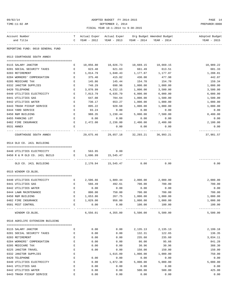#### 09/02/14 ADOPTED BUDGET FY 2014-2015 PAGE 14 TIME:11:02 AM SEPTEMBER 2, 2014 PREPARER:0008 FISCAL YEAR 10-1-2014 to 9-30-2015

| Account Number                    |                               |               |                                         |                                        | T Actual Exper Actual Exper Org Budget Amended Budget | Adopted Budget          |
|-----------------------------------|-------------------------------|---------------|-----------------------------------------|----------------------------------------|-------------------------------------------------------|-------------------------|
| and Title                         |                               | C YEAR - 2012 | YEAR - 2013 YEAR - 2014 YEAR - 2014     |                                        |                                                       | YEAR - 2015             |
| REPORTING FUND: 0010 GENERAL FUND |                               |               |                                         |                                        |                                                       |                         |
|                                   |                               |               |                                         |                                        |                                                       |                         |
| 0513 COURTHOUSE SOUTH ANNEX       |                               |               |                                         |                                        |                                                       |                         |
| 0115 SALARY JANITOR               | Е                             | 10,056.80     |                                         | 10,026.73    10,669.15                 | 10,669.15                                             | 10,989.22               |
| 0201 SOCIAL SECURITY TAXES        | $\mathbf{E}$                  | 623.48        | 621.63                                  | 661.49                                 | 613.51                                                | 681.33                  |
| 0203 RETIREMENT                   | E                             | 1,014.79      | 1,048.43                                | 1,177.87                               | 1,177.87                                              | 1,208.81                |
| 0204 WORKERS' COMPENSATION        | E                             | 375.40        | 415.02                                  | 430.00                                 | 477.98                                                | 442.87                  |
| 0205 MEDICARE TAX                 | Е                             | 145.86        | 145.44                                  | 154.70                                 | 154.70                                                | 159.34                  |
| 0332 JANITOR SUPPLIES             | Е                             | 748.29        | 698.96                                  | 1,000.00                               | 1,000.00                                              | 1,000.00                |
| 0420 TELEPHONE                    | $\mathbf{E}$                  | 3,870.99      | 4,232.15                                | 1,800.00                               | 3,500.00                                              | 3,500.00                |
| 0440 UTILITIES ELECTRICITY        | Е                             | 7,013.79      | 6,635.79                                | 6,000.00                               | 6,000.00                                              | 6,000.00                |
| 0441 UTILITIES GAS                | Е                             | 647.08        | 784.64                                  | 1,000.00                               | 1,500.00                                              | 1,500.00                |
| 0442 UTILITIES WATER              | Е                             | 730.17        | 653.27                                  | 1,000.00                               | 1,000.00                                              | 1,000.00                |
| 0443 TRASH PICKUP SERVICE         | Е                             | 895.22        | 928.68                                  | 1,000.00                               | 1,000.00                                              | 1,000.00                |
| 0444 YARD SERVICE                 | $\mathbf{E}$                  | 93.24         | 0.00                                    | 0.00                                   | 0.00                                                  | 0.00                    |
| 0450 R&M BUILDING                 | $\mathbf{E}$                  | 988.35        | 1,230.44                                | 5,000.00                               | 7,500.00                                              | 8,400.00                |
| 0455 PARKING LOT                  | E                             | 0.00          | 0.00                                    | 0.00                                   | 0.00                                                  | 0.00                    |
| 0482 FIRE INSURANCE               | E                             |               | 2,472.00 2,236.00                       | 2,400.00                               | 2,400.00                                              | 2,100.00                |
| 0531 ANNEX                        | E                             |               | 0.00<br>--------------                  | 0.00<br>------------------------------ | 0.00                                                  | 0.00<br>-------------   |
| COURTHOUSE SOUTH ANNEX            |                               |               | 29,675.46 29,657.18 32,293.21 36,993.21 |                                        |                                                       | 37,981.57               |
| 0514 OLD CO. JAIL BUILDING        |                               |               |                                         |                                        |                                                       |                         |
| 0440 UTILITIES ELECTRICITY        |                               | E 563.95 0.00 |                                         |                                        |                                                       |                         |
| 0450 R & M OLD CO. JAIL BUILD     | $\mathbf{E}$ and $\mathbf{E}$ | 1,606.99      | 15,545.47                               |                                        |                                                       |                         |
|                                   |                               |               |                                         |                                        |                                                       |                         |
| OLD CO. JAIL BUILDING             |                               |               | 2,170.94 15,545.47                      | 0.00                                   | 0.00                                                  | 0.00                    |
| 0515 WINDOM CO.BLDG.              |                               |               |                                         |                                        |                                                       |                         |
| 0440 UTILITIES ELECTRICITY        | <b>Experience Experience</b>  |               | 2,506.66 1,889.44                       | 2,000.00                               | 2,000.00                                              | 2,000.00                |
| 0441 UTILITIES GAS                | Е                             | 566.49        | 492.61                                  | 700.00                                 | 700.00                                                | 700.00                  |
| 0442 UTILITIES WATER              | E                             | 0.00          | 0.00                                    | 0.00                                   | 0.00                                                  | 0.00                    |
| 0444 LAWN MAINTENANCE             | E                             | 800.00        | 750.00                                  | 700.00                                 | 700.00                                                | 700.00                  |
| 0450 R&M BUILDING                 | E                             | 1,653.86      | 267.75                                  | 1,000.00                               | 1,000.00                                              | 1,000.00                |
| 0482 FIRE INSURANCE               | E                             | 1,029.00      | 956.00                                  | 1,000.00                               | 1,000.00                                              | 1,000.00                |
| 0501 PEST CONTROL                 | Е                             | 0.00          | 0.00<br>______________                  | 100.00<br>_____________                | 100.00<br>-------------                               | 100.00<br>_____________ |
| WINDOM CO.BLDG.                   |                               | 6,556.01      | 4,355.80                                | 5,500.00                               | 5,500.00                                              | 5,500.00                |
| 0516 AGRILIFE EXTENSION BUILDING  |                               |               |                                         |                                        |                                                       |                         |
| 0115 SALARY JANITOR               | Ε                             | 0.00          | 0.00                                    | 2,135.13                               | 2,135.13                                              | 2,199.18                |
| 0201 SOCIAL SECURITY TAXES        | Ε                             | 0.00          | 0.00                                    | 132.31                                 | 122.65                                                | 136.35                  |
| 0203 RETIREMENT                   | Ε                             | 0.00          | 0.00                                    | 235.60                                 | 235.60                                                | 3,034.11                |
| 0204 WORKERS' COMPENSATION        | Ε                             | 0.00          | 0.00                                    | 86.00                                  | 95.66                                                 | 841.28                  |
| 0205 MEDICARE TAX                 | E                             | 0.00          | 0.00                                    | 30.96                                  | 30.96                                                 | 388.30                  |
| 0225 JANITOR TRAVEL               | E                             | 0.00          | 0.00                                    | 150.00                                 | 150.00                                                | 150.00                  |
| 0332 JANITOR SUPPLIES             | Ε                             |               | 1,615.09                                | 1,000.00                               | 1,000.00                                              | 750.00                  |
| 0420 TELEPHONE                    | Ε                             | 0.00          | 0.00                                    | 0.00                                   | 0.00                                                  | 0.00                    |
| 0440 UTILITIES ELECTRICITY        | Ε                             | 0.00          | 1,872.38                                | 5,000.00                               | 5,000.00                                              | 5,000.00                |
| 0441 UTILITIES GAS                | E                             | 0.00          | 0.00                                    | 0.00                                   | 0.00                                                  | 0.00                    |
| 0442 UTILITIES WATER              | E                             | 0.00          | 0.00                                    | 500.00                                 | 500.00                                                | 425.00                  |

0443 TRASH PICKUP SERVICE E 0.00 0.00 0.00 0.00 0.00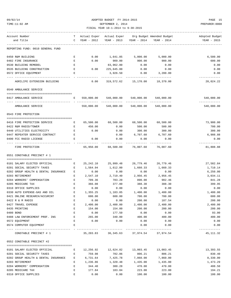#### 09/02/14 ADOPTED BUDGET FY 2014-2015 PAGE 15 TIME:11:02 AM SEPTEMBER 2, 2014 PREPARER:0008 FISCAL YEAR 10-1-2014 to 9-30-2015

| Account Number                                                                                                                                        |                               |               |                                             |                       | T Actual Exper Actual Exper Org Budget Amended Budget | Adopted Budget              |
|-------------------------------------------------------------------------------------------------------------------------------------------------------|-------------------------------|---------------|---------------------------------------------|-----------------------|-------------------------------------------------------|-----------------------------|
| and Title                                                                                                                                             |                               | C YEAR - 2012 | YEAR - 2013                                 | YEAR - 2014           | YEAR - 2014                                           | YEAR - 2015                 |
|                                                                                                                                                       |                               |               |                                             |                       |                                                       |                             |
| REPORTING FUND: 0010 GENERAL FUND                                                                                                                     |                               |               |                                             |                       |                                                       |                             |
| 0450 R&M BUILDING                                                                                                                                     | E                             | 0.00          | 1,641.85                                    | 5,000.00              | 5,000.00                                              | 6,500.00                    |
| 0482 FIRE INSURANCE                                                                                                                                   | E                             | 0.00          | 909.00                                      | 900.00                | 900.00                                                | 600.00                      |
| 0530 BUILDING REMODEL                                                                                                                                 | E                             |               | 83,962.80                                   | 0.00                  | 0.00                                                  | 0.00                        |
| 0535 BUILDING CONSTRUCTION                                                                                                                            | $\mathbf{E}$ and $\mathbf{E}$ | 0.00          | 225,645.00                                  | 0.00                  | 0.00                                                  | 0.00                        |
| 0572 OFFICE EQUIPMENT                                                                                                                                 | E                             |               | 3,926.50                                    | 0.00                  | 3,200.00                                              | 0.00                        |
| AGRILIFE EXTENSION BUILDING                                                                                                                           |                               | 0.00          |                                             |                       | -------------<br>319,572.62 15,170.00 18,370.00       | .<br>20,024.22              |
| 0540 AMBULANCE SERVICE                                                                                                                                |                               |               |                                             |                       |                                                       |                             |
|                                                                                                                                                       |                               |               |                                             |                       |                                                       |                             |
| 0417 AMBULANCE SERVICE                                                                                                                                | E                             |               | 550,000.00 540,000.00 540,000.00            |                       | 540,000.00                                            | 540,000.00<br>------------- |
| AMBULANCE SERVICE                                                                                                                                     |                               |               | 550,000.00 540,000.00 540,000.00            |                       | 540,000.00                                            | 540,000.00                  |
| 0543 FIRE PROTECTION                                                                                                                                  |                               |               |                                             |                       |                                                       |                             |
|                                                                                                                                                       |                               |               | 65,500.00 68,500.00 68,500.00 68,500.00     |                       |                                                       | 73,900.00                   |
| 0416 FIRE PROTECTION SERVICE<br><b>Expanding Expanding Expanding Expanding Expanding Expanding Expanding Expanding Expanding Expanding Expanding </b> |                               |               |                                             |                       |                                                       |                             |
| 0422 R&M RADIO/TOWER                                                                                                                                  | E                             | 450.00        | 0.00                                        | 500.00                | 500.00                                                | 700.00                      |
| 0440 UTILITIES ELECTRICITY                                                                                                                            | $\mathbf{E}$                  | 0.00          | 0.00                                        | 300.00                | 300.00                                                | 300.00                      |
| 0447 REPEATER SERVICE CONTRACT                                                                                                                        | E                             |               | 0.00                                        | 6,707.60              | 6,707.60                                              | 6,908.88                    |
| 0490 FCC RADIO LICENSE                                                                                                                                | E                             | 0.00          | 0.00                                        | 0.00<br>------------- | 0.00<br>______________                                | 0.00<br>-------------       |
| FIRE PROTECTION                                                                                                                                       |                               |               | 65,950.00 68,500.00                         |                       | 76,007.60 76,007.60                                   | 81,808.88                   |
| 0551 CONSTABLE PRECINCT # 1                                                                                                                           |                               |               |                                             |                       |                                                       |                             |
| 0101 SALARY ELECTED OFFICIAL                                                                                                                          | $\mathbf{E}$                  |               | 25, 242.10 25, 999.48                       | 26,779.46             | 26,779.46                                             | 27,582.84                   |
| 0201 SOCIAL SECURITY TAXES                                                                                                                            | Е                             | 1,564.94      | 1,612.00                                    | 1,660.33              | 1,660.33                                              | 1,710.14                    |
| 0202 GROUP HEALTH & DENTAL INSURANCE                                                                                                                  | Е                             | 0.00          | 0.00                                        | 0.00                  | 0.00                                                  | 6,250.00                    |
| 0203 RETIREMENT                                                                                                                                       | E                             | 2,547.10      | 2,719.40                                    | 2,956.45              | 2,956.45                                              | 3,034.11                    |
| 0204 WORKERS' COMPENSATION                                                                                                                            | E                             | 709.36        | 783.20                                      | 890.00                | 902.46                                                | 841.28                      |
| 0205 MEDICARE TAX                                                                                                                                     | $\mathbf{E}$                  | 366.08        | 377.00                                      | 388.30                | 388.30                                                | 399.95                      |
| 0310 OFFICE SUPPLIES                                                                                                                                  | E                             | 0.00          | 0.00                                        | 0.00                  | 0.00                                                  | 0.00                        |
| 0330 AUTO EXPENSE-GAS AND OIL<br><b>EXECUTIVE</b>                                                                                                     |                               | 1,355.25      | 1,183.05                                    | 1,400.00              | 1,400.00                                              | 1,400.00                    |
| 0421 ONLINE RESEARCH/ACCURINT                                                                                                                         | Е                             | 600.00        | 600.00                                      | 700.00                | 700.00                                                | 600.00                      |
| 0422 R & M RADIO                                                                                                                                      |                               | 0.00          | 0.00                                        | 200.00                | 187.54                                                | 200.00                      |
| 0427 TRAVEL EXPENSE                                                                                                                                   | Е                             | 2,400.00      | 2,400.00                                    | 2,400.00              | 2,400.00                                              | 2,400.00                    |
| 0435 PRINTING                                                                                                                                         | Ε                             | 154.00        | 154.00                                      | 200.00                | 200.00                                                | 200.00                      |
| 0480 BOND                                                                                                                                             | Е                             | 0.00          | 177.50                                      | 0.00                  | 0.00                                                  | 93.00                       |
| 0488 LAW ENFORCEMENT PROF. INS                                                                                                                        | $\mathbf{E}$                  | 265.00        | 340.00                                      | 400.00                | 400.00                                                | 400.00                      |
| 0572 EQUIPMENT                                                                                                                                        | $\mathbf{E}$                  | 0.00          | 0.00                                        | 0.00                  | 0.00                                                  | 0.00                        |
| 0574 COMPUTER EQUIPMENT                                                                                                                               | E                             |               |                                             | 0.00                  | 0.00                                                  | 0.00                        |
| CONSTABLE PRECINCT # 1                                                                                                                                |                               |               | 35, 203.83 36, 345.63 37, 974.54 37, 974.54 |                       |                                                       | .<br>45, 111.32             |
|                                                                                                                                                       |                               |               |                                             |                       |                                                       |                             |
| 0552 CONSTABLE PRECINCT #2                                                                                                                            |                               |               |                                             |                       |                                                       |                             |
| 0101 SALARY ELECTED OFFICIAL                                                                                                                          | $\mathbf{E}$                  | 12,256.92     | 12,624.82                                   | 13,003.45             | 13,003.45                                             | 13,393.55                   |
| 0201 SOCIAL SECURITY TAXES                                                                                                                            | E                             | 759.98        | 782.86                                      | 806.21                | 806.21                                                | 830.40                      |
| 0202 GROUP HEALTH & DENTAL INSURANCE                                                                                                                  | $\mathbf{E}$                  | 6,731.64      | 7,425.78                                    | 7,860.00              | 7,860.00                                              | 8,330.00                    |
| 0203 RETIREMENT                                                                                                                                       | Е                             | 1,236.86      | 1,320.48                                    | 1,435.00              | 1,435.00                                              | 1,473.29                    |
| 0204 WORKERS' COMPENSATION                                                                                                                            | Е                             | 344.40        | 380.28                                      | 470.00                | 470.00                                                | 408.50                      |
| 0205 MEDICARE TAX                                                                                                                                     | Е                             | 177.84        | 183.04                                      | 223.00                | 223.00                                                | 194.21                      |
| 0310 OFFICE SUPPLIES                                                                                                                                  | Ε                             | 0.00          | 0.00                                        | 100.00                | 100.00                                                | 100.00                      |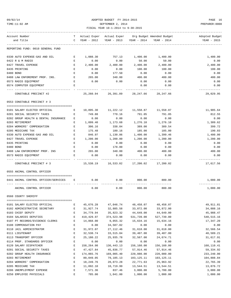09/02/14 ADOPTED BUDGET FY 2014-2015 PAGE 16 TIME:11:02 AM SEPTEMBER 2, 2014 PREPARER:0008 FISCAL YEAR 10-1-2014 to 9-30-2015

| Account Number                                        |              |               |                                                  |                     | T Actual Exper Actual Exper Org Budget Amended Budget | Adopted Budget           |
|-------------------------------------------------------|--------------|---------------|--------------------------------------------------|---------------------|-------------------------------------------------------|--------------------------|
| and Title                                             |              | C YEAR - 2012 |                                                  |                     | YEAR - 2013 YEAR - 2014 YEAR - 2014                   | YEAR - 2015              |
| REPORTING FUND: 0010 GENERAL FUND                     |              |               |                                                  |                     |                                                       |                          |
|                                                       |              |               |                                                  |                     |                                                       |                          |
| 0330 AUTO EXPENSE-GAS AND OIL                         |              | E 1,088.30    |                                                  | 757.13 1,400.00     | 1,400.00                                              | 1,400.00                 |
| 0422 R & M RADIO                                      | E            | 0.00          | 0.00                                             | 50.00               | 50.00                                                 | 0.00                     |
| 0427 TRAVEL EXPENSE                                   | Е            | 2,400.00      | 2,400.00                                         | 2,400.00            | 2,400.00                                              | 2,400.00                 |
| 0435 PRINTING                                         | $\mathbf{E}$ | 0.00          | 0.00                                             | 100.00              | 100.00                                                | 100.00                   |
| 0480 BOND                                             | Е            | 0.00          | 177.50                                           | 0.00                | 0.00                                                  | 0.00                     |
| 0488 LAW ENFOREMENT PROF. INS.<br><b>Experience E</b> |              | 265.00        | 340.00                                           | 400.00              | 400.00                                                | 400.00                   |
| 0573 RADIO EQUIPMENT                                  | E            | 0.00          | 0.00                                             | 0.00                | 0.00                                                  | 0.00                     |
| 0574 COMPUTER EOUIPMENT                               | E            |               |                                                  | 0.00                | 0.00                                                  | 0.00<br>----------       |
| CONSTABLE PRECINCT #2                                 |              |               | 25,260.94 26,391.89 28,247.66                    |                     | 28,247.66                                             | 29,029.95                |
| 0553 CONSTABLE PRECINCT # 3                           |              |               |                                                  |                     |                                                       |                          |
| 0101 SALARY ELECTED OFFICIAL                          | E            | 10,895.30     |                                                  | 11,222.12 11,558.87 | 11,558.87                                             | 11,905.64                |
| 0201 SOCIAL SECURITY TAXES                            | E            | 749.88        | 770.16                                           | 791.05              | 791.05                                                | 812.55                   |
| 0202 GROUP HEALTH & DENTAL INSURANCE E                |              | 0.00          | 0.00                                             | 0.00                | 0.00                                                  | 0.00                     |
| 0203 RETIREMENT                                       | E            | 1,099.40      | 1,173.68                                         | 1,276.10            | 1,276.10                                              | 1,309.62                 |
| 0204 WORKERS' COMPENSATION                            | E            | 306.16        | 338.04                                           | 389.00              | 389.54                                                | 399.72                   |
| 0205 MEDICARE TAX                                     | Е            | 175.48        | 180.16                                           | 185.00              | 185.00                                                | 190.03                   |
| 0330 AUTO EXPENSE-GAS AND OIL                         | E            | 846.97        | 1,130.86                                         | 1,400.00            | 1,399.46                                              | 1,400.00                 |
| 0427 TRAVEL EXPENSE                                   | Е            | 1,200.00      | 1,200.00                                         | 1,200.00            | 1,200.00                                              | 1,200.00                 |
| 0435 PRINTING                                         | Е            | 0.00          | 0.00                                             | 0.00                | 0.00                                                  | 0.00                     |
| 0480 BOND                                             | E            | 0.00          | 178.00                                           | 0.00                | 0.00                                                  | 0.00                     |
| 0488 LAW ENFORCEMENT PROF. INS                        | $\mathbf{E}$ | 265.00        | 340.00                                           | 400.00              | 400.00                                                | 400.00                   |
| 0573 RADIO EOUIPMENT                                  | E.           | 0.00          | 0.00                                             | 0.00                | 0.00                                                  | 0.00                     |
| CONSTABLE PRECINCT # 3                                |              |               | 15,538.19    16,533.02    17,200.02    17,200.02 |                     |                                                       | -----------<br>17,617.56 |
| 0555 ANIMAL CONTROL OFFICER                           |              |               |                                                  |                     |                                                       |                          |
|                                                       |              |               |                                                  |                     |                                                       |                          |
| 0441 ANIMAL CONTROL OFFICER/SERVICES E                |              | 0.00          | 0.00                                             | 800.00              | 800.00                                                | 1,000.00<br>------------ |
| ANIMAL CONTROL OFFICER                                |              | 0.00          | 0.00                                             | 800.00              | 800.00                                                | 1,000.00                 |
| 0560 COUNTY SHERIFF                                   |              |               |                                                  |                     |                                                       |                          |
| 0101 SALARY ELECTED OFFICIAL                          | Ε            | 45,676.28     | 47,046.74                                        | 48,458.07           | 48,458.07                                             | 49, 911.81               |
| 0102 ADMINISTRATIVE SECRETARY                         | E            | 31,927.74     | 32,885.58                                        | 33,872.00           | 33,872.00                                             | 34,888.16                |
| 0103 CHIEF DEPUTY                                     | Ε            | 34,779.94     | 35,823.32                                        | 44,649.00           | 44,649.00                                             | 45,988.47                |
| 0104 SALARIES DEPUTIES                                | Е            | 419,429.97    | 374,523.98                                       | 531,739.00          | 527,739.00                                            | 540, 515.16              |
| 0107 PT RECORDS/EVIDENCE CLERKS                       | E            | 14,868.00     | 9,055.32                                         | 15,634.16           | 15,634.16                                             | 17,347.20                |
| 0108 COMPENSATION PAY                                 | $\mathbf E$  | 0.00          | 34,587.02                                        | 0.00                | 0.00                                                  | 0.00                     |
| 0110 JAIL ADMINISTRATOR                               | E            | 31,972.07     | 27, 112.46                                       | 31,618.00           | 31,618.00                                             | 32,566.54                |
| 0111 LIEUTENANT                                       | E            | 32,538.74     | 33,515.04                                        | 39,407.00           | 39,407.00                                             | 40,589.21                |
| 0113 TRANSPORT OFFICER                                | Ε            | 25,180.22     | 25,935.78                                        | 32,567.00           | 24,674.71                                             | 31,617.91                |
| 0114 PROF. STANDARDS OFFICER                          | $\mathbf E$  | 0.00          | 0.00                                             | 0.00                | 0.00                                                  | 0.00                     |
| 0120 SALARY DISPATCHER                                | E            | 158,264.98    | 136,443.13                                       | 156,160.00          | 156,160.00                                            | 160,110.41               |
| 0201 SOCIAL SECURITY TAXES                            | E            | 47, 427.84    | 45,836.77                                        | 57,914.46           | 57,914.46                                             | 59,334.92                |
| 0202 GROUP HEALTH INSURANCE                           | Ε            | 174,065.76    | 169,005.40                                       | 220,080.00          | 220,080.00                                            | 233, 240.00              |
| 0203 RETIREMENT                                       | Ε            | 80,049.05     | 79,185.13                                        | 103,125.11          | 103, 125. 11                                          | 104,888.84               |
| 0204 WORKERS' COMPENSATION                            | Ε            | 18,249.76     | 20,073.28                                        | 22,771.63           | 25,963.92                                             | 22,765.39                |
| 0205 MEDICARE TAX                                     | Ε            | 11,092.10     | 10,719.99                                        | 13,544.51           | 13,544.51                                             | 13,876.72                |
| 0206 UNEMPLOYMENT EXPENSE                             | Ε            | 7,571.36      | 837.46                                           | 3,000.00            | 5,700.00                                              | 3,000.00                 |
|                                                       |              |               |                                                  |                     |                                                       |                          |

0250 EMPLOYEE PHYSICALS E 785.00 1,041.00 1,000.00 1,000.00 1,000.00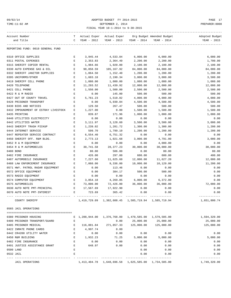#### ${\small \texttt{ADOPTED BUDGET} \begin{tabular}{lcccccc} \texttt{O9/02/14} & \texttt{ADOPTED BUDGET} & \texttt{FY 2014-2015} & \texttt{PAGE 17} \\ & & & & & & & \texttt{PREFEMBER 2, 2014} \\ & & & & & & & \texttt{SEPTEMBER 2, 2014} \\ & & & & & & & \texttt{FISCAL} & \texttt{YEAR 10-1-2014 to 9-30-2015} & \texttt{PREFAMER:0008} \\ \end{tabular}}$ TIME:11:02 AM SEPTEMBER 2, 2014 PREPARER:0008 FISCAL YEAR 10-1-2014 to 9-30-2015

| Account Number                                   |                    |               |                                                        |                         | T Actual Exper Actual Exper Org Budget Amended Budget | Adopted Budget |
|--------------------------------------------------|--------------------|---------------|--------------------------------------------------------|-------------------------|-------------------------------------------------------|----------------|
| and Title                                        |                    | C YEAR - 2012 |                                                        | YEAR - 2013 YEAR - 2014 | YEAR - 2014                                           | YEAR - 2015    |
|                                                  |                    |               |                                                        |                         |                                                       |                |
| REPORTING FUND: 0010 GENERAL FUND                |                    |               |                                                        |                         |                                                       |                |
| 0310 OFFICE SUPPLIES                             | E                  | 3,945.44      | 4,533.84                                               | 6,000.00                | 6,000.00                                              | 6,000.00       |
| 0311 POSTAL EXPENSES                             | Е                  | 2,353.83      | 2,364.49                                               | 2,200.00                | 2,200.00                                              | 1,700.00       |
| 0315 SHERIFF COPIER RENTAL                       | Е                  | 1,984.66      | 1,920.00                                               | 2,100.00                | 2,100.00                                              | 2,100.00       |
| 0330 AUTO EXPENSE GAS & OIL                      | $\mathbf E$        | 98,058.59     | 105,167.92                                             | 84,000.00               | 84,000.00                                             | 84,000.00      |
| 0332 SHERIFF JANITOR SUPPLIES                    | E                  | 1,064.50      | 1,152.40                                               | 1,200.00                | 1,200.00                                              | 1,200.00       |
| 0395 UNIFORMS/OTHER                              | E                  | 1,603.18      | 2,190.34                                               | 3,000.00                | 3,000.00                                              | 3,500.00       |
| 0419 SHERIFF CELL PHONE                          | Е                  | 1,080.00      | 1,080.00                                               | 1,080.00                | 1,080.00                                              | 1,080.00       |
| 0420 TELEPHONE                                   | Е                  | 11,293.52     | 11,439.92                                              | 12,000.00               | 12,000.00                                             | 12,000.00      |
| 0421 CELL PHONE                                  | E                  | 1,550.00      | 1,500.00                                               | 2,500.00                | 2,500.00                                              | 2,500.00       |
| 0422 R & M RADIO                                 | E                  | 0.00          | 145.00                                                 | 500.00                  | 500.00                                                | 500.00         |
| 0427 OUT OF COUNTY TRAVEL                        | Е                  | 5,761.23      | 1,510.82                                               | 4,000.00                | 4,000.00                                              | 4,000.00       |
| 0428 PRISONER TRANSPORT                          | Е                  | 0.00          | 5,930.84                                               | 4,500.00                | 4,500.00                                              | 4,500.00       |
| 0430 BIDS AND NOTICES                            | Е                  | 129.50        | 267.47                                                 | 500.00                  | 500.00                                                | 500.00         |
| 0432 IMPOUNDMENT OF ESTRAY LIVESTOCK             | Е                  | 1,227.00      | 0.00                                                   | 1,500.00                | 1,500.00                                              | 1,500.00       |
| 0435 PRINTING                                    | E                  | 839.87        | 171.96                                                 | 1,000.00                | 1,000.00                                              | 1,000.00       |
| 0440 UTILITIES ELECTRICITY                       | Е                  | 0.00          | 0.00                                                   | 0.00                    | 0.00                                                  | 0.00           |
| 0442 UTILITIES WATER                             | Е                  | 3,111.97      | 3,128.60                                               | 3,500.00                | 3,500.00                                              | 3,000.00       |
| 0443 SHERIFF TRASH PICKUP                        | Е                  | 1,239.02      | 1,281.72                                               | 1,300.00                | 1,300.00                                              | 1,200.00       |
| 0444 INTERNET SERVICE                            | Е                  | 599.70        | 1,799.10                                               | 1,200.00                | 1,200.00                                              | 1,200.00       |
| 0447 REPEATER SERVICE CONTRACT                   | $\mathbf E$        | 6,554.40      | 6,751.32                                               | 0.00                    | 0.00                                                  | 0.00           |
| 0450 SHERIFF OFF. R&M BLDG.                      | Е                  | 2,773.13      | 1,021.68                                               | 3,000.00                | 4,791.00                                              | 3,000.00       |
| 0452 R & M EQUIPMENT                             | Е                  | 0.00          | 0.00                                                   | 0.00                    | 4,000.00                                              | 0.00           |
| 0454 R & M AUTOMOBILES                           | Е                  | 30,741.58     | 28, 377. 23                                            | 30,000.00               | 30,000.00                                             | 30,000.00      |
| 0480 BOND                                        | Ε                  | 80.00         | 506.00                                                 | 0.00                    | 80.00                                                 | 80.00          |
| 0482 FIRE INSURANCE                              | Ε                  | 426.00        | 297.00                                                 | 600.00                  | 600.00                                                | 400.00         |
| 0487 AUTOMOBILE INSURANCE                        | E                  | 7,227.60      | 11,625.60                                              | 12,000.00               | 11,627.20                                             | 12,000.00      |
| 0488 LAW ENFORCEMENT INSURANCE                   | E                  | 7,060.00      | 9,336.00                                               | 10,000.00               | 10,129.00                                             | 11,200.00      |
| 0571 HWY. PATROL RADAR EQUIPMENT<br>$\mathbf{E}$ |                    | 0.00          | 113.46                                                 | 0.00                    | 0.00                                                  | 0.00           |
| 0572 OFFICE EQUIPMENT                            | Е                  | 0.00          | 384.17                                                 | 500.00                  | 500.00                                                | 0.00           |
| 0573 RADIO EQUIPMENT                             | Е                  | 0.00          | 0.00                                                   | 0.00                    | 0.00                                                  | 0.00           |
| 0574 COMPUTER EOUIPMENT                          | $\mathbf{E}% _{0}$ | 3,854.18      | 4,269.85                                               | 6,000.00                | 6,372.80                                              | 0.00           |
| 0575 AUTOMOBILES                                 | Е                  | 73,000.00     | 72,426.00                                              | 36,000.00               | 36,000.00                                             | 72,000.00      |
| 0630 AUTO NOTE PMT-PRINCIPAL                     | E                  | 17,567.69     | 17,922.90                                              | 0.00                    | 0.00                                                  | 0.00           |
| 0670 AUTO NOTE PMT-INTEREST                      | E                  | 723.69        | 365.42                                                 | 0.00                    | 0.00                                                  | 0.00           |
| COUNTY SHEKIFF                                   |                    |               | 1,419,729.09  1,382,608.45  1,585,719.94  1,585,719.94 |                         |                                                       | 1,651,800.74   |
| 0565 JAIL OPERATIONS                             |                    |               |                                                        |                         |                                                       |                |
| 0380 PRISONER HOUSING                            |                    |               | E 1,288,944.00 1,376,768.00 1,470,585.00 1,579,585.00  |                         |                                                       | 1,594,320.00   |
| 0400 PRISONER TRANSPORT/GUARD                    | Е                  |               | 0.00                                                   | 25,000.00               | 25,000.00                                             | 25,000.00      |
| 0405 PRISONER MEDICAL                            | E                  | 116,881.84    | 271,857.33                                             | 125,000.00              | 125,000.00                                            | 125,000.00     |
| 0422 INMATE PHONE CARDS                          | E                  | 4,997.74      | 0.00                                                   |                         |                                                       |                |
| 0442 CR4200 UTILITY WATER                        | Е                  | 0.00          | 0.00                                                   | 0.00                    | 0.00                                                  | 0.00           |
| 0450 R&M BUILDING                                | Е                  | 1,932.23      | 71.25                                                  | 5,000.00                | 5,000.00                                              | 5,000.00       |
| 0482 FIRE INSURANCE                              | Е                  | 0.00          | 0.00                                                   | 0.00                    | 0.00                                                  | 0.00           |
| 0491 JUSTICE ASSISTANCE GRANT                    | Ε                  | 648.97        | 0.00                                                   | 0.00                    | 0.00                                                  | 0.00           |
| 0500 LAND                                        | Ε                  |               |                                                        | 0.00                    | 0.00                                                  | 0.00           |
| 0532 JAIL                                        | Ε                  |               |                                                        | 0.00                    | 0.00                                                  | 0.00           |
| <b>JAIL OPERATIONS</b>                           |                    |               | 1,413,404.78  1,648,696.58  1,625,585.00  1,734,585.00 |                         |                                                       | 1,749,320.00   |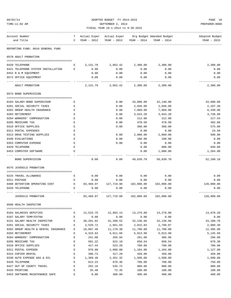| 9/02/14 |  |
|---------|--|
|         |  |

#### 09/02/14 ADOPTED BUDGET FY 2014-2015 PAGE 18 TIME:11:02 AM SEPTEMBER 2, 2014 PREPARER:0008 FISCAL YEAR 10-1-2014 to 9-30-2015

| Account Number                            |              |                  |                                                     |                    | T Actual Exper Actual Exper Org Budget Amended Budget | Adopted Budget        |
|-------------------------------------------|--------------|------------------|-----------------------------------------------------|--------------------|-------------------------------------------------------|-----------------------|
| and Title                                 |              | $C$ YEAR - 2012  |                                                     |                    | YEAR - 2013 YEAR - 2014 YEAR - 2014                   | YEAR - 2015           |
| REPORTING FUND: 0010 GENERAL FUND         |              |                  |                                                     |                    |                                                       |                       |
| 0570 ADULT PROBATION                      |              |                  |                                                     |                    |                                                       |                       |
|                                           |              |                  |                                                     |                    |                                                       |                       |
| 0420 TELEPHONE                            | E            | 2,131.79         | 2,052.42                                            |                    | 2,300.00 2,300.00                                     | 2,300.00              |
| 0421 TELEPHONE SYSTEM INSTALLATION        | E            | 0.00             | 0.00                                                | 0.00               | 0.00                                                  | 0.00                  |
| 0452 R & M EQUIPMENT                      |              | 0.00             | 0.00                                                | 0.00               | 0.00                                                  | 0.00                  |
| 0572 OFFICE EQUIPMENT                     |              | 0.00             | 0.00                                                | 0.00               | 0.00                                                  | 0.00<br>-----------   |
| ADULT PROBATION                           |              |                  | 2, 131.79 2, 052.42 2, 300.00 2, 300.00             |                    |                                                       | 2,300.00              |
| 0573 BOND SUPERVISION                     |              |                  |                                                     |                    |                                                       |                       |
| 0103 SALARY-BOND SUPERVISOR               | Ε            |                  | 0.00                                                |                    | 33,000.00 32,140.00                                   | 33,990.00             |
| 0201 SOCIAL SECURITY TAXES                | Е            |                  | 0.00                                                | 2,046.00           | 2,046.00                                              | 2,107.38              |
| 0202 GROUP HEALTH INSURANCE               | Е            |                  | 0.00                                                | 7,860.00           | 7,860.00                                              | 8,330.00              |
| 0203 RETIREMENT                           | E            |                  | 0.00                                                | 3,643.20           | 3,643.20                                              | 3,738.90              |
| 0204 WORKERS' COMPENSATION                | Ε            |                  | 0.00                                                | 212.00             | 212.00                                                | 217.54                |
| 0205 MEDICARE TAX                         | Ε            |                  | 0.00                                                | 478.50             | 478.50                                                | 492.86                |
| 0310 OFFICE SUPPLIES                      | Ε            |                  | 0.00                                                | 300.00             | 360.00                                                | 575.00                |
| 0311 POSTAL EXPENSES                      | Ε            |                  |                                                     | 0.00               | 0.00                                                  | 24.50                 |
| 0313 DRUG TESTING SUPPLIES                | Ε            |                  | 0.00                                                | 2,000.00           | 2,000.00                                              | 500.00                |
| 0340 EVALUATIONS                          | Ε            |                  | 0.00                                                | 100.00             | 100.00                                                | 0.00                  |
| 0353 COMPUTER EXPENSE                     | Ε            |                  | 0.00                                                | 0.00               | 0.00                                                  | 0.00                  |
| 0420 TELEPHONE                            | Ε            |                  |                                                     | 0.00               | 800.00                                                | 840.00                |
| 0453 COMPUTER SOFTWARE                    | F.           |                  |                                                     | 0.00               | 1,000.00                                              | 1,284.00              |
| BOND SUPERVISION                          |              | 0.00             |                                                     | $0.00$ 49,639.70   | 50,639.70                                             | 52,100.18             |
| 0575 JUVENILE PROBATION                   |              |                  |                                                     |                    |                                                       |                       |
|                                           |              |                  |                                                     |                    |                                                       |                       |
| 0225 TRAVEL ALLOWANCE                     | $\mathbf{E}$ | 0.00             | 0.00                                                | 0.00               | 0.00                                                  | 0.00                  |
| 0311 POSTAGE                              | Е            | 0.00             | 0.00                                                | 0.00               | 0.00                                                  | 0.00                  |
| 0408 DETENTION OPERATING COST             | E            |                  | 93,469.97 127,719.98 102,000.00 102,000.00          |                    |                                                       | 120,000.00            |
| 0420 TELEPHONE                            | Е            | 0.00             | 0.00<br>------------------------------              | 0.00               | 0.00<br>-------------                                 | 0.00<br>------------- |
| JUVENILE PROBATION                        |              |                  | 93,469.97    127,719.98    102,000.00    102,000.00 |                    |                                                       | 120,000.00            |
| 0590 HEALTH INSPECTOR                     |              |                  |                                                     |                    |                                                       |                       |
|                                           |              |                  |                                                     |                    |                                                       |                       |
| 0104 SALARIES DEPUTIES                    | Е            | 12,515.75        | 12,893.14                                           | 13,279.88          | 13,279.88                                             | 13,678.28             |
| 0107 SALARY TEMP/EXTRA                    | Ε            | 0.00             | 0.00                                                | 0.00               | 0.00                                                  | 0.00                  |
| 0151 SALARY HEALTH INSPECTOR              | Ε            | 30,291.82        | 31,200.52                                           | 32,136.66          | 32,136.66                                             | 33,100.76             |
| 0201 SOCIAL SECURITY TAXES                | E            | 2,528.72         | 2,661.03                                            | 2,815.83           | 2,799.87                                              | 2,900.30              |
| 0202 GROUP HEALTH & DENTAL INSURANCE      | E            | 10,097.46        | 11,170.38                                           | 11,790.00          | 11,790.00                                             | 12,495.00             |
| 0203 RETIREMENT                           | E            | 4,319.63         | 4,611.66                                            | 5,013.99           | 5,013.99                                              | 5,145.69              |
| 0204 WORKERS' COMPENSATION                | E            | 241.00           | 265.94                                              | 291.00             | 306.96                                                | 296.08                |
| 0205 MEDICARE TAX<br>0310 OFFICE SUPPLIES | E<br>E       | 591.22           | 622.18                                              | 658.54             | 658.54                                                | 678.30                |
| 0311 POSTAL EXPENSE                       | E            | 417.44<br>976.00 | 523.20<br>1,088.00                                  | 700.00<br>1,104.00 | 700.00                                                | 700.00<br>1,127.00    |
| 0315 COPIER RENTAL                        | E            | 390.73           | 417.29                                              | 450.00             | 1,104.00<br>450.00                                    | 450.00                |
| 0330 AUTO EXPENSE GAS & OIL               | Ε            | 1,389.48         | 1,451.32                                            | 1,500.00           | 1,500.00                                              | 1,500.00              |
| 0420 TELEPHONE                            | Ε            | 613.23           | 670.36                                              | 700.00             | 700.00                                                | 750.00                |
| 0427 OUT OF COUNTY TRAVEL                 | E            | 292.16           | 535.72                                              | 900.00             | 900.00                                                | 900.00                |
| 0435 PRINTING                             | E            | 35.40            | 72.45                                               | 100.00             | 100.00                                                | 100.00                |

0453 SOFTWARE MAINTENANCE SAFE E 0.00 300.00 400.00 400.00 400.00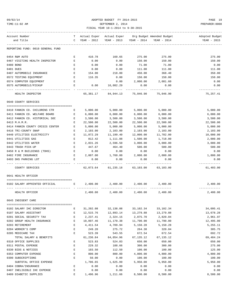#### 09/02/14 ADOPTED BUDGET FY 2014-2015 PAGE 19 TIME:11:02 AM SEPTEMBER 2, 2014 PREPARER:0008 FISCAL YEAR 10-1-2014 to 9-30-2015

| Account Number                                     |                                                |                     |                               |                            | T Actual Exper Actual Exper Org Budget Amended Budget | Adopted Budget            |
|----------------------------------------------------|------------------------------------------------|---------------------|-------------------------------|----------------------------|-------------------------------------------------------|---------------------------|
| and Title                                          |                                                | C YEAR - 2012       |                               |                            | YEAR - 2013 YEAR - 2014 YEAR - 2014                   | YEAR - 2015               |
|                                                    |                                                |                     |                               |                            |                                                       |                           |
| REPORTING FUND: 0010 GENERAL FUND                  |                                                |                     |                               |                            |                                                       |                           |
| 0454 R&M AUTO                                      | Е                                              | 410.78              | 160.65                        | 275.00                     | 275.00                                                | 275.00                    |
| 0467 VISITING HEALTH INSPECTOR                     | E                                              | 0.00                | 0.00                          | 150.00                     | 150.00                                                | 150.00                    |
| 0480 BOND                                          | Е                                              | 0.00                | 0.00                          | 71.00                      | 71.00                                                 | 0.00                      |
| 0481 DUES                                          | E                                              | 0.00                | 0.00                          | 111.00                     | 111.00                                                | 111.00                    |
| 0487 AUTOMOBILE INSURANCE                          | E                                              | 154.00              | 218.00                        | 450.00                     | 368.40                                                | 350.00                    |
| 0572 TESTING EQUIPMENT                             | E                                              | 116.35              | 0.00                          | 150.00                     | 150.00                                                | 150.00                    |
| 0574 COMPUTER EQUIPMENT                            | Е                                              |                     | 0.00                          | 2,000.00                   | 2,081.60                                              | 0.00                      |
| 0575 AUTOMOBILE/PICKUP                             | Е                                              | 0.00                | 16,082.29                     | 0.00                       | 0.00                                                  | 0.00                      |
| HEALTH INSPECTOR                                   |                                                |                     | 65, 381.17 84, 944.13         | 75,046.90                  | 75,046.90                                             | .<br>75,257.41            |
| 0640 COUNTY SERVICES                               |                                                |                     |                               |                            |                                                       |                           |
| 0410 FANNIN CO. CHILDRENS CTR                      | Е                                              | 5,000.00            | 5,000.00                      | 5,000.00                   | 5,000.00                                              | 5,000.00                  |
| 0411 FANNIN CO. WELFARE BOARD                      | E                                              | 6,000.00            | 6,000.00                      | 6,000.00                   | 6,000.00                                              | 6,000.00                  |
| 0412 FANNIN CO. HISTORICAL SOC                     | E                                              | 3,500.00            | 3,500.00                      | 3,500.00                   | 3,500.00                                              | 3,500.00                  |
| 0413 M.H.M.R.                                      | Е                                              | 22,500.00           | 22,500.00                     | 22,500.00                  | 22,500.00                                             | 22,500.00                 |
| 0414 FANNIN COUNTY CRISIS CENTER                   | E                                              | 5,000.00            | 5,000.00                      | 5,000.00                   | 5,000.00                                              | 5,000.00                  |
| 0416 TRI-COUNTY SNAP                               | E                                              | 2,103.00            | 2,103.00                      | 2,103.00                   | 2,103.00                                              | 2,103.00                  |
| 0440 UTILITIES ELECTRICITY                         | E                                              | 11,872.29           | 11,199.40                     | 12,000.00                  | 11,782.00                                             | 10,000.00                 |
| 0441 UTILITIES GAS                                 | E                                              | 812.42              | 1,111.88                      | 1,500.00                   | 1,718.00                                              | 2,000.00                  |
| 0442 UTILITIES WATER                               | E                                              | 2,831.26            | 2,596.50                      | 3,000.00                   | 3,000.00                                              | 3,000.00                  |
| 0443 TRASH PICK-UP                                 | E                                              | 447.67              | 464.40                        | 500.00                     |                                                       | 500.00                    |
|                                                    | $\mathbf{E}$                                   |                     | 0.00                          | 0.00                       | 500.00<br>0.00                                        |                           |
| 0450 R & M BUILDINGS (TDHS)<br>0482 FIRE INSURANCE | $\mathbf{E}$ and $\mathbf{E}$                  | 0.00<br>2,007.00    | 1,760.00                      | 2,000.00                   | 2,000.00                                              | 0.00<br>1,800.00          |
| 0493 DHS PARKING LOT                               | Е                                              | 0.00                |                               |                            |                                                       | 0.00                      |
|                                                    |                                                |                     | 0.00                          | 0.00                       | 0.00                                                  | . <u>.</u>                |
| COUNTY SERVICES                                    |                                                |                     | 62,073.64 61,235.18 63,103.00 |                            | 63,103.00                                             | 61,403.00                 |
| 0641 HEALTH OFFICER                                |                                                |                     |                               |                            |                                                       |                           |
| 0102 SALARY APPOINTED OFFICIAL                     | $\mathbf{E}$ and $\mathbf{E}$ and $\mathbf{E}$ |                     | 2,400.00 2,400.00             |                            | 2,400.00 2,400.00                                     | 2,400.00                  |
| HEALTH OFFICER                                     |                                                | 2,400.00            |                               | 2,400.00 2,400.00 2,400.00 |                                                       | -------------<br>2,400.00 |
| 0645 INDIGENT CARE                                 |                                                |                     |                               |                            |                                                       |                           |
| 0102 SALARY IHC DIRECTOR                           | Е                                              | 31,202.08           | 32,138.08                     | 33,102.34                  | 33,102.34                                             | 34,095.41                 |
| 0107 SALARY ASSISTANT                              | E                                              | 12,515.76           | 12,893.14                     | 13,279.88                  | 13,279.88                                             | 13,678.28                 |
| 0201 SOCIAL SECURITY TAX                           | Ε                                              | 2,237.41            | 2,324.15                      | 2,875.70                   | 2,820.04                                              | 2,961.97                  |
| 0202 GROUP HEALTH INSURANCE                        | E                                              | 10,097.46           | 11,170.38                     | 11,790.00                  | 11,790.00                                             | 12,495.00                 |
| 0203 RETIREMENT                                    | $\mathbf E$                                    | 4, 411.54           | 4,709.94                      | 5,150.28                   | 5,150.28                                              | 5,255.11                  |
| 0204 WORKER'S COMP                                 | E                                              | 249.20              | 275.72                        | 264.38                     | 320.04                                                | 305.75                    |
| 0205 MEDICARE TAX                                  | E                                              | 523.39              | 543.55                        | 672.54                     | 672.54                                                | 692.72                    |
|                                                    |                                                |                     | 64,054.96                     |                            |                                                       | 69, 484. 24               |
| TOTAL SALARY & BENEFITS<br>0310 OFFICE SUPPLIES    | Ε                                              | 61,236.84<br>523.83 |                               | 67, 135. 12                | 67, 135. 12<br>650.00                                 | 650.00                    |
| 0311 POSTAL EXPENSE                                | $\mathbf E$                                    | 229.32              | 524.83<br>188.66              | 650.00<br>300.00           | 300.00                                                | 275.00                    |
| 0330 BIDS & NOTICES                                | E                                              |                     | 112.50                        |                            | 100.00                                                | 125.00                    |
|                                                    | E                                              | 103.50              |                               | 100.00                     |                                                       | 4,800.00                  |
| 0353 COMPUTER EXPENSE<br>0390 SUBSCRIPTIONS        | E                                              | 800.00<br>50.00     | 800.00<br>0.00                | 4,800.00<br>100.00         | 4,800.00<br>100.00                                    | 100.00                    |
| SUBTOTAL OFFICE EXPENSE                            |                                                | 1,706.65            | 1,625.99                      | 5,950.00                   | 5,950.00                                              | 5,950.00                  |
| 0404 COBRA/INSURANCE                               | E                                              | 0.00                | 0.00                          | 0.00                       | 0.00                                                  | 0.00                      |
| 0407 INELIGIBLE IHC EXPENSE                        | E                                              | 0.00                | 0.00                          | 0.00                       | 0.00                                                  | 0.00                      |
|                                                    |                                                |                     |                               |                            |                                                       |                           |

0409 DIABETIC SUPPLIES  $E = 1,496.96$   $1,211.66$   $8,500.00$   $8,500.00$   $8,500.00$   $8,500.00$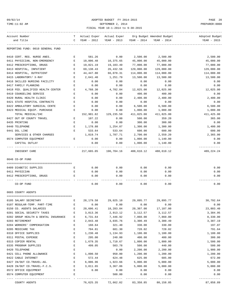#### 09/02/14 ADOPTED BUDGET FY 2014-2015 PAGE 20 TIME:11:02 AM SEPTEMBER 2, 2014 PREPARER:0008 FISCAL YEAR 10-1-2014 to 9-30-2015

| Account Number                       |                               |                                       |                                                |               | T Actual Exper Actual Exper Org Budget Amended Budget | Adopted Budget |
|--------------------------------------|-------------------------------|---------------------------------------|------------------------------------------------|---------------|-------------------------------------------------------|----------------|
| and Title                            |                               | C YEAR - 2012 YEAR - 2013 YEAR - 2014 |                                                |               | YEAR - 2014                                           | YEAR - 2015    |
|                                      |                               |                                       |                                                |               |                                                       |                |
| REPORTING FUND: 0010 GENERAL FUND    |                               |                                       |                                                |               |                                                       |                |
| 0410 CERT. REG. NURSE ANES.          | Е                             | 581.26                                | 0.00                                           | 2,500.00      | 2,500.00                                              | 2,500.00       |
| 0411 PHYSICIAN, NON-EMERGENCY        | E                             |                                       | 10,006.48   10,375.65                          | 45,000.00     | 45,000.00                                             | 45,000.00      |
| 0412 PRESCRIPTIONS, DRUGS            | E                             | 19,821.19                             | 19,103.49                                      | 77,000.00     | 77,000.00                                             | 77,000.00      |
| 0413 HOSPITAL, INPATIENT             | E                             | 69,138.43                             | 26,432.56                                      | 129,000.00    | 129,000.00                                            | 129,000.00     |
| 0414 HOSPITAL, OUTPATIENT            | E                             | 44,447.80                             | 66,078.31                                      | 114,000.00    | 114,000.00                                            | 114,000.00     |
| 0415 LABORATORY/ X-RAY               | E                             | 2,641.40                              | 1,251.79                                       | 13,500.00     | 13,500.00                                             | 13,500.00      |
| 0416 SKILLED NURSING FACILITY        | E                             | 0.00                                  | 0.00                                           | 0.00          | 0.00                                                  | 0.00           |
| 0417 FAMILY PLANNING                 | E                             | 0.00                                  | 0.00                                           | 0.00          | 0.00                                                  | 0.00           |
| 0418 FED. QUALIFIED HEALTH CENTER E  |                               | 4,768.30                              | 4,782.04 12,025.00 12,025.00                   |               |                                                       | 12,025.00      |
| 0419 COUNSELING SERVICE              | Е                             | 0.00                                  | 0.00                                           | 400.00        | 400.00                                                | 0.00           |
| 0420 RURAL HEALTH CLINIC             | E                             | 0.00                                  | 0.00                                           | 2,400.00      | 2,400.00                                              | 2,400.00       |
| 0421 STATE HOSPITAL CONTRACTS        | $\mathbf{E}$                  | 0.00                                  | 0.00                                           | 0.00          | 0.00                                                  | 0.00           |
| 0422 AMBULATORY SURGICAL CENTE       | E                             | 0.00                                  | 0.00                                           | 6,500.00      | 6,500.00                                              | 6,500.00       |
| 0423 MEDICAL EQUIP. PURCHASE         | Е                             | 0.00                                  | 0.00                                           | 1,000.00      | 1,000.00                                              | 1,000.00       |
| TOTAL MEDICAL/IHC                    |                               |                                       |                                                | 411,825.00    | 411,825.00                                            | 411,425.00     |
| 0427 OUT OF COUNTY TRAVEL            | $\mathbf{E}$ and $\mathbf{E}$ | 107.22                                | 0.00                                           | 500.00        | 359.20                                                | 365.00         |
| 0435 PRINTING                        | E                             | 0.00                                  | 0.00                                           | 300.00        | 300.00                                                | 0.00           |
| 0440 TELEPHONE                       |                               | E 1,178.88                            | 1,254.07                                       | 1,300.00      | 1,300.00                                              | 1,400.00       |
| 0441 DSL LINE                        | E                             | 533.64                                | 533.64                                         | 600.00        | 600.00                                                | 600.00         |
| SERVICES & OTHER CHARGES             |                               | 1,819.74 1,787.71                     |                                                | 2,700.00      | 2,559.20                                              | 2,365.00       |
| 0574 COMPUTER EQUIPMENT              |                               | E 0.00                                | 0.00                                           | 1,000.00      | 1,140.80                                              | 0.00           |
| CAPITAL OUTLAY                       |                               | 0.00                                  | 0.00                                           | 1,000.00      | 1,140.80                                              | 0.00           |
|                                      |                               | ----------------                      |                                                |               | ----------- ------------- ------------                | -------------  |
| INDIGENT CARE                        |                               |                                       | 217,665.05  196,704.16  488,610.12  488,610.12 |               |                                                       | 489,224.24     |
| 0646 CO-OP FUND                      |                               |                                       |                                                |               |                                                       |                |
|                                      |                               |                                       |                                                |               |                                                       |                |
| 0409 DIABETIC SUPPLIES               | E                             | 0.00                                  | 0.00                                           | 0.00          | 0.00                                                  | 0.00           |
| 0411 PHYSICIAN                       | E                             | 0.00                                  | 0.00                                           | 0.00          | 0.00                                                  | 0.00           |
| 0412 PRESCRIPTIONS, DRUGS            | E                             | 0.00                                  | 0.00                                           | 0.00          | 0.00                                                  | 0.00           |
| CO-OP FUND                           |                               | 0.00                                  | 0.00                                           | 0.00          | 0.00                                                  | 0.00           |
|                                      |                               |                                       |                                                |               |                                                       |                |
| 0665 COUNTY AGENTS                   |                               |                                       |                                                |               |                                                       |                |
| 0105 SALARY SECRETARY                | Ε                             | 28, 179.58                            | 29,025.10                                      | 29,895.77     | 29,895.77                                             | 30,792.64      |
| 0107 REGULAR-TEMP. PART-TIME         | Ε                             | 0.00                                  | 0.00                                           | 0.00          | 0.00                                                  | 0.00           |
| 0150 CO. AGENTS SALARIES             | Ε                             | 20,606.41                             | 18,283.04                                      | 20,307.00     | 17,107.00                                             | 23,803.40      |
| 0201 SOCIAL SECURITY TAXES           | Ε                             | 3,013.36                              | 2,913.12                                       | 3,112.57      | 3,112.57                                              | 3,384.95       |
| 0202 GROUP HEALTH & DENTAL INSURANCE | Ε                             | 6,731.64                              | 7,446.92                                       | 7,860.00      | 7,860.00                                              | 8,330.00       |
| 0203 RETIREMENT                      | Ε                             | 2,843.48                              | 3,035.76                                       | 3,300.49      | 3,300.49                                              | 3,387.19       |
| 0204 WORKERS' COMPENSATION           | Ε                             | 160.64                                | 321.40                                         | 330.00        | 330.00                                                | 197.07         |
| 0205 MEDICARE TAX                    | Е                             | 704.81                                | 681.30                                         | 728.02        | 728.02                                                | 791.64         |
| 0310 OFFICE SUPPLIES                 | E                             | 1,230.48                              | 1,134.93                                       | 1,100.00      | 1,100.00                                              | 1,100.00       |
| 0311 POSTAL EXPENSE                  | $\mathbf E$                   | 295.00                                | 240.00                                         | 400.00        | 400.00                                                | 300.00         |
| 0315 COPIER RENTAL                   | Ε                             | 1,679.35                              | 1,710.67                                       | 1,800.00      | 1,800.00                                              | 1,500.00       |
| 0335 PROGRAM SUPPLIES                | Ε                             | 499.05                                | 503.78                                         | 500.00        | 440.00                                                | 500.00         |
| 0420 TELEPHONE                       | Ε                             |                                       | 0.00                                           | 2,200.00      | 2,200.00                                              | 1,900.00       |
| 0421 CELL PHONE ALLOWANCE            | Ε                             | 1,090.50                              | 950.00                                         | 1,200.00      | 1,200.00                                              | 1,200.00       |
| 0422 CABLE INTERNET                  | Ε                             | 572.44                                | 624.48                                         | 625.00        | 685.00                                                | 672.00         |
| 0427 IN/OUT CO.TRAVEL-AG.            | Ε                             | 6,006.96                              | 1,923.66                                       | 5,000.00      | 5,000.00                                              | 5,000.00       |
| 0428 IN/OUT CO.TRAVEL-F.C.S.         | Ε                             | 3,011.65                              | 3,367.86                                       | 5,000.00      | 5,000.00                                              | 5,000.00       |
| 0572 OFFICE EQUIPMENT                | Е                             | 0.00                                  | 0.00                                           | 0.00          | 0.00                                                  | 0.00           |
| 0574 COMPUTER EQUIPMENT              | E                             |                                       | 500.00                                         | 0.00          | 0.00                                                  | 0.00           |
|                                      |                               |                                       | -------------                                  | ------------- | -------------                                         | -------------  |

COUNTY AGENTS 76,625.35 72,662.02 83,358.85 80,158.85 87,858.89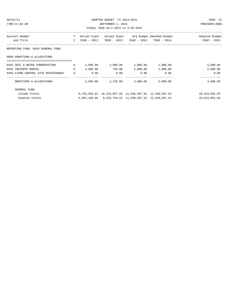#### 09/02/14 ADOPTED BUDGET FY 2014-2015 PAGE 21 TIME:11:02 AM SEPTEMBER 2, 2014 PREPARER:0008 FISCAL YEAR 10-1-2014 to 9-30-2015

| Account Number                      | Т             | Actual Exper | Actual Exper  |                                                                | Org Budget Amended Budget | Adopted Budget |
|-------------------------------------|---------------|--------------|---------------|----------------------------------------------------------------|---------------------------|----------------|
| and Title                           | $\mathcal{C}$ | YEAR - 2012  | $YEAR - 2013$ | YEAR - 2014                                                    | YEAR - 2014               | YEAR - 2015    |
| REPORTING FUND: 0010 GENERAL FUND   |               |              |               |                                                                |                           |                |
| 0696 DONATIONS & ALLOCATIONS        |               |              |               |                                                                |                           |                |
| 0491 SOIL & WATER CONSERVATION      | Е             | 1,000.00     | 1,000.00      | 1,000.00                                                       | 1,000.00                  | 1,000.00       |
| 0492 INDIGENT BURIAL                | $\mathbf{E}$  | 1,500.00     | 725.00        | 2,000.00                                                       | 2,000.00                  | 2,000.00       |
| 0494 FLOOD CONTROL SITE MAINTENANCE | Е             | 0.00         | 0.00          | 0.00                                                           | 0.00                      | 0.00           |
|                                     |               |              |               |                                                                |                           |                |
| DONATIONS & ALLOCATIONS             |               | 2,500.00     | 1,725.00      | 3,000.00                                                       | 3,000.00                  | 3,000.00       |
| GENERAL FUND                        |               |              |               |                                                                |                           |                |
| Income Totals                       |               |              |               | 9, 755, 558.01 10, 223, 857.83 11, 338, 597.54 11, 338, 597.54 |                           | 10,523,091.03  |
| Expense Totals                      |               |              |               | 8,987,168.46 9,316,754.61 11,338,597.54 11,338,597.54          |                           | 10,523,091.03  |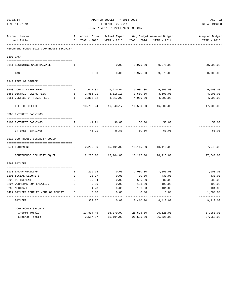#### 09/02/14 ADOPTED BUDGET FY 2014-2015 PAGE 22 TIME:11:02 AM SEPTEMBER 2, 2014 PREPARER:0008

### FISCAL YEAR 10-1-2014 to 9-30-2015 ------------------------------------------------------------------------------------------------------------------------------------

| Account Number |                                          |              |               | T Actual Exper Actual Exper Org Budget Amended Budget |                        |                            | Adopted Budget             |
|----------------|------------------------------------------|--------------|---------------|-------------------------------------------------------|------------------------|----------------------------|----------------------------|
|                | and Title                                |              | C YEAR - 2012 | YEAR - 2013                                           | YEAR - 2014            | YEAR - 2014                | YEAR - 2015                |
|                | REPORTING FUND: 0011 COURTHOUSE SECURITY |              |               |                                                       |                        |                            |                            |
|                | 0300 CASH                                |              |               |                                                       |                        |                            |                            |
|                | 0111 BEGINNING CASH BALANCE              | I            |               | 0.00                                                  | 9,975.00               | 9,975.00<br>----------     | 20,000.00                  |
|                | CASH                                     |              | 0.00          | 0.00                                                  | 9,975.00               | 9,975.00                   | -------------<br>20,000.00 |
|                | 0340 FEES OF OFFICE                      |              |               |                                                       |                        |                            |                            |
|                |                                          |              |               |                                                       |                        |                            |                            |
|                | 0600 COUNTY CLERK FEES                   | $\mathbb{I}$ | 7,071.31      |                                                       | 9,210.07 9,000.00      | 9,000.00                   | 9,000.00                   |
|                | 0650 DISTRICT CLERK FEES                 | $\mathbb{I}$ | 2,855.91      | 3,116.10                                              | 3,500.00               | 3,500.00                   | 4,000.00                   |
|                | 0651 JUSTICE OF PEACE FEES               | $\mathbf{I}$ | 3,866.02      | 4,017.00                                              | 4,000.00<br>__________ | 4,000.00<br>__________     | 4,000.00<br>-------------  |
|                | FEES OF OFFICE                           |              | 13,793.24     | 16,343.17                                             | 16,500.00              | 16,500.00                  | 17,000.00                  |
|                | 0360 INTEREST EARNINGS                   |              |               |                                                       |                        |                            |                            |
|                | 0100 INTEREST EARNINGS                   | I            | 41.21         | 36.80                                                 | 50.00                  | 50.00<br>--------          | 50.00<br>--------          |
|                | INTEREST EARNINGS                        |              | 41.21         | 36.80                                                 | 50.00                  | 50.00                      | 50.00                      |
|                | 0510 COURTHOUSE SECURITY EQUIP           |              |               |                                                       |                        |                            |                            |
|                | 0571 EQUIPMENT                           | Е            | 2,205.00      | 15,104.00                                             | 18,115.00              | 18,115.00                  | 27,640.00                  |
|                | COURTHOUSE SECURITY EQUIP                |              | 2,205.00      | 15,104.00                                             | 18,115.00              | -------------<br>18,115.00 | -------------<br>27,640.00 |
|                | 0560 BAILIFF                             |              |               |                                                       |                        |                            |                            |
|                | 0130 SALARY/BAILIFF                      | E            | 299.78        | 0.00                                                  | 7,000.00               | 7,000.00                   | 7,000.00                   |
|                | 0201 SOCIAL SECURITY                     | $\mathbf E$  | 18.27         | 0.00                                                  | 430.00                 | 430.00                     | 430.00                     |
|                | 0203 RETIREMENT                          | E            | 30.54         | 0.00                                                  | 686.00                 | 686.00                     | 686.00                     |
|                | 0204 WORKER'S COMPENSATION               | $\mathbf E$  | 0.00          | 0.00                                                  | 193.00                 | 193.00                     | 193.00                     |
|                | 0205 MEDICARE                            | E            | 4.28          | 0.00                                                  | 101.00                 | 101.00                     | 101.00                     |
|                | 0427 BAILIFF CONT.ED./OUT OF COUNTY      | Е            | 0.00          | 0.00                                                  | 0.00<br>-------        | 0.00<br>----------         | 1,000.00<br>-------------  |
|                | BAILIFF                                  |              | 352.87        | 0.00                                                  | 8,410.00               | 8,410.00                   | 9,410.00                   |
|                | COURTHOUSE SECURITY                      |              |               |                                                       |                        |                            |                            |
|                | Income Totals                            |              | 13,834.45     | 16,379.97                                             | 26,525.00              | 26,525.00                  | 37,050.00                  |
|                | Expense Totals                           |              | 2,557.87      | 15,104.00                                             | 26,525.00              | 26,525.00                  | 37,050.00                  |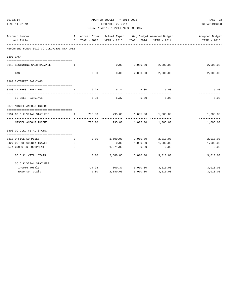#### ADOPTED BUDGET FY 2014-2015 PAGE 23 TIME:11:02 AM SEPTEMBER 2, 2014 PREPARER:0008

| FISCAL YEAR 10-1-2014 to 9-30-2015                            |                                            |        |                                                                             |                                            |                   |                                                                          |  |
|---------------------------------------------------------------|--------------------------------------------|--------|-----------------------------------------------------------------------------|--------------------------------------------|-------------------|--------------------------------------------------------------------------|--|
| Account Number                                                |                                            |        |                                                                             |                                            |                   | T Actual Exper Actual Exper Org Budget Amended Budget And Moopted Budget |  |
| and Title                                                     |                                            |        | C YEAR - 2012 YEAR - 2013 YEAR - 2014 YEAR - 2014                           |                                            |                   | YEAR - 2015                                                              |  |
| REPORTING FUND: 0012 CO.CLK.VITAL STAT.FEE                    |                                            |        |                                                                             |                                            |                   |                                                                          |  |
| 0300 CASH                                                     |                                            |        |                                                                             |                                            |                   |                                                                          |  |
| 0112 BEGINNING CASH BALANCE                                   | I                                          |        | 0.00                                                                        |                                            | 2,000.00 2,000.00 | 2,000.00                                                                 |  |
| CASH                                                          |                                            | 0.00   |                                                                             | -----------<br>$0.00$ 2,000.00 2,000.00    |                   | ------------<br>2,000.00                                                 |  |
| 0360 INTEREST EARNINGS                                        |                                            |        |                                                                             |                                            |                   |                                                                          |  |
| 0100 INTEREST EARNINGS<br>------------------------------- - - | . The contract of the state $\mathbf I$ is |        | 6.28 5.37 5.00                                                              |                                            | 5.00              | 5.00                                                                     |  |
| INTEREST EARNINGS                                             |                                            | 6.28   | 5.37                                                                        | ------------<br>5.00                       | 5.00              | 5.00                                                                     |  |
| 0370 MISCELLANEOUS INCOME                                     |                                            |        |                                                                             |                                            |                   |                                                                          |  |
| 0134 CO.CLK.VITAL STAT.FEE                                    | <b>The Community of The Time</b>           |        | 708.00 795.00 1,005.00 1,005.00                                             | ------------------------------             |                   | 1,005.00                                                                 |  |
| MISCELLANEOUS INCOME                                          |                                            | 708.00 |                                                                             | 795.00 1,005.00 1,005.00                   |                   | -------------<br>1,005.00                                                |  |
| 0403 CO.CLK. VITAL STATS.                                     |                                            |        |                                                                             |                                            |                   |                                                                          |  |
| 0310 OFFICE SUPPLIES                                          | Е                                          |        | $0.00$ $1,609.00$ $2,010.00$ $2,010.00$                                     |                                            |                   | 2,010.00                                                                 |  |
| 0427 OUT OF COUNTY TRAVEL                                     | Е                                          |        | 0.00                                                                        | 1,000.00 1,000.00                          |                   | 1,000.00                                                                 |  |
| 0574 COMPUTER EQUIPMENT                                       | E.                                         |        | 1,271.03                                                                    | 0.00                                       | 0.00              | 0.00                                                                     |  |
| CO.CLK. VITAL STATS.                                          |                                            | 0.00   | ----------                                                                  | ------------<br>2,880.03 3,010.00 3,010.00 | -------------     | _____________<br>3,010.00                                                |  |
| CO.CLK.VITAL STAT.FEE                                         |                                            |        |                                                                             |                                            |                   |                                                                          |  |
| Income Totals                                                 |                                            |        | $714.28 \qquad \qquad 800.37 \qquad \qquad 3,010.00 \qquad \qquad 3,010.00$ |                                            |                   | 3,010.00                                                                 |  |
| Expense Totals                                                |                                            | 0.00   | 2,880.03                                                                    | 3,010.00                                   | 3,010.00          | 3,010.00                                                                 |  |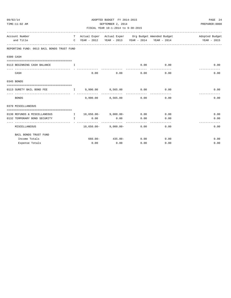#### ADOPTED BUDGET FY 2014-2015 PAGE 24 TIME:11:02 AM SEPTEMBER 2, 2014 PREPARER:0008 FISCAL YEAR 10-1-2014 to 9-30-2015

| Account Number                                                          |                                     |             |                                        |             |                              | T Actual Exper Actual Exper Org Budget Amended Budget North Adopted Budget |
|-------------------------------------------------------------------------|-------------------------------------|-------------|----------------------------------------|-------------|------------------------------|----------------------------------------------------------------------------|
| and Title                                                               |                                     |             |                                        |             |                              | C YEAR - 2012 YEAR - 2013 YEAR - 2014 YEAR - 2014 YEAR - 2015              |
| REPORTING FUND: 0013 BAIL BONDS TRUST FUND                              |                                     |             |                                        |             |                              |                                                                            |
| 0300 CASH                                                               |                                     |             |                                        |             |                              |                                                                            |
|                                                                         |                                     |             |                                        |             |                              |                                                                            |
| 0113 BEGINNING CASH BALANCE                                             | <b>The Community of The Table 1</b> |             |                                        |             | $0.00$ 0.00<br>------------- | 0.00<br>-------------                                                      |
| CASH                                                                    |                                     |             | $0.00$ $0.00$ $0.00$ $0.00$            |             | 0.00                         | 0.00                                                                       |
| 0345 BONDS                                                              |                                     |             |                                        |             |                              |                                                                            |
| 0113 SURETY BAIL BOND FEE $\qquad \qquad$ 1 9,990.00 8,565.00 0.00 0.00 |                                     |             |                                        |             |                              | 0.00<br>-------------                                                      |
| <b>BONDS</b>                                                            |                                     |             | 9,990.00 8,565.00 0.00 0.00            |             |                              | 0.00                                                                       |
| 0370 MISCELLANEOUS                                                      |                                     |             |                                        |             |                              |                                                                            |
| 0130 REFUNDS & MISCELLANEOUS 1 0,650.00- 9,000.00- 0.00 0.00            |                                     |             |                                        |             |                              | 0.00                                                                       |
| 0132 TEMPORARY BOND SECURITY THE RESERVE ORDER TO A 2010                |                                     |             |                                        | $0.00$ 0.00 |                              | 0.00                                                                       |
| MISCELLANEOUS                                                           |                                     |             | $10,650.00 -$ 9,000.00- 0.00 0.00 0.00 |             |                              | 0.00                                                                       |
| BAIL BONDS TRUST FUND                                                   |                                     |             |                                        |             |                              |                                                                            |
| Income Totals                                                           |                                     |             | $660.00 - 435.00 - 0.00$ 0.00          |             |                              | 0.00                                                                       |
| Expense Totals                                                          |                                     | $0.00$ 0.00 |                                        | 0.00        | 0.00                         | 0.00                                                                       |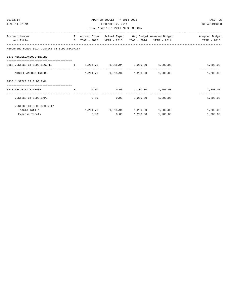| 09/02/14<br>TIME:11:02 AM                                                                        | ADOPTED BUDGET FY 2014-2015<br>SEPTEMBER 2, 2014 | PAGE 25<br>PREPARER: 0008                   |                                                   |                                                                            |
|--------------------------------------------------------------------------------------------------|--------------------------------------------------|---------------------------------------------|---------------------------------------------------|----------------------------------------------------------------------------|
|                                                                                                  |                                                  | FISCAL YEAR 10-1-2014 to 9-30-2015          |                                                   |                                                                            |
| Account Number                                                                                   |                                                  |                                             |                                                   | T Actual Exper Actual Exper Org Budget Amended Budget North Adopted Budget |
| and Title                                                                                        |                                                  |                                             | C YEAR - 2012 YEAR - 2013 YEAR - 2014 YEAR - 2014 | YEAR - 2015                                                                |
| REPORTING FUND: 0014 JUSTICE CT.BLDG.SECURITY                                                    |                                                  |                                             |                                                   |                                                                            |
| 0370 MISCELLANEOUS INCOME                                                                        |                                                  |                                             |                                                   |                                                                            |
| 0168 JUSTICE CT.BLDG.SEC.FEE $1, 264.71$ 1,315.94 1,200.00 1,200.00                              |                                                  |                                             |                                                   | 1,200.00<br>_____________________                                          |
| MISCELLANEOUS INCOME                                                                             |                                                  | $1,264.71$ $1,315.94$ $1,200.00$ $1,200.00$ |                                                   | 1,200.00                                                                   |
| 0435 JUSTICE CT.BLDG.EXP.                                                                        |                                                  |                                             |                                                   |                                                                            |
| 0320 SECURITY EXPENSE<br>and the state of the state of the Basic                                 |                                                  | $0.00$ $0.00$ $1,200.00$ $1,200.00$         |                                                   | 1,200.00<br>-------------                                                  |
| JUSTICE CT.BLDG.EXP.                                                                             |                                                  | 0.00                                        | $0.00$ 1,200.00 1,200.00                          | 1,200.00                                                                   |
| JUSTICE CT.BLDG.SECURITY                                                                         |                                                  |                                             |                                                   |                                                                            |
| Income Totals                                                                                    |                                                  | 1,264.71   1,315.94   1,200.00   1,200.00   |                                                   | 1,200.00                                                                   |
| Expense Totals $\begin{bmatrix} 1 & 200 & 0 & 0 \\ 0 & 0 & 0 & 0 \\ 0 & 0 & 0 & 0 \end{bmatrix}$ |                                                  |                                             |                                                   | 1 200 00                                                                   |

Income Totals 1,264.71 1,315.94 1,200.00 1,200.00 1,200.00 Expense Totals 0.00 0.00 1,200.00 1,200.00 1,200.00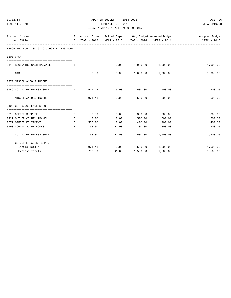#### ADOPTED BUDGET FY 2014-2015 PAGE 26 TIME:11:02 AM SEPTEMBER 2, 2014 PREPARER:0008 FISCAL YEAR 10-1-2014 to 9-30-2015

| Account Number<br>and Title                      |              |        |                               |                          | T Actual Exper Actual Exper Org Budget Amended Budget<br>C YEAR - $2012$ YEAR - $2013$ YEAR - $2014$ YEAR - $2014$ | Adopted Budget<br>YEAR - 2015 |  |
|--------------------------------------------------|--------------|--------|-------------------------------|--------------------------|--------------------------------------------------------------------------------------------------------------------|-------------------------------|--|
| REPORTING FUND: 0016 CO.JUDGE EXCESS SUPP.       |              |        |                               |                          |                                                                                                                    |                               |  |
| 0300 CASH                                        |              |        |                               |                          |                                                                                                                    |                               |  |
|                                                  |              |        |                               |                          |                                                                                                                    |                               |  |
| 0116 BEGINNING CASH BALANCE                      | $\mathbf{I}$ |        |                               | $0.00$ 1,000.00 1,000.00 |                                                                                                                    | 1,000.00<br>-------------     |  |
| CASH                                             |              | 0.00   |                               | $0.00$ 1,000.00 1,000.00 |                                                                                                                    | 1,000.00                      |  |
| 0370 MISCELLANEOUS INCOME                        |              |        |                               |                          |                                                                                                                    |                               |  |
| 0149 CO. JUDGE EXCESS SUPP. T 974.48 0.00 500.00 |              |        |                               |                          | 500.00                                                                                                             | 500.00                        |  |
| MISCELLANEOUS INCOME                             |              | 974.48 | 0.00                          | 500.00                   | 500.00                                                                                                             | 500.00                        |  |
| 0400 CO. JUDGE EXCESS SUPP.                      |              |        |                               |                          |                                                                                                                    |                               |  |
|                                                  |              |        |                               |                          |                                                                                                                    |                               |  |
| 0310 OFFICE SUPPLIES                             | Е            | 0.00   | 0.00                          | 300.00                   | 300.00                                                                                                             | 300.00                        |  |
| 0427 OUT OF COUNTY TRAVEL                        | E.           | 0.00   | 0.00                          | 500.00                   | 500.00                                                                                                             | 500.00                        |  |
| 0572 OFFICE EQUIPMENT                            | E.           | 535.00 | 0.00                          | 400.00                   | 400.00                                                                                                             | 400.00                        |  |
| 0590 COUNTY JUDGE BOOKS                          | E.           | 168.00 | 91.00<br>. <u>.</u>           | 300.00<br>------------   | 300.00<br>-------------                                                                                            | 300.00<br>-----------         |  |
| CO. JUDGE EXCESS SUPP.                           |              | 703.00 | 91.00                         |                          | 1,500.00 1,500.00                                                                                                  | 1,500.00                      |  |
| CO.JUDGE EXCESS SUPP.                            |              |        |                               |                          |                                                                                                                    |                               |  |
| Income Totals                                    |              |        | 974.48 0.00 1,500.00 1,500.00 |                          |                                                                                                                    | 1,500.00                      |  |
| Expense Totals                                   |              | 703.00 | 91.00                         | 1,500.00                 | 1,500.00                                                                                                           | 1,500.00                      |  |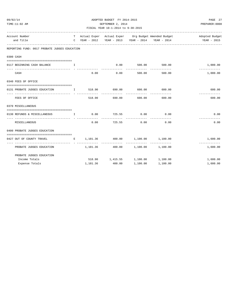| TIME:11:02 AM                                        |                                                                          | SEPTEMBER 2, 2014                  | PREPARER: 0008                                    |                                    |               |                           |
|------------------------------------------------------|--------------------------------------------------------------------------|------------------------------------|---------------------------------------------------|------------------------------------|---------------|---------------------------|
|                                                      |                                                                          | FISCAL YEAR 10-1-2014 to 9-30-2015 |                                                   |                                    |               |                           |
| Account Number                                       | T Actual Exper Actual Exper Org Budget Amended Budget And Adopted Budget |                                    |                                                   |                                    |               |                           |
| and Title                                            |                                                                          |                                    | C YEAR - 2012 YEAR - 2013 YEAR - 2014 YEAR - 2014 |                                    |               | YEAR - 2015               |
| REPORTING FUND: 0017 PROBATE JUDGES EDUCATION        |                                                                          |                                    |                                                   |                                    |               |                           |
| 0300 CASH                                            |                                                                          |                                    |                                                   |                                    |               |                           |
| 0117 BEGINNING CASH BALANCE                          | $\mathbf{I}$ . The set of $\mathbf{I}$                                   |                                    |                                                   | 0.00 500.00 500.00<br>------------ | ------------- | 1,000.00                  |
| CASH                                                 |                                                                          | 0.00                               | 0.00                                              | 500.00                             | 500.00        | -------------<br>1,000.00 |
| 0340 FEES OF OFFICE                                  |                                                                          |                                    |                                                   |                                    |               |                           |
| 0131 PROBATE JUDGES EDUCATION 1 518.90 690.00 600.00 |                                                                          |                                    | --------------                                    |                                    | 600.00        | 600.00                    |
| FEES OF OFFICE                                       |                                                                          |                                    | 518.90 690.00 600.00                              |                                    | 600.00        | -----------<br>600.00     |
| 0370 MISCELLANEOUS                                   |                                                                          |                                    |                                                   |                                    |               |                           |
| 0130 REFUNDS & MISCELLANEOUS                         |                                                                          |                                    | $I = 0.00$ 725.55 0.00                            |                                    | 0.00          | 0.00<br>-------------     |
| MISCELLANEOUS                                        |                                                                          |                                    | $0.00$ 725.55 0.00 0.00                           |                                    |               | 0.00                      |
| 0400 PROBATE JUDGES EDUCATION                        |                                                                          |                                    |                                                   |                                    |               |                           |
| 0427 OUT OF COUNTY TRAVEL                            |                                                                          |                                    | $E = 1,101.36$ $400.00$ $1,100.00$ $1,100.00$     |                                    |               | 1,600.00                  |
| PROBATE JUDGES EDUCATION                             |                                                                          |                                    | 1,101.36 400.00 1,100.00 1,100.00                 |                                    |               | ------------<br>1,600.00  |
| PROBATE JUDGES EDUCATION                             |                                                                          |                                    |                                                   |                                    |               |                           |
| Income Totals                                        |                                                                          |                                    | 518.90   1,415.55   1,100.00   1,100.00           |                                    |               | 1,600.00                  |

Expense Totals 1,100.00 1,101.36 400.00 1,100.00 1,100.00 1,100.00 1,600.00

09/02/14 ADOPTED BUDGET FY 2014-2015 PAGE 27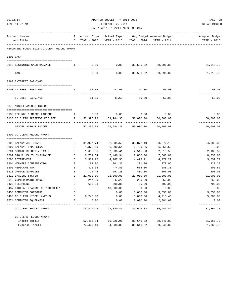| TIME:11:02 AM |                                                                                |                                                | SEPTEMBER 2, 2014 |                                                   | PREPARER: 0008             |                                                       |                               |  |  |  |
|---------------|--------------------------------------------------------------------------------|------------------------------------------------|-------------------|---------------------------------------------------|----------------------------|-------------------------------------------------------|-------------------------------|--|--|--|
|               | FISCAL YEAR 10-1-2014 to 9-30-2015                                             |                                                |                   |                                                   |                            |                                                       |                               |  |  |  |
|               | Account Number<br>and Title                                                    |                                                |                   | C YEAR - 2012 YEAR - 2013 YEAR - 2014 YEAR - 2014 |                            | T Actual Exper Actual Exper Org Budget Amended Budget | Adopted Budget<br>YEAR - 2015 |  |  |  |
|               | REPORTING FUND: 0018 CO.CLERK RECORD MNGMT.                                    |                                                |                   |                                                   |                            |                                                       |                               |  |  |  |
|               |                                                                                |                                                |                   |                                                   |                            |                                                       |                               |  |  |  |
|               | 0300 CASH                                                                      |                                                |                   |                                                   |                            |                                                       |                               |  |  |  |
|               | 0118 BEGINNING CASH BALANCE                                                    |                                                | I 0.00            | $0.00$ 39,596.82 39,596.82                        |                            |                                                       | 31,315.70                     |  |  |  |
|               | CASH                                                                           |                                                | 0.00              |                                                   | $0.00$ 39,596.82 39,596.82 | ------------ -------------                            | -------------<br>31, 315.70   |  |  |  |
|               | 0360 INTEREST EARNINGS                                                         |                                                |                   |                                                   |                            |                                                       |                               |  |  |  |
|               | 0100 INTEREST EARNINGS<br>$\mathbf{I}$ and $\mathbf{I}$ and $\mathbf{I}$       |                                                | 61.05             | 41.63 50.00                                       |                            | 50.00                                                 | 50.00                         |  |  |  |
|               | INTEREST EARNINGS                                                              |                                                | 61.05             | 41.63                                             | 50.00                      | 50.00                                                 | ----------<br>50.00           |  |  |  |
|               | 0370 MISCELLANEOUS INCOME                                                      |                                                |                   |                                                   |                            |                                                       |                               |  |  |  |
|               | 0130 REFUNDS & MISCELLANEOUS<br>$\mathbf{I}$ and $\mathbf{I}$ and $\mathbf{I}$ |                                                |                   | $0.00$ $0.00$ $0.00$ $0.00$ $0.00$                |                            |                                                       | 0.00                          |  |  |  |
|               | 0133 CO.CLERK PRESERVE REC FEE                                                 | $\mathbf{I}$ and $\mathbf{I}$ and $\mathbf{I}$ |                   | 52,395.79 59,984.33                               |                            | 50,000.00 50,000.00                                   | 50,000.00                     |  |  |  |
|               | MISCELLANEOUS INCOME                                                           |                                                |                   | 52,395.79 59,984.33                               |                            | 50,000.00 50,000.00                                   | -------------<br>50,000.00    |  |  |  |
|               | 0402 CO. CLERK RECORD MNGMT.                                                   |                                                |                   |                                                   |                            |                                                       |                               |  |  |  |
|               | 0103 SALARY ASSISTANT                                                          | $\mathbf{E}$                                   |                   | 31,927.74 32,885.58                               | 33,872.19                  | 33,872.19                                             | 34,888.36                     |  |  |  |
|               | 0107 SALARY TEMP/EXTRA                                                         | E                                              |                   | 1,376.10 6,390.54                                 | 6,700.36                   | 6,651.66                                              | 0.00                          |  |  |  |
|               | 0201 SOCIAL SECURITY TAXES                                                     | E                                              | 1,605.81          | 2,030.41                                          | 2,515.50                   | 2,515.50                                              | 2,180.52                      |  |  |  |
|               | 0202 GROUP HEALTH INSURANCE                                                    | E                                              | 6,731.64          | 7,446.94                                          | 7,860.00                   | 7,860.00                                              | 8,330.00                      |  |  |  |
|               | 0203 RETIREMENT                                                                | Е                                              | 3,361.95          | 4,107.93                                          | 4,479.21                   | 4,479.21                                              | 3,837.72                      |  |  |  |
|               | 0204 WORKERS COMPENSATION                                                      | $\mathbf{E}% _{0}$                             | 182.00            | 201.36                                            | 231.26                     | 279.96                                                | 223.28                        |  |  |  |
|               | 0205 MEDICARE TAX                                                              | Е                                              | 375.68            | 474.80                                            | 588.30                     | 588.30                                                | 505.82                        |  |  |  |
|               | 0310 OFFICE SUPPLIES                                                           | Е                                              | 725.44            | 597.28                                            | 800.00                     | 800.00                                                | 800.00                        |  |  |  |
|               | 0312 IMAGING SYSTEM                                                            | Е                                              | 21,000.00         | 21,000.00                                         | 21,000.00 21,000.00        |                                                       | 21,000.00                     |  |  |  |
|               | 0315 COPIER MAINTENANCE                                                        | Е                                              | 247.20            | 247.20                                            | 250.00                     | 250.00                                                | 250.00                        |  |  |  |
|               | 0420 TELEPHONE                                                                 | E                                              | 655.93            | 698.81                                            | 700.00                     | 700.00                                                | 700.00                        |  |  |  |
|               | 0437 DIGITAL IMAGING OF MICROFILM                                              | E                                              |                   | 18,000.00                                         | 0.00                       | 0.00                                                  | 0.00                          |  |  |  |
|               | 0453 COMPUTER SOFTWARE                                                         | Е                                              |                   | 0.00                                              | 3,650.00                   | 3,650.00                                              | 3,650.00                      |  |  |  |
|               | 0490 CO. CLERK MISCELLANEOUS                                                   | E                                              | 6,240.00          | 0.00                                              | 5,000.00                   | 4,918.40                                              | 5,000.00                      |  |  |  |
|               | 0574 COMPUTER EQUIPMENT<br>------------                                        | Ε                                              | 0.00              | 0.00                                              | 2,000.00                   | 2,081.60<br>-------------                             | 0.00<br>-------------         |  |  |  |
|               | CO. CLERK RECORD MNGMT.                                                        |                                                | 74,429.49         | 94,080.85                                         | 89,646.82                  | 89,646.82                                             | 81,365.70                     |  |  |  |
|               | CO. CLERK RECORD MNGMT.                                                        |                                                |                   |                                                   |                            |                                                       |                               |  |  |  |
|               | Income Totals                                                                  |                                                | 52,456.84         | 60,025.96                                         | 89,646.82                  | 89,646.82                                             | 81,365.70                     |  |  |  |
|               | Expense Totals                                                                 |                                                | 74,429.49         | 94,080.85                                         | 89,646.82                  | 89,646.82                                             | 81,365.70                     |  |  |  |

09/02/14 ADOPTED BUDGET FY 2014-2015 PAGE 28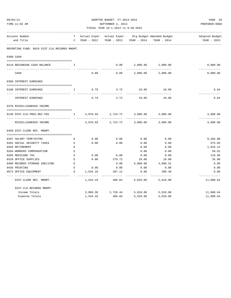| 02/14 |  |
|-------|--|
|       |  |

## 09/02/14 ADOPTED BUDGET FY 2014-2015 PAGE 29 TIME:11:02 AM SEPTEMBER 2, 2014 PREPARER:0008 FISCAL YEAR 10-1-2014 to 9-30-2015

| Account Number<br>and Title                  |                               | C YEAR - 2012 |                                            | YEAR - 2013 YEAR - 2014    | T Actual Exper Actual Exper Org Budget Amended Budget<br>YEAR - 2014 | Adopted Budget<br>YEAR - 2015 |
|----------------------------------------------|-------------------------------|---------------|--------------------------------------------|----------------------------|----------------------------------------------------------------------|-------------------------------|
| REPORTING FUND: 0019 DIST.CLK.RECORDS MNGMT. |                               |               |                                            |                            |                                                                      |                               |
| 0300 CASH                                    |                               |               |                                            |                            |                                                                      |                               |
|                                              |                               |               |                                            |                            |                                                                      |                               |
| 0119 BEGINNING CASH BALANCE                  | T.                            |               | 0.00                                       | -----------                | 2,000.00 2,000.00<br>-------------                                   | 8,000.00<br>------------      |
| CASH                                         |                               | 0.00          | 0.00                                       | 2,000.00 2,000.00          |                                                                      | 8,000.00                      |
| 0360 INTEREST EARNINGS                       |                               |               |                                            |                            |                                                                      |                               |
|                                              |                               |               |                                            |                            |                                                                      |                               |
| 0100 INTEREST EARNINGS                       | $\mathbf{I}$                  |               | $9.79$ $3.72$                              | 10.00                      | 10.00                                                                | 8.64                          |
| INTEREST EARNINGS                            |                               | 9.79          | 3.72                                       | 10.00                      | 10.00                                                                | 8.64                          |
| 0370 MISCELLEANEOUS INCOME                   |                               |               |                                            |                            |                                                                      |                               |
|                                              |                               |               |                                            |                            |                                                                      |                               |
| 0136 DIST.CLK.PRES.REC.FEE                   | $\mathbf{I}$ and $\mathbf{I}$ | 3,070.59      | 2,724.72<br>------------------------------ |                            | 3,000.00 3,000.00<br>______________                                  | 3,000.00<br>-------------     |
| MISCELLEANEOUS INCOME                        |                               | 3,070.59      |                                            | 2,724.72 3,000.00 3,000.00 |                                                                      | 3,000.00                      |
| 0450 DIST.CLERK REC. MNGMT.                  |                               |               |                                            |                            |                                                                      |                               |
| 0107 SALARY TEMP/EXTRA                       | $\mathbf E$                   | 0.00          | 0.00                                       | 0.00                       | 0.00                                                                 | 9,204.00                      |
| 0201 SOCIAL SECURITY TAXES                   | E                             | 0.00          | 0.00                                       | 0.00                       | 0.00                                                                 | 575.65                        |
| 0203 RETIREMENT                              | $\mathbf E$                   |               |                                            | 0.00                       | 0.00                                                                 | 1,016.12                      |
| 0204 WORKERS COMPENSATION                    | $\mathbf E$                   |               |                                            | 0.00                       | 0.00                                                                 | 58.91                         |
| 0205 MEDICARE TAX                            | E                             | 0.00          | 0.00                                       | 0.00                       | 0.00                                                                 | 118.96                        |
| 0310 OFFICE SUPPLIES                         | Е                             | 0.00          | 279.72                                     | 10.00                      | 10.00                                                                | 35.00                         |
| 0400 RECORDS STORAGE SHELVING                | E                             |               | 0.00                                       | 5,000.00                   | 4,609.51                                                             | 0.00                          |
| 0435 PRINTING                                | E                             | 0.00          | 0.00                                       | 0.00                       | 0.00                                                                 | 0.00                          |
| 0572 OFFICE EOUIPMENT                        | E.                            | 1,544.10      | 207.12                                     | 0.00                       | 390.49                                                               | 0.00<br>-----------           |
| DIST. CLERK REC. MNGMT.                      |                               | 1,544.10      | 486.84                                     | 5,010.00                   | 5,010.00                                                             | 11,008.64                     |
| DIST.CLK.RECORDS MNGMT.                      |                               |               |                                            |                            |                                                                      |                               |
| Income Totals                                |                               |               | 3,080.38 2,728.44 5,010.00                 |                            | 5,010.00                                                             | 11,008.64                     |
| Expense Totals                               |                               | 1,544.10      | 486.84                                     | 5,010.00                   | 5,010.00                                                             | 11,008.64                     |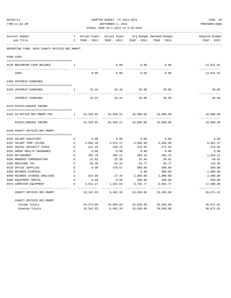| TIME:11:02 AM<br>SEPTEMBER 2, 2014<br>FISCAL YEAR 10-1-2014 to 9-30-2015 |                                                                 |             |                           |                                     | PREPARER:0008             |                            |
|--------------------------------------------------------------------------|-----------------------------------------------------------------|-------------|---------------------------|-------------------------------------|---------------------------|----------------------------|
| Account Number                                                           |                                                                 |             | Actual Exper Actual Exper |                                     | Org Budget Amended Budget | Adopted Budget             |
| and Title                                                                | C                                                               | YEAR - 2012 |                           | YEAR - 2013 YEAR - 2014 YEAR - 2014 | -----------------         | YEAR - 2015                |
| REPORTING FUND: 0020 COUNTY OFFICES REC.MNGMT.                           |                                                                 |             |                           |                                     |                           |                            |
| 0300 CASH                                                                |                                                                 |             |                           |                                     |                           |                            |
| 0120 BEGINNING CASH BALANCE                                              | $\mathbf{I}$                                                    |             | 0.00                      | 0.00                                | 0.00                      | 12,631.01                  |
| CASH                                                                     |                                                                 | 0.00        | 0.00                      | $- - - - -$                         | $0.00$ 0.00               | ------------<br>12,631.01  |
| 0360 INTEREST EARNINGS                                                   |                                                                 |             |                           |                                     |                           |                            |
| 0100 INTEREST EARNINGS                                                   | $\mathbf{I}$                                                    | 23.24       | 26.43                     | 30.00                               | 30.00                     | 40.00                      |
| -- ---------------<br>INTEREST EARNINGS                                  |                                                                 | 23.24       | 26.43                     | $- - - - - -$<br>30.00              | -------------<br>30.00    | -------------<br>40.00     |
| 0370 MISCELLENEOUS INCOME                                                |                                                                 |             |                           |                                     |                           |                            |
|                                                                          |                                                                 |             |                           |                                     |                           |                            |
| 0135 CO.OFFICE REC.MNGMT.FEE                                             | $\mathbf{I}$ and $\mathbf{I}$ and $\mathbf{I}$ and $\mathbf{I}$ | 16,250.85   | 20,659.21                 |                                     | 18,000.00 18,000.00       | 18,000.00                  |
| MISCELLENEOUS INCOME                                                     |                                                                 | 16,250.85   |                           | 20,659.21 18,000.00                 | 18,000.00                 | -------------<br>18,000.00 |
| 0449 COUNTY OFFICES REC.MNGMT.                                           |                                                                 |             |                           |                                     |                           |                            |
|                                                                          |                                                                 |             |                           |                                     |                           |                            |
| 0103 SALARY ASSISTANT                                                    | E                                                               | 0.00        | 0.00                      | 0.00                                | 0.00                      | 0.00                       |
| 0107 SALARY TEMP./EXTRA                                                  | E                                                               | 3,892.38    | 3,875.17                  | 4,466.90                            | 4,466.90                  | 6,901.37                   |
| 0201 SOCIAL SECURITY TAXES                                               | E                                                               | 241.28      | 240.19                    | 276.95                              | 271.59                    | 575.65                     |
| 0202 GROUP HEALTH INSURANCE                                              | E                                                               | 0.00        | 0.00                      | 0.00                                | 0.00                      | 0.00                       |
| 0203 RETIREMENT                                                          | E                                                               | 392.70      | 406.12                    | 493.15                              | 493.15                    | 1,016.12                   |
| 0204 WORKERS COMPENSATION                                                | $\mathbf E$                                                     | 22.92       | 25.38                     | 25.46                               | 30.82                     | 58.91                      |
| 0205 MEDICARE TAX                                                        | $F_{\rm c}$                                                     | 56.38       | 56.24                     | 64.77                               | 64.77                     | 118.96                     |
| 0310 OFFICE SUPPLIES                                                     | E                                                               | 0.00        | 479.67                    | 500.00                              | 500.00                    | 500.00                     |
| 0350 RECORDS DISPOSAL                                                    | $\mathbf{E}$                                                    |             |                           | 0.00                                | 900.00                    | 2,000.00                   |
| 0400 RECORDS STORAGE SHELVING                                            | $\mathbf{E}$ and $\mathbf{E}$                                   | 924.00      | 27.49 2,000.00            |                                     | 2,000.00                  | 2,000.00                   |
| 0460 EQUIPMENT RENTAL                                                    | $\mathbf{E}$                                                    | 0.00        | 0.00                      | 500.00                              | 500.00                    | 500.00                     |
| 0574 COMPUTER EQUIPMENT                                                  | E                                                               | 4,812.27    | 1,291.84                  | 9,702.77                            | 8,802.77                  | 17,000.00                  |
| COUNTY OFFICES REC.MNGMT.                                                |                                                                 | 10,341.93   | 6,402.10                  | 18,030.00                           | 18,030.00                 | -------------<br>30,671.01 |
| COUNTY OFFICES REC.MNGMT.                                                |                                                                 |             |                           |                                     |                           |                            |
| Income Totals                                                            |                                                                 | 16,274.09   | 20,685.64                 | 18,030.00                           | 18,030.00                 | 30,671.01                  |

Expense Totals 10,341.93 6,402.10 18,030.00 18,030.00 30,671.01

09/02/14 ADOPTED BUDGET FY 2014-2015 PAGE 30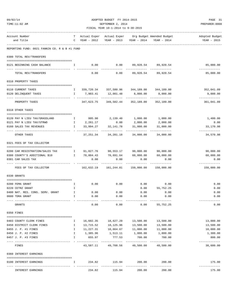## ADOPTED BUDGET FY 2014-2015 PAGE 31 TIME:11:02 AM SEPTEMBER 2, 2014 PREPARER:0008 FISCAL YEAR 10-1-2014 to 9-30-2015

| Account Number<br>and Title                                               |                                                                                                                                                                                                                                                                                                  | T Actual Exper<br>C YEAR - 2012 |                                                        | YEAR - 2013 YEAR - 2014 | Actual Exper Org Budget Amended Budget<br>YEAR - 2014 | Adopted Budget<br>YEAR - 2015 |
|---------------------------------------------------------------------------|--------------------------------------------------------------------------------------------------------------------------------------------------------------------------------------------------------------------------------------------------------------------------------------------------|---------------------------------|--------------------------------------------------------|-------------------------|-------------------------------------------------------|-------------------------------|
| REPORTING FUND: 0021 FANNIN CO. R & B #1 FUND                             |                                                                                                                                                                                                                                                                                                  |                                 |                                                        |                         |                                                       |                               |
| 0300 TOTAL REV/TRANSFERS                                                  |                                                                                                                                                                                                                                                                                                  |                                 |                                                        |                         |                                                       |                               |
| 0121 BEGINNING CASH BALANCE                                               |                                                                                                                                                                                                                                                                                                  |                                 | $I$ 0.00 0.00 0.00 89,920.54 89,920.54<br>. <u>.</u> . |                         | ------------ -------------                            | 85,000.00                     |
| TOTAL REV/TRANSFERS                                                       |                                                                                                                                                                                                                                                                                                  | 0.00                            |                                                        |                         | $0.00$ 89,920.54 89,920.54                            | ------------<br>85,000.00     |
| 0310 PROPERTY TAXES                                                       |                                                                                                                                                                                                                                                                                                  |                                 |                                                        |                         |                                                       |                               |
| 0110 CURRENT TAXES                                                        |                                                                                                                                                                                                                                                                                                  |                                 | I 339,720.34 337,580.96 344,189.00 344,189.00          |                         |                                                       | 352,041.09                    |
| 0120 DELINQUENT TAXES                                                     |                                                                                                                                                                                                                                                                                                  | 1 7,903.41 12,001.48            |                                                        | 8,000.00                | 8,000.00                                              | 9,000.00<br>-------------     |
| PROPERTY TAXES                                                            |                                                                                                                                                                                                                                                                                                  |                                 | 347,623.75 349,582.44 352,189.00 352,189.00            |                         |                                                       | 361,041.09                    |
| 0318 OTHER TAXES                                                          |                                                                                                                                                                                                                                                                                                  |                                 |                                                        |                         |                                                       |                               |
| 0120 PAY N LIEU TAX/GRASSLAND                                             | $\mathbf{I}$ and $\mathbf{I}$ and $\mathbf{I}$ and $\mathbf{I}$ and $\mathbf{I}$ and $\mathbf{I}$ and $\mathbf{I}$ and $\mathbf{I}$ and $\mathbf{I}$ and $\mathbf{I}$ and $\mathbf{I}$ and $\mathbf{I}$ and $\mathbf{I}$ and $\mathbf{I}$ and $\mathbf{I}$ and $\mathbf{I}$ and $\mathbf{I}$ and | 995.90                          |                                                        |                         | 2,139.40 1,000.00 1,000.00                            | 1,400.00                      |
| 0121 PAY N LIEU TAX/UTRWD                                                 |                                                                                                                                                                                                                                                                                                  | $1$ 2, 261.17                   | 0.00                                                   | 2,000.00                | 2,000.00                                              | 0.00                          |
| 0160 SALES TAX REVENUES                                                   |                                                                                                                                                                                                                                                                                                  | $I = 33,994.27$                 | 32,141.78                                              |                         | 31,000.00 31,000.00                                   | 33,170.98<br>-------------    |
| OTHER TAXES                                                               |                                                                                                                                                                                                                                                                                                  |                                 | 37, 251.34 34, 281.18 34, 000.00 34, 000.00            |                         |                                                       | 34,570.98                     |
| 0321 FEES OF TAX COLLECTOR                                                |                                                                                                                                                                                                                                                                                                  |                                 |                                                        |                         |                                                       |                               |
| 0200 CAR REGISTRATION/SALES TAX 1 91,827.76 90,553.17 90,000.00 90,000.00 |                                                                                                                                                                                                                                                                                                  |                                 |                                                        |                         |                                                       | 90,000.00                     |
| 0300 COUNTY'S ADDITIONAL \$10                                             |                                                                                                                                                                                                                                                                                                  |                                 | I 70,804.43 70,691.64 60,000.00 60,000.00              |                         |                                                       | 60,000.00                     |
| 0301 CAR SALES TAX                                                        |                                                                                                                                                                                                                                                                                                  | 0.00                            | 0.00<br>____________                                   | 0.00<br>-------------   | 0.00                                                  | 0.00<br>-----------           |
| FEES OF TAX COLLECTOR                                                     |                                                                                                                                                                                                                                                                                                  |                                 | 162,632.19   161,244.81   150,000.00   150,000.00      |                         |                                                       | 150,000.00                    |
| 0330 GRANTS                                                               |                                                                                                                                                                                                                                                                                                  |                                 |                                                        |                         |                                                       |                               |
| 0200 FEMA GRANT                                                           | $\mathbf{I}$                                                                                                                                                                                                                                                                                     | 0.00                            | 0.00                                                   | 0.00                    | 0.00                                                  | 0.00                          |
| 0220 CETRZ GRANT                                                          | Ι.                                                                                                                                                                                                                                                                                               |                                 |                                                        | 0.00                    | 55,752.25                                             | 0.00                          |
| 0400 NAT. RES. CONS. SERV. GRANT                                          | $\mathbb{I}$                                                                                                                                                                                                                                                                                     | 0.00                            | 0.00                                                   | 0.00                    | 0.00                                                  | 0.00                          |
| 0600 TDRA GRANT                                                           | $\mathbf I$                                                                                                                                                                                                                                                                                      | 0.00                            | 0.00                                                   | 0.00                    | 0.00                                                  | 0.00                          |
| GRANTS                                                                    |                                                                                                                                                                                                                                                                                                  | 0.00                            | 0.00                                                   | 0.00                    | 55,752.25                                             | 0.00                          |
| 0350 FINES                                                                |                                                                                                                                                                                                                                                                                                  |                                 |                                                        |                         |                                                       |                               |
| 0403 COUNTY CLERK FINES                                                   | I.                                                                                                                                                                                                                                                                                               |                                 | 16,602.35 18,627.29                                    | 13,500.00               | 13,500.00                                             | 13,000.00                     |
| 0450 DISTRICT CLERK FINES                                                 | $\mathbf{I}$                                                                                                                                                                                                                                                                                     | 13,715.52                       | 18,125.96                                              | 13,500.00               | 13,500.00                                             | 13,500.00                     |
| 0455 J. P. #1 FINES                                                       | $\mathbb{I}$                                                                                                                                                                                                                                                                                     | 11,227.31                       | 10,664.67                                              | 11,000.00               | 11,000.00                                             | 10,000.00                     |
| 0456 J. P. #2 FINES                                                       | $\mathbf{I}$                                                                                                                                                                                                                                                                                     | 1,385.96                        | 1,513.11                                               | 1,800.00                | 1,800.00                                              | 1,300.00                      |
| 0457 J. P. #3 FINES                                                       | $\mathbf{I}$                                                                                                                                                                                                                                                                                     | 655.97                          | 777.53                                                 | 700.00                  | 700.00<br>------------                                | 800.00<br>----------          |
| FINES                                                                     |                                                                                                                                                                                                                                                                                                  | 43,587.11                       | 49,708.56                                              | 40,500.00               | 40,500.00                                             | 38,600.00                     |
| 0360 INTEREST EARNINGS                                                    |                                                                                                                                                                                                                                                                                                  |                                 |                                                        |                         |                                                       |                               |
| 0100 INTEREST EARNINGS                                                    | I.                                                                                                                                                                                                                                                                                               | ----------                      | 234.82 115.94<br>------------                          | 200.00<br>------------  | 200.00<br>---------                                   | 175.00<br>-----------         |
| INTEREST EARNINGS                                                         |                                                                                                                                                                                                                                                                                                  | 234.82                          | 115.94                                                 | 200.00                  | 200.00                                                | 175.00                        |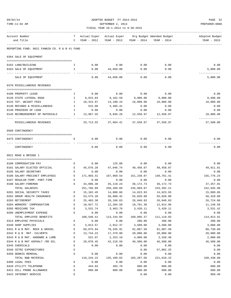| TIME:11:02 AM                                                        |              | SEPTEMBER 2, 2014<br>FISCAL YEAR 10-1-2014 to 9-30-2015 | PREPARER:0008                                     |                       |                                                       |                               |
|----------------------------------------------------------------------|--------------|---------------------------------------------------------|---------------------------------------------------|-----------------------|-------------------------------------------------------|-------------------------------|
| Account Number<br>and Title                                          |              |                                                         | C YEAR - 2012 YEAR - 2013 YEAR - 2014 YEAR - 2014 |                       | T Actual Exper Actual Exper Org Budget Amended Budget | Adopted Budget<br>YEAR - 2015 |
| REPORTING FUND: 0021 FANNIN CO. R & B #1 FUND                        |              |                                                         |                                                   |                       |                                                       |                               |
| 0364 SALE OF EQUIPMENT                                               |              |                                                         |                                                   |                       |                                                       |                               |
| 0162 LAND/BUILDING                                                   | $\mathbb{I}$ |                                                         | $0.00$ 0.00                                       |                       | $0.00$ 0.00                                           | 0.00                          |
| 0163 SALE OF EQUIPMENT                                               | $\mathbf{I}$ |                                                         | $0.00$ $44,650.00$                                | 0.00                  | 0.00                                                  | 5,000.00                      |
| SALE OF EQUIPMENT                                                    |              | 0.00                                                    | -------------<br>44,650.00                        | -------------<br>0.00 | 0.00                                                  | .<br>5,000.00                 |
| 0370 MISCELLANEOUS REVENUES                                          |              |                                                         |                                                   |                       |                                                       |                               |
|                                                                      |              |                                                         |                                                   |                       |                                                       |                               |
| 0100 PROPERTY LEASE                                                  | $\mathbf{I}$ |                                                         | $0.00$ $0.00$ $0.00$ $0.00$                       |                       | 0.00                                                  | 0.00                          |
| 0120 STATE LATERAL ROAD                                              |              |                                                         | I 8,915.03 9,162.59                               | 9,000.00              | 9,000.00                                              | 9,500.00                      |
| 0125 TDT. WEIGHT FEES                                                |              |                                                         | 10,315.97 14,190.15                               | 16,000.00             | 16,000.00                                             | 18,000.00                     |
| 0130 REFUNDS & MISCELLANEOUS                                         |              | I 515.00                                                | 4,485.41<br>0.00                                  | 0.00                  | 0.00                                                  | 0.00                          |
| 0140 PROCEEDS OF LOAN<br>0145 REIMBURSEMENT OF MATERIALS 1 13,967.55 | $\mathbf{I}$ | 0.00                                                    | 9,846.26                                          | 0.00<br>12,558.97     | 0.00<br>12,558.97                                     | 0.00<br>10,000.00             |
| MISCELLANEOUS REVENUES                                               |              |                                                         | 33, 713.55 37, 684.41 37, 558.97 37, 558.97       |                       |                                                       | .<br>37,500.00                |
| 0509 CONTINGENCY                                                     |              |                                                         |                                                   |                       |                                                       |                               |
| 0475 CONTINGENCY                                                     | E            |                                                         | 0.00<br>0.00                                      | 0.00                  | 0.00                                                  | 0.00                          |
|                                                                      |              |                                                         | -----------                                       | ------------          | ------------                                          |                               |
| CONTINGENCY                                                          |              | 0.00                                                    | 0.00                                              | 0.00                  | 0.00                                                  | 0.00                          |
| 0621 ROAD & BRIDGE 1                                                 |              |                                                         |                                                   |                       |                                                       |                               |
|                                                                      |              |                                                         |                                                   |                       |                                                       |                               |
| 0100 COMPENSATION PAY                                                | Е            | 0.00                                                    | 125.08                                            | 0.00                  | 0.00                                                  | 0.00                          |
| 0101 SALARY ELECTED OFFICIAL B E 45,676.28                           |              |                                                         | 47,046.74                                         |                       | 48, 458.07 48, 458.07                                 | 49,911.81                     |
| 0105 SALARY SECRETARY                                                | E            | 0.00                                                    | 0.00                                              | 0.00                  | 0.00                                                  | 0.00                          |
| 0106 SALARY PRECINCT EMPLOYEES                                       | $\mathbf{E}$ |                                                         | 171,993.41 167,969.54                             | 151,239.07            | 148,761.41                                            | 155,776.24                    |
| 0107 REGULAR-TEMP. PART-TIME                                         |              | E 0.00                                                  | 0.00                                              | 0.00                  | 0.00                                                  | 0.00                          |
| 0108 SALARY-FOREMAN                                                  | E            |                                                         | 34,096.40 35,119.24 36,172.73 36,172.73           |                       |                                                       | 37,257.91                     |
| TOTAL SALARIES                                                       |              | 251,766.09                                              | 250,260.60                                        | 235,869.87            | 233,392.21                                            | 242,945.96                    |
| 0201 SOCIAL SECURITY TAXES                                           | Е            | 15,102.45                                               | 14,808.66                                         | 14,623.93             | 14,623.93                                             | 15,099.85                     |
| 0202 GROUP HEALTH INSURANCE                                          | Ε            | 53, 575.20                                              | 56,600.42                                         | 55,020.00             | 55,020.00                                             | 58,310.00                     |
| 0203 RETIREMENT                                                      | E            | 25,403.30                                               | 26, 166.63                                        | 26,040.03             | 26,040.03                                             | 26,724.06                     |
| 0204 WORKERS' COMPENSATION                                           | E            | 10,927.72                                               | 12,204.58                                         | 10,791.30             | 12,014.96                                             | 11,148.58                     |
| 0205 MEDICARE TAX                                                    | E            | 3,531.74                                                | 3,463.76                                          | 3,420.11              | 3,420.11                                              | 3,531.42                      |
| 0206 UNEMPLOYMENT EXPENSE                                            | E            | 0.00                                                    | 0.00                                              | 0.00                  | 0.00                                                  | 0.00                          |
| TOTAL EMPLOYEE BENEFITS                                              |              | 108,540.41                                              | 113,244.05                                        | 109,895.37            | 111, 119.03                                           | 114,813.91                    |
| 0314 EMPLOYEE PHYSICALS                                              | E            | 0.00                                                    | 0.00                                              | 200.00                | 200.00                                                | 200.00                        |
| 0340 SHOP SUPPLIES<br>0341 R & B MAT. ROCK & GRAVEL                  | E<br>E       | 3,013.57<br>69,875.94                                   | 2,912.37<br>70,345.91                             | 3,500.00<br>91,087.50 | 3,500.00<br>91,087.50                                 | 3,000.00<br>88,730.60         |
|                                                                      |              |                                                         |                                                   |                       |                                                       |                               |

0342 R & B MAT. CULVERTS E 13,744.22 17,379.00 20,000.00 20,000.00 20,000.00 0343 R & B MAT. HARDWRE & LUMB  $E = 531.97$  2,253.19  $4,000.00$  3,320.40 2,000.00 2,000.00 0344 R & B MAT ASPHALT /RD OIL B 29,078.45 42,218.56 46,500.00 46,500.00 46,500.00 46,500.00 0345 CHEMICALS E 0.00 0.00 0.00 0.00 0.00 0346 CETRZ EXPENDITURES E 1 E 2000 E 2000 E 2000 E 2000 E 2000 E 2000 E 2000 E 2000 E 2000 E 2000 E 2000 E 200 0350 DEBRIS REMOVAL E 0.00 0.00 0.00 0.00 0.00 TOTAL R&B MATERIAL 116,244.15 135,109.03 165,287.50 221,610.15 160,430.60 0400 LEGAL FEES E 0.00 0.00 0.00 0.00 0.00 0420 UTILITY TELEPHONE  $E$  444.64 493.76 600.00 600.00 600.00 600.00 600.00 0421 CELL PHONE ALLOWANCE E 600.00 600.00 600.00 600.00 600.00 0423 INTERNET SERVICE E 0.00 0.00 969.40

09/02/14 ADOPTED BUDGET FY 2014-2015 PAGE 32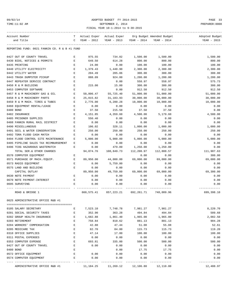## 09/02/14 ADOPTED BUDGET FY 2014-2015 PAGE 33 TIME:11:02 AM SEPTEMBER 2, 2014 PREPARER:0008 FISCAL YEAR 10-1-2014 to 9-30-2015

| Account Number                                                   | T.                                                                                             |                |                                                 |                | Actual Exper Actual Exper Org Budget Amended Budget | Adopted Budget              |
|------------------------------------------------------------------|------------------------------------------------------------------------------------------------|----------------|-------------------------------------------------|----------------|-----------------------------------------------------|-----------------------------|
| and Title                                                        |                                                                                                | C YEAR - 2012  |                                                 |                | YEAR - 2013 YEAR - 2014 YEAR - 2014                 | YEAR - 2015                 |
|                                                                  |                                                                                                |                |                                                 |                |                                                     |                             |
| REPORTING FUND: 0021 FANNIN CO. R & B #1 FUND                    |                                                                                                |                |                                                 |                |                                                     |                             |
| 0427 OUT OF COUNTY TRAVEL                                        | E                                                                                              | 975.55         | 734.02                                          | 1,500.00       | 1,500.00                                            | 1,500.00                    |
| 0430 BIDS, NOTICES & PERMITS                                     | $\mathbf{E}$                                                                                   | 649.50         | 614.28                                          | 800.00         | 800.00                                              | 800.00                      |
| 0435 PRINTING                                                    | E                                                                                              | 24.00          | 0.00                                            | 100.00         | 100.00                                              | 100.00                      |
| 0440 UTILITY ELECTRICITY                                         | $\mathbf{E}$                                                                                   | 1,379.43       | 1,440.90                                        | 2,300.00       | 2,300.00                                            | 2,300.00                    |
| 0442 UTILITY WATER                                               | E                                                                                              | 204.49         | 205.06                                          | 300.00         | 300.00                                              | 300.00                      |
| 0443 TRASH DUMPSTER PICKUP                                       | E                                                                                              | 888.09         | 924.00                                          | 1,200.00       | 1,200.00                                            | 1,200.00                    |
| 0447 REPEATER SERVICE CONTRACT                                   | Е                                                                                              |                | 0.00                                            | 558.97         | 558.97                                              | 575.73                      |
| 0450 R & M BUILDING                                              | $\mathbf{E}% _{t}\left  \mathbf{1}\right\rangle =\mathbf{1}_{t}\left  \mathbf{1}\right\rangle$ | 215.00         | 15.00                                           | 300.00         | 300.00                                              | 300.00                      |
| 0453 COMPUTER SOFTWARE                                           | $\mathbf E$                                                                                    |                | 0.00                                            | 912.50         | 912.50                                              | 912.50                      |
| 0457 R & M MACHINERY GAS & OIL                                   | Е                                                                                              | 50,806.47      | 55,725.40                                       | 51,000.00      | 51,000.00                                           | 51,000.00                   |
| 0458 R & M MACHINERY PARTS                                       | E                                                                                              | 25,015.82      | 31,183.93                                       | 30,000.00      | 30,000.00                                           | 30,000.00                   |
| 0459 R & M MACH. TIRES & TUBES                                   | E                                                                                              | 2,776.00       | 6,280.28                                        | 10,000.00      | 10,000.00                                           | 10,000.00                   |
| 0460 EQUIPMENT RENTAL/LEASE<br>$\mathbf{E}$ and $\mathbf{E}$     |                                                                                                | 0.00           | 0.00                                            | 0.00           | 0.00                                                | 0.00                        |
| 0480 BOND                                                        | $\mathbf{E}$                                                                                   | 37.50          | 215.50                                          | 37.50          | 37.50                                               | 0.00                        |
| 0482 INSURANCE                                                   | $\mathbf{E}$                                                                                   | 4,151.85       | 4,359.60                                        | 4,500.00       | 5,179.60                                            | 4,500.00                    |
| 0485 PRISONER SUPPLIES                                           | Е                                                                                              | 550.40         | 0.00                                            | 0.00           | 0.00                                                | 0.00                        |
| 0488 FANNIN RURAL RAIL DISTRICT<br>$\mathbf{E}$ and $\mathbf{E}$ |                                                                                                | 0.00           | 0.00                                            | 0.00           | 0.00                                                | 0.00                        |
| 0490 MISCELLANEOUS                                               | E                                                                                              | 106.02         | 328.11                                          | 1,000.00       | 1,000.00                                            | 1,000.00                    |
| 0491 SOIL & WATER CONSERVATION                                   | Е                                                                                              | 250.00         | 250.00                                          | 250.00         | 250.00                                              | 250.00                      |
| 0492 TDRA FLOOD CASH MATCH                                       | Е                                                                                              | 0.00           | 0.00                                            | 0.00           | 0.00                                                | 0.00                        |
| 0494 FLOOD CONTROL SITE MAINTENANCE                              | Е                                                                                              | 5,000.00       | 5.000.00                                        | 5,000.00       | 5,000.00                                            | 5,000.00                    |
| 0495 PIPELINE SALES TAX REIMBURSEMENT                            | Е                                                                                              | 0.00           | 0.00                                            | 0.00           | 0.00                                                | 0.00                        |
| 0496 TCOG HAZARDOUS WASTEMATCH                                   | Е                                                                                              | 0.00           | 479.89                                          | 1,250.00       | 1,250.00                                            | 0.00                        |
| TOTAL SER.& OTHER CHARGES                                        |                                                                                                | 94,074.76      | 108,849.73                                      | 112,208.97     | 112,888.57                                          | 111,907.63                  |
| 0570 COMPUTER EQUIPMENT                                          | Е                                                                                              |                |                                                 | 0.00           | 0.00                                                | 300.00                      |
| 0571 PURCHASE OF MACH./EQUIP.                                    | $\mathbf{E}$                                                                                   | 89,950.00      | 44,000.00                                       | 69,000.00      | 69,000.00                                           | 69,000.00                   |
| 0573 RADIO EQUIPMENT                                             | E                                                                                              | 0.00           | 5,759.80                                        | 0.00           | 0.00                                                | 0.00                        |
| 0575 LAND AND BUILDING                                           | E                                                                                              | 0.00           | 0.00                                            | 0.00           | 0.00                                                | 0.00                        |
| CAPITAL OUTLAY                                                   |                                                                                                | 89,950.00      | 49,759.80                                       | 69,000.00      | 69,000.00                                           | 69,300.00                   |
| 0630 NOTE PAYMENT                                                | $\mathbf{E}$                                                                                   | 0.00           | 0.00                                            | 0.00           | 0.00                                                | 0.00                        |
| 0670 NOTE PAYMENT-INTEREST                                       | E                                                                                              | 0.00           | 0.00                                            | 0.00           | 0.00                                                | 0.00                        |
| 0695 SURVEYING                                                   | Е                                                                                              | 0.00           | 0.00                                            | 0.00           | 0.00                                                | 0.00                        |
| -- ------------<br>ROAD & BRIDGE 1                               |                                                                                                |                | 660, 575.41 657, 223.21 692, 261.71 748, 009.96 |                | ------------- --------------                        | -------------<br>699,398.10 |
| 0625 ADMINISTRATIVE OFFICE R&B #1                                |                                                                                                |                |                                                 |                |                                                     |                             |
| 0105 SALARY SECRETARY                                            | Е                                                                                              | 7,523.10       | 7,748.78                                        | 7,981.27       | 7,981.27                                            | 8,220.70                    |
| 0201 SOCIAL SECURITY TAXES                                       | Е                                                                                              | 352.90         | 363.28                                          | 494.84         | 494.84                                              | 509.68                      |
| 0202 GROUP HEALTH INSURANCE                                      | Е                                                                                              | 1,682.88       | 1,861.40                                        | 1,965.00       | 1,965.00                                            | 2,082.50                    |
| 0203 RETIREMENT                                                  | E                                                                                              | 758.84         | 810.62                                          | 881.13         | 881.13                                              | 904.28                      |
| 0204 WORKERS' COMPENSATION                                       | E                                                                                              | 42.88          | 47.44                                           | 51.08          | 55.08                                               | 52.61                       |
| 0205 MEDICARE TAX                                                | E                                                                                              | 82.70          | 84.80                                           | 115.73         | 115.73                                              | 119.20                      |
| 0310 OFFICE SUPPLIES                                             | E                                                                                              | 47.14          | 17.80                                           | 100.00         | 100.00                                              | 100.00                      |
| 0311 POSTAL EXPENSES                                             | E                                                                                              |                |                                                 |                |                                                     |                             |
| 0353 COMPUTER EXPENSE                                            | E                                                                                              | 0.00<br>693.81 | 0.00<br>335.00                                  | 0.00<br>500.00 | 0.00<br>500.00                                      | 0.00<br>500.00              |
|                                                                  | E                                                                                              | 0.00           |                                                 |                |                                                     |                             |
| 0427 OUT OF COUNTY TRAVEL                                        |                                                                                                |                | 0.00                                            | 0.00           | 0.00                                                | 0.00                        |
| 0480 BOND                                                        | E                                                                                              |                | 0.00                                            | 17.75          | 17.75                                               | 0.00                        |
| 0572 OFFICE EQUIPMENT                                            | Е<br>E                                                                                         | 0.00           | 0.00<br>0.00                                    | 0.00           | 0.00                                                | 0.00<br>0.00                |
| 0574 COMPUTER EQUIPMENT                                          |                                                                                                | 0.00           |                                                 | 0.00           | 0.00<br>$- - - - - -$                               | ------------                |
|                                                                  |                                                                                                |                |                                                 |                |                                                     |                             |

ADMINISTRATIVE OFFICE R&B #1  $11,184.25$   $11,269.12$   $12,106.80$   $12,110.80$   $12,106.80$   $12,106.80$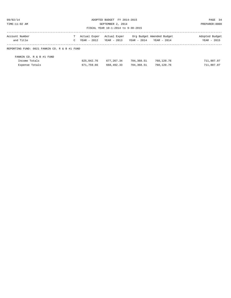09/02/14 ADOPTED BUDGET FY 2014-2015 PAGE 34 TIME:11:02 AM SEPTEMBER 2, 2014 PREPARER:0008 FISCAL YEAR 10-1-2014 to 9-30-2015

# ------------------------------------------------------------------------------------------------------------------------------------ Account Number T Actual Exper Actual Exper Org Budget Amended Budget Adopted Budget

| and Title                                     | C YEAR - 2012 YEAR - 2013 YEAR - 2014 YEAR - 2014 |  | YEAR - 2015 |
|-----------------------------------------------|---------------------------------------------------|--|-------------|
| REPORTING FUND: 0021 FANNIN CO. R & B #1 FUND |                                                   |  |             |

| FANNIN CO. R & B #1 FUND |            |            |            |            |            |
|--------------------------|------------|------------|------------|------------|------------|
| Income Totals            | 625,042.76 | 677.267.34 | 704,368.51 | 760,120.76 | 711,887.07 |
| Expense Totals           | 671,759.66 | 668,492.33 | 704,368.51 | 760,120.76 | 711,887.07 |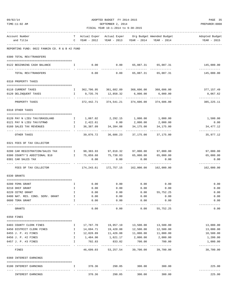ADOPTED BUDGET FY 2014-2015 PAGE 35 TIME:11:02 AM SEPTEMBER 2, 2014 PREPARER:0008 FISCAL YEAR 10-1-2014 to 9-30-2015

| Account Number                                                                                             |                                                                 |                         |                                                 |                            | T Actual Exper Actual Exper Org Budget Amended Budget | Adopted Budget             |
|------------------------------------------------------------------------------------------------------------|-----------------------------------------------------------------|-------------------------|-------------------------------------------------|----------------------------|-------------------------------------------------------|----------------------------|
| and Title                                                                                                  |                                                                 | $C$ YEAR - 2012         |                                                 |                            | YEAR - 2013 YEAR - 2014 YEAR - 2014                   | YEAR - 2015                |
| REPORTING FUND: 0022 FANNIN CO. R & B #2 FUND                                                              |                                                                 |                         |                                                 |                            |                                                       |                            |
| 0300 TOTAL REV/TRANSFERS                                                                                   |                                                                 |                         |                                                 |                            |                                                       |                            |
| 0122 BEGINNING CASH BALANCE                                                                                | $\mathbf{I}$ and $\mathbf{I}$ and $\mathbf{I}$ and $\mathbf{I}$ |                         | $0.00$ $0.00$ $65,087.31$ $65,087.31$           |                            |                                                       | 145,000.00                 |
| TOTAL REV/TRANSFERS                                                                                        |                                                                 | 0.00                    |                                                 | $0.00$ 65,087.31 65,087.31 |                                                       | ------------<br>145,000.00 |
| 0310 PROPERTY TAXES                                                                                        |                                                                 |                         |                                                 |                            |                                                       |                            |
|                                                                                                            |                                                                 |                         |                                                 |                            |                                                       |                            |
| 0110 CURRENT TAXES                                                                                         |                                                                 |                         | I 362,706.95 361,682.89 368,606.00 368,606.00   |                            |                                                       | 377,157.49                 |
| 0120 DELINQUENT TAXES                                                                                      |                                                                 | I 9,735.76              | 12,858.32                                       | 6,000.00                   | 6,000.00                                              | 8,067.62<br>-------------  |
| PROPERTY TAXES                                                                                             |                                                                 |                         | 372, 442.71 374, 541.21 374, 606.00 374, 606.00 |                            |                                                       | 385, 225. 11               |
| 0318 OTHER TAXES                                                                                           |                                                                 |                         |                                                 |                            |                                                       |                            |
| 0120 PAY N LIEU TAX/GRASSLAND 1,067.02 2,292.15 1,000.00 1,000.00                                          |                                                                 |                         |                                                 |                            |                                                       | 1,500.00                   |
| 0121 PAY N LIEU TAX/UTRWD                                                                                  |                                                                 | $I \t 2,422.61 \t 0.00$ |                                                 | 2,000.00 2,000.00          |                                                       | 0.00                       |
| 0160 SALES TAX REVENUES                                                                                    | $\mathbf{I}$ and $\mathbf{I}$ and $\mathbf{I}$ and $\mathbf{I}$ |                         | 36,387.09 34,394.08                             |                            | 34, 175.00 34, 175.00                                 | 34, 477. 12                |
| --------------<br>OTHER TAXES                                                                              |                                                                 |                         | 39,876.72 36,686.23                             |                            | 37,175.00 37,175.00                                   | -------------<br>35,977.12 |
| 0321 FEES OF TAX COLLECTOR                                                                                 |                                                                 |                         |                                                 |                            |                                                       |                            |
|                                                                                                            |                                                                 |                         |                                                 |                            |                                                       | 97,000.00                  |
| 0200 CAR REGISTRATION/SALES TAX 1 98,383.93 97,018.32 97,000.00 97,000.00<br>0300 COUNTY'S ADDITIONAL \$10 |                                                                 |                         | 1 75,859.68 75,738.83 65,000.00 65,000.00       |                            |                                                       | 65,000.00                  |
| 0301 CAR SALES TAX                                                                                         |                                                                 | 0.00                    | 0.00                                            | 0.00                       | 0.00                                                  | 0.00                       |
|                                                                                                            |                                                                 |                         | -------------                                   | _____________              | -------------                                         | -----------                |
| FEES OF TAX COLLECTOR                                                                                      |                                                                 |                         | 174, 243.61 172, 757.15 162, 000.00 162, 000.00 |                            |                                                       | 162,000.00                 |
| 0330 GRANTS                                                                                                |                                                                 |                         |                                                 |                            |                                                       |                            |
|                                                                                                            |                                                                 |                         |                                                 |                            |                                                       |                            |
| 0200 FEMA GRANT<br>0210 DHCF GRANT                                                                         | $\mathbb{I}$<br>$\mathbf{I}$                                    | 0.00<br>0.00            | 0.00<br>0.00                                    | 0.00<br>0.00               | 0.00<br>0.00                                          | 0.00<br>0.00               |
| 0220 CETRZ GRANT                                                                                           | Ι.                                                              | 0.00                    | 0.00                                            | 0.00                       | 55,752.25                                             | 0.00                       |
| 0400 NAT. RES. CONS. SERV. GRANT                                                                           | I                                                               | 0.00                    | 0.00                                            | 0.00                       | 0.00                                                  | 0.00                       |
| 0600 TDRA GRANT                                                                                            |                                                                 | 0.00                    | 0.00                                            | 0.00                       | 0.00                                                  | 0.00                       |
| GRANTS                                                                                                     |                                                                 | 0.00                    | 0.00                                            | 0.00                       | 55,752.25                                             | -----------<br>0.00        |
| 0350 FINES                                                                                                 |                                                                 |                         |                                                 |                            |                                                       |                            |
| 0403 COUNTY CLERK FINES                                                                                    | I.                                                              | 17,787.70               | 19,957.19                                       | 13,500.00                  | 13,500.00                                             | 13,000.00                  |
| 0450 DISTRICT CLERK FINES                                                                                  | I.                                                              | 14,694.71               | 19,420.08                                       | 12,500.00                  | 12,500.00                                             | 13,000.00                  |
| 0455 J. P. #1 FINES                                                                                        | I                                                               | 12,028.89               | 11,426.08                                       | 11,000.00                  | 11,000.00                                             | 10,500.00                  |
| 0456 J. P. #2 FINES                                                                                        | Ι.                                                              | 1,484.90                | 1,621.17                                        | 2,000.00                   | 2,000.00                                              | 1,200.00                   |
| 0457 J. P. #3 FINES                                                                                        | Ι.                                                              | 702.83                  | 833.02                                          | 700.00                     | 700.00                                                | 1,000.00                   |
| FINES                                                                                                      |                                                                 | ---------<br>46,699.03  | .<br>53,257.54                                  | 39,700.00                  | ------------<br>39,700.00                             | -------------<br>38,700.00 |
| 0360 INTEREST EARNINGS                                                                                     |                                                                 |                         |                                                 |                            |                                                       |                            |
|                                                                                                            |                                                                 |                         |                                                 |                            |                                                       |                            |
| 0100 INTEREST EARNINGS                                                                                     | Ι.                                                              | 370.36                  | 298.05                                          | 300.00                     | 300.00                                                | 225.00                     |
| INTEREST EARNINGS                                                                                          |                                                                 | 370.36                  | 298.05                                          | 300.00                     | 300.00                                                | 225.00                     |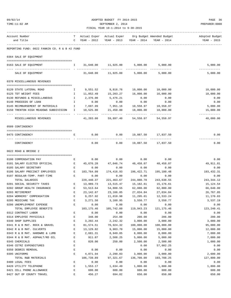| FISCAL YEAR 10-1-2014 to 9-30-2015                                                         |              |                   |                                                   |            |                                                       |                               |  |  |
|--------------------------------------------------------------------------------------------|--------------|-------------------|---------------------------------------------------|------------|-------------------------------------------------------|-------------------------------|--|--|
| Account Number<br>and Title                                                                |              |                   | C YEAR - 2012 YEAR - 2013 YEAR - 2014 YEAR - 2014 |            | T Actual Exper Actual Exper Org Budget Amended Budget | Adopted Budget<br>YEAR - 2015 |  |  |
| REPORTING FUND: 0022 FANNIN CO. R & B #2 FUND                                              |              |                   |                                                   |            |                                                       |                               |  |  |
| 0364 SALE OF EQUIPMENT                                                                     |              |                   |                                                   |            |                                                       |                               |  |  |
| 0163 SALE OF EQUIPMENT                                                                     |              |                   | $I = 31,640.00$ $11,925.00$ $5,000.00$ $5,000.00$ |            |                                                       | 5,000.00                      |  |  |
| SALE OF EQUIPMENT                                                                          |              |                   | 31,640.00   11,925.00   5,000.00   5,000.00       |            |                                                       | -------------<br>5,000.00     |  |  |
| 0370 MISCELLANEOUS REVENUES                                                                |              |                   |                                                   |            |                                                       |                               |  |  |
| 0120 STATE LATERAL ROAD<br>$\mathbf{I}$ and $\mathbf{I}$ and $\mathbf{I}$ and $\mathbf{I}$ |              | 9,551.52 9,816.76 |                                                   | 10,000.00  | 10,000.00                                             | 10,000.00                     |  |  |
| 0125 TDT WEIGHT FEES                                                                       | $\mathbf{I}$ | 11,052.49         | 15,203.27   16,000.00                             |            | 16,000.00                                             | 18,000.00                     |  |  |
| 0130 REFUNDS & MISCELLANEOUS                                                               | $\mathbb{I}$ | 2,376.00          | 5,476.21                                          | 0.00       | 0.00                                                  | 0.00                          |  |  |
| 0140 PROCEEDS OF LOAN                                                                      | $\mathbb{I}$ | 0.00              | 0.00                                              | 0.00       | 0.00                                                  | 0.00                          |  |  |
| 0145 REIMBURSEMENT OF MATERIALS 1 1 7,697.99 7,951.16 10,558.97                            |              |                   |                                                   |            | 10,558.97                                             | 5,000.00                      |  |  |
| 0150 TRENTON HIGH MEADOWS SUBDIVISION I 10,525.00                                          |              |                   | 21,450.00                                         | 18,000.00  | 18,000.00                                             | 15,000.00<br>-------------    |  |  |
| MISCELLANEOUS REVENUES                                                                     |              |                   | 41,203.00 59,897.40 54,558.97 54,558.97           |            |                                                       | 48,000.00                     |  |  |
| 0509 CONTINGENCY                                                                           |              |                   |                                                   |            |                                                       |                               |  |  |
| 0475 CONTINGENCY                                                                           | $E$ and $E$  |                   | $0.00$ $0.00$ $19,087.50$ $17,837.50$             |            |                                                       | 0.00                          |  |  |
| -----------------------------------<br>CONTINGENCY                                         |              | 0.00              | 0.00                                              |            | 19,087.50 17,837.50                                   | 0.00                          |  |  |
| 0622 ROAD & BRIDGE 2                                                                       |              |                   |                                                   |            |                                                       |                               |  |  |
|                                                                                            |              |                   |                                                   |            |                                                       |                               |  |  |
| 0100 COMPENSATION PAY                                                                      | E            | 0.00              | 0.00                                              | 0.00       | 0.00                                                  | 0.00                          |  |  |
| 0101 SALARY ELECTED OFFICIAL                                                               | $\mathbf{E}$ | 45,676.28         | 47,046.74                                         | 48,458.07  | 48,458.07                                             | 49,911.81                     |  |  |
| 0105 SALARY SECRETARY                                                                      | $\mathbf{E}$ | 0.00              | 0.00                                              | 0.00       | 0.00                                                  | 0.00                          |  |  |
| 0106 SALARY PRECINCT EMPLOYEES                                                             | $\mathbf{E}$ | 183,764.09        | 174,416.93                                        | 196,422.71 | 195,180.48                                            | 193, 432.31                   |  |  |
| 0107 REGULAR-TEMP. PART-TIME                                                               | $\mathbf{E}$ | 0.00              | 0.00                                              | 0.00       | 0.00                                                  | 0.00                          |  |  |
| TOTAL SALARIES                                                                             |              | 229,440.37        | 221,463.67                                        | 244,880.78 | 243,638.55                                            | 243, 344. 12                  |  |  |
| 0201 SOCIAL SECURITY TAXES                                                                 | $\mathbf{E}$ | 13,989.73         | 13,515.47                                         | 15,182.61  | 15,176.61                                             | 15,124.54                     |  |  |
| 0202 GROUP HEALTH INSURANCE                                                                | E            | 53,513.64         | 54,888.55                                         | 62,880.00  | 62,880.00                                             | 66,640.00                     |  |  |
| 0203 RETIREMENT                                                                            | Е            | 23,142.67         | 23,166.85                                         | 27,034.84  | 27,034.84                                             | 26,767.85                     |  |  |
| 0204 WORKERS' COMPENSATION                                                                 | Ε            | 9,257.92          | 11,010.98                                         | 11,295.01  | 12,533.24                                             | 11,170.83                     |  |  |
| 0205 MEDICARE TAX                                                                          | E            | 3,271.50          | 3,160.95                                          | 3,550.77   | 3,550.77                                              | 3,537.19                      |  |  |
| 0206 UNEMPLOYMENT EXPENSE                                                                  | E            | 0.00              | 0.00                                              | 0.00       | 0.00                                                  | 0.00                          |  |  |
| TOTAL EMPLOYEE BENEFITS                                                                    |              | 103, 175.46       | 105,742.80                                        | 119,943.23 | 121, 175.46                                           | 123, 240.41                   |  |  |
| 0312 CONTRACT LABOR                                                                        | Ε            | 0.00              | 0.00                                              | 0.00       | 0.00                                                  | 0.00                          |  |  |
| 0314 EMPLOYEE PHYSICALS                                                                    | Ε            | 348.00            | 254.00                                            | 200.00     | 206.00                                                | 200.00                        |  |  |
| 0340 SHOP SUPPLIES                                                                         | Е            | 3,202.44          | 2,242.32                                          | 3,000.00   | 3,000.00                                              | 3,000.00                      |  |  |
| 0341 R & B MAT. ROCK & GRAVEL                                                              | Ε            | 81,574.51         | 70,924.32                                         | 100,000.00 | 100,000.00                                            | 95,000.00                     |  |  |
| 0342 R & B MAT. CULVERTS                                                                   | Е            | 13, 129.82        | 9,903.70                                          | 15,000.00  | 15,000.00                                             | 12,000.00                     |  |  |
| 0343 R & B MAT. HARDWRE & LUMB                                                             | E            | 2,681.31          | 8,949.05                                          | 8,000.00   | 8,000.00                                              | 7,000.00                      |  |  |
| 0344 R & B MAT. ASPHALT/RD OIL                                                             | E            | 911.87            | 2,508.25                                          | 5,000.00   | 5,000.00                                              | 7,000.00                      |  |  |
| 0345 CHEMICALS                                                                             | Е            | 820.00            | 250.00                                            | 2,500.00   | 2,500.00                                              | 1,000.00                      |  |  |
| 0346 CETRZ EXPENDITURES                                                                    | Ε            |                   |                                                   | 0.00       | 57,002.25                                             | 0.00                          |  |  |
| 0350 DEBRIS REMOVAL                                                                        | Е            | 0.00              | 0.00                                              | 0.00       | 0.00                                                  | 0.00                          |  |  |
| 0395 UNIFORMS                                                                              | Е            | 4,071.94          | 2,290.03                                          | 3,000.00   | 3,000.00                                              | 2,600.00                      |  |  |
| TOTAL R&B MATERIALS                                                                        |              | 106,739.89        | 97, 321.67                                        | 136,700.00 | 193,708.25                                            | 127,800.00                    |  |  |
| 0400 LEGAL FEES                                                                            | E            | 0.00              | 0.00                                              | 0.00       | 0.00                                                  | 0.00                          |  |  |

0420 UTILITY TELEPHONE E 1,553.17 1,634.49 1,800.00 1,800.00 1,800.00 0421 CELL PHONE ALLOWANCE E 600.00 600.00 600.00 600.00 600.00 0427 OUT OF COUNTY TRAVEL E 456.27 694.02 650.00 650.00 650.00

09/02/14 ADOPTED BUDGET FY 2014-2015 PAGE 36 TIME:11:02 AM SEPTEMBER 2, 2014 PREPARER:0008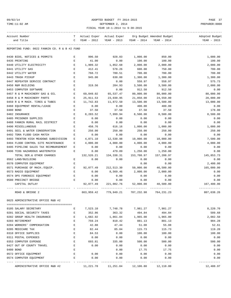## 09/02/14 ADOPTED BUDGET FY 2014-2015 PAGE 37 TIME:11:02 AM SEPTEMBER 2, 2014 PREPARER:0008 FISCAL YEAR 10-1-2014 to 9-30-2015

| Account Number<br>and Title                                                      | T.<br>$\mathsf{C}$                                                                             | YEAR - 2012 |                                  |            | Actual Exper Actual Exper Org Budget Amended Budget<br>YEAR - 2013 YEAR - 2014 YEAR - 2014 | Adopted Budget<br>YEAR - 2015 |
|----------------------------------------------------------------------------------|------------------------------------------------------------------------------------------------|-------------|----------------------------------|------------|--------------------------------------------------------------------------------------------|-------------------------------|
|                                                                                  |                                                                                                |             |                                  |            |                                                                                            |                               |
| REPORTING FUND: 0022 FANNIN CO. R & B #2 FUND                                    |                                                                                                |             |                                  |            |                                                                                            |                               |
| 0430 BIDS, NOTICES & PERMITS                                                     | E                                                                                              | 996.50      | 928.03                           | 1,000.00   | 850.00                                                                                     | 1,000.00                      |
| 0435 PRINTING                                                                    | E                                                                                              | 41.00       | 0.00                             | 100.00     | 100.00                                                                                     | 100.00                        |
| 0440 UTILITY ELECTRICITY                                                         | $\mathbf{E}$                                                                                   | 1,909.32    | 1,852.68                         | 2,000.00   | 2,000.00                                                                                   | 2,000.00                      |
| 0441 UTILITY GAS                                                                 | E                                                                                              | 412.41      | 578.26                           | 600.00     | 750.00                                                                                     | 700.00                        |
| 0442 UTILITY WATER                                                               | E                                                                                              | 768.72      | 780.51                           | 700.00     | 700.00                                                                                     | 700.00                        |
| 0443 TRASH PICKUP                                                                | E                                                                                              | 945.00      | 630.00                           | 1,300.00   | 1,300.00                                                                                   | 1,300.00                      |
| 0447 REPEATER SERVICE CONTRACT                                                   | Е                                                                                              |             | 0.00                             | 558.97     | 558.97                                                                                     | 575.73                        |
| 0450 R&M BUILDING                                                                | $\mathbf{E}$                                                                                   | 319.56      | 284.93                           | 3,500.00   | 3,500.00                                                                                   | 2,000.00                      |
| 0453 COMPUTER SOFTWARE                                                           | E                                                                                              |             | 0.00                             | 912.50     | 912.50                                                                                     | 0.00                          |
| 0457 R & M MACHINERY GAS & OIL                                                   | Е                                                                                              | 69,049.02   | 65,537.47                        | 80,000.00  | 80,000.00                                                                                  | 80,000.00                     |
| 0458 R & M MACHINERY PARTS                                                       | Е                                                                                              | 25,911.53   | 23,030.95                        | 21,050.00  | 24,550.00                                                                                  | 20,000.00                     |
| 0459 R & M MACH. TIRES & TUBES<br><b>Expanding Expanding Expanding Expanding</b> |                                                                                                | 11,742.83   | 11,872.50                        | 13,500.00  | 13,500.00                                                                                  | 13,000.00                     |
| 0460 EQUIPMENT RENTAL/LEASE                                                      | $\mathbf{E}$                                                                                   | 0.00        | 0.00                             | 400.00     | 400.00                                                                                     | 0.00                          |
| 0480 BOND                                                                        | $\mathbf{E}$                                                                                   | 37.50       | 37.50                            | 37.50      | 37.50                                                                                      | 178.00                        |
| 0482 INSURANCE                                                                   | $\mathbf{E}$                                                                                   | 8,203.52    | 7,999.94                         | 8,500.00   | 8,500.00                                                                                   | 8,500.00                      |
| 0485 PRISONER SUPPLIES                                                           | E                                                                                              | 0.00        | 0.00                             | 0.00       | 0.00                                                                                       | 0.00                          |
| 0488 FANNIN RURAL RAIL DISTRICT                                                  | E                                                                                              | 0.00        | 0.00                             | 0.00       | 0.00                                                                                       | 0.00                          |
| 0490 MISCELLANEOUS                                                               | E                                                                                              | 458.76      | 616.16                           | 1,000.00   | 1,000.00                                                                                   | 1,000.00                      |
| 0491 SOIL & WATER CONSERVATION                                                   | $\mathbf{E}% _{t}\left  \mathbf{1}\right\rangle =\mathbf{1}_{t}\left  \mathbf{1}\right\rangle$ | 250.00      | 250.00                           | 250.00     | 250.00                                                                                     | 250.00                        |
| 0492 TDRA FLOOD CASH MATCH                                                       | E                                                                                              | 0.00        | 0.00                             | 0.00       | 0.00                                                                                       | 0.00                          |
| 0493 TRENTON HIGH MEADOWS SUBDIVISION                                            | Е                                                                                              | 4,871.10    | 12,530.98                        | 10,000.00  | 10,000.00                                                                                  | 7,500.00                      |
| 0494 FLOOD CONTROL SITE MAINTENANCE                                              | Е                                                                                              | 4,000.00    | 4,000.00                         | 4,000.00   | 4,000.00                                                                                   | 4,000.00                      |
| 0495 PIPELINE SALES TAX REIMBURSEMENT                                            | Е                                                                                              | 0.00        | 0.00                             | 0.00       | 0.00                                                                                       | 0.00                          |
| 0496 TCOG HAZARDOUS WASTEMATCH                                                   | Е                                                                                              | 0.00        | 479.89                           | 1,250.00   | 1,250.00                                                                                   | 0.00                          |
| TOTAL SER.& OTHER CHARGES                                                        |                                                                                                | 132,526.21  | 134,338.31                       | 153,708.97 | 157,208.97                                                                                 | 145,853.73                    |
| 0562 LAND/BUILDING                                                               | $\mathbf{E}$                                                                                   | 0.00        | 0.00                             | 0.00       | 0.00                                                                                       | 0.00                          |
| 0570 COMPUTER EQUIPMENT                                                          | Е                                                                                              |             |                                  | 0.00       | 0.00                                                                                       | 2,400.00                      |
| 0571 PURCHASE OF MACH./EQUIP. E                                                  |                                                                                                |             | 92,077.49 212,513.30             | 50,000.00  | 46,500.00                                                                                  | 165,000.00                    |
| 0573 RADIO EQUIPMENT                                                             | E                                                                                              | 0.00        | 8,569.46                         | 2,000.00   | 2,000.00                                                                                   | 0.00                          |
| 0574 DPS FORENSIC EQUIPMENT                                                      | $\mathbf{E}$                                                                                   | 0.00        | 0.00                             | 0.00       | 0.00                                                                                       | 0.00                          |
| 0580 PRECINCT BRIDGE                                                             | E                                                                                              | 0.00        | 0.00                             | 0.00       | 0.00                                                                                       | 0.00                          |
| CAPITAL OUTLAY                                                                   |                                                                                                |             | 92,077.49 221,082.76             | 52,000.00  | 48,500.00                                                                                  | 167,400.00<br>-------------   |
| ROAD & BRIDGE 2                                                                  |                                                                                                |             | 663,959.42 779,949.21 707,232.98 |            | 764,231.23                                                                                 | 807,638.26                    |
| 0625 ADMINISTRATIVE OFFICE R&B #2                                                |                                                                                                |             |                                  |            |                                                                                            |                               |
| 0105 SALARY SECRETARY                                                            | Ε                                                                                              | 7,523.10    | 7,748.78                         | 7,981.27   | 7,981.27                                                                                   | 8,220.70                      |
| 0201 SOCIAL SECURITY TAXES                                                       | E                                                                                              | 352.86      | 363.32                           | 494.84     | 494.84                                                                                     | 509.68                        |
| 0202 GROUP HEALTH INSURANCE                                                      | Ε                                                                                              | 1,682.92    | 1,861.84                         | 1,965.00   | 1,965.00                                                                                   | 2,082.50                      |
| 0203 RETIREMENT                                                                  | E                                                                                              | 759.24      | 810.42                           | 881.13     | 881.13                                                                                     | 904.28                        |
| 0204 WORKERS' COMPENSATION                                                       | E                                                                                              | 42.88       | 47.44                            | 51.08      | 55.08                                                                                      | 52.61                         |
| 0205 MEDICARE TAX                                                                | E                                                                                              | 82.44       | 85.04                            | 115.73     | 115.73                                                                                     | 119.20                        |
| 0310 OFFICE SUPPLIES                                                             | E                                                                                              | 84.53       | 0.00                             | 100.00     | 100.00                                                                                     | 100.00                        |
| 0311 POSTAL EXPENSES                                                             | E                                                                                              | 0.00        | 0.00                             | 0.00       | 0.00                                                                                       | 0.00                          |
| 0353 COMPUTER EXPENSE                                                            | E                                                                                              | 693.81      | 335.00                           | 500.00     | 500.00                                                                                     | 500.00                        |
| 0427 OUT OF COUNTY TRAVEL                                                        | E                                                                                              | 0.00        | 0.00                             | 0.00       | 0.00                                                                                       | 0.00                          |
| 0480 BOND                                                                        | E                                                                                              |             | 0.00                             | 17.75      | 17.75                                                                                      | 0.00                          |
| 0572 OFFICE EQUIPMENT                                                            | Ε                                                                                              | 0.00        | 0.00                             | 0.00       | 0.00                                                                                       | 0.00                          |
| 0574 COMPUTER EQUIPMENT                                                          | E                                                                                              | 0.00        | 0.00                             | 0.00       | 0.00                                                                                       | 0.00                          |
|                                                                                  |                                                                                                |             |                                  |            | ---------                                                                                  | . <u>.</u> .                  |

ADMINISTRATIVE OFFICE R&B #2 11,221.78 11,251.84 12,106.80 12,110.80 12,488.97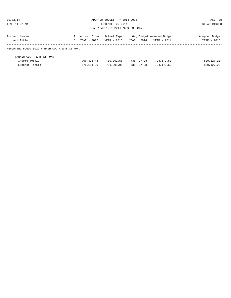09/02/14 ADOPTED BUDGET FY 2014-2015 PAGE 38 TIME:11:02 AM SEPTEMBER 2, 2014 PREPARER:0008

## FISCAL YEAR 10-1-2014 to 9-30-2015

| Account Number                                |  | Actual Exper Actual Exper             | Org Budget Amended Budget | Adopted Budget |
|-----------------------------------------------|--|---------------------------------------|---------------------------|----------------|
| and Title                                     |  | C YEAR - 2012 YEAR - 2013 YEAR - 2014 | YEAR - 2014               | YEAR - 2015    |
| REPORTING FUND: 0022 FANNIN CO. R & B #2 FUND |  |                                       |                           |                |

## FANNIN CO. R & B #2 FUND Income Totals 706,475.43 709,362.58 738,427.28 794,179.53 820,127.23 Expense Totals 675,181.20 791,201.05 738,427.28 794,179.53 820,127.23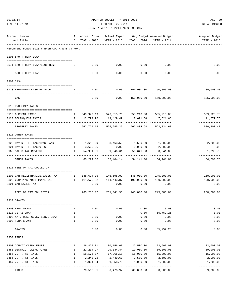|                                                                                                              |                    |              | FISCAL YEAR 10-1-2014 to 9-30-2015                                                       |                                     |                                                     |                             |
|--------------------------------------------------------------------------------------------------------------|--------------------|--------------|------------------------------------------------------------------------------------------|-------------------------------------|-----------------------------------------------------|-----------------------------|
| Account Number                                                                                               | T.                 |              |                                                                                          |                                     | Actual Exper Actual Exper Org Budget Amended Budget | Adopted Budget              |
| and Title                                                                                                    | $\mathsf{C}$       | YEAR - 2012  |                                                                                          | YEAR - 2013 YEAR - 2014 YEAR - 2014 |                                                     | YEAR - 2015                 |
| REPORTING FUND: 0023 FANNIN CO. R & B #3 FUND                                                                |                    |              |                                                                                          |                                     |                                                     |                             |
| 0205 SHORT-TERM LOAN                                                                                         |                    |              |                                                                                          |                                     |                                                     |                             |
| 0571 SHORT-TERM LOAN/EQUIPMENT E                                                                             |                    |              | $0.00$ $0.00$ $0.00$ $0.00$ $0.00$                                                       |                                     |                                                     | 0.00                        |
| SHORT-TERM LOAN                                                                                              |                    | 0.00         | 0.00                                                                                     | 0.00                                | 0.00                                                | 0.00                        |
| 0300 CASH                                                                                                    |                    |              |                                                                                          |                                     |                                                     |                             |
| 0123 BEGINNING CASH BALANCE                                                                                  | $\mathbf{I}$       | 0.00         |                                                                                          | $0.00$ 150,000.00 150,000.00        |                                                     | 185,000.00                  |
| CASH                                                                                                         |                    | 0.00         | -----------<br>0.00                                                                      |                                     | 150,000.00 150,000.00                               | -------------<br>185,000.00 |
| 0310 PROPERTY TAXES                                                                                          |                    |              |                                                                                          |                                     |                                                     |                             |
|                                                                                                              |                    |              |                                                                                          |                                     |                                                     |                             |
| 0110 CURRENT TAXES<br>0120 DELINQUENT TAXES                                                                  |                    |              | 1 549,979.19 546,515.76 555,213.00 555,213.00<br>1 12,794.96 19,429.49 7,621.68 7,621.68 |                                     |                                                     | 569,720.73                  |
|                                                                                                              |                    |              | -------------                                                                            | ______________                      | --------------                                      | 11,079.75<br>------------   |
| PROPERTY TAXES                                                                                               |                    |              | 562,774.15 565,945.25 562,834.68 562,834.68                                              |                                     |                                                     | 580,800.48                  |
| 0318 OTHER TAXES                                                                                             |                    |              |                                                                                          |                                     |                                                     |                             |
| 0120 PAY N LIEU TAX/GRASSLAND                                                                                |                    |              | $1, 612.29$ $3, 463.53$ $1, 500.00$ $1, 500.00$                                          |                                     |                                                     | 2,200.00                    |
| 0121 PAY N LIEU TAX/UTRWD                                                                                    |                    | I 3,660.66   | 0.00                                                                                     |                                     | 2,000.00 2,000.00                                   | 0.00                        |
| 0160 SALES TAX REVENUES                                                                                      | $\mathbf{I}$       | 54,951.91    | 51,940.61                                                                                | 50,641.00                           | 50,641.00                                           | 51,890.73                   |
| OTHER TAXES                                                                                                  |                    |              | 60,224.86 55,404.14                                                                      | 54,141.00                           | 54,141.00                                           | -----------<br>54,090.73    |
| 0321 FEES OF TAX COLLECTOR                                                                                   |                    |              |                                                                                          |                                     |                                                     |                             |
|                                                                                                              |                    |              |                                                                                          |                                     |                                                     |                             |
| 0200 CAR REGISTRATION/SALES TAX 148,614.15 146,598.09 145,000.00 145,000.00<br>0300 COUNTY'S ADDITIONAL \$10 |                    |              | $I = 114,673.92$ $114,443.87$ $100,000.00$ $100,000.00$                                  |                                     |                                                     | 150,000.00<br>100,000.00    |
| 0301 CAR SALES TAX                                                                                           |                    | 0.00         | 0.00                                                                                     | 0.00                                | 0.00                                                | 0.00                        |
| FEES OF TAX COLLECTOR                                                                                        |                    | ------------ | -------------<br>263, 288.07 261, 041.96 245, 000.00                                     | --------------                      | --------------<br>245,000.00                        | -------------<br>250,000.00 |
| 0330 GRANTS                                                                                                  |                    |              |                                                                                          |                                     |                                                     |                             |
|                                                                                                              |                    |              |                                                                                          |                                     |                                                     |                             |
| 0200 FEMA GRANT                                                                                              | I.                 | 0.00         | 0.00                                                                                     | 0.00                                | 0.00                                                | 0.00                        |
| 0220 CETRZ GRANT                                                                                             | Ι.                 |              |                                                                                          | 0.00                                | 55,752.25                                           | 0.00                        |
| 0400 NAT. RES. CONS. SERV. GRANT<br>0600 TDRA GRANT                                                          | $\mathbf{I}$<br>I. | 0.00<br>0.00 | 0.00<br>0.00                                                                             | 0.00<br>0.00                        | 0.00<br>0.00                                        | 0.00<br>0.00                |
|                                                                                                              |                    |              |                                                                                          |                                     |                                                     |                             |
| GRANTS                                                                                                       |                    | 0.00         | 0.00                                                                                     | 0.00                                | 55,752.25                                           | 0.00                        |
| 0350 FINES                                                                                                   |                    |              |                                                                                          |                                     |                                                     |                             |
| 0403 COUNTY CLERK FINES                                                                                      | Ι.                 | 26,877.81    | 30,156.00                                                                                | 22,500.00                           | 22,500.00                                           | 22,000.00                   |
| 0450 DISTRICT CLERK FINES                                                                                    | Ι.                 | 22,204.27    | 29,344.44                                                                                | 19,000.00                           | 19,000.00                                           | 19,000.00                   |
| 0455 J. P. #1 FINES                                                                                          | Ι.                 | 18,176.07    | 17,265.18                                                                                | 15,000.00                           | 15,000.00                                           | 15,000.00                   |
| 0456 J. P. #2 FINES                                                                                          | I.                 | 2,243.72     | 2,449.60                                                                                 | 2,500.00                            | 2,500.00                                            | 2,000.00                    |
| 0457 J. P. #3 FINES                                                                                          | I.                 | 1,061.94     | 1,258.75                                                                                 | 1,000.00                            | 1,000.00                                            | 1,200.00                    |
| FINES                                                                                                        |                    | 70,563.81    | 80,473.97                                                                                | -----------<br>60,000.00            | -----------<br>60,000.00                            | . <u>.</u> .<br>59,200.00   |

09/02/14 ADOPTED BUDGET FY 2014-2015 PAGE 39 TIME:11:02 AM SEPTEMBER 2, 2014 PREPARER:0008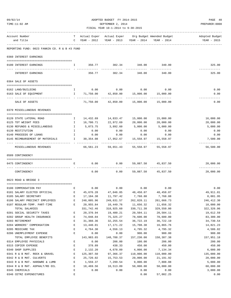|                                                                                                 |              |            | FISCAL YEAR 10-1-2014 to 9-30-2015       |                                |                                                       |                            |
|-------------------------------------------------------------------------------------------------|--------------|------------|------------------------------------------|--------------------------------|-------------------------------------------------------|----------------------------|
| Account Number                                                                                  |              |            |                                          |                                | T Actual Exper Actual Exper Org Budget Amended Budget | Adopted Budget             |
| and Title                                                                                       |              |            | C YEAR - 2012 YEAR - 2013 YEAR - 2014    |                                | YEAR - 2014                                           | YEAR - 2015                |
| REPORTING FUND: 0023 FANNIN CO. R & B #3 FUND                                                   |              |            |                                          |                                |                                                       |                            |
| 0360 INTEREST EARNINGS                                                                          |              |            |                                          |                                |                                                       |                            |
| 0100 INTEREST EARNINGS                                                                          |              |            | $I$ 350.77 302.34 340.00 340.00          |                                |                                                       | 325.00                     |
| INTEREST EARNINGS                                                                               |              |            | 350.77 302.34 340.00 340.00              |                                |                                                       | 325.00                     |
| 0364 SALE OF ASSETS                                                                             |              |            |                                          |                                |                                                       |                            |
| 0162 LAND/BUILDING                                                                              |              |            | $I \t 0.00 \t 0.00 \t 0.00 \t 0.00$ 0.00 |                                |                                                       | 0.00                       |
| 0163 SALE OF EQUIPMENT                                                                          | $\mathbf{I}$ |            | 71,750.00 42,850.00 15,000.00 15,000.00  |                                |                                                       | 0.00                       |
| SALE OF ASSETS                                                                                  |              |            | 71,750.00 42,850.00 15,000.00 15,000.00  |                                |                                                       | ----------<br>0.00         |
| 0370 MISCELLANEOUS REVENUES                                                                     |              |            |                                          |                                |                                                       |                            |
| 0120 STATE LATERAL ROAD                                                                         |              |            | I 14,432.69 14,833.47 15,000.00          |                                | 15,000.00                                             | 16,000.00                  |
| 0125 TDT WEIGHT FEES                                                                            | $\mathbb{I}$ | 16,700.71  | 22,972.69 20,000.00                      |                                | 20,000.00                                             | 28,000.00                  |
| 0130 REFUNDS & MISCELLANEOUS I                                                                  |              | 5,073.75   | 3,892.60                                 | 5,000.00                       | 5,000.00                                              | 5,000.00                   |
| 0139 RESTITUTION                                                                                | $\mathbb{I}$ | 0.00       | 0.00                                     | 0.00                           | 0.00                                                  | 0.00                       |
| 0140 PROCEEDS OF LOANS                                                                          |              | I 0.00     | 0.00                                     | 0.00                           | 0.00                                                  | 0.00                       |
| 0145 REIMBURSEMENT OF MATERIALS I                                                               |              | 30,354.08  | 17,952.67                                | 15,558.97                      | 15,558.97                                             | 7,500.00                   |
| MISCELLANEOUS REVENUES                                                                          |              |            | 66,561.23 59,651.43 55,558.97 55,558.97  |                                |                                                       | -------------<br>56,500.00 |
| 0509 CONTINGENCY                                                                                |              |            |                                          |                                |                                                       |                            |
| 0475 CONTINGENCY                                                                                | E            | 0.00       |                                          | $0.00$ 59,087.50 45,837.50     |                                                       | 20,000.00                  |
| CONTINGENCY                                                                                     |              |            | . _ _ _ _ _ _ _ _ _<br>0.00<br>0.00      | ------------------------------ | 59,087.50 45,837.50                                   | -------------<br>20,000.00 |
| 0623 ROAD & BRIDGE 3                                                                            |              |            |                                          |                                |                                                       |                            |
|                                                                                                 |              |            | 0.00                                     | 0.00                           | 0.00                                                  |                            |
| 0100 COMPENSATION PAY<br>0101 SALARY ELECTED OFFICIAL B 45,676.28 47,046.85 48,458.07 48,458.07 | $\mathbf{E}$ |            |                                          |                                | 0.00                                                  | 0.00<br>49,911.81          |
| 0105 SALARY SECRETARY                                                                           | E            | 17,104.38  | 11,797.42                                | 7,768.88                       | 7,768.88                                              | 8,001.95                   |
| 0106 SALARY PRECINCT EMPLOYEES                                                                  | Е            | 248,005.96 | 249,631.57                               | 262,828.11                     | 261,666.73                                            | 246, 412.30                |
| 0107 REGULAR-TEMP. PART-TIME                                                                    | E            | 20,955.84  | 10,449.76                                | 11,656.32                      | 11,656.32                                             | 18,000.00                  |
| TOTAL SALARIES                                                                                  |              | 331,742.46 | 318,925.60                               | 330,711.38                     | 329,550.00                                            | 322, 326.06                |
| 0201 SOCIAL SECURITY TAXES                                                                      | Е            | 20,370.94  | 19,480.21                                | 20,504.11                      | 20,504.11                                             | 19,612.59                  |
| 0202 GROUP HEALTH INSURANCE                                                                     | Е            | 74,048.04  | 75, 325.27                               | 78,600.00                      | 78,600.00                                             | 83,300.00                  |
| 0203 RETIREMENT                                                                                 | Е            | 31,360.36  | 32, 255.54                               | 36,722.19                      | 36,722.19                                             | 34,730.54                  |
| 0204 WORKERS' COMPENSATION                                                                      | Е            | 13,440.01  | 17,171.22                                | 15,708.38                      | 16,865.76                                             | 14,821.23                  |
| 0205 MEDICARE TAX                                                                               | E            | 4,764.30   | 4,556.13                                 | 4,795.32                       | 4,795.32                                              | 4,586.82                   |
| 0206 UNEMPLOYMENT EXPENSE                                                                       | Е            | 0.00       | 0.00                                     | 900.00                         | 900.00                                                | 900.00                     |
| TOTAL EMPLOYEE BENEFITS                                                                         |              | 143,983.65 | 148,788.37                               | 157,230.00                     | 158,387.38                                            | 157,951.18                 |
| 0314 EMPLOYEE PHYSICALS                                                                         | Е            | 0.00       | 206.00                                   | 180.00                         | 206.00                                                | 200.00                     |
| 0315 COPIER EXPENSE                                                                             | Е            | 378.89     | 438.33                                   | 450.00                         | 450.00                                                | 450.00                     |
| 0340 SHOP SUPPLIES                                                                              | Ε            | 2,132.20   | 4,678.09                                 | 4,000.00                       | 7,134.34                                              | 6,000.00                   |
| 0341 R & B MAT. ROCK & GRAVEL                                                                   | Ε            | 125,307.50 | 97,366.37                                | 110,000.00                     | 110,000.00                                            | 135,000.00                 |
| 0342 R & B MAT. CULVERTS                                                                        | Е            | 25,720.02  | 15,753.53                                | 20,000.00                      | 21, 191.92                                            | 20,000.00                  |
| 0343 R & B MAT. HARDWRE & LUMB                                                                  | Е            | 1,559.37   | 7,299.54                                 | 9,000.00                       | 7,808.08                                              | 5,000.00                   |

0344 R & B MAT. ASPHALT/RD OIL E 18,469.56 10,513.89 50,000.00 50,000.00 60,000.00 0345 CHEMICALS E 0.00 0.00 0.00 0.00 3,000.00 0346 CETRZ EXPENDITURES E 0.00 57,002.25 0.00

09/02/14 ADOPTED BUDGET FY 2014-2015 PAGE 40 TIME:11:02 AM SEPTEMBER 2, 2014 PREPARER:0008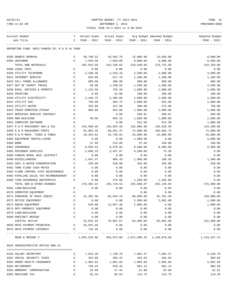## 09/02/14 ADOPTED BUDGET FY 2014-2015 PAGE 41 TIME:11:02 AM SEPTEMBER 2, 2014 PREPARER:0008 FISCAL YEAR 10-1-2014 to 9-30-2015

| Account Number                                                                                                                                                                                                                                                                                                                                                                                             | T.                 |                                                      |                     |                     | Actual Exper Actual Exper Org Budget Amended Budget | Adopted Budget |
|------------------------------------------------------------------------------------------------------------------------------------------------------------------------------------------------------------------------------------------------------------------------------------------------------------------------------------------------------------------------------------------------------------|--------------------|------------------------------------------------------|---------------------|---------------------|-----------------------------------------------------|----------------|
| and Title                                                                                                                                                                                                                                                                                                                                                                                                  | $\mathsf{C}$       | YEAR - 2012                                          |                     |                     | YEAR - 2013 YEAR - 2014 YEAR - 2014                 | YEAR - 2015    |
| REPORTING FUND: 0023 FANNIN CO. R & B #3 FUND                                                                                                                                                                                                                                                                                                                                                              |                    |                                                      |                     |                     |                                                     |                |
|                                                                                                                                                                                                                                                                                                                                                                                                            |                    |                                                      |                     |                     |                                                     |                |
| 0350 DEBRIS REMOVAL                                                                                                                                                                                                                                                                                                                                                                                        | Е                  | 20,708.52                                            | 10,563.79           | 15,000.00           | 14,949.00                                           | 8,000.00       |
| 0395 UNIFORMS                                                                                                                                                                                                                                                                                                                                                                                              | E                  | 7,546.50                                             | 7,620.09            | 8,000.00            | 8,000.00                                            | 6,500.00       |
| TOTAL R&B MATERIALS                                                                                                                                                                                                                                                                                                                                                                                        |                    | 201,822.56                                           | 154,439.63          | 216,630.00          | 276,741.59                                          | 244,150.00     |
| 0400 LEGAL FEES                                                                                                                                                                                                                                                                                                                                                                                            | $\mathbf{E}$       | 0.00                                                 | 0.00                | 0.00                | 0.00                                                | 0.00           |
| 0420 UTILITY TELEPHONE                                                                                                                                                                                                                                                                                                                                                                                     | E                  | 2,108.46                                             | 2,533.10            | 2,500.00            | 2,800.00                                            | 3,000.00       |
| 0421 INTERNET SERVICE                                                                                                                                                                                                                                                                                                                                                                                      | E                  | 910.80                                               | 917.76              | 1,200.00            | 1,200.00                                            | 1,200.00       |
| 0423 CELL PHONE ALLOWANCE                                                                                                                                                                                                                                                                                                                                                                                  | $\mathbf{E}$       | 600.00                                               | 300.00              | 600.00              | 600.00                                              | 600.00         |
| 0427 OUT OF COUNTY TRAVEL                                                                                                                                                                                                                                                                                                                                                                                  | $\mathbf{E}% _{0}$ | 50.00                                                | 1,238.64            | 1,500.00            | 1,500.00                                            | 4,500.00       |
| 0430 BIDS, NOTICES & PERMITS                                                                                                                                                                                                                                                                                                                                                                               | $\mathbf{E}$       | 1,153.50                                             | 756.28              | 1,000.00            | 1,000.00                                            | 1,000.00       |
| 0435 PRINTING                                                                                                                                                                                                                                                                                                                                                                                              | E                  | 0.00                                                 | 42.00               | 100.00              | 100.00                                              | 100.00         |
| 0440 UTILITY ELECTRICITY                                                                                                                                                                                                                                                                                                                                                                                   | $\mathbf{E}$       | 2,439.75                                             | 2,205.66            | 2,600.00            | 2,600.00                                            | 2,600.00       |
| 0441 UTILITY GAS                                                                                                                                                                                                                                                                                                                                                                                           | E                  | 796.00                                               | 584.75              | 1,000.00            | 625.00                                              | 1,000.00       |
| 0442 UTILITY WATER                                                                                                                                                                                                                                                                                                                                                                                         | E                  | 326.09                                               | 327.56              | 400.00              | 475.00                                              | 750.00         |
| 0443 TRASH DUMPSTER PICKUP                                                                                                                                                                                                                                                                                                                                                                                 | Е                  | 888.09                                               | 924.00              | 1,000.00            | 1,000.00                                            | 1,000.00       |
| 0447 REPEATER SERVICE CONTRACT                                                                                                                                                                                                                                                                                                                                                                             | $\mathbf{E}% _{0}$ |                                                      | 0.00                | 558.97              | 558.97                                              | 650.00         |
| 0450 R&M BUILDING                                                                                                                                                                                                                                                                                                                                                                                          | $\mathbf{E}$       | 40.00                                                | 695.15              | 1,000.00            | 1,000.00                                            | 2,500.00       |
| 0453 COMPUTER SOFTWARE                                                                                                                                                                                                                                                                                                                                                                                     | Е                  |                                                      | 0.00                | 912.50              | 912.50                                              | 1,000.00       |
| 0457 R & M MACHINERY GAS & OIL                                                                                                                                                                                                                                                                                                                                                                             | E                  | 145,598.69                                           | 136,953.93          | 155,000.00          | 136,539.59                                          | 144,200.00     |
| 0458 R & M MACHINERY PARTS                                                                                                                                                                                                                                                                                                                                                                                 | E                  | 91,682.45                                            | 60,651.37           | 72,000.00           | 105,803.73                                          | 72,000.00      |
| 0459 R & M MACH. TIRES & TUBES                                                                                                                                                                                                                                                                                                                                                                             | $\mathbf E$        | 18,314.81                                            | 25,750.01           | 25,000.00           | 25,000.00                                           | 25,000.00      |
| 0460 EOUIPMENT RENTAL/LEASE                                                                                                                                                                                                                                                                                                                                                                                | E                  | 0.00                                                 | 0.00                | 1,000.00            | 0.00                                                | 5,000.00       |
| 0480 BOND                                                                                                                                                                                                                                                                                                                                                                                                  | $\mathbf{E}% _{0}$ | 37.50                                                | 215.00              | 37.50               | 150.00                                              | 150.00         |
| 0482 INSURANCE                                                                                                                                                                                                                                                                                                                                                                                             | E                  | 6,956.52                                             | 6,578.93            | 8,500.00            | 8,500.00                                            | 8,500.00       |
| 0485 PRISONER SUPPLIES                                                                                                                                                                                                                                                                                                                                                                                     | E                  | 2,688.19                                             | 3,427.07            | 4,200.00            | 75.28                                               | 0.00           |
| 0488 FANNIN RURAL RAIL DISTRICT                                                                                                                                                                                                                                                                                                                                                                            | $\mathbf{E}$       | 0.00                                                 | 0.00                | 0.00                | 0.00                                                | 0.00           |
| 0490 MISCELLANEOUS                                                                                                                                                                                                                                                                                                                                                                                         | $\mathbf{E}$       | 1,641.47                                             | 888.43              | 1,000.00            | 196.56                                              | 1,500.00       |
| 0491 SOIL & WATER CONSERVATION                                                                                                                                                                                                                                                                                                                                                                             | E                  | 250.00                                               | 250.00              | 250.00              | 250.00                                              | 250.00         |
| 0492 TDRA FLOOD CASH MATCH                                                                                                                                                                                                                                                                                                                                                                                 | Е                  | 0.00                                                 | 0.00                | 0.00                | 0.00                                                | 0.00           |
| 0494 FLOOD CONTROL SITE MAINTENANCE                                                                                                                                                                                                                                                                                                                                                                        | Е                  | 0.00                                                 | 0.00                | 0.00                | 0.00                                                | 0.00           |
| 0495 PIPELINE SALES TAX REIMBURSEMENT                                                                                                                                                                                                                                                                                                                                                                      | Е                  | 0.00                                                 | 0.00                | 0.00                | 0.00                                                | 0.00           |
| 0496 TCOG HAZARDOUS WASTEMATCH                                                                                                                                                                                                                                                                                                                                                                             | Е                  | 0.00                                                 | 479.89              | 1,250.00            | 1,250.00                                            | 0.00           |
| TOTAL SER.& OTHER CHARGES                                                                                                                                                                                                                                                                                                                                                                                  |                    | 276,482.32                                           | 245,719.53          | 282,608.97          | 292,136.63                                          | 276,500.00     |
| 0562 LAND/BUILDING                                                                                                                                                                                                                                                                                                                                                                                         | E                  | 0.00                                                 | 0.00                | 0.00                | 0.00                                                | 0.00           |
| 0570 COMPUTER EQUIPMENT                                                                                                                                                                                                                                                                                                                                                                                    | E                  |                                                      |                     | 0.00                | 0.00                                                | 0.00           |
| 0571 PURCHASE OF MACH./EOUIP.                                                                                                                                                                                                                                                                                                                                                                              |                    | E 31,282.36 65,944.19                                |                     | 80,000.00           | 81,781.40                                           | 150,000.00     |
| 0572 OFFICE EQUIPMENT                                                                                                                                                                                                                                                                                                                                                                                      |                    | E 0.00                                               | 0.00                | 2,500.00            | 2,081.60                                            | 1,500.00       |
| 0573 RADIO EQUIPMENT                                                                                                                                                                                                                                                                                                                                                                                       | Е                  | 549.80                                               | 12,857.48           | 2,000.00            | 0.00                                                | 1,000.00       |
| 0574 DPS FORENSIC EOUIPMENT                                                                                                                                                                                                                                                                                                                                                                                | $\mathbf{E}$       | 0.00                                                 | 0.00                | 0.00                | 0.00                                                | 0.00           |
| 0575 LAND/BUILDING                                                                                                                                                                                                                                                                                                                                                                                         | E                  | 0.00                                                 | 0.00                | 0.00                | 0.00                                                | 0.00           |
| 0580 PRECINCT BRIDGE                                                                                                                                                                                                                                                                                                                                                                                       | E                  | 0.00                                                 | 0.00                | 0.00                | 0.00                                                | 0.00           |
| CAPITAL OUTLAY                                                                                                                                                                                                                                                                                                                                                                                             |                    |                                                      | 31,832.16 78,801.67 | 84,500.00 83,863.00 |                                                     | 152,500.00     |
| 0630 NOTE PAYMENT-PRINCIPAL                                                                                                                                                                                                                                                                                                                                                                                | $\mathbf{E}$       | 35,941.50                                            | 0.00                | 0.00                | 0.00                                                | 0.00           |
| 0670 NOTE PAYMENT-INTEREST                                                                                                                                                                                                                                                                                                                                                                                 |                    | E 724.35                                             | 0.00                | 0.00                | 0.00                                                | 0.00           |
|                                                                                                                                                                                                                                                                                                                                                                                                            |                    |                                                      |                     |                     | ------------------------------                      | -------------  |
| ROAD & BRIDGE 3                                                                                                                                                                                                                                                                                                                                                                                            |                    | 1,022,529.00  946,674.80  1,071,680.35  1,140,678.60 |                     |                     |                                                     | 1,153,427.24   |
| 0625 ADMINISTRATIVE OFFICE R&B #3                                                                                                                                                                                                                                                                                                                                                                          |                    |                                                      |                     |                     |                                                     |                |
| $\hskip-20pt\hskip-2pt\hskip-2pt\hskip-2pt\hskip-2pt\hskip-2pt\hskip-2pt\hskip-2pt\hskip-2pt\hskip-2pt\hskip-2pt\hskip-2pt\hskip-2pt\hskip-2pt\hskip-2pt\hskip-2pt\hskip-2pt\hskip-2pt\hskip-2pt\hskip-2pt\hskip-2pt\hskip-2pt\hskip-2pt\hskip-2pt\hskip-2pt\hskip-2pt\hskip-2pt\hskip-2pt\hskip-2pt\hskip-2pt\hskip-2pt\hskip-2pt\hskip-2pt\hskip-2pt\hskip-2pt\hskip-2pt\hskip$<br>0105 SALARY SECRETARY | Е                  | 7,523.10                                             | 7,748.78            | 7,981.27            | 7,981.27                                            | 8,220.70       |
| 0201 SOCIAL SECURITY TAXES                                                                                                                                                                                                                                                                                                                                                                                 | $\mathbf{E}$       | 352.86                                               | 363.32              | 494.84              | 494.84                                              | 509.68         |
| 0202 GROUP HEALTH INSURANCE                                                                                                                                                                                                                                                                                                                                                                                | E                  | 1,682.92                                             | 1,861.84            | 1,965.00            | 1,965.00                                            | 2,082.50       |
| 0203 RETIREMENT                                                                                                                                                                                                                                                                                                                                                                                            | $\mathbf{E}$       | 759.24                                               | 810.42              | 881.13              | 881.13                                              | 904.28         |
|                                                                                                                                                                                                                                                                                                                                                                                                            | $\mathbf E$        | 42.88                                                | 47.44               | 51.08               |                                                     | 52.61          |
| 0204 WORKERS' COMPENSATION<br>0205 MEDICARE TAX                                                                                                                                                                                                                                                                                                                                                            | $\mathbf{E}$       | 82.44                                                | 85.04               | 115.73              | 55.08<br>115.73                                     | 119.20         |
|                                                                                                                                                                                                                                                                                                                                                                                                            |                    |                                                      |                     |                     |                                                     |                |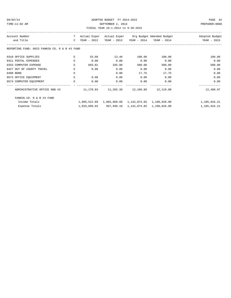## 09/02/14 ADOPTED BUDGET FY 2014-2015 PAGE 42 TIME:11:02 AM SEPTEMBER 2, 2014 PREPARER:0008 FISCAL YEAR 10-1-2014 to 9-30-2015

| Account Number                                | T             | Actual Exper |                                                        |        | Actual Exper Org Budget Amended Budget | Adopted Budget |
|-----------------------------------------------|---------------|--------------|--------------------------------------------------------|--------|----------------------------------------|----------------|
| and Title                                     | $\mathcal{C}$ | YEAR - 2012  | YEAR - 2013                                            |        | YEAR - 2014 YEAR - 2014                | YEAR - 2015    |
| REPORTING FUND: 0023 FANNIN CO. R & B #3 FUND |               |              |                                                        |        |                                        |                |
| 0310 OFFICE SUPPLIES                          |               | 33.68        | 13.46                                                  | 100.00 | 100.00                                 | 100.00         |
| 0311 POSTAL EXPENSES                          | E.            | 0.00         | 0.00                                                   | 0.00   | 0.00                                   | 0.00           |
| 0353 COMPUTER EXPENSE                         | E.            | 693.81       | 335.00                                                 | 500.00 | 500.00                                 | 500.00         |
| 0427 OUT OF COUNTY TRAVEL                     | E             | 0.00         | 0.00                                                   | 0.00   | 0.00                                   | 0.00           |
| 0480 BOND                                     | Е.            |              | 0.00                                                   | 17.75  | 17.75                                  | 0.00           |
| 0572 OFFICE EQUIPMENT                         | E.            | 0.00         | 0.00                                                   | 0.00   | 0.00                                   | 0.00           |
| 0574 COMPUTER EQUIPMENT                       | E.            | 0.00         | 0.00                                                   | 0.00   | 0.00                                   | 0.00           |
| ADMINISTRATIVE OFFICE R&B #3                  |               |              | $11,170.93$ $11,265.30$ $12,106.80$                    |        | 12,110.80                              | 12,488.97      |
| FANNIN CO. R & B #3 FUND                      |               |              |                                                        |        |                                        |                |
| Income Totals                                 |               |              | 1,095,512.89  1,065,669.09  1,142,874.65  1,198,626.90 |        |                                        | 1,185,916.21   |
| Expense Totals                                |               | 1,033,699.93 | 957,940.10                                             |        | 1, 142, 874. 65 1, 198, 626. 90        | 1,185,916.21   |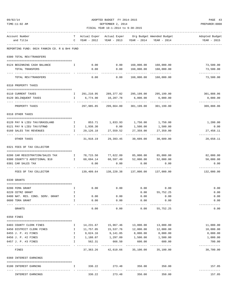## ADOPTED BUDGET FY 2014-2015 PAGE 43 TIME:11:02 AM SEPTEMBER 2, 2014 PREPARER:0008 FISCAL YEAR 10-1-2014 to 9-30-2015

| T Actual Exper Actual Exper Org Budget Amended Budget<br>Account Number<br>Adopted Budget<br>$C$ YEAR - 2012<br>YEAR - 2013 YEAR - 2014 YEAR - 2014<br>YEAR - 2015<br>and Title<br>REPORTING FUND: 0024 FANNIN CO. R & B#4 FUND<br>0300 TOTAL REV/TRANSFERS<br>0.00<br>$0.00$ $160,000.00$ $160,000.00$<br>73,500.00<br>0124 BEGINNING CASH BALANCE<br>$\mathbf{I}$ and $\mathbf{I}$ and $\mathbf{I}$<br>0.00<br>$0.00$ $160,000.00$ $160,000.00$<br>73,500.00<br>TOTAL TRANSFERS<br>-----------<br>$0.00$ $160,000.00$ $160,000.00$<br>73,500.00<br>TOTAL REV/TRANSFERS<br>0.00<br>0310 PROPERTY TAXES<br>I 291,210.95 289,377.02 295,199.00 295,199.00<br>301,888.06<br>0110 CURRENT TAXES<br>I 6,774.90 10,287.78 6,000.00 6,000.00<br>0120 DELINQUENT TAXES<br>8,000.00<br>-------------<br>297,985.85 299,664.80 301,199.00<br>309,888.06<br>PROPERTY TAXES<br>301,199.00<br>0318 OTHER TAXES<br>0120 PAY N LIEU TAX/GRASSLAND 1 853.71 1,833.93 1,750.00 1,750.00<br>1,200.00<br>0121 PAY N LIEU TAX/UTRWD<br>$I = 1,938.30$ 0.00<br>1,500.00 1,500.00<br>0.00<br>27,559.52<br>27,359.00<br>0160 SALES TAX REVENUES<br>I 29,126.18<br>27,359.00<br>27,458.11<br>- -------------<br>-------------<br>-----------<br>.<br>-------------<br>31,918.19 29,393.45 30,609.00 30,609.00<br>28,658.11<br>OTHER TAXES<br>0321 FEES OF TAX COLLECTOR<br>0200 CAR REGISTRATION/SALES TAX 1 78,715.50 77,622.89 85,000.00 85,000.00<br>82,000.00<br>0300 COUNTY'S ADDITIONAL \$10 1 60,694.14<br>60,597.49<br>52,000.00<br>52,000.00<br>50,000.00<br>0301 CAR SALES TAX<br>0.00<br>0.00<br>0.00<br>0.00<br>0.00<br>-------------<br>139,409.64 138,220.38 137,000.00 137,000.00<br>132,000.00<br>FEES OF TAX COLLECTOR<br>0330 GRANTS<br>$0.00$ 0.00<br>0.00<br>0.00<br>0.00<br>0200 FEMA GRANT<br>$\mathbf{I}$<br>0.00<br>0220 CETRZ GRANT<br>55,752.25<br>0.00<br>Ι.<br>0.00<br>0.00<br>0.00<br>0.00<br>0.00<br>0400 NAT. RES. CONS. SERV. GRANT<br>I<br>0.00<br>0.00<br>0.00<br>0.00<br>0.00<br>0600 TDRA GRANT<br>------------<br>0.00<br>0.00<br>0.00<br>55,752.25<br>0.00<br>GRANTS<br>0350 FINES<br>0403 COUNTY CLERK FINES<br>14,231.67<br>15,967.46<br>13,000.00<br>13,000.00<br>11,000.00<br>I.<br>0450 DISTRICT CLERK FINES<br>11,757.05<br>15,537.76<br>12,000.00<br>10,000.00<br>$\mathbf{I}$<br>12,000.00<br>0455 J. P. #1 FINES<br>9,624.16<br>9,141.85<br>8,000.00<br>8,000.00<br>8,000.00<br>I.<br>0456 J. P. #2 FINES<br>1,188.07 1,297.09<br>1,500.00<br>1,500.00<br>1,000.00<br>I<br>0457 J. P. #3 FINES<br>562.31<br>666.50<br>600.00<br>600.00<br>700.00<br>Ι.<br>. <u>.</u> .<br>-------------<br>----------<br>-------------<br>30,700.00<br>FINES<br>37,363.26<br>42,610.66<br>35,100.00<br>35,100.00<br>0360 INTEREST EARNINGS<br>330.22<br>350.00<br>273.48<br>350.00<br>157.85<br>0100 INTEREST EARNING<br>Ι.<br>---------<br>157.85<br>330.22<br>273.48<br>350.00<br>350.00<br>INTEREST EARNINGS |  |  |  |  |
|-------------------------------------------------------------------------------------------------------------------------------------------------------------------------------------------------------------------------------------------------------------------------------------------------------------------------------------------------------------------------------------------------------------------------------------------------------------------------------------------------------------------------------------------------------------------------------------------------------------------------------------------------------------------------------------------------------------------------------------------------------------------------------------------------------------------------------------------------------------------------------------------------------------------------------------------------------------------------------------------------------------------------------------------------------------------------------------------------------------------------------------------------------------------------------------------------------------------------------------------------------------------------------------------------------------------------------------------------------------------------------------------------------------------------------------------------------------------------------------------------------------------------------------------------------------------------------------------------------------------------------------------------------------------------------------------------------------------------------------------------------------------------------------------------------------------------------------------------------------------------------------------------------------------------------------------------------------------------------------------------------------------------------------------------------------------------------------------------------------------------------------------------------------------------------------------------------------------------------------------------------------------------------------------------------------------------------------------------------------------------------------------------------------------------------------------------------------------------------------------------------------------------------------------------------------------------------------------------------------------------------------------------------------------------------------------------------------------------------------------------------------------------------------------------------------------------------------------------------------------------------------------------------------------------|--|--|--|--|
|                                                                                                                                                                                                                                                                                                                                                                                                                                                                                                                                                                                                                                                                                                                                                                                                                                                                                                                                                                                                                                                                                                                                                                                                                                                                                                                                                                                                                                                                                                                                                                                                                                                                                                                                                                                                                                                                                                                                                                                                                                                                                                                                                                                                                                                                                                                                                                                                                                                                                                                                                                                                                                                                                                                                                                                                                                                                                                                         |  |  |  |  |
|                                                                                                                                                                                                                                                                                                                                                                                                                                                                                                                                                                                                                                                                                                                                                                                                                                                                                                                                                                                                                                                                                                                                                                                                                                                                                                                                                                                                                                                                                                                                                                                                                                                                                                                                                                                                                                                                                                                                                                                                                                                                                                                                                                                                                                                                                                                                                                                                                                                                                                                                                                                                                                                                                                                                                                                                                                                                                                                         |  |  |  |  |
|                                                                                                                                                                                                                                                                                                                                                                                                                                                                                                                                                                                                                                                                                                                                                                                                                                                                                                                                                                                                                                                                                                                                                                                                                                                                                                                                                                                                                                                                                                                                                                                                                                                                                                                                                                                                                                                                                                                                                                                                                                                                                                                                                                                                                                                                                                                                                                                                                                                                                                                                                                                                                                                                                                                                                                                                                                                                                                                         |  |  |  |  |
|                                                                                                                                                                                                                                                                                                                                                                                                                                                                                                                                                                                                                                                                                                                                                                                                                                                                                                                                                                                                                                                                                                                                                                                                                                                                                                                                                                                                                                                                                                                                                                                                                                                                                                                                                                                                                                                                                                                                                                                                                                                                                                                                                                                                                                                                                                                                                                                                                                                                                                                                                                                                                                                                                                                                                                                                                                                                                                                         |  |  |  |  |
|                                                                                                                                                                                                                                                                                                                                                                                                                                                                                                                                                                                                                                                                                                                                                                                                                                                                                                                                                                                                                                                                                                                                                                                                                                                                                                                                                                                                                                                                                                                                                                                                                                                                                                                                                                                                                                                                                                                                                                                                                                                                                                                                                                                                                                                                                                                                                                                                                                                                                                                                                                                                                                                                                                                                                                                                                                                                                                                         |  |  |  |  |
|                                                                                                                                                                                                                                                                                                                                                                                                                                                                                                                                                                                                                                                                                                                                                                                                                                                                                                                                                                                                                                                                                                                                                                                                                                                                                                                                                                                                                                                                                                                                                                                                                                                                                                                                                                                                                                                                                                                                                                                                                                                                                                                                                                                                                                                                                                                                                                                                                                                                                                                                                                                                                                                                                                                                                                                                                                                                                                                         |  |  |  |  |
|                                                                                                                                                                                                                                                                                                                                                                                                                                                                                                                                                                                                                                                                                                                                                                                                                                                                                                                                                                                                                                                                                                                                                                                                                                                                                                                                                                                                                                                                                                                                                                                                                                                                                                                                                                                                                                                                                                                                                                                                                                                                                                                                                                                                                                                                                                                                                                                                                                                                                                                                                                                                                                                                                                                                                                                                                                                                                                                         |  |  |  |  |
|                                                                                                                                                                                                                                                                                                                                                                                                                                                                                                                                                                                                                                                                                                                                                                                                                                                                                                                                                                                                                                                                                                                                                                                                                                                                                                                                                                                                                                                                                                                                                                                                                                                                                                                                                                                                                                                                                                                                                                                                                                                                                                                                                                                                                                                                                                                                                                                                                                                                                                                                                                                                                                                                                                                                                                                                                                                                                                                         |  |  |  |  |
|                                                                                                                                                                                                                                                                                                                                                                                                                                                                                                                                                                                                                                                                                                                                                                                                                                                                                                                                                                                                                                                                                                                                                                                                                                                                                                                                                                                                                                                                                                                                                                                                                                                                                                                                                                                                                                                                                                                                                                                                                                                                                                                                                                                                                                                                                                                                                                                                                                                                                                                                                                                                                                                                                                                                                                                                                                                                                                                         |  |  |  |  |
|                                                                                                                                                                                                                                                                                                                                                                                                                                                                                                                                                                                                                                                                                                                                                                                                                                                                                                                                                                                                                                                                                                                                                                                                                                                                                                                                                                                                                                                                                                                                                                                                                                                                                                                                                                                                                                                                                                                                                                                                                                                                                                                                                                                                                                                                                                                                                                                                                                                                                                                                                                                                                                                                                                                                                                                                                                                                                                                         |  |  |  |  |
|                                                                                                                                                                                                                                                                                                                                                                                                                                                                                                                                                                                                                                                                                                                                                                                                                                                                                                                                                                                                                                                                                                                                                                                                                                                                                                                                                                                                                                                                                                                                                                                                                                                                                                                                                                                                                                                                                                                                                                                                                                                                                                                                                                                                                                                                                                                                                                                                                                                                                                                                                                                                                                                                                                                                                                                                                                                                                                                         |  |  |  |  |
|                                                                                                                                                                                                                                                                                                                                                                                                                                                                                                                                                                                                                                                                                                                                                                                                                                                                                                                                                                                                                                                                                                                                                                                                                                                                                                                                                                                                                                                                                                                                                                                                                                                                                                                                                                                                                                                                                                                                                                                                                                                                                                                                                                                                                                                                                                                                                                                                                                                                                                                                                                                                                                                                                                                                                                                                                                                                                                                         |  |  |  |  |
|                                                                                                                                                                                                                                                                                                                                                                                                                                                                                                                                                                                                                                                                                                                                                                                                                                                                                                                                                                                                                                                                                                                                                                                                                                                                                                                                                                                                                                                                                                                                                                                                                                                                                                                                                                                                                                                                                                                                                                                                                                                                                                                                                                                                                                                                                                                                                                                                                                                                                                                                                                                                                                                                                                                                                                                                                                                                                                                         |  |  |  |  |
|                                                                                                                                                                                                                                                                                                                                                                                                                                                                                                                                                                                                                                                                                                                                                                                                                                                                                                                                                                                                                                                                                                                                                                                                                                                                                                                                                                                                                                                                                                                                                                                                                                                                                                                                                                                                                                                                                                                                                                                                                                                                                                                                                                                                                                                                                                                                                                                                                                                                                                                                                                                                                                                                                                                                                                                                                                                                                                                         |  |  |  |  |
|                                                                                                                                                                                                                                                                                                                                                                                                                                                                                                                                                                                                                                                                                                                                                                                                                                                                                                                                                                                                                                                                                                                                                                                                                                                                                                                                                                                                                                                                                                                                                                                                                                                                                                                                                                                                                                                                                                                                                                                                                                                                                                                                                                                                                                                                                                                                                                                                                                                                                                                                                                                                                                                                                                                                                                                                                                                                                                                         |  |  |  |  |
|                                                                                                                                                                                                                                                                                                                                                                                                                                                                                                                                                                                                                                                                                                                                                                                                                                                                                                                                                                                                                                                                                                                                                                                                                                                                                                                                                                                                                                                                                                                                                                                                                                                                                                                                                                                                                                                                                                                                                                                                                                                                                                                                                                                                                                                                                                                                                                                                                                                                                                                                                                                                                                                                                                                                                                                                                                                                                                                         |  |  |  |  |
|                                                                                                                                                                                                                                                                                                                                                                                                                                                                                                                                                                                                                                                                                                                                                                                                                                                                                                                                                                                                                                                                                                                                                                                                                                                                                                                                                                                                                                                                                                                                                                                                                                                                                                                                                                                                                                                                                                                                                                                                                                                                                                                                                                                                                                                                                                                                                                                                                                                                                                                                                                                                                                                                                                                                                                                                                                                                                                                         |  |  |  |  |
|                                                                                                                                                                                                                                                                                                                                                                                                                                                                                                                                                                                                                                                                                                                                                                                                                                                                                                                                                                                                                                                                                                                                                                                                                                                                                                                                                                                                                                                                                                                                                                                                                                                                                                                                                                                                                                                                                                                                                                                                                                                                                                                                                                                                                                                                                                                                                                                                                                                                                                                                                                                                                                                                                                                                                                                                                                                                                                                         |  |  |  |  |
|                                                                                                                                                                                                                                                                                                                                                                                                                                                                                                                                                                                                                                                                                                                                                                                                                                                                                                                                                                                                                                                                                                                                                                                                                                                                                                                                                                                                                                                                                                                                                                                                                                                                                                                                                                                                                                                                                                                                                                                                                                                                                                                                                                                                                                                                                                                                                                                                                                                                                                                                                                                                                                                                                                                                                                                                                                                                                                                         |  |  |  |  |
|                                                                                                                                                                                                                                                                                                                                                                                                                                                                                                                                                                                                                                                                                                                                                                                                                                                                                                                                                                                                                                                                                                                                                                                                                                                                                                                                                                                                                                                                                                                                                                                                                                                                                                                                                                                                                                                                                                                                                                                                                                                                                                                                                                                                                                                                                                                                                                                                                                                                                                                                                                                                                                                                                                                                                                                                                                                                                                                         |  |  |  |  |
|                                                                                                                                                                                                                                                                                                                                                                                                                                                                                                                                                                                                                                                                                                                                                                                                                                                                                                                                                                                                                                                                                                                                                                                                                                                                                                                                                                                                                                                                                                                                                                                                                                                                                                                                                                                                                                                                                                                                                                                                                                                                                                                                                                                                                                                                                                                                                                                                                                                                                                                                                                                                                                                                                                                                                                                                                                                                                                                         |  |  |  |  |
|                                                                                                                                                                                                                                                                                                                                                                                                                                                                                                                                                                                                                                                                                                                                                                                                                                                                                                                                                                                                                                                                                                                                                                                                                                                                                                                                                                                                                                                                                                                                                                                                                                                                                                                                                                                                                                                                                                                                                                                                                                                                                                                                                                                                                                                                                                                                                                                                                                                                                                                                                                                                                                                                                                                                                                                                                                                                                                                         |  |  |  |  |
|                                                                                                                                                                                                                                                                                                                                                                                                                                                                                                                                                                                                                                                                                                                                                                                                                                                                                                                                                                                                                                                                                                                                                                                                                                                                                                                                                                                                                                                                                                                                                                                                                                                                                                                                                                                                                                                                                                                                                                                                                                                                                                                                                                                                                                                                                                                                                                                                                                                                                                                                                                                                                                                                                                                                                                                                                                                                                                                         |  |  |  |  |
|                                                                                                                                                                                                                                                                                                                                                                                                                                                                                                                                                                                                                                                                                                                                                                                                                                                                                                                                                                                                                                                                                                                                                                                                                                                                                                                                                                                                                                                                                                                                                                                                                                                                                                                                                                                                                                                                                                                                                                                                                                                                                                                                                                                                                                                                                                                                                                                                                                                                                                                                                                                                                                                                                                                                                                                                                                                                                                                         |  |  |  |  |
|                                                                                                                                                                                                                                                                                                                                                                                                                                                                                                                                                                                                                                                                                                                                                                                                                                                                                                                                                                                                                                                                                                                                                                                                                                                                                                                                                                                                                                                                                                                                                                                                                                                                                                                                                                                                                                                                                                                                                                                                                                                                                                                                                                                                                                                                                                                                                                                                                                                                                                                                                                                                                                                                                                                                                                                                                                                                                                                         |  |  |  |  |
|                                                                                                                                                                                                                                                                                                                                                                                                                                                                                                                                                                                                                                                                                                                                                                                                                                                                                                                                                                                                                                                                                                                                                                                                                                                                                                                                                                                                                                                                                                                                                                                                                                                                                                                                                                                                                                                                                                                                                                                                                                                                                                                                                                                                                                                                                                                                                                                                                                                                                                                                                                                                                                                                                                                                                                                                                                                                                                                         |  |  |  |  |
|                                                                                                                                                                                                                                                                                                                                                                                                                                                                                                                                                                                                                                                                                                                                                                                                                                                                                                                                                                                                                                                                                                                                                                                                                                                                                                                                                                                                                                                                                                                                                                                                                                                                                                                                                                                                                                                                                                                                                                                                                                                                                                                                                                                                                                                                                                                                                                                                                                                                                                                                                                                                                                                                                                                                                                                                                                                                                                                         |  |  |  |  |
|                                                                                                                                                                                                                                                                                                                                                                                                                                                                                                                                                                                                                                                                                                                                                                                                                                                                                                                                                                                                                                                                                                                                                                                                                                                                                                                                                                                                                                                                                                                                                                                                                                                                                                                                                                                                                                                                                                                                                                                                                                                                                                                                                                                                                                                                                                                                                                                                                                                                                                                                                                                                                                                                                                                                                                                                                                                                                                                         |  |  |  |  |
|                                                                                                                                                                                                                                                                                                                                                                                                                                                                                                                                                                                                                                                                                                                                                                                                                                                                                                                                                                                                                                                                                                                                                                                                                                                                                                                                                                                                                                                                                                                                                                                                                                                                                                                                                                                                                                                                                                                                                                                                                                                                                                                                                                                                                                                                                                                                                                                                                                                                                                                                                                                                                                                                                                                                                                                                                                                                                                                         |  |  |  |  |
|                                                                                                                                                                                                                                                                                                                                                                                                                                                                                                                                                                                                                                                                                                                                                                                                                                                                                                                                                                                                                                                                                                                                                                                                                                                                                                                                                                                                                                                                                                                                                                                                                                                                                                                                                                                                                                                                                                                                                                                                                                                                                                                                                                                                                                                                                                                                                                                                                                                                                                                                                                                                                                                                                                                                                                                                                                                                                                                         |  |  |  |  |
|                                                                                                                                                                                                                                                                                                                                                                                                                                                                                                                                                                                                                                                                                                                                                                                                                                                                                                                                                                                                                                                                                                                                                                                                                                                                                                                                                                                                                                                                                                                                                                                                                                                                                                                                                                                                                                                                                                                                                                                                                                                                                                                                                                                                                                                                                                                                                                                                                                                                                                                                                                                                                                                                                                                                                                                                                                                                                                                         |  |  |  |  |
|                                                                                                                                                                                                                                                                                                                                                                                                                                                                                                                                                                                                                                                                                                                                                                                                                                                                                                                                                                                                                                                                                                                                                                                                                                                                                                                                                                                                                                                                                                                                                                                                                                                                                                                                                                                                                                                                                                                                                                                                                                                                                                                                                                                                                                                                                                                                                                                                                                                                                                                                                                                                                                                                                                                                                                                                                                                                                                                         |  |  |  |  |
|                                                                                                                                                                                                                                                                                                                                                                                                                                                                                                                                                                                                                                                                                                                                                                                                                                                                                                                                                                                                                                                                                                                                                                                                                                                                                                                                                                                                                                                                                                                                                                                                                                                                                                                                                                                                                                                                                                                                                                                                                                                                                                                                                                                                                                                                                                                                                                                                                                                                                                                                                                                                                                                                                                                                                                                                                                                                                                                         |  |  |  |  |
|                                                                                                                                                                                                                                                                                                                                                                                                                                                                                                                                                                                                                                                                                                                                                                                                                                                                                                                                                                                                                                                                                                                                                                                                                                                                                                                                                                                                                                                                                                                                                                                                                                                                                                                                                                                                                                                                                                                                                                                                                                                                                                                                                                                                                                                                                                                                                                                                                                                                                                                                                                                                                                                                                                                                                                                                                                                                                                                         |  |  |  |  |
|                                                                                                                                                                                                                                                                                                                                                                                                                                                                                                                                                                                                                                                                                                                                                                                                                                                                                                                                                                                                                                                                                                                                                                                                                                                                                                                                                                                                                                                                                                                                                                                                                                                                                                                                                                                                                                                                                                                                                                                                                                                                                                                                                                                                                                                                                                                                                                                                                                                                                                                                                                                                                                                                                                                                                                                                                                                                                                                         |  |  |  |  |
|                                                                                                                                                                                                                                                                                                                                                                                                                                                                                                                                                                                                                                                                                                                                                                                                                                                                                                                                                                                                                                                                                                                                                                                                                                                                                                                                                                                                                                                                                                                                                                                                                                                                                                                                                                                                                                                                                                                                                                                                                                                                                                                                                                                                                                                                                                                                                                                                                                                                                                                                                                                                                                                                                                                                                                                                                                                                                                                         |  |  |  |  |
|                                                                                                                                                                                                                                                                                                                                                                                                                                                                                                                                                                                                                                                                                                                                                                                                                                                                                                                                                                                                                                                                                                                                                                                                                                                                                                                                                                                                                                                                                                                                                                                                                                                                                                                                                                                                                                                                                                                                                                                                                                                                                                                                                                                                                                                                                                                                                                                                                                                                                                                                                                                                                                                                                                                                                                                                                                                                                                                         |  |  |  |  |
|                                                                                                                                                                                                                                                                                                                                                                                                                                                                                                                                                                                                                                                                                                                                                                                                                                                                                                                                                                                                                                                                                                                                                                                                                                                                                                                                                                                                                                                                                                                                                                                                                                                                                                                                                                                                                                                                                                                                                                                                                                                                                                                                                                                                                                                                                                                                                                                                                                                                                                                                                                                                                                                                                                                                                                                                                                                                                                                         |  |  |  |  |
|                                                                                                                                                                                                                                                                                                                                                                                                                                                                                                                                                                                                                                                                                                                                                                                                                                                                                                                                                                                                                                                                                                                                                                                                                                                                                                                                                                                                                                                                                                                                                                                                                                                                                                                                                                                                                                                                                                                                                                                                                                                                                                                                                                                                                                                                                                                                                                                                                                                                                                                                                                                                                                                                                                                                                                                                                                                                                                                         |  |  |  |  |
|                                                                                                                                                                                                                                                                                                                                                                                                                                                                                                                                                                                                                                                                                                                                                                                                                                                                                                                                                                                                                                                                                                                                                                                                                                                                                                                                                                                                                                                                                                                                                                                                                                                                                                                                                                                                                                                                                                                                                                                                                                                                                                                                                                                                                                                                                                                                                                                                                                                                                                                                                                                                                                                                                                                                                                                                                                                                                                                         |  |  |  |  |
|                                                                                                                                                                                                                                                                                                                                                                                                                                                                                                                                                                                                                                                                                                                                                                                                                                                                                                                                                                                                                                                                                                                                                                                                                                                                                                                                                                                                                                                                                                                                                                                                                                                                                                                                                                                                                                                                                                                                                                                                                                                                                                                                                                                                                                                                                                                                                                                                                                                                                                                                                                                                                                                                                                                                                                                                                                                                                                                         |  |  |  |  |
|                                                                                                                                                                                                                                                                                                                                                                                                                                                                                                                                                                                                                                                                                                                                                                                                                                                                                                                                                                                                                                                                                                                                                                                                                                                                                                                                                                                                                                                                                                                                                                                                                                                                                                                                                                                                                                                                                                                                                                                                                                                                                                                                                                                                                                                                                                                                                                                                                                                                                                                                                                                                                                                                                                                                                                                                                                                                                                                         |  |  |  |  |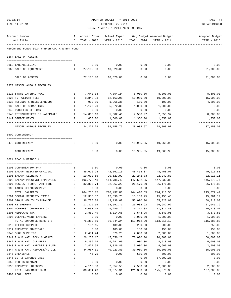| 09/02/14                                                       |  |              | ADOPTED BUDGET FY 2014-2015        | PAGE 44                       |                                     |                                                       |                               |
|----------------------------------------------------------------|--|--------------|------------------------------------|-------------------------------|-------------------------------------|-------------------------------------------------------|-------------------------------|
| TIME:11:02 AM                                                  |  |              | SEPTEMBER 2, 2014                  | PREPARER: 0008                |                                     |                                                       |                               |
|                                                                |  |              | FISCAL YEAR 10-1-2014 to 9-30-2015 |                               |                                     |                                                       |                               |
|                                                                |  |              |                                    |                               |                                     |                                                       |                               |
| Account Number<br>and Title                                    |  |              | C YEAR - 2012                      |                               | YEAR - 2013 YEAR - 2014 YEAR - 2014 | T Actual Exper Actual Exper Org Budget Amended Budget | Adopted Budget<br>YEAR - 2015 |
|                                                                |  |              |                                    |                               |                                     |                                                       |                               |
| REPORTING FUND: 0024 FANNIN CO. R & B#4 FUND                   |  |              |                                    |                               |                                     |                                                       |                               |
| 0364 SALE OF ASSETS                                            |  |              |                                    |                               |                                     |                                                       |                               |
|                                                                |  |              |                                    |                               |                                     |                                                       |                               |
| 0162 LAND/BUILDING                                             |  | $\mathbf{I}$ | 0.00                               | 0.00                          | 0.00                                | 0.00                                                  | 0.00                          |
| 0163 SALE OF EQUIPMENT                                         |  | $\mathbf{I}$ |                                    | 27,105.00 10,320.00           | 0.00                                | 0.00                                                  | 21,000.00<br>-------------    |
| SALE OF ASSETS                                                 |  |              | 27,105.00                          | 10,320.00                     | 0.00                                | 0.00                                                  | 21,000.00                     |
| 0370 MISCELLANEOUS REVENUES                                    |  |              |                                    |                               |                                     |                                                       |                               |
|                                                                |  |              |                                    |                               |                                     |                                                       |                               |
| 0120 STATE LATERAL ROAD                                        |  | Ι.           |                                    | 7,642.03 7,854.24 8,000.00    |                                     | 8,000.00                                              | 8,600.00                      |
| 0125 TDT WEIGHT FEES                                           |  | $\mathbb{I}$ |                                    | 8,842.93 12,163.91            | 10,000.00                           | 10,000.00                                             | 15,000.00                     |
| 0130 REFUNDS & MISCELLANEOUS I                                 |  |              | 900.00                             | 1,965.35                      | 100.00                              | 100.00                                                | 4,200.00                      |
| 0138 SALE OF SCRAP IRON                                        |  | $\mathbb{I}$ | 1,123.20                           | 5,072.80                      | 1,000.00                            | 1,000.00                                              | 0.00                          |
| 0140 PROCEEDS OF LOAN                                          |  | $\mathbb{I}$ | 0.00                               | 0.00                          | 0.00                                | 0.00                                                  | 0.00                          |
| 0145 REIMBURSEMENT OF MATERIALS                                |  | $\mathbb{I}$ | 14,066.13                          | 5,602.46                      | 7,558.97                            | 7,558.97                                              | 8,000.00                      |
| 0147 OFFICE RENTAL                                             |  | $\mathbf{I}$ | 1,650.00<br>.                      | 1,500.00                      | 1,350.00                            | 1,350.00<br>_____________                             | 1,350.00<br>------------      |
| MISCELLANEOUS REVENUES                                         |  |              |                                    | 34, 224. 29 34, 158. 76       | 28,008.97                           | 28,008.97                                             | 37,150.00                     |
| 0509 CONTINGENCY                                               |  |              |                                    |                               |                                     |                                                       |                               |
|                                                                |  |              |                                    |                               |                                     |                                                       |                               |
| 0475 CONTINGENCY                                               |  | E            |                                    | $0.00$ 0.00                   |                                     | 19,965.95 19,965.95                                   | 15,000.00<br>-------------    |
| CONTINGENCY                                                    |  |              | 0.00                               | 0.00                          |                                     | 19,965.95 19,965.95                                   | 15,000.00                     |
| 0624 ROAD & BRIDGE 4                                           |  |              |                                    |                               |                                     |                                                       |                               |
|                                                                |  |              |                                    |                               |                                     |                                                       |                               |
| 0100 COMPENSATION PAY                                          |  | Е            | 0.00                               | 0.00                          | 0.00                                | 0.00                                                  | 0.00                          |
| 0101 SALARY ELECTED OFFICIAL                                   |  | $\mathbf{E}$ | 45,676.28                          | 42,161.10 48,458.07 48,458.07 |                                     |                                                       | 49,911.81                     |
| 0105 SALARY SECRETARY                                          |  | E            | 19,030.55                          | 20,523.99                     | 22,242.83                           | 22,242.83                                             | 22,910.11                     |
| 0106 SALARY PRECINCT EMPLOYEES<br>0107 REGULAR-TEMP. PART-TIME |  | E<br>Е       | 106,772.48<br>32,808.74            | 114,785.42<br>32,967.29       | 147,532.85<br>26,176.80             | 147,532.85<br>26,176.80                               | 146,873.77<br>26,176.80       |
| 0108 LABOR REIMBURSEMENT                                       |  | Е            | 0.00                               | 0.00                          | 0.00                                | 0.00                                                  | 0.00                          |
| TOTAL SALARIES                                                 |  |              | 204, 288.05                        | 210,437.80                    | 244,410.55                          | 244, 410.55                                           | 245,872.49                    |
| 0201 SOCIAL SECURITY TAXES                                     |  | Е            | 12,355.87                          | 12,890.73                     | 15, 153. 45                         | 15, 153. 45                                           | 15,281.19                     |
| 0202 GROUP HEALTH INSURANCE                                    |  | E            | 36,776.88                          | 43,138.02                     | 55,020.00                           | 55,020.00                                             | 58,310.00                     |
| 0203 RETIREMENT                                                |  | Ε            | 17,319.56                          | 18,551.71                     | 26,982.92                           | 26,982.92                                             | 27,045.79                     |
| 0204 WORKERS' COMPENSATION                                     |  | Ε            | 6,038.79                           | 9,249.12                      | 10,211.88                           | 11,314.80                                             | 10,178.02                     |
| 0205 MEDICARE TAX                                              |  | Ε            | 2,889.49                           | 3,014.66                      | 3,543.95                            | 3,543.95                                              | 3,573.83                      |
| 0206 UNEMPLOYMENT EXPENSE                                      |  | Ε            | 0.00                               | 0.00                          | 1,000.00                            | 1,000.00                                              | 1,000.00                      |
| TOTAL EMPLOYEE BENEFITS                                        |  |              | 75,380.59                          | 86,844.24                     | 111,912.20                          | 113,015.12                                            | 115,388.83                    |
| 0310 OFFICE SUPPLIES                                           |  | Ε            | 157.15                             | 189.03                        | 200.00                              | 200.00                                                | 250.00                        |
| 0314 EMPLOYEE PHYSICALS                                        |  | E            | 0.00                               | 103.00                        | 150.00                              | 150.00                                                | 150.00                        |
| 0340 SHOP SUPPLIES                                             |  | Ε            | 2,404.24                           | 679.25                        | 2,000.00                            | 2,000.00                                              | 1,500.00                      |
| 0341 R & B MAT. ROCK & GRAVEL                                  |  | Ε            | 26, 230.17                         | 45,656.28                     | 70,000.00                           | 70,000.00                                             | 60,000.00                     |
| 0342 R & B MAT. CULVERTS                                       |  | E            | 6,236.76                           | 6,241.60                      | 11,000.00                           | 8,518.08                                              | 5,000.00                      |
| 0343 R & B MAT. HARDWRE & LUMB                                 |  | E            | 2,424.55                           | 3,826.80                      | 5,000.00                            | 4,600.00                                              | 2,500.00                      |
| 0344 R & B MAT. ASPHALT/RD OIL                                 |  | Ε            | 44,987.01                          | 40,923.80                     | 30,000.00                           | 30,000.00                                             | 35,000.00                     |
| 0345 CHEMICALS                                                 |  | Е            | 46.75                              | 0.00                          | 500.00                              | 500.00                                                | 300.00                        |
| 0346 CETRZ EXPENDITURES                                        |  | Ε            |                                    |                               | 0.00                                | 57,002.25                                             | 0.00                          |
| 0350 DEBRIS REMOVAL                                            |  | E            | 0.00                               | 0.00                          | 0.00                                | 0.00                                                  | 0.00                          |
| 0395 EMPLOYEE UNIFORMS                                         |  | E            | 4,117.80                           | 2,057.55                      | 2,500.00                            | 2,900.00                                              | 2,500.00                      |

TOTAL R&B MATERIALS 86,604.43 99,677.31 121,350.00 175,870.33 107,200.00 0400 LEGAL FEES E 0.00 0.00 0.00 0.00 0.00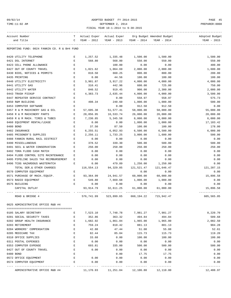# 09/02/14 ADOPTED BUDGET FY 2014-2015 PAGE 45<br>
SEPTEMBER 2, 2014<br>
FISCAL YEAR 10-1-2014 to 9-30-2015 TIME:11:02 AM SEPTEMBER 2, 2014 PREPARER:0008 FISCAL YEAR 10-1-2014 to 9-30-2015

| Account Number<br>and Title                                                      | T.<br>$\mathbf C$                                                                              | YEAR - 2012        |                                             |                   | Actual Exper Actual Exper Org Budget Amended Budget<br>YEAR - 2013 YEAR - 2014 YEAR - 2014 | Adopted Budget<br>YEAR - 2015 |
|----------------------------------------------------------------------------------|------------------------------------------------------------------------------------------------|--------------------|---------------------------------------------|-------------------|--------------------------------------------------------------------------------------------|-------------------------------|
|                                                                                  |                                                                                                |                    |                                             |                   |                                                                                            |                               |
| REPORTING FUND: 0024 FANNIN CO. R & B#4 FUND                                     |                                                                                                |                    |                                             |                   |                                                                                            |                               |
| 0420 UTILITY TELEPHONE                                                           | E                                                                                              |                    | 1,257.52 1,335.48                           | 1,500.00          | 1,500.00                                                                                   | 1,500.00                      |
| 0421 DSL INTERNET                                                                | E                                                                                              | 568.80             | 568.80                                      | 550.00            | 550.00                                                                                     | 550.00                        |
| 0423 CELL PHONE ALLOWANCE                                                        | $\mathbf{E}$                                                                                   |                    | 100.00                                      | 0.00              | 0.00                                                                                       | 400.00                        |
| 0427 OUT OF COUNTY TRAVEL                                                        | E                                                                                              | 1,021.62           | 1,064.69                                    | 2,000.00          | 2,000.00                                                                                   | 1,600.00                      |
| $\mathbf{E}$<br>0430 BIDS, NOTICES & PERMITS                                     |                                                                                                | 810.50             | 660.25                                      | 800.00            | 800.00                                                                                     | 200.00                        |
| 0435 PRINTING                                                                    | Е                                                                                              | 0.00               | 44.56                                       | 100.00            | 100.00                                                                                     | 100.00                        |
| 0440 UTILITY ELECTRICITY                                                         | E                                                                                              | 3,901.87           | 3,917.22                                    | 4,000.00          | 4,000.00                                                                                   | 4,000.00                      |
| 0441 UTILITY GAS                                                                 | $\mathbf{E}$                                                                                   | 310.41             | 442.96                                      | 600.00            | 725.00                                                                                     | 750.00                        |
| 0442 UTILITY WATER                                                               | E                                                                                              | 840.52             | 919.45                                      | 900.00            | 2,300.00                                                                                   | 2,000.00                      |
| 0443 TRASH PICKUP                                                                | $\mathbf{E}% _{t}\left  \mathbf{1}\right\rangle =\mathbf{1}_{t}\left  \mathbf{1}\right\rangle$ | 4,383.73           | 2,635.44                                    | 4,000.00          | 4,000.00                                                                                   | 3,500.00                      |
| 0447 REPEATER SERVICE CONTRACT                                                   | E                                                                                              |                    | 0.00                                        | 558.97            | 558.97                                                                                     | 575.73                        |
| 0450 R&M BUILDING                                                                | E                                                                                              | 498.34             | 240.60                                      | 1,000.00          | 1,000.00                                                                                   | 500.00                        |
| 0453 COMPUTER SOFTWARE                                                           | E                                                                                              |                    | 0.00                                        | 912.50            | 912.50                                                                                     | 0.00                          |
| 0457 R & M MACHINERY GAS & OIL                                                   | $\mathbf{E}$                                                                                   | 57,695.38          | 51,577.41                                   | 58,000.00         | 58,000.00                                                                                  | 55,000.00                     |
| 0458 R & M MACHINERY PARTS                                                       | E                                                                                              | 28,856.95          | 16,533.74                                   | 26,000.00         | 26,000.00                                                                                  | 20,000.00                     |
| 0459 R & M MACH. TIRES & TUBES                                                   | E                                                                                              | 7,230.85           | 5,345.58                                    | 8,000.00          | 8,000.00                                                                                   | 6,000.00                      |
| 0460 EQUIPMENT RENTAL/LEASE                                                      | E                                                                                              | 0.00               | 0.00                                        | 1,000.00          | 1,000.00                                                                                   | 17,103.42                     |
| 0480 BOND                                                                        | $\mathbf{E}% _{t}\left  \mathbf{1}\right\rangle =\mathbf{1}_{t}\left  \mathbf{1}\right\rangle$ | 37.50              | 87.50                                       | 100.00            | 100.00                                                                                     | 178.00                        |
| 0482 INSURANCE                                                                   | $\mathbf{E}$                                                                                   | 6,255.51           | 6,052.93                                    | 6,500.00          | 6,500.00                                                                                   | 6,000.00                      |
| 0485 PRISONER'S SUPPLIES                                                         | E                                                                                              | 2,256.11           | 1,733.25                                    | 3,000.00          | 1,600.00                                                                                   | 500.00                        |
| 0488 FANNIN RURAL RAIL DISTRICT                                                  | E                                                                                              | 0.00               | 0.00                                        | 0.00              | 0.00                                                                                       | 0.00                          |
| 0490 MISCELLANEOUS                                                               | E                                                                                              | 378.52             | 339.30                                      | 500.00            | 500.00                                                                                     | 500.00                        |
| 0491 SOIL & WATER CONSERVATION<br><b>Expanding Expanding Expanding Expanding</b> |                                                                                                | 250.00             | 250.00                                      | 250.00            | 250.00                                                                                     | 250.00                        |
| 0492 TDRA FLOOD CASH MATCH                                                       | E                                                                                              | 0.00               | 0.00                                        | 0.00              | 0.00                                                                                       | 0.00                          |
| 0494 FLOOD CONTROL SITE MAINTENANCE                                              | Е                                                                                              | 0.00               | 0.00                                        | 0.00              | 0.00                                                                                       | 0.00                          |
| 0495 PIPELINE SALES TAX REIMBURSEMENT                                            | Е                                                                                              | 0.00               | 0.00                                        | 0.00              | 0.00                                                                                       | 0.00                          |
| 0496 TCOG HAZARDOUS WASTEMATCH                                                   | Е                                                                                              | 0.00               | 479.89                                      | 1,250.00          | 1,250.00                                                                                   | 0.00                          |
| TOTAL SER. & OTHER CHARGES                                                       |                                                                                                |                    | 116,554.13 94,329.05                        | 121,521.47        | 121,646.47                                                                                 | 121,207.15                    |
| 0570 COMPUTER EQUIPMENT<br>0571 PURCHASE OF MACH./EQUIP.                         | E                                                                                              | E 93,364.99        |                                             | 0.00              | 0.00                                                                                       | 0.00                          |
|                                                                                  |                                                                                                |                    | 24,941.57                                   | 60,000.00         | 60,000.00<br>1,000.00                                                                      | 15,896.58                     |
| 0573 RADIO EQUIPMENT                                                             | $E$ and $E$                                                                                    | 549.80             | 7,669.68                                    | 1,000.00          |                                                                                            | 0.00                          |
| 0575 BUILDING                                                                    | Е                                                                                              | 0.00<br>93, 914.79 | 0.00<br>32,611.25                           | 0.00<br>61,000.00 | 0.00<br>61,000.00                                                                          | 0.00<br>15,896.58             |
| CAPITAL OUTLAY                                                                   |                                                                                                |                    |                                             |                   |                                                                                            | _____________                 |
| ROAD & BRIDGE 4                                                                  |                                                                                                |                    | 576,741.99 523,899.65 660,194.22 715,942.47 |                   |                                                                                            | 605,565.05                    |
| 0625 ADMINISTRATIVE OFFICE R&B #4                                                |                                                                                                |                    |                                             |                   |                                                                                            |                               |
| 0105 SALARY SECRETARY                                                            | Е                                                                                              | 7,523.10           | 7,748.78                                    | 7,981.27          | 7,981.27                                                                                   | 8,220.70                      |
| 0201 SOCIAL SECURITY TAXES                                                       | Е                                                                                              | 352.86             | 363.32                                      | 494.84            | 494.84                                                                                     | 509.68                        |
| 0202 GROUP HEALTH INSURANCE                                                      | Е                                                                                              | 1,682.92           | 1,861.84                                    | 1,965.00          | 1,965.00                                                                                   | 2,082.50                      |
| 0203 RETIREMENT                                                                  | E                                                                                              | 759.24             | 810.42                                      | 881.13            | 881.13                                                                                     | 904.28                        |
| 0204 WORKERS' COMPENSATION                                                       | E                                                                                              | 42.88              | 47.44                                       | 51.08             | 55.08                                                                                      | 52.61                         |
| 0205 MEDICARE TAX                                                                | E                                                                                              | 82.44              | 85.04                                       | 115.73            | 115.73                                                                                     | 119.20                        |
| 0310 OFFICE SUPPLIES                                                             | E                                                                                              | 33.68              | 0.00                                        | 100.00            | 100.00                                                                                     | 100.00                        |
| 0311 POSTAL EXPENSES                                                             | E                                                                                              | 0.00               | 0.00                                        | 0.00              | 0.00                                                                                       | 0.00                          |
| 0353 COMPUTER EXPENSE                                                            | E                                                                                              | 693.81             | 335.00                                      | 500.00            | 500.00                                                                                     | 500.00                        |
| 0427 OUT OF COUNTY TRAVEL                                                        | E                                                                                              | 0.00               | 0.00                                        | 0.00              | 0.00                                                                                       | 0.00                          |
| 0480 BOND                                                                        | E                                                                                              |                    | 0.00                                        | 17.75             | 17.75                                                                                      | 0.00                          |
| 0572 OFFICE EQUIPMENT                                                            | E                                                                                              | 0.00               | 0.00                                        | 0.00              | 0.00                                                                                       | 0.00                          |
| 0574 COMPUTER EQUIPMENT                                                          | F.                                                                                             | 0.00               | 0.00                                        | 0.00              | 0.00                                                                                       | 0.00                          |
|                                                                                  |                                                                                                |                    |                                             | -------------     | -------------                                                                              | -------------                 |

ADMINISTRATIVE OFFICE R&B #4 11,170.93 11,251.84 12,106.80 12,110.80 12,100 12,488.97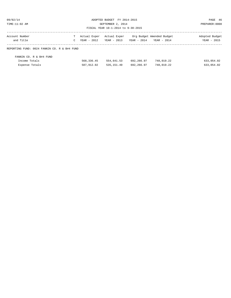09/02/14 ADOPTED BUDGET FY 2014-2015 PAGE 46 TIME:11:02 AM SEPTEMBER 2, 2014 PREPARER:0008 FISCAL YEAR 10-1-2014 to 9-30-2015

## ------------------------------------------------------------------------------------------------------------------------------------ Account Number **T** Actual Exper Actual Exper Org Budget Amended Budget Amended Budget Adopted Budget and Title C YEAR - 2012 YEAR - 2013 YEAR - 2014 YEAR - 2014 YEAR - 2015 ------------------------------------------------------------------------------------------------------------------------------------

## REPORTING FUND: 0024 FANNIN CO. R & B#4 FUND

| FANNIN CO. R & B#4 FUND |            |            |            |            |            |
|-------------------------|------------|------------|------------|------------|------------|
| Income Totals           | 568,336.45 | 554,641.53 | 692,266.97 | 748,019.22 | 633,054.02 |
| Expense Totals          | 587,912.92 | 535,151.49 | 692,266.97 | 748,019.22 | 633,054.02 |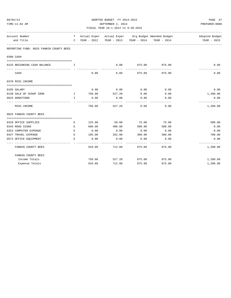## ADOPTED BUDGET FY 2014-2015 PAGE 47 TIME:11:02 AM SEPTEMBER 2, 2014 PREPARER:0008

## FISCAL YEAR 10-1-2014 to 9-30-2015

| Account Number                           |                                             |        |                                |                                    |                                                   | T Actual Exper Actual Exper Org Budget Amended Budget National Adopted Budget |
|------------------------------------------|---------------------------------------------|--------|--------------------------------|------------------------------------|---------------------------------------------------|-------------------------------------------------------------------------------|
| and Title<br>----------                  |                                             |        |                                |                                    | C YEAR - 2012 YEAR - 2013 YEAR - 2014 YEAR - 2014 | YEAR - 2015                                                                   |
| REPORTING FUND: 0025 FANNIN COUNTY BEES  |                                             |        |                                |                                    |                                                   |                                                                               |
| 0300 CASH                                |                                             |        |                                |                                    |                                                   |                                                                               |
|                                          |                                             |        |                                |                                    |                                                   |                                                                               |
| 0125 BEGINNING CASH BALANCE              | . The contract of the state $\mathbf{I}$ is |        |                                | 0.00 875.00 875.00<br>------------ | -------------                                     | 0.00                                                                          |
| CASH                                     |                                             | 0.00   | 0.00                           | 875.00                             | 875.00                                            | 0.00                                                                          |
| 0370 MISC. INCOME                        |                                             |        |                                |                                    |                                                   |                                                                               |
| 0105 SALARY                              |                                             |        | $0.00$ 0.00                    |                                    | $0.00$ 0.00                                       | 0.00                                                                          |
| 0138 SALE OF SCRAP IRON                  |                                             |        | I 750.00 527.20                | 0.00                               | 0.00                                              | 1,200.00                                                                      |
| 0625 DONATIONS                           |                                             | I 0.00 | 0.00                           | 0.00                               | 0.00                                              | 0.00                                                                          |
| MISC.INCOME                              |                                             |        | -------------<br>750.00 527.20 | -----------<br>0.00                | -------------<br>0.00                             | -------------<br>1,200.00                                                     |
| 0625 FANNIN COUNTY BEES                  |                                             |        |                                |                                    |                                                   |                                                                               |
|                                          |                                             |        |                                |                                    |                                                   |                                                                               |
| 0310 OFFICE SUPPLIES                     | E.                                          |        | 125.00 50.00                   | 75.00 75.00                        |                                                   | 500.00                                                                        |
| 0343 ROAD SIGNS                          | E                                           | 600.00 | 400.00                         | 500.00                             | 500.00                                            | 0.00                                                                          |
| 0353 COMPUTER EXPENSE                    | E                                           | 0.00   | 0.00                           | 0.00                               | 0.00                                              | 0.00                                                                          |
| 0427 TRAVEL EXPENSE                      | E                                           | 185.08 | 262.00                         | 300.00                             | 300.00                                            | 700.00                                                                        |
| 0572 OFFICE EOUIPMENT                    | E                                           | 0.00   | 0.00                           | 0.00                               | 0.00                                              | 0.00                                                                          |
| ------------------<br>FANNIN COUNTY BEES |                                             |        | 910.08 712.00 875.00 875.00    |                                    | -------------                                     | -----------<br>1,200.00                                                       |
| FANNIN COUNTY BEES                       |                                             |        |                                |                                    |                                                   |                                                                               |
| Income Totals                            |                                             |        | 750.00 527.20 875.00           |                                    | 875.00                                            | 1,200.00                                                                      |
| Expense Totals                           |                                             | 910.08 | 712.00                         | 875.00                             | 875.00                                            | 1,200.00                                                                      |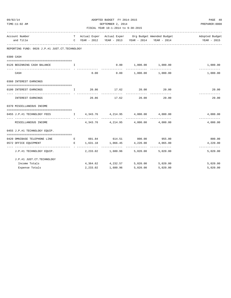| TIME:11:02 AM                                                     |                                                | SEPTEMBER 2, 2014<br>FISCAL YEAR 10-1-2014 to 9-30-2015 | PREPARER:0008                                  |                          |                                                                                                            |                           |
|-------------------------------------------------------------------|------------------------------------------------|---------------------------------------------------------|------------------------------------------------|--------------------------|------------------------------------------------------------------------------------------------------------|---------------------------|
|                                                                   |                                                |                                                         |                                                |                          |                                                                                                            | Adopted Budget            |
| Account Number<br>and Title                                       |                                                |                                                         |                                                |                          | T Actual Exper Actual Exper Org Budget Amended Budget<br>C YEAR - 2012 YEAR - 2013 YEAR - 2014 YEAR - 2014 | YEAR - 2015               |
| REPORTING FUND: 0026 J.P.#1 JUST.CT.TECHNOLOGY                    |                                                |                                                         |                                                |                          |                                                                                                            |                           |
| 0300 CASH                                                         |                                                |                                                         |                                                |                          |                                                                                                            |                           |
|                                                                   |                                                |                                                         |                                                |                          |                                                                                                            |                           |
| 0126 BEGINNING CASH BALANCE                                       | $\mathbf{I}$ and $\mathbf{I}$ and $\mathbf{I}$ |                                                         |                                                | $0.00$ 1,000.00 1,000.00 |                                                                                                            | 1,000.00<br>------------- |
| CASH                                                              |                                                | 0.00                                                    |                                                | $0.00$ 1,000.00 1,000.00 |                                                                                                            | 1,000.00                  |
| 0360 INTEREST EARNINGS                                            |                                                |                                                         |                                                |                          |                                                                                                            |                           |
|                                                                   |                                                |                                                         |                                                |                          |                                                                                                            |                           |
| 0100 INTEREST EARNINGS                                            |                                                |                                                         | $1$ 20.86 $17.62$ 20.00 20.00<br>_____________ |                          | -------------                                                                                              | 20.00<br>------------     |
| INTEREST EARNINGS                                                 |                                                |                                                         | 20.86 17.62 20.00 20.00                        |                          |                                                                                                            | 20.00                     |
| 0370 MISCELLANEOUS INCOME                                         |                                                |                                                         |                                                |                          |                                                                                                            |                           |
| 0455 J.P.#1 TECHNOLOGY FEES T 4,343.76 4,214.95 4,000.00 4,000.00 |                                                |                                                         |                                                |                          |                                                                                                            | 4,000.00                  |
| MISCELLANEOUS INCOME                                              |                                                |                                                         | $4,343.76$ $4,214.95$ $4,000.00$ $4,000.00$    |                          |                                                                                                            | -------------<br>4,000.00 |
| 0455 J.P.#1 TECHNOLOGY EQUIP.                                     |                                                |                                                         |                                                |                          |                                                                                                            |                           |
| 0420 OMNIBASE TELEPHONE LINE                                      |                                                |                                                         | E 601.84 614.51 800.00 955.00                  |                          |                                                                                                            | 800.00                    |
| 0572 OFFICE EQUIPMENT                                             |                                                |                                                         | E 1,631.18 1,066.45 4,220.00 4,065.00          |                          |                                                                                                            | 4,220.00<br>------------- |
| J.P.#1 TECHNOLOGY EQUIP.                                          |                                                |                                                         | 2,233.02 1,680.96 5,020.00 5,020.00            |                          |                                                                                                            | 5,020.00                  |
| J.P.#1 JUST.CT.TECHNOLOGY                                         |                                                |                                                         |                                                |                          |                                                                                                            |                           |
| Income Totals                                                     |                                                |                                                         | 4, 364.62 4, 232.57                            | 5,020.00                 | 5,020.00                                                                                                   | 5,020.00                  |

Expense Totals 2,233.02 1,680.96 5,020.00 5,020.00 5,020.00

# 09/02/14 ADOPTED BUDGET FY 2014-2015 PAGE 48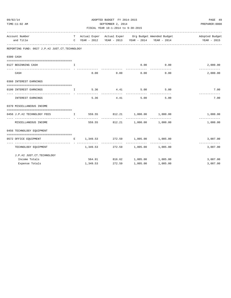| TIME:11:02 AM                                  |        | SEPTEMBER 2, 2014 |                                           |  |             |                                                                               |  |  |  |
|------------------------------------------------|--------|-------------------|-------------------------------------------|--|-------------|-------------------------------------------------------------------------------|--|--|--|
|                                                |        |                   | FISCAL YEAR 10-1-2014 to 9-30-2015        |  |             |                                                                               |  |  |  |
| Account Number                                 |        |                   |                                           |  |             | T Actual Exper Actual Exper Org Budget Amended Budget National Adopted Budget |  |  |  |
| and Title                                      |        |                   |                                           |  |             | C YEAR - 2012 YEAR - 2013 YEAR - 2014 YEAR - 2014 YEAR - 2015                 |  |  |  |
| REPORTING FUND: 0027 J.P.#2 JUST.CT.TECHNOLOGY |        |                   |                                           |  |             |                                                                               |  |  |  |
| 0300 CASH                                      |        |                   |                                           |  |             |                                                                               |  |  |  |
| 0127 BEGINNING CASH                            | $\top$ |                   |                                           |  | $0.00$ 0.00 | 2,000.00                                                                      |  |  |  |
| CASH                                           |        |                   | $0.00$ 0.00 0.00 0.00                     |  |             | -------------<br>2,000.00                                                     |  |  |  |
| 0360 INTEREST EARNINGS                         |        |                   |                                           |  |             |                                                                               |  |  |  |
| 0100 INTEREST EARNINGS                         |        |                   | T 5.36 4.41 5.00 5.00                     |  |             | 7.00<br>-----------                                                           |  |  |  |
| INTEREST EARNINGS                              |        |                   | 5.36 4.41 5.00 5.00                       |  |             | 7.00                                                                          |  |  |  |
| 0370 MISCELLANEOUS INCOME                      |        |                   |                                           |  |             |                                                                               |  |  |  |
| 0456 J.P.#2 TECHNOLOGY FEES                    |        |                   | I 559.55 812.21 1,000.00 1,000.00         |  |             | 1,000.00<br>-------------                                                     |  |  |  |
| MISCELLANEOUS INCOME                           |        |                   | 559.55 812.21 1,000.00 1,000.00           |  |             | 1,000.00                                                                      |  |  |  |
| 0456 TECHNOLOGY EQUIPMENT                      |        |                   |                                           |  |             |                                                                               |  |  |  |
| 0572 OFFICE EQUIPMENT                          |        |                   | E 1,349.53 272.59 1,005.00 1,005.00       |  |             | 3,007.00                                                                      |  |  |  |
| TECHNOLOGY EQUIPMENT                           |        |                   | $1,349.53$ $272.59$ $1,005.00$ $1,005.00$ |  |             | -------------<br>3,007.00                                                     |  |  |  |
| J.P.#2 JUST.CT.TECHNOLOGY                      |        |                   |                                           |  |             |                                                                               |  |  |  |

Income Totals 664.91 564.91 816.62 1,005.00 1,005.00 1,005.00 3,007.00 Expense Totals 1,349.53 272.59 1,005.00 1,005.00 3,007.00

09/02/14 ADOPTED BUDGET FY 2014-2015 PAGE 49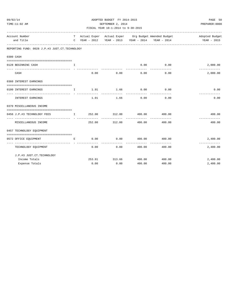| 09/02/14 |  |
|----------|--|
|----------|--|

ADOPTED BUDGET FY 2014-2015 PAGE 50 TIME:11:02 AM SEPTEMBER 2, 2014 PREPARER:0008

| FISCAL YEAR 10-1-2014 to 9-30-2015             |                  |        |                                          |               |                                                   |                                                                          |  |  |
|------------------------------------------------|------------------|--------|------------------------------------------|---------------|---------------------------------------------------|--------------------------------------------------------------------------|--|--|
| Account Number                                 |                  |        |                                          |               | ------------------------------                    | T Actual Exper Actual Exper Org Budget Amended Budget And Adopted Budget |  |  |
| and Title                                      |                  |        |                                          |               | C YEAR - 2012 YEAR - 2013 YEAR - 2014 YEAR - 2014 | YEAR - 2015                                                              |  |  |
| REPORTING FUND: 0028 J.P.#3 JUST.CT.TECHNOLOGY |                  |        |                                          |               |                                                   |                                                                          |  |  |
| 0300 CASH                                      |                  |        |                                          |               |                                                   |                                                                          |  |  |
| 0128 BEGINNINC CASH                            | $\mathbf{L}$     |        |                                          | 0.00          | 0.00                                              | 2,000.00                                                                 |  |  |
|                                                |                  |        |                                          | ----------    | -----------                                       | ------------                                                             |  |  |
| CASH                                           |                  | 0.00   | 0.00                                     |               | 0.00<br>0.00                                      | 2,000.00                                                                 |  |  |
| 0360 INTEREST EARNINGS                         |                  |        |                                          |               |                                                   |                                                                          |  |  |
| 0100 INTEREST EARNINGS                         | T 1.91 1.66 0.00 |        | .                                        |               | 0.00                                              | 0.00                                                                     |  |  |
| INTEREST EARNINGS                              |                  |        | 1.91 1.66                                | 0.00          | 0.00                                              | 0.00                                                                     |  |  |
| 0370 MISCELLANEOUS INCOME                      |                  |        |                                          |               |                                                   |                                                                          |  |  |
|                                                |                  |        |                                          |               |                                                   |                                                                          |  |  |
| 0456 J.P.#3 TECHNOLOGY FEES                    |                  |        | I 252.00 312.00 400.00<br>-------------- | ------------  | 400.00<br>-------------                           | 400.00<br>-----------                                                    |  |  |
| MISCELLANEOUS INCOME                           |                  | 252.00 | 312.00                                   | 400.00        | 400.00                                            | 400.00                                                                   |  |  |
| 0457 TECHNOLOGY EQUIPMENT                      |                  |        |                                          |               |                                                   |                                                                          |  |  |
| 0572 OFFICE EOUIPMENT                          | E.               |        | 0.00<br>0.00                             | ------------- | 400.00 400.00                                     | 2,400.00                                                                 |  |  |
| TECHNOLOGY EQUIPMENT                           |                  | 0.00   | 0.00                                     | 400.00        | -------------<br>400.00                           | -------------<br>2,400.00                                                |  |  |
| J.P.#3 JUST.CT.TECHNOLOGY                      |                  |        |                                          |               |                                                   |                                                                          |  |  |
| Income Totals                                  |                  |        | 253.91 313.66 400.00                     |               | 400.00                                            | 2,400.00                                                                 |  |  |
| Expense Totals                                 |                  | 0.00   | 0.00                                     | 400.00        | 400.00                                            | 2,400.00                                                                 |  |  |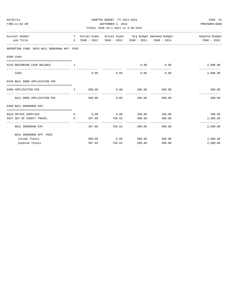## 09/02/14 ADOPTED BUDGET FY 2014-2015 PAGE 51 TIME:11:02 AM SEPTEMBER 2, 2014 PREPARER:0008

| FISCAL YEAR 10-1-2014 to 9-30-2015                                        |                                       |                                           |                                          |        |                                                   |                                                                                         |  |  |  |
|---------------------------------------------------------------------------|---------------------------------------|-------------------------------------------|------------------------------------------|--------|---------------------------------------------------|-----------------------------------------------------------------------------------------|--|--|--|
| Account Number<br>and Title                                               |                                       |                                           |                                          |        | C YEAR - 2012 YEAR - 2013 YEAR - 2014 YEAR - 2014 | T Actual Exper Actual Exper Org Budget Amended Budget And Adopted Budget<br>YEAR - 2015 |  |  |  |
| REPORTING FUND: 0033 BAIL BONDSMAN APP. FEES                              |                                       |                                           |                                          |        |                                                   |                                                                                         |  |  |  |
| 0300 CASH                                                                 |                                       |                                           |                                          |        |                                                   |                                                                                         |  |  |  |
|                                                                           |                                       |                                           |                                          |        |                                                   |                                                                                         |  |  |  |
| 0133 BEGINNING CASH BALANCE                                               | and the contract of the Table         |                                           |                                          |        | $0.00$ 0.00                                       | 2,000.00                                                                                |  |  |  |
| CASH                                                                      |                                       | 0.00                                      | 0.00                                     | 0.00   | 0.00                                              | -------------<br>2,000.00                                                               |  |  |  |
| 0340 BAIL BOND APPLICATION FEE                                            |                                       |                                           |                                          |        |                                                   |                                                                                         |  |  |  |
| 0480 APPLICATION FEE<br>, and the contract of the contract $\mathbf{I}$ . |                                       | 500.00                                    | 0.00                                     | 500.00 | 500.00                                            | 500.00                                                                                  |  |  |  |
| BAIL BOND APPLICATION FEE                                                 |                                       | -------------  - --------------<br>500.00 | 0.00                                     | 500.00 | 500.00                                            | ----------<br>500.00                                                                    |  |  |  |
| 0498 BAIL BONDSMAN EXP.                                                   |                                       |                                           |                                          |        |                                                   |                                                                                         |  |  |  |
| 0310 OFFICE SUPPLIES                                                      | <b>Example 2</b>                      |                                           | $0.00$ $0.00$ $100.00$ $100.00$ $100.00$ |        |                                                   | 200.00                                                                                  |  |  |  |
| 0427 OUT OF COUNTY TRAVEL                                                 | the contract of the contract of the R | 397.60                                    | 765.64 400.00                            |        | 400.00                                            | 2,300.00                                                                                |  |  |  |
| BAIL BONDSMAN EXP.                                                        |                                       |                                           | 397.60 765.64                            | 500.00 | 500.00                                            | -------------<br>2,500.00                                                               |  |  |  |
| BAIL BONDSMAN APP. FEES                                                   |                                       |                                           |                                          |        |                                                   |                                                                                         |  |  |  |
| Income Totals                                                             |                                       | 500.00                                    | 0.00                                     | 500.00 | 500.00                                            | 2,500.00                                                                                |  |  |  |
| Expense Totals                                                            |                                       | 397.60                                    | 765.64                                   | 500.00 | 500.00                                            | 2,500.00                                                                                |  |  |  |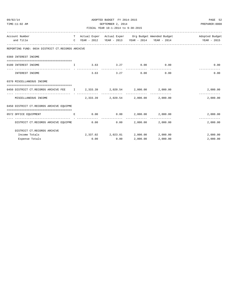| 09/02/14 |  |
|----------|--|
|----------|--|

## ADOPTED BUDGET FY 2014-2015 PAGE 52 TIME:11:02 AM SEPTEMBER 2, 2014 PREPARER:0008 FISCAL YEAR 10-1-2014 to 9-30-2015

| Account Number                                                                    |  |                                             |          |                                     | T Actual Exper Actual Exper Org Budget Amended Budget North Adopted Budget |
|-----------------------------------------------------------------------------------|--|---------------------------------------------|----------|-------------------------------------|----------------------------------------------------------------------------|
| and Title                                                                         |  |                                             |          |                                     | C YEAR - 2012 YEAR - 2013 YEAR - 2014 YEAR - 2014 YEAR - 2015              |
| REPORTING FUND: 0034 DISTRICT CT.RECORDS ARCHIVE                                  |  |                                             |          |                                     |                                                                            |
| 0360 INTEREST INCOME                                                              |  |                                             |          |                                     |                                                                            |
|                                                                                   |  |                                             |          |                                     |                                                                            |
| 0100 INTEREST INCOME<br><b>The Community of The Time</b>                          |  | $3.63$ $3.27$ 0.00 0.00                     |          |                                     | 0.00                                                                       |
| INTEREST INCOME                                                                   |  | $3.63$ $3.27$ 0.00 0.00                     |          |                                     | 0.00                                                                       |
| 0370 MISCELLANEOUS INCOME                                                         |  |                                             |          |                                     |                                                                            |
|                                                                                   |  |                                             |          |                                     |                                                                            |
| 0450 DISTRICT CT.RECORDS ARCHIVE FEE 1 2,333.39 2,020.54 2,000.00 2,000.00        |  |                                             |          |                                     | 2,000.00                                                                   |
| MISCELLANEOUS INCOME                                                              |  | $2,333.39$ $2,020.54$ $2,000.00$ $2,000.00$ |          |                                     | 2,000.00                                                                   |
| 0450 DISTRICT CT.RECORDS ARCHIVE EQUIPME                                          |  |                                             |          |                                     |                                                                            |
| 0572 OFFICE EQUIPMENT<br><b>Experimental Control Control Experimental Control</b> |  |                                             |          | $0.00$ $0.00$ $2,000.00$ $2,000.00$ | 2,000.00                                                                   |
| DISTRICT CT.RECORDS ARCHIVE EQUIPME $0.00$ 0.00 0.00 2,000.00 2,000.00            |  |                                             |          |                                     | -------------<br>2,000.00                                                  |
| DISTRICT CT.RECORDS ARCHIVE                                                       |  |                                             |          |                                     |                                                                            |
| Income Totals                                                                     |  | $2,337.02$ $2,023.81$ $2,000.00$ $2,000.00$ |          |                                     | 2,000.00                                                                   |
| Expense Totals                                                                    |  | $0.00$ 0.00                                 | 2,000.00 | 2,000.00                            | 2,000.00                                                                   |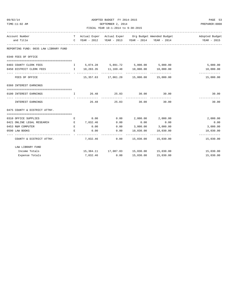| 09/02/14<br>TIME:11:02 AM                                             | ADOPTED BUDGET FY 2014-2015<br>SEPTEMBER 2, 2014<br>FISCAL YEAR 10-1-2014 to 9-30-2015 |                |                                                     |                                       |                                                   |                                                                                        |  |  |
|-----------------------------------------------------------------------|----------------------------------------------------------------------------------------|----------------|-----------------------------------------------------|---------------------------------------|---------------------------------------------------|----------------------------------------------------------------------------------------|--|--|
| Account Number                                                        |                                                                                        |                |                                                     |                                       |                                                   | T Actual Exper Actual Exper Org Budget Amended Budget Actual Experience Adopted Budget |  |  |
| and Title                                                             |                                                                                        |                |                                                     |                                       | C YEAR - 2012 YEAR - 2013 YEAR - 2014 YEAR - 2014 | YEAR - 2015                                                                            |  |  |
| REPORTING FUND: 0035 LAW LIBRARY FUND                                 |                                                                                        |                |                                                     |                                       |                                                   |                                                                                        |  |  |
| 0340 FEES OF OFFICE                                                   |                                                                                        |                |                                                     |                                       |                                                   |                                                                                        |  |  |
|                                                                       |                                                                                        |                | $I = 5,074.28$ $5,891.72$ $5,000.00$ $5,000.00$     |                                       |                                                   | 5,000.00                                                                               |  |  |
| 0403 COUNTY CLERK FEES                                                |                                                                                        |                |                                                     |                                       |                                                   |                                                                                        |  |  |
| 0450 DISTRICT CLERK FEES                                              |                                                                                        |                | $I = 10,283.35$ $11,169.48$ $10,000.00$ $10,000.00$ |                                       |                                                   | 10,000.00<br>-------------                                                             |  |  |
| FEES OF OFFICE                                                        |                                                                                        |                | 15,357.63  17,061.20  15,000.00  15,000.00          |                                       |                                                   | 15,000.00                                                                              |  |  |
| 0360 INTEREST EARNINGS                                                |                                                                                        |                |                                                     |                                       |                                                   |                                                                                        |  |  |
| 0100 INTEREST EARNINGS<br>. The contract of the state $\mathbf{I}$ is |                                                                                        |                | $26.48$ $25.83$ $30.00$ $30.00$                     |                                       |                                                   | 30.00                                                                                  |  |  |
| INTEREST EARNINGS                                                     |                                                                                        | -------------- | --------------<br>26.48<br>25.83                    | -------------- -------------<br>30.00 | 30.00                                             | 30.00                                                                                  |  |  |
| 0475 COUNTY & DISTRICT ATTNY.                                         |                                                                                        |                |                                                     |                                       |                                                   |                                                                                        |  |  |
| 0310 OFFICE SUPPLIES                                                  | Е                                                                                      | 0.00           | 0.00                                                | 2,000.00 2,000.00                     |                                                   | 2,000.00                                                                               |  |  |
| 0421 ONLINE LEGAL RESEARCH                                            |                                                                                        | E 7,832.46     | 0.00                                                | 0.00                                  | 0.00                                              | 0.00                                                                                   |  |  |
| 0453 R&M COMPUTER                                                     | E                                                                                      | 0.00           | 0.00                                                | $3,000.00$ $3,000.00$                 |                                                   | 3,000.00                                                                               |  |  |
| 0590 LAW BOOKS                                                        | E.                                                                                     | 0.00           | 0.00                                                | 10,030.00                             | 10,030.00                                         | 10,030.00                                                                              |  |  |
| ------------<br>COUNTY & DISTRICT ATTNY.                              |                                                                                        | 7,832.46       |                                                     | $0.00$ 15,030.00 15,030.00            |                                                   | -------------<br>15,030.00                                                             |  |  |
| LAW LIBRARY FUND                                                      |                                                                                        |                |                                                     |                                       |                                                   |                                                                                        |  |  |
| Income Totals                                                         |                                                                                        |                | 15,384.11  17,087.03  15,030.00  15,030.00          |                                       |                                                   | 15,030.00                                                                              |  |  |

Expense Totals 7,832.46 0.00 15,030.00 15,030.00 15,030.00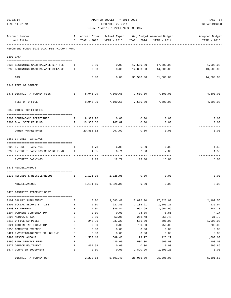|                                                                               |              | FISCAL YEAR 10-1-2014 to 9-30-2015 |                                                 |                            |                                                       |                           |
|-------------------------------------------------------------------------------|--------------|------------------------------------|-------------------------------------------------|----------------------------|-------------------------------------------------------|---------------------------|
| Account Number                                                                |              |                                    |                                                 |                            | T Actual Exper Actual Exper Org Budget Amended Budget | Adopted Budget            |
| and Title                                                                     | C            |                                    | YEAR - 2012 YEAR - 2013 YEAR - 2014 YEAR - 2014 | ------------------------   |                                                       | YEAR - 2015               |
| REPORTING FUND: 0036 D.A. FEE ACCOUNT FUND                                    |              |                                    |                                                 |                            |                                                       |                           |
| 0300 CASH                                                                     |              |                                    |                                                 |                            |                                                       |                           |
| 0136 BEGINNING CASH BALANCE-D.A.FEE I                                         |              | 0.00                               |                                                 | $0.00$ 17,500.00 17,500.00 |                                                       | 1,000.00                  |
| 0236 BEGINNING CASH BALANCE-SEIZURE                                           | $\mathbb{I}$ | 0.00                               | 0.00                                            | 14,000.00                  | 14,000.00                                             | 13,500.00                 |
|                                                                               |              |                                    | . <u>.</u>                                      |                            |                                                       | -------------             |
| CASH                                                                          |              | 0.00                               | 0.00                                            |                            | 31,500.00 31,500.00                                   | 14,500.00                 |
| 0340 FEES OF OFFICE                                                           |              |                                    |                                                 |                            |                                                       |                           |
| 0475 DISTRICT ATTORNEY FEES<br>$\mathbf{I}$ and $\mathbf{I}$ and $\mathbf{I}$ |              |                                    | 8,945.99 7,109.66 7,500.00 7,500.00             |                            |                                                       | 4,500.00                  |
| FEES OF OFFICE                                                                |              |                                    | 8,945.99 7,109.66 7,500.00 7,500.00             |                            |                                                       | -------------<br>4,500.00 |
| 0352 OTHER FORFEITURES                                                        |              |                                    |                                                 |                            |                                                       |                           |
| 0200 CONTRABAND FORFEITURE                                                    |              | $I = 9.904.76$ 0.00 0.00           |                                                 |                            | 0.00                                                  | 0.00                      |
| 0300 D.A. SEIZURE FUND                                                        |              | I 10,953.86 967.09                 |                                                 | 0.00                       | 0.00                                                  | 0.00                      |
| -------------------                                                           |              |                                    |                                                 | -----------                |                                                       |                           |
| OTHER FORFEITURES                                                             |              | 20,858.62                          | 967.09                                          | 0.00                       | 0.00                                                  | 0.00                      |
| 0360 INTEREST EARNINGS                                                        |              |                                    |                                                 |                            |                                                       |                           |
| 0100 INTEREST EARNINGS                                                        |              | I 4.78                             | 6.08                                            | 6.00                       | 6.00                                                  | 1.50                      |
| 0236 INTEREST EARNINGS-SEIZURE FUND I                                         |              | 4.35                               | 6.71                                            | 7.00                       | 7.00                                                  | 1.50                      |
|                                                                               |              |                                    |                                                 |                            |                                                       | . _ _ _ _ _ _ _ _ _       |
| INTEREST EARNINGS                                                             |              | 9.13                               | 12.79                                           | 13.00                      | 13.00                                                 | 3.00                      |
| 0370 MISCELLANEOUS                                                            |              |                                    |                                                 |                            |                                                       |                           |
| 0130 REFUNDS & MISCELLANEOUS                                                  |              | 1, 1, 111. 15 1, 325. 96           |                                                 | 0.00                       | 0.00                                                  | 0.00                      |
| MISCELLANEOUS                                                                 |              |                                    | 1, 111. 15 1, 325. 96                           | ------------<br>0.00       | 0.00                                                  | 0.00                      |
| 0475 DISTRICT ATTORNEY DEPT                                                   |              |                                    |                                                 |                            |                                                       |                           |
|                                                                               |              |                                    |                                                 |                            |                                                       |                           |
| 0107 SALARY SUPPLEMENT                                                        | Е            | 0.00                               | 3,683.42                                        | 17,826.00                  | 17,826.00                                             | 2,192.56                  |
| 0201 SOCIAL SECURITY TAXES                                                    | E            | 0.00                               | 227.80                                          | 1,105.21                   | 1,105.21                                              | 135.94                    |
| 0203 RETIREMENT<br>0204 WORKERS COMPENSATION                                  | E<br>E       | 0.00<br>0.00                       | 385.44<br>0.00                                  | 1,967.99<br>78.85          | 1,967.99<br>78.85                                     | 241.18<br>4.17            |
| 0205 MEDICARE TAX                                                             | E            | 0.00                               | 53.06                                           | 258.48                     | 258.48                                                | 31.79                     |
| 0310 OFFICE SUPPLIES                                                          | E            | 243.96                             | 237.20                                          | 506.00                     | 506.00                                                | 1,000.00                  |
| 0321 CONTINUING EDUCATION                                                     | E            | 0.00                               | 0.00                                            | 750.00                     | 750.00                                                | 200.00                    |
| 0353 COMPUTER EXPENSE                                                         | Ε            | 0.00                               | 0.00                                            | 0.00                       | 0.00                                                  | 0.00                      |
| 0421 INVESTIGATOR/HOT CK. ONLINE                                              | Ε            | 0.00                               | 0.00                                            | 0.00                       | 0.00                                                  | 0.00                      |
| 0490 MISCELLANEOUS                                                            | Е            | 1,563.18                           | 589.48                                          | 123.27                     | 123.27                                                | 1,000.00                  |
| 0499 BANK SERVICE FEES                                                        | Е            |                                    | 425.00                                          | 500.00                     | 500.00                                                | 100.00                    |
| 0572 OFFICE EQUIPMENT                                                         | E            | 404.99                             | 0.00                                            | 0.00                       | 0.00                                                  | 595.86                    |
| 0574 COMPUTER EQUIPMENT                                                       | E            | 0.00                               | 0.00                                            | 1,890.20                   | 1,890.20                                              | 0.00                      |
|                                                                               |              |                                    |                                                 |                            |                                                       |                           |

---- ---------------------------------- - ------------- ------------- ------------- ------------- ------------- DISTRICT ATTORNEY DEPT 2,212.13 5,601.40 25,006.00 25,006.00 5,501.50

## 09/02/14 ADOPTED BUDGET FY 2014-2015 PAGE 54 TIME:11:02 AM SEPTEMBER 2, 2014 PREPARER:0008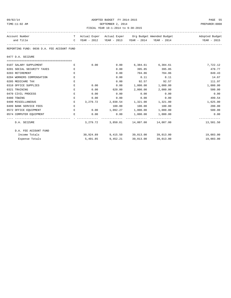# 09/02/14 ADOPTED BUDGET FY 2014-2015 PAGE 55 TIME:11:02 AM SEPTEMBER 2, 2014 PREPARER:0008

FISCAL YEAR 10-1-2014 to 9-30-2015

| Account Number<br>and Title                |    |          |          |                                             |           | T Actual Exper Actual Exper Org Budget Amended Budget North Adopted Budget |
|--------------------------------------------|----|----------|----------|---------------------------------------------|-----------|----------------------------------------------------------------------------|
| REPORTING FUND: 0036 D.A. FEE ACCOUNT FUND |    |          |          |                                             |           |                                                                            |
| 0477 D.A. SEIZURE                          |    |          |          |                                             |           |                                                                            |
|                                            |    |          |          |                                             |           |                                                                            |
| 0107 SALARY SUPPLEMENT                     | E  | 0.00     |          | $0.00$ 6,384.61 6,384.61                    |           | 7,722.12                                                                   |
| 0201 SOCIAL SECURITY TAXES                 | Е  |          | 0.00     | 395.85                                      | 395.85    | 478.77                                                                     |
| 0203 RETIREMENT                            | E  |          | 0.00     | 704.86                                      | 704.86    | 849.43                                                                     |
| 0204 WORKERS COMPENSATION                  | E. |          | 0.00     | 8.11                                        | 8.11      | 14.67                                                                      |
| 0205 MEDICARE TAX                          | E. |          | 0.00     | 92.57                                       | 92.57     | 111.97                                                                     |
| 0310 OFFICE SUPPLIES                       | E. | 0.00     | 0.00     | 1,000.00                                    | 1,000.00  | 1,000.00                                                                   |
| 0321 TRAINING                              | Е  | 0.00     | 620.00   | 2,000.00                                    | 2,000.00  | 500.00                                                                     |
| 0470 CIVIL PROCESS                         | Е  | 0.00     | 0.00     | 0.00                                        | 0.00      | 0.00                                                                       |
| 0480 TOWING                                | Е  | 0.00     | 0.00     | 0.00                                        | 0.00      | 499.54                                                                     |
| 0490 MISCELLANEOUS                         | Е  |          |          | $3,279.72$ $2,038.54$ $1,321.00$ $1,321.00$ |           | 1,625.00                                                                   |
| 0499 BANK SERVICE FEES                     | E  |          |          | 100.00 100.00                               | 100.00    | 200.00                                                                     |
| 0572 OFFICE EQUIPMENT                      | E  |          |          | $0.00$ $1,092.27$ $1,000.00$ $1,000.00$     |           | 500.00                                                                     |
| 0574 COMPUTER EQUIPMENT                    | E  | 0.00     |          | $0.00$ $1,000.00$ $1,000.00$                |           | 0.00<br>-------------                                                      |
| D.A. SEIZURE                               |    |          |          | 3, 279.72 3, 850.81 14, 007.00 14, 007.00   |           | 13,501.50                                                                  |
| D.A. FEE ACCOUNT FUND                      |    |          |          |                                             |           |                                                                            |
| Income Totals                              |    |          |          | 30,924.89 9,415.50 39,013.00 39,013.00      |           | 19,003.00                                                                  |
| Expense Totals                             |    | 5,491.85 | 9,452.21 | 39,013.00                                   | 39,013.00 | 19,003.00                                                                  |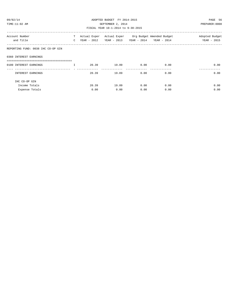# 09/02/14 ADOPTED BUDGET FY 2014-2015 PAGE 56 TIME:11:02 AM SEPTEMBER 2, 2014 PREPARER:0008

## FISCAL YEAR 10-1-2014 to 9-30-2015

| Account Number<br>and Title            | T.<br>$\mathbf{C}$ | Actual Exper<br>YEAR - 2012 | YEAR - 2013 | Actual Exper Org Budget Amended Budget<br>YEAR - 2014 YEAR - 2014 |      | Adopted Budget<br>YEAR - 2015 |
|----------------------------------------|--------------------|-----------------------------|-------------|-------------------------------------------------------------------|------|-------------------------------|
| REPORTING FUND: 0038 IHC CO-OP GIN     |                    |                             |             |                                                                   |      |                               |
| 0360 INTEREST EARNINGS                 |                    |                             |             |                                                                   |      |                               |
| -------------------------------------- |                    |                             |             |                                                                   |      |                               |
| 0100 INTEREST EARNINGS                 | I.                 | 20.39                       | 19.09       | 0.00                                                              | 0.00 | 0.00                          |
| INTEREST EARNINGS                      |                    | 20.39                       | 19.09       | 0.00                                                              | 0.00 | 0.00                          |
| IHC CO-OP GIN                          |                    |                             |             |                                                                   |      |                               |
| Income Totals                          |                    | 20.39                       | 19.09       | 0.00                                                              | 0.00 | 0.00                          |
| Expense Totals                         |                    | 0.00                        | 0.00        | 0.00                                                              | 0.00 | 0.00                          |
|                                        |                    |                             |             |                                                                   |      |                               |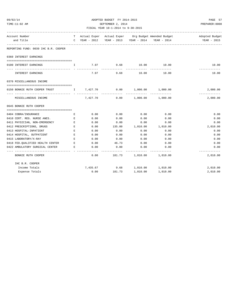## 09/02/14 ADOPTED BUDGET FY 2014-2015 PAGE 57 TIME:11:02 AM SEPTEMBER 2, 2014 PREPARER:0008

| FISCAL YEAR 10-1-2014 to 9-30-2015                                |                               |          |                                                   |                          |                       |                                                                             |  |  |
|-------------------------------------------------------------------|-------------------------------|----------|---------------------------------------------------|--------------------------|-----------------------|-----------------------------------------------------------------------------|--|--|
| Account Number                                                    |                               |          |                                                   |                          |                       | T Actual Exper Actual Exper Org Budget Amended Budget No and Adopted Budget |  |  |
| and Title                                                         |                               |          | C YEAR - 2012 YEAR - 2013 YEAR - 2014 YEAR - 2014 |                          |                       | YEAR - 2015                                                                 |  |  |
| REPORTING FUND: 0039 IHC B.R. COOPER                              |                               |          |                                                   |                          |                       |                                                                             |  |  |
| 0360 INTEREST EARNINGS                                            |                               |          |                                                   |                          |                       |                                                                             |  |  |
| 0100 INTEREST EARNINGS                                            | $\mathbb{T}$                  |          | 7.97 9.68                                         | 10.00                    | 10.00                 | 10.00                                                                       |  |  |
| INTEREST EARNINGS                                                 |                               | 7.97     | 9.68                                              | -----------<br>10.00     | ------------<br>10.00 | -----------<br>10.00                                                        |  |  |
| 0370 MISCELLANEOUS INCOME                                         |                               |          |                                                   |                          |                       |                                                                             |  |  |
| 0150 BONNIE RUTH COOPER TRUST T 1 7,427.70 0.00 1,000.00 1,000.00 |                               |          |                                                   |                          |                       | 2,000.00                                                                    |  |  |
| MISCELLANEOUS INCOME                                              |                               | 7,427.70 |                                                   | $0.00$ 1,000.00 1,000.00 |                       | -------------<br>2,000.00                                                   |  |  |
| 0645 BONNIE RUTH COOPER                                           |                               |          |                                                   |                          |                       |                                                                             |  |  |
| 0404 COBRA/INSURANCE                                              | Е                             | 0.00     | 0.00                                              | 0.00                     | 0.00                  | 0.00                                                                        |  |  |
| 0410 CERT. REG. NURSE ANES.                                       | E                             | 0.00     | 0.00                                              | 0.00                     | 0.00                  | 0.00                                                                        |  |  |
| 0411 PHYSICIAN, NON-EMERGENCY                                     | E                             | 0.00     | 0.00                                              | 0.00                     | 0.00                  | 0.00                                                                        |  |  |
| 0412 PRESCRIPTIONS, DRUGS                                         | Е                             | 0.00     | 135.00                                            | 1,010.00                 | 1,010.00              | 2,010.00                                                                    |  |  |
| 0413 HOSPITAL-INPATIENT                                           | E                             | 0.00     | 0.00                                              | 0.00                     | 0.00                  | 0.00                                                                        |  |  |
| 0414 HOSPITAL, OUTPATIENT                                         | E                             | 0.00     | 0.00                                              | 0.00                     | 0.00                  | 0.00                                                                        |  |  |
| 0415 LABORATORY/X-RAY                                             | E                             | 0.00     | 0.00                                              | 0.00                     | 0.00                  | 0.00                                                                        |  |  |
| 0418 FED.QUALIFIED HEALTH CENTER                                  | $\mathbf{E}$ and $\mathbf{E}$ | 0.00     | 46.73                                             | 0.00                     | 0.00                  | 0.00                                                                        |  |  |
| 0422 AMBULATORY SURGICAL CENTER                                   | E                             | 0.00     | 0.00<br>------------                              | 0.00<br>--------------   | 0.00<br>------------- | 0.00<br>-------------                                                       |  |  |
| BONNIE RUTH COOPER                                                |                               |          | $0.00$ 181.73 1,010.00 1,010.00                   |                          |                       | 2,010.00                                                                    |  |  |
| IHC B.R. COOPER                                                   |                               |          |                                                   |                          |                       |                                                                             |  |  |
| Income Totals                                                     |                               |          | 7,435.67 9.68 1,010.00 1,010.00                   |                          |                       | 2,010.00                                                                    |  |  |
| Expense Totals                                                    |                               | 0.00     | 181.73                                            | 1,010.00                 | 1,010.00              | 2,010.00                                                                    |  |  |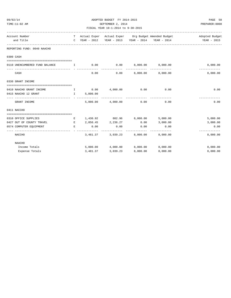| 09/02/14                                                            |                                                                                                                                                                                                                                                                                                  | ADOPTED BUDGET FY 2014-2015 | PAGE 58                             |                                        |          |                                                                          |
|---------------------------------------------------------------------|--------------------------------------------------------------------------------------------------------------------------------------------------------------------------------------------------------------------------------------------------------------------------------------------------|-----------------------------|-------------------------------------|----------------------------------------|----------|--------------------------------------------------------------------------|
| TIME:11:02 AM                                                       |                                                                                                                                                                                                                                                                                                  | SEPTEMBER 2, 2014           | PREPARER: 0008                      |                                        |          |                                                                          |
|                                                                     |                                                                                                                                                                                                                                                                                                  |                             | FISCAL YEAR 10-1-2014 to 9-30-2015  |                                        |          |                                                                          |
| Account Number                                                      |                                                                                                                                                                                                                                                                                                  |                             |                                     |                                        |          | T Actual Exper Actual Exper Org Budget Amended Budget And Adopted Budget |
| and Title                                                           |                                                                                                                                                                                                                                                                                                  |                             |                                     |                                        |          | C YEAR - 2012 YEAR - 2013 YEAR - 2014 YEAR - 2014 YEAR - 2015            |
| REPORTING FUND: 0040 NAACHO                                         |                                                                                                                                                                                                                                                                                                  |                             |                                     |                                        |          |                                                                          |
| 0300 CASH                                                           |                                                                                                                                                                                                                                                                                                  |                             |                                     |                                        |          |                                                                          |
|                                                                     |                                                                                                                                                                                                                                                                                                  |                             |                                     |                                        |          |                                                                          |
| 0110 UNENCUMBERED FUND BALANCE T 1 0.00 0.00 0.00 8,000.00 8,000.00 |                                                                                                                                                                                                                                                                                                  |                             |                                     | ----------- ------------- ------------ |          | 8,000.00<br>-------------                                                |
| CASH                                                                |                                                                                                                                                                                                                                                                                                  | 0.00                        |                                     | $0.00$ $8,000.00$ $8,000.00$           |          | 8,000.00                                                                 |
| 0330 GRANT INCOME                                                   |                                                                                                                                                                                                                                                                                                  |                             |                                     |                                        |          |                                                                          |
| 0410 NAACHO GRANT INCOME                                            | $\mathbf{I}$ and $\mathbf{I}$ and $\mathbf{I}$ and $\mathbf{I}$ and $\mathbf{I}$ and $\mathbf{I}$ and $\mathbf{I}$ and $\mathbf{I}$ and $\mathbf{I}$ and $\mathbf{I}$ and $\mathbf{I}$ and $\mathbf{I}$ and $\mathbf{I}$ and $\mathbf{I}$ and $\mathbf{I}$ and $\mathbf{I}$ and $\mathbf{I}$ and |                             | $0.00$ $4,000.00$                   | $0.00$ 0.00                            |          | 0.00                                                                     |
| 0415 NAACHO 12 GRANT                                                | $\mathbb{I}$ and $\mathbb{I}$ and $\mathbb{I}$ and $\mathbb{I}$ and $\mathbb{I}$ and $\mathbb{I}$ and $\mathbb{I}$ and $\mathbb{I}$ and $\mathbb{I}$ and $\mathbb{I}$ and $\mathbb{I}$ and $\mathbb{I}$ and $\mathbb{I}$ and $\mathbb{I}$ and $\mathbb{I}$ and $\mathbb{I}$ and $\mathbb{I}$ and | 5,000.00                    |                                     |                                        |          |                                                                          |
| GRANT INCOME                                                        |                                                                                                                                                                                                                                                                                                  |                             | 5,000.00 4,000.00                   | 0.00                                   | 0.00     | 0.00                                                                     |
| 0411 NACCHO                                                         |                                                                                                                                                                                                                                                                                                  |                             |                                     |                                        |          |                                                                          |
|                                                                     |                                                                                                                                                                                                                                                                                                  |                             |                                     |                                        |          |                                                                          |
| 0310 OFFICE SUPPLIES                                                | $\mathbf{E}$ and $\mathbf{E}$                                                                                                                                                                                                                                                                    |                             | 1,430.92 802.96 8,000.00 5,000.00   |                                        |          | 5,000.00                                                                 |
| 0427 OUT OF COUNTY TRAVEL<br><b>Experience of the Experience</b>    |                                                                                                                                                                                                                                                                                                  |                             | 2,050.45 2,236.27                   | 0.00                                   | 3,000.00 | 3,000.00                                                                 |
| 0574 COMPUTER EQUIPMENT                                             | E.                                                                                                                                                                                                                                                                                               | 0.00<br>--------------      | 0.00<br>--------------              | 0.00<br>-------------- --------------  | 0.00     | 0.00<br>-------------                                                    |
| NACCHO                                                              |                                                                                                                                                                                                                                                                                                  |                             | 3,481.37 3,039.23 8,000.00 8,000.00 |                                        |          | 8,000.00                                                                 |
| NAACHO                                                              |                                                                                                                                                                                                                                                                                                  |                             |                                     |                                        |          |                                                                          |
| Income Totals                                                       |                                                                                                                                                                                                                                                                                                  |                             | 5,000.00 4,000.00                   | 8,000.00 8,000.00                      |          | 8,000.00                                                                 |
| Expense Totals                                                      |                                                                                                                                                                                                                                                                                                  | 3,481.37                    | 3,039.23                            | 8,000.00                               | 8,000.00 | 8,000.00                                                                 |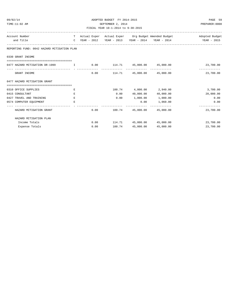| 09/02/14<br>TIME:11:02 AM                   |                     | ADOPTED BUDGET FY 2014-2015<br>SEPTEMBER 2, 2014<br>FISCAL YEAR 10-1-2014 to 9-30-2015 |                                         | PAGE 59<br>PREPARER: 0008 |                                                                                                        |                               |
|---------------------------------------------|---------------------|----------------------------------------------------------------------------------------|-----------------------------------------|---------------------------|--------------------------------------------------------------------------------------------------------|-------------------------------|
| Account Number<br>and Title                 | T.<br>$\mathcal{C}$ |                                                                                        |                                         |                           | Actual Exper Actual Exper Org Budget Amended Budget<br>YEAR - 2012 YEAR - 2013 YEAR - 2014 YEAR - 2014 | Adopted Budget<br>YEAR - 2015 |
| REPORTING FUND: 0042 HAZARD MITIGATION PLAN |                     |                                                                                        |                                         |                           |                                                                                                        |                               |
| 0330 GRANT INCOME                           |                     |                                                                                        |                                         |                           |                                                                                                        |                               |
| 0477 HAZARD MITIGATION DR-1999 T            |                     |                                                                                        | $0.00$ $114.71$ $45,000.00$ $45,000.00$ |                           |                                                                                                        | 23,700.00                     |
| GRANT INCOME                                |                     | 0.00                                                                                   | 114.71                                  |                           | 45,000.00 45,000.00                                                                                    | 23,700.00                     |
| 0477 HAZARD MITIGATION GRANT                |                     |                                                                                        |                                         |                           |                                                                                                        |                               |
|                                             |                     |                                                                                        |                                         |                           |                                                                                                        |                               |
| 0310 OFFICE SUPPLIES                        | E.                  |                                                                                        |                                         | 100.74 4,000.00 2,940.00  |                                                                                                        | 3,700.00                      |
| 0415 CONSULTANT                             | Е                   |                                                                                        | 0.00                                    | 40,000.00                 | 40,000.00                                                                                              | 20,000.00                     |
| 0427 TRAVEL AND TRAINING                    | E.                  |                                                                                        |                                         | $0.00$ 1,000.00           | 1,000.00                                                                                               | 0.00                          |
| 0574 COMPUTER EQUIPMENT                     | F.                  |                                                                                        |                                         | 0.00                      | 1,060.00                                                                                               | 0.00<br>-------------         |
| HAZARD MITIGATION GRANT                     |                     | 0.00                                                                                   | 100.74                                  |                           | 45,000.00 45,000.00                                                                                    | 23,700.00                     |
| HAZARD MITIGATION PLAN                      |                     |                                                                                        |                                         |                           |                                                                                                        |                               |
| Income Totals                               |                     | 0.00                                                                                   | 114.71 45,000.00 45,000.00              |                           |                                                                                                        | 23,700.00                     |
| Expense Totals                              |                     | 0.00                                                                                   | 100.74                                  | 45,000.00                 | 45,000.00                                                                                              | 23,700.00                     |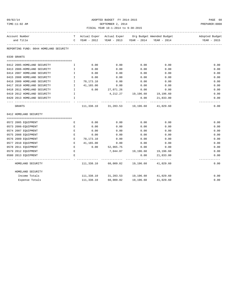## 09/02/14 ADOPTED BUDGET FY 2014-2015 PAGE 60 TIME:11:02 AM SEPTEMBER 2, 2014 PREPARER:0008 FISCAL YEAR 10-1-2014 to 9-30-2015

| Account Number                         |                                                |                     |                                          |                                    |                | T Actual Exper Actual Exper Org Budget Amended Budget New York Adopted Budget |
|----------------------------------------|------------------------------------------------|---------------------|------------------------------------------|------------------------------------|----------------|-------------------------------------------------------------------------------|
| and Title                              |                                                |                     |                                          |                                    |                | C YEAR - 2012 YEAR - 2013 YEAR - 2014 YEAR - 2014 YEAR - 2015                 |
| REPORTING FUND: 0044 HOMELAND SECURITY |                                                |                     |                                          |                                    |                |                                                                               |
| 0330 GRANTS                            |                                                |                     |                                          |                                    |                |                                                                               |
| 0412 2005-HOMELAND SECURITY            | $\mathbf{I}$ and $\mathbf{I}$ and $\mathbf{I}$ | 0.00                | 0.00                                     | 0.00                               | 0.00           | 0.00                                                                          |
| 0413 2006-HOMELAND SECURITY            | $\mathbb T$                                    | 0.00                | 0.00                                     | 0.00                               | 0.00           | 0.00                                                                          |
| 0414 2007 HOMELAND SECURITY            | $\mathbb{E}[\mathbf{X}]$                       | 0.00                | 0.00                                     | 0.00                               | 0.00           | 0.00                                                                          |
| 0415 2008 HOMELAND SECURITY            | $\mathbb{I}$                                   | 0.00                | 0.00                                     | 0.00                               | 0.00           | 0.00                                                                          |
| 0416 2009 HOMELAND SECURITY            |                                                | I 70,173.10         | 0.00                                     | 0.00                               | 0.00           | 0.00                                                                          |
| 0417 2010 HOMELAND SECURITY            |                                                | I 41,165.00         | 0.00                                     | 0.00                               | 0.00           | 0.00                                                                          |
| 0418 2011 HOMELAND SECURITY            |                                                |                     | I 0.00 27,071.26                         | 0.00                               | 0.00           | 0.00                                                                          |
| 0419 2012 HOMELAND SECURITY            | $\mathbb{Z}^{\mathbb{Z}}$ .                    |                     |                                          | 4, 212. 27 19, 196. 60 19, 196. 60 |                | 0.00                                                                          |
| 0420 2013 HOMELAND SECURITY            | $\mathbf{I}$                                   |                     |                                          | 0.00                               | 21,833.00      | 0.00                                                                          |
| GRANTS                                 |                                                |                     | 111,338.10 31,283.53 19,196.60 41,029.60 |                                    |                | -------------<br>0.00                                                         |
| 0412 HOMELAND SECURITY                 |                                                |                     |                                          |                                    |                |                                                                               |
| 0572 2005 EQUIPMENT                    |                                                | 0.00<br>$E$ and $E$ | 0.00                                     | 0.00                               | 0.00           | 0.00                                                                          |
| 0573 2006-EQUIPMENT                    | E                                              | 0.00                | 0.00                                     | 0.00                               | 0.00           | 0.00                                                                          |
| 0574 2007 EQUIPMENT                    | E                                              | 0.00                | 0.00                                     | 0.00                               | 0.00           | 0.00                                                                          |
| 0575 2008 EQUIPMENT                    | E                                              | 0.00                | 0.00                                     | 0.00                               | 0.00           | 0.00                                                                          |
| 0576 2009 EQUIPMENT                    | $\mathbf{E}$                                   | 70,173.10           | 0.00                                     | 0.00                               | 0.00           | 0.00                                                                          |
| 0577 2010 EOUIPMENT                    |                                                | E 41,165.00         | 0.00                                     | 0.00                               | 0.00           | 0.00                                                                          |
| 0578 2011 EQUIPMENT                    |                                                |                     | E 0.00 52,965.75                         |                                    | 0.00<br>0.00   | 0.00                                                                          |
| 0579 2012 EQUIPMENT                    | $\mathbf{E}$                                   |                     | 7,044.07  19,196.60  19,196.60           |                                    |                | 0.00                                                                          |
| 0580 2013 EOUIPMENT                    | E.                                             |                     |                                          |                                    | 0.00 21,833.00 | 0.00                                                                          |
| HOMELAND SECURITY                      |                                                |                     | 111,338.10 60,009.82 19,196.60 41,029.60 |                                    |                | -------------<br>0.00                                                         |
| HOMELAND SECURITY                      |                                                |                     |                                          |                                    |                |                                                                               |
| Income Totals                          |                                                |                     | 111,338.10 31,283.53 19,196.60 41,029.60 |                                    |                | 0.00                                                                          |
| Expense Totals                         |                                                |                     | 111,338.10 60,009.82 19,196.60 41,029.60 |                                    |                | 0.00                                                                          |
|                                        |                                                |                     |                                          |                                    |                |                                                                               |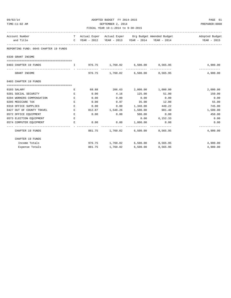| 09/02/14<br>TIME:11:02 AM             |    | ADOPTED BUDGET FY 2014-2015<br>SEPTEMBER 2, 2014<br>FISCAL YEAR 10-1-2014 to 9-30-2015 | PAGE 61<br>PREPARER: 0008         |              |                                                               |                                                                          |
|---------------------------------------|----|----------------------------------------------------------------------------------------|-----------------------------------|--------------|---------------------------------------------------------------|--------------------------------------------------------------------------|
| Account Number<br>and Title           |    |                                                                                        |                                   |              | C YEAR - 2012 YEAR - 2013 YEAR - 2014 YEAR - 2014 YEAR - 2015 | T Actual Exper Actual Exper Org Budget Amended Budget And Adopted Budget |
| REPORTING FUND: 0045 CHAPTER 19 FUNDS |    |                                                                                        |                                   |              |                                                               |                                                                          |
| 0330 GRANT INCOME                     |    |                                                                                        |                                   |              |                                                               |                                                                          |
| 0403 CHAPTER 19 FUNDS                 |    | I 976.75 1,760.02 6,500.00 8,565.95                                                    |                                   |              |                                                               | 4,900.00                                                                 |
| GRANT INCOME                          |    |                                                                                        | 976.75 1,760.02 6,500.00 8,565.95 |              |                                                               | -------------<br>4,900.00                                                |
| 0403 CHAPTER 19 FUNDS                 |    |                                                                                        |                                   |              |                                                               |                                                                          |
|                                       |    |                                                                                        |                                   |              |                                                               |                                                                          |
| 0103 SALARY                           | E  | 68.88                                                                                  | 206.63 2,000.00 1,000.00          |              |                                                               | 2,000.00                                                                 |
| 0201 SOCIAL SECURITY                  | E  | 0.00                                                                                   | 4.16                              | 125.00       | 51.00                                                         | 150.00                                                                   |
| 0204 WORKERS COMPENSATION             | E  | 0.00                                                                                   | 0.00                              | 0.00         | 0.00                                                          | 0.00                                                                     |
| 0205 MEDICARE TAX                     | E. | 0.00                                                                                   |                                   | $0.97$ 35.00 | 12.00                                                         | 55.00                                                                    |
| 0310 OFFICE SUPPLIES                  | E. | 0.00                                                                                   | 0.00                              | 1,340.00     | 449.22                                                        | 745.00                                                                   |
| 0427 OUT OF COUNTY TRAVEL             | Е  |                                                                                        | 812.87 1,548.26                   | 1,500.00     | 901.40                                                        | 1,500.00                                                                 |
| 0572 OFFICE EQUIPMENT                 | E. | 0.00                                                                                   | 0.00                              | 500.00       | 0.00                                                          | 450.00                                                                   |
| 0573 ELECTION EQUIPMENT               | Е  |                                                                                        |                                   | 0.00         | 6,152.33                                                      | 0.00                                                                     |
| 0574 COMPUTER EQUIPMENT               | E  | 0.00                                                                                   | 0.00                              | 1,000.00     | 0.00                                                          | 0.00<br>-------------                                                    |
| CHAPTER 19 FUNDS                      |    |                                                                                        | 881.75 1,760.02 6,500.00 8,565.95 |              |                                                               | 4,900.00                                                                 |
| CHAPTER 19 FUNDS                      |    |                                                                                        |                                   |              |                                                               |                                                                          |
| Income Totals                         |    |                                                                                        | 976.75 1,760.02 6,500.00 8,565.95 |              |                                                               | 4,900.00                                                                 |
| Expense Totals                        |    | 881.75                                                                                 | 1,760.02                          | 6,500.00     | 8,565.95                                                      | 4,900.00                                                                 |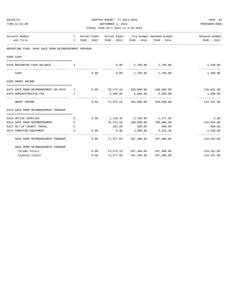| TIME:11:02 AM                                                               |              | SEPTEMBER 2, 2014 | PREPARER: 0008                               |                                   |            |                                                                          |  |  |
|-----------------------------------------------------------------------------|--------------|-------------------|----------------------------------------------|-----------------------------------|------------|--------------------------------------------------------------------------|--|--|
| FISCAL YEAR 10-1-2014 to 9-30-2015                                          |              |                   |                                              |                                   |            |                                                                          |  |  |
| Account Number                                                              |              |                   |                                              |                                   |            | T Actual Exper Actual Exper Org Budget Amended Budget And Adopted Budget |  |  |
| and Title                                                                   |              |                   |                                              |                                   |            | C YEAR - 2012 YEAR - 2013 YEAR - 2014 YEAR - 2014 YEAR - 2015            |  |  |
| REPORTING FUND: 0046 SAFE ROOM REIMBURSEMENT PROGRAM                        |              |                   |                                              |                                   |            |                                                                          |  |  |
| 0300 CASH                                                                   |              |                   |                                              |                                   |            |                                                                          |  |  |
| 0146 BEGINNING CASH BALANCE<br>$\mathbf{T}$ and $\mathbf{T}$                |              |                   |                                              | $0.00$ 2,700.00 2,700.00          |            | 1,200.00                                                                 |  |  |
| CASH                                                                        |              | 0.00              |                                              | $0.00$ 2,700.00 2,700.00          |            | -------------<br>1,200.00                                                |  |  |
| 0330 GRANT INCOME                                                           |              |                   |                                              |                                   |            |                                                                          |  |  |
| 0475 SAFE ROOM REIMBURSEMENT DR-4029 I 0.00 70,174.19 198,000.00 198,000.00 |              |                   |                                              |                                   |            | 116,691.00                                                               |  |  |
| 0476 ADMINISTRATIVE FEE                                                     | $\mathbf{I}$ |                   |                                              | 3,400.00 6,600.00 6,600.00        |            | 1,500.00                                                                 |  |  |
| GRANT INCOME                                                                |              |                   | $0.00$ $73,574.19$ $204,600.00$ $204,600.00$ |                                   |            | -------------<br>118,191.00                                              |  |  |
| 0475 SAFE ROOM REIMBURSEMENT PROGRAM                                        |              |                   |                                              |                                   |            |                                                                          |  |  |
| 0310 OFFICE SUPPLIES                                                        | Е            |                   | $0.00$ 1,110.40 5,700.00 5,277.60            |                                   |            | 0.00                                                                     |  |  |
| 0314 SAFE ROOM REIMBURSEMENT FRAME                                          |              |                   |                                              | 70,174.19  198,000.00  198,000.00 |            | 116,691.00                                                               |  |  |
| 0427 OUT OF COUNTY TRAVEL                                                   | Е            |                   | 292.50                                       | 600.00                            | 600.00     | 600.00                                                                   |  |  |
| 0574 COMPUTER EQUIPMENT                                                     | E            | 0.00              | 0.00                                         | 3,000.00 3,422.40                 |            | 2,100.00                                                                 |  |  |
| SAFE ROOM REIMBURSEMENT PROGRAM                                             |              |                   | $0.00$ $71,577.09$ $207,300.00$ $207,300.00$ |                                   |            | -------------<br>119,391.00                                              |  |  |
| SAFE ROOM REIMBURSEMENT PROGRAM                                             |              |                   |                                              |                                   |            |                                                                          |  |  |
| Income Totals                                                               |              | 0.00              | 73,574.19 207,300.00                         |                                   | 207,300.00 | 119,391.00                                                               |  |  |
| Expense Totals                                                              |              | 0.00              | 71,577.09                                    | 207,300.00                        | 207,300.00 | 119,391.00                                                               |  |  |

09/02/14 ADOPTED BUDGET FY 2014-2015 PAGE 62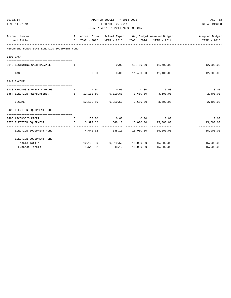## ADOPTED BUDGET FY 2014-2015 PAGE 63 TIME:11:02 AM SEPTEMBER 2, 2014 PREPARER:0008 FISCAL YEAR 10-1-2014 to 9-30-2015

|           | Account Number<br>and Title                                      |                            |      |                                                |  |                                            | T Actual Exper Actual Exper Org Budget Amended Budget Network and Adopted Budget<br>C YEAR - 2012 YEAR - 2013 YEAR - 2014 YEAR - 2014 YEAR - 2015 |  |  |
|-----------|------------------------------------------------------------------|----------------------------|------|------------------------------------------------|--|--------------------------------------------|---------------------------------------------------------------------------------------------------------------------------------------------------|--|--|
|           | REPORTING FUND: 0048 ELECTION EQUIPMENT FUND                     |                            |      |                                                |  |                                            |                                                                                                                                                   |  |  |
| 0300 CASH |                                                                  |                            |      |                                                |  |                                            |                                                                                                                                                   |  |  |
|           |                                                                  |                            |      |                                                |  |                                            |                                                                                                                                                   |  |  |
|           | 0148 BEGINNING CASH BALANCE                                      | and the state of the Table |      |                                                |  | $0.00$ 11,400.00 11,400.00                 | 12,600.00<br>-------------                                                                                                                        |  |  |
|           | CASH                                                             |                            | 0.00 | $0.00$ $11.400.00$ $11.400.00$                 |  |                                            | 12,600.00                                                                                                                                         |  |  |
|           | 0340 INCOME                                                      |                            |      |                                                |  |                                            |                                                                                                                                                   |  |  |
|           |                                                                  |                            |      |                                                |  |                                            |                                                                                                                                                   |  |  |
|           | 0130 REFUNDS & MISCELLANEOUS $I$ 0.00 0.00 0.00 0.00 0.00        |                            |      |                                                |  |                                            | 0.00                                                                                                                                              |  |  |
|           | 0484 ELECTION REIMBURSEMENT 12,102.50 9,319.50 3,600.00 3,600.00 |                            |      |                                                |  |                                            | 2,400.00<br>-------------                                                                                                                         |  |  |
|           | INCOME                                                           |                            |      | 12,102.50 9,319.50 3,600.00 3,600.00           |  |                                            | 2,400.00                                                                                                                                          |  |  |
|           | 0403 ELECTION EQUIPMENT FUND                                     |                            |      |                                                |  |                                            |                                                                                                                                                   |  |  |
|           |                                                                  |                            |      |                                                |  |                                            |                                                                                                                                                   |  |  |
|           | 0485 LICENSE/SUPPORT                                             |                            |      | $E = 1,150.00$ (0.00 0.00 0.00 0.00            |  |                                            | 0.00                                                                                                                                              |  |  |
|           | 0573 ELECTION EQUIPMENT                                          |                            |      |                                                |  | $E$ 3, 392.82 348.10 15, 000.00 15, 000.00 | 15,000.00<br>-------------                                                                                                                        |  |  |
|           | ELECTION EQUIPMENT FUND                                          |                            |      | $4,542.82$ $348.10$ $15,000.00$ $15,000.00$    |  |                                            | 15,000.00                                                                                                                                         |  |  |
|           | ELECTION EOUIPMENT FUND                                          |                            |      |                                                |  |                                            |                                                                                                                                                   |  |  |
|           | Income Totals                                                    |                            |      | $12,102.50$ $9,319.50$ $15,000.00$ $15,000.00$ |  |                                            | 15,000.00                                                                                                                                         |  |  |

Expense Totals 4,542.82 348.10 15,000.00 15,000.00 15,000.00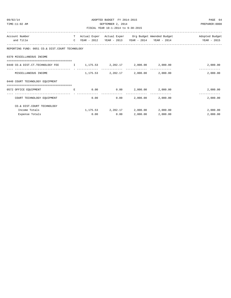| Account Number | T. | Actual Exper | Actual Exper                       | Org Budget Amended Budget | Adopted Budget |         |
|----------------|----|--------------|------------------------------------|---------------------------|----------------|---------|
|                |    |              | FISCAL YEAR 10-1-2014 to 9-30-2015 |                           |                |         |
| TIME:11:02 AM  |    |              | SEPTEMBER 2, 2014                  |                           | PREPARER: 0008 |         |
| 09/02/14       |    |              | ADOPTED BUDGET FY 2014-2015        |                           |                | PAGE 64 |

## BUDGET FY 2014-2015 PAGE 64  $P$ TEMBER 2, 2014 PREPARER:0008 FISCAL YEAR 10-1-2014 to 9-30-2015

| Account Number                                  |  |                             | T Actual Exper Actual Exper Org Budget Amended Budget | Adopted Budget |
|-------------------------------------------------|--|-----------------------------|-------------------------------------------------------|----------------|
| and Title                                       |  | $C$ YEAR - 2012 YEAR - 2013 | YEAR - 2014<br>YEAR - 2014                            | YEAR - 2015    |
| REPORTING FUND: 0051 CO.& DIST.COURT TECHNOLOGY |  |                             |                                                       |                |

| 0370 MISCELLANEOUS INCOME        |              |          |          |          |          |                      |
|----------------------------------|--------------|----------|----------|----------|----------|----------------------|
|                                  |              |          |          |          |          |                      |
| 0440 CO.& DIST.CT.TECHNOLOGY FEE | $\mathbf{I}$ | 1,175.53 | 2,202.17 | 2,000.00 | 2,000.00 | 2,000.00             |
| MISCELLANEOUS INCOME             |              | 1,175.53 | 2,202.17 | 2,000.00 | 2,000.00 | --------<br>2,000.00 |
| 0440 COURT TECHNOLOGY EOUIPMENT  |              |          |          |          |          |                      |
|                                  |              |          |          |          |          |                      |
| OFFICE EQUIPMENT<br>0572         | Ε            | 0.00     | 0.00     | 2,000.00 | 2,000.00 | 2,000.00             |
| COURT TECHNOLOGY EOUIPMENT       |              | 0.00     | 0.00     | 2,000.00 | 2,000.00 | 2,000.00             |
| CO.& DIST.COURT TECHNOLOGY       |              |          |          |          |          |                      |
| Income Totals                    |              | 1,175.53 | 2,202.17 | 2,000.00 | 2,000.00 | 2,000.00             |
| Expense Totals                   |              | 0.00     | 0.00     | 2,000.00 | 2,000.00 | 2,000.00             |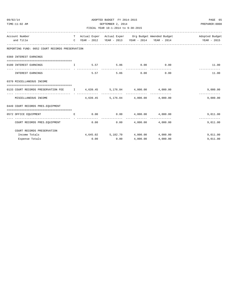### ADOPTED BUDGET FY 2014-2015 PAGE 65 TIME:11:02 AM SEPTEMBER 2, 2014 PREPARER:0008 FISCAL YEAR 10-1-2014 to 9-30-2015

| Account Number                                                            |   |                                             |          |                                                   | T Actual Exper Actual Exper Org Budget Amended Budget And Adopted Budget |
|---------------------------------------------------------------------------|---|---------------------------------------------|----------|---------------------------------------------------|--------------------------------------------------------------------------|
| and Title                                                                 |   |                                             |          | C YEAR - 2012 YEAR - 2013 YEAR - 2014 YEAR - 2014 | YEAR - 2015                                                              |
| REPORTING FUND: 0052 COURT RECORDS PRESERVATION                           |   |                                             |          |                                                   |                                                                          |
| 0360 INTEREST EARNINGS                                                    |   |                                             |          |                                                   |                                                                          |
| 0100 INTEREST EARNINGS<br>. The contract of the state $\mathbf{I}$ is     |   | $5.57$ $5.86$ $0.00$ $0.00$                 |          |                                                   | 11.00                                                                    |
| INTEREST EARNINGS                                                         |   | 5.57                                        |          | 5.86 0.00 0.00                                    | 11.00                                                                    |
| 0370 MISCELLANEOUS INCOME                                                 |   |                                             |          |                                                   |                                                                          |
|                                                                           |   |                                             |          |                                                   |                                                                          |
| 0133 COURT RECORDS PRESERVATION FEE 1 4,639.45 5,176.84 4,000.00 4,000.00 |   |                                             |          |                                                   | 9,000.00                                                                 |
| MISCELLANEOUS INCOME                                                      |   | $4,639.45$ $5,176.84$ $4,000.00$ $4,000.00$ |          |                                                   | 9.000.00                                                                 |
| 0449 COURT RECORDS PRES. EOUIPMENT                                        |   |                                             |          |                                                   |                                                                          |
| -----------------------------------<br>0572 OFFICE EQUIPMENT              | E |                                             |          | $0.00$ $0.00$ $4,000.00$ $4,000.00$               | 9,011.00                                                                 |
| COURT RECORDS PRES. EQUIPMENT                                             |   | $0.00$ and $0.00$                           |          | $0.00$ 4,000.00 4,000.00                          | -------------<br>9.011.00                                                |
| COURT RECORDS PRESERVATION                                                |   |                                             |          |                                                   |                                                                          |
| Income Totals                                                             |   | $4,645.02$ $5,182.70$ $4,000.00$ $4,000.00$ |          |                                                   | 9,011.00                                                                 |
| Expense Totals                                                            |   | $0.00$ 0.00                                 | 4,000.00 | 4,000.00                                          | 9,011.00                                                                 |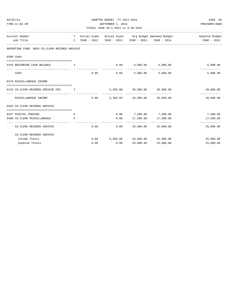| 09/02/14 |  |
|----------|--|
|----------|--|

## ADOPTED BUDGET FY 2014-2015 PAGE 66 TIME:11:02 AM SEPTEMBER 2, 2014 PREPARER:0008

# FISCAL YEAR 10-1-2014 to 9-30-2015 ------------------------------------------------------------------------------------------------------------------------------------

| Account Number                                                            |    |               |      |                              |                                     | T Actual Exper Actual Exper Org Budget Amended Budget And Adopted Budget |
|---------------------------------------------------------------------------|----|---------------|------|------------------------------|-------------------------------------|--------------------------------------------------------------------------|
| and Title                                                                 |    | C YEAR - 2012 |      |                              | YEAR - 2013 YEAR - 2014 YEAR - 2014 | YEAR - 2015                                                              |
| REPORTING FUND: 0053 CO.CLERK RECORDS ARCHIVE                             |    |               |      |                              |                                     |                                                                          |
| 0300 CASH                                                                 |    |               |      |                              |                                     |                                                                          |
| 0153 BEGINNING CASH BALANCE<br>and the state of the Table                 |    |               |      | $0.00$ 5,000.00 5,000.00     |                                     | 5,000.00                                                                 |
| CASH                                                                      |    | 0.00          | 0.00 |                              | 5,000.00 5,000.00                   | 5,000.00                                                                 |
| 0370 MISCELLANEOUS INCOME                                                 |    |               |      |                              |                                     |                                                                          |
| ==================================<br>0133 CO.CLERK RECORDS ARCHIVE FEE T |    |               |      | 5,585.00 20,000.00 20,000.00 |                                     | 20,000.00<br>-------------                                               |
| MISCELLANEOUS INCOME                                                      |    | 0.00          |      | 5,585.00 20,000.00 20,000.00 |                                     | 20,000.00                                                                |
| 0403 CO. CLERK RECORDS ARCHIVE                                            |    |               |      |                              |                                     |                                                                          |
| 0437 DIGITAL IMAGING                                                      | E  |               |      | $0.00$ 7,500.00 7,500.00     |                                     | 7,500.00                                                                 |
| 0490 CO.CLERK MISCELLANEOUS                                               | E. |               | 0.00 | 17,500.00 17,500.00          |                                     | 17,500.00                                                                |
| -----------------------------<br>CO. CLERK RECORDS ARCHIVE                |    | 0.00          | 0.00 |                              | 25,000.00 25,000.00                 | -------------<br>25,000.00                                               |
| CO. CLERK RECORDS ARCHIVE                                                 |    |               |      |                              |                                     |                                                                          |
| Income Totals                                                             |    | 0.00          |      | 5,585.00 25,000.00 25,000.00 |                                     | 25,000.00                                                                |
| Expense Totals                                                            |    | 0.00          | 0.00 | 25,000.00                    | 25,000.00                           | 25,000.00                                                                |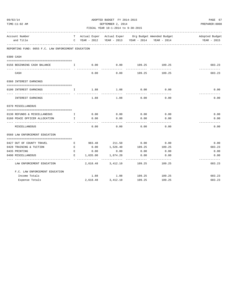| TIME:11:02 AM                                                  |                               | SEPTEMBER 2, 2014<br>FISCAL YEAR 10-1-2014 to 9-30-2015 | PREPARER: 0008           |                      |                                                                                                            |                               |
|----------------------------------------------------------------|-------------------------------|---------------------------------------------------------|--------------------------|----------------------|------------------------------------------------------------------------------------------------------------|-------------------------------|
| Account Number<br>and Title                                    |                               |                                                         |                          |                      | T Actual Exper Actual Exper Org Budget Amended Budget<br>C YEAR - 2012 YEAR - 2013 YEAR - 2014 YEAR - 2014 | Adopted Budget<br>YEAR - 2015 |
| REPORTING FUND: 0055 F.C. LAW ENFORCEMENT EDUCATION            |                               |                                                         |                          |                      |                                                                                                            |                               |
| 0300 CASH                                                      |                               |                                                         |                          |                      |                                                                                                            |                               |
| 0156 BEGINNING CASH BALANCE $I$ 0.00 0.00 109.25 109.25        |                               |                                                         |                          |                      |                                                                                                            | 683.23                        |
| CASH                                                           |                               |                                                         | 0.00                     |                      | $0.00$ 109.25 109.25                                                                                       | -----------<br>683.23         |
| 0360 INTEREST EARNINGS                                         |                               |                                                         |                          |                      |                                                                                                            |                               |
| 0100 INTEREST EARNINGS                                         | $\mathbf{I}$ and $\mathbf{I}$ |                                                         | $1.88$ $1.08$ 0.00       |                      | 0.00                                                                                                       | 0.00                          |
| INTEREST EARNINGS                                              |                               | 1.88                                                    | 1.08                     | ------------<br>0.00 | ------------<br>0.00                                                                                       | .<br>0.00                     |
| 0370 MISCELLANEOUS                                             |                               |                                                         |                          |                      |                                                                                                            |                               |
| 0130 REFUNDS & MISCELLANEOUS $I$ 0.00 0.00 0.00 0.00 0.00 0.00 |                               |                                                         |                          |                      |                                                                                                            | 0.00                          |
| 0160 PEACE OFFICER ALLOCATION I                                |                               | 0.00                                                    | 0.00                     |                      | $0.00$ 0.00                                                                                                | 0.00                          |
| MISCELLANEOUS                                                  |                               | 0.00                                                    | .<br>0.00                | 0.00                 | 0.00                                                                                                       | -------------<br>0.00         |
| 0560 LAW ENFORCEMENT EDUCATION                                 |                               |                                                         |                          |                      |                                                                                                            |                               |
| 0427 OUT OF COUNTY TRAVEL                                      | <b>Example 19</b>             | 983.48                                                  |                          | 211.50 0.00          | 0.00                                                                                                       | 0.00                          |
| 0428 TRAINING & TUITION                                        | E                             | 0.00                                                    | 1,526.40                 | 109.25               | 109.25                                                                                                     | 683.23                        |
| 0435 PRINTING                                                  | E                             | 0.00                                                    | 0.00                     | 0.00                 | 0.00                                                                                                       | 0.00                          |
| 0490 MISCELLANEOUS                                             |                               |                                                         | $E$ 1,635.00 1,674.20    | 0.00                 | 0.00                                                                                                       | 0.00                          |
| LAW ENFORCEMENT EDUCATION                                      |                               |                                                         | 2,618.48 3,412.10 109.25 |                      | 109.25                                                                                                     | -------------<br>683.23       |
| F.C. LAW ENFORCEMENT EDUCATION                                 |                               |                                                         |                          |                      |                                                                                                            |                               |
| Income Totals                                                  |                               |                                                         | 1.88 1.08 109.25 109.25  |                      |                                                                                                            | 683.23                        |
| Expense Totals                                                 |                               |                                                         | 2,618.48 3,412.10        | 109.25               | 109.25                                                                                                     | 683.23                        |

09/02/14 ADOPTED BUDGET FY 2014-2015 PAGE 67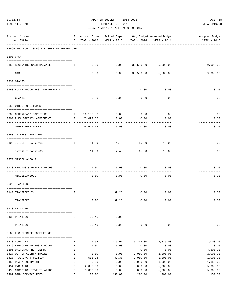| 09/02/14    | TIME:11:02 AM                                                                                                                                                                                                                                                                                                                   |              | ADOPTED BUDGET FY 2014-2015<br>SEPTEMBER 2, 2014<br>FISCAL YEAR 10-1-2014 to 9-30-2015 | PAGE 68<br>PREPARER: 0008             |            |                                                                                                              |                               |
|-------------|---------------------------------------------------------------------------------------------------------------------------------------------------------------------------------------------------------------------------------------------------------------------------------------------------------------------------------|--------------|----------------------------------------------------------------------------------------|---------------------------------------|------------|--------------------------------------------------------------------------------------------------------------|-------------------------------|
|             | Account Number<br>and Title                                                                                                                                                                                                                                                                                                     |              |                                                                                        | C YEAR - 2012 YEAR - 2013 YEAR - 2014 |            | ------------------------------------<br>T Actual Exper Actual Exper Org Budget Amended Budget<br>YEAR - 2014 | Adopted Budget<br>YEAR - 2015 |
|             | REPORTING FUND: 0056 F C SHERIFF FORFEITURE                                                                                                                                                                                                                                                                                     |              |                                                                                        |                                       |            |                                                                                                              |                               |
| 0300 CASH   |                                                                                                                                                                                                                                                                                                                                 |              |                                                                                        |                                       |            |                                                                                                              |                               |
|             |                                                                                                                                                                                                                                                                                                                                 |              |                                                                                        |                                       |            | $0.00$ 35,500.00 35,500.00                                                                                   |                               |
|             | 0156 BEGINNING CASH BALANCE<br>$\mathbf{I}$ and $\mathbf{I}$ and $\mathbf{I}$ and $\mathbf{I}$ and $\mathbf{I}$ and $\mathbf{I}$ and $\mathbf{I}$ and $\mathbf{I}$ and $\mathbf{I}$ and $\mathbf{I}$ and $\mathbf{I}$ and $\mathbf{I}$ and $\mathbf{I}$ and $\mathbf{I}$ and $\mathbf{I}$ and $\mathbf{I}$ and $\mathbf{I}$ and |              |                                                                                        | 0.00                                  |            |                                                                                                              | 39,000.00<br>-------------    |
|             | CASH                                                                                                                                                                                                                                                                                                                            |              | 0.00                                                                                   |                                       |            | $0.00$ 35,500.00 35,500.00                                                                                   | 39,000.00                     |
| 0330 GRANTS |                                                                                                                                                                                                                                                                                                                                 |              |                                                                                        |                                       |            |                                                                                                              |                               |
|             |                                                                                                                                                                                                                                                                                                                                 |              |                                                                                        |                                       |            |                                                                                                              |                               |
|             | 0560 BULLETPROOF VEST PARTNERSHIP 1                                                                                                                                                                                                                                                                                             |              |                                                                                        |                                       | 0.00       | 0.00                                                                                                         | 0.00                          |
|             | GRANTS                                                                                                                                                                                                                                                                                                                          |              | 0.00                                                                                   | 0.00                                  | 0.00       | 0.00                                                                                                         | 0.00                          |
|             |                                                                                                                                                                                                                                                                                                                                 |              |                                                                                        |                                       |            |                                                                                                              |                               |
|             | 0352 OTHER FOREITURES                                                                                                                                                                                                                                                                                                           |              |                                                                                        |                                       |            |                                                                                                              |                               |
|             | 0200 CONTRABAND FOREITURE                                                                                                                                                                                                                                                                                                       | $\mathbf{I}$ | 16,182.86                                                                              | 0.00                                  | 0.00       | 0.00                                                                                                         | 0.00                          |
|             | 0300 PLEA BARGAIN AGREEMENT<br>$\mathbb{I}$ and $\mathbb{I}$                                                                                                                                                                                                                                                                    |              | 20,492.86                                                                              | 0.00                                  | 0.00       | 0.00                                                                                                         | 0.00                          |
|             | ------------<br>OTHER FOREITURES                                                                                                                                                                                                                                                                                                |              | 36,675.72                                                                              | 0.00                                  | 0.00       | 0.00                                                                                                         | 0.00                          |
|             | 0360 INTEREST EARNINGS                                                                                                                                                                                                                                                                                                          |              |                                                                                        |                                       |            |                                                                                                              |                               |
|             | 0100 INTEREST EARNINGS                                                                                                                                                                                                                                                                                                          | $\mathbb{I}$ | 11.89                                                                                  | 14.40                                 | 15.00      | 15.00                                                                                                        | 8.00<br>------------          |
|             | INTEREST EARNINGS                                                                                                                                                                                                                                                                                                               |              | 11.89                                                                                  | -----------<br>14.40                  | .<br>15.00 | ------------<br>15.00                                                                                        | 8.00                          |
|             | 0370 MISCELLANEOUS                                                                                                                                                                                                                                                                                                              |              |                                                                                        |                                       |            |                                                                                                              |                               |
|             | 0130 REFUNDS & MISCELLANEOUS<br>$\mathbf{I}$<br>------------- - -------                                                                                                                                                                                                                                                         |              | 0.00                                                                                   | 0.00                                  | 0.00       | 0.00                                                                                                         | 0.00                          |
|             | MISCELLANEOUS                                                                                                                                                                                                                                                                                                                   |              | 0.00                                                                                   | 0.00                                  | 0.00       | 0.00                                                                                                         | 0.00                          |
|             | 0390 TRANSFERS                                                                                                                                                                                                                                                                                                                  |              |                                                                                        |                                       |            |                                                                                                              |                               |
|             | 0140 TRANSFERS IN                                                                                                                                                                                                                                                                                                               | I            |                                                                                        | 69.28                                 | 0.00       | 0.00                                                                                                         | 0.00                          |
|             | TRANSFERS                                                                                                                                                                                                                                                                                                                       |              | 0.00                                                                                   | 69.28                                 | 0.00       | -----<br>0.00                                                                                                | 0.00                          |
|             |                                                                                                                                                                                                                                                                                                                                 |              |                                                                                        |                                       |            |                                                                                                              |                               |
|             | 0510 PRINTING                                                                                                                                                                                                                                                                                                                   |              |                                                                                        |                                       |            |                                                                                                              |                               |
|             | 0435 PRINTING                                                                                                                                                                                                                                                                                                                   | Е            | 35.40                                                                                  | 0.00                                  |            |                                                                                                              |                               |
|             | PRINTING                                                                                                                                                                                                                                                                                                                        |              | _______________<br>35.40                                                               | -------------<br>0.00                 | 0.00       | 0.00                                                                                                         | -----------<br>0.00           |
|             | 0560 F C SHERIFF FORFEITURE                                                                                                                                                                                                                                                                                                     |              |                                                                                        |                                       |            |                                                                                                              |                               |
|             | 0310 SUPPLIES                                                                                                                                                                                                                                                                                                                   | Е            | 1,115.54                                                                               | 179.91                                | 5,315.00   | 5,315.00                                                                                                     | 2,003.00                      |
|             | 0316 EMPLOYEE AWARDS BANQUET                                                                                                                                                                                                                                                                                                    | Е            | 0.00                                                                                   | 0.00                                  | 0.00       | 0.00                                                                                                         | 0.00                          |
|             | 0395 UNIFORMS/PROT.VESTS                                                                                                                                                                                                                                                                                                        | Ε            |                                                                                        |                                       | 0.00       | 0.00                                                                                                         | 3,500.00                      |
|             | 0427 OUT OF COUNTY TRAVEL                                                                                                                                                                                                                                                                                                       | E            | 0.00                                                                                   | 0.00                                  | 2,000.00   | 2,000.00                                                                                                     | 2,000.00                      |
|             | 0428 TRAINING & TUITION                                                                                                                                                                                                                                                                                                         | E            | 503.28                                                                                 | 37.38                                 | 1,000.00   | 1,000.00                                                                                                     | 1,000.00                      |
|             | 0452 R & M EQUIPMENT                                                                                                                                                                                                                                                                                                            | Ε            | 0.00                                                                                   | 0.00                                  | 3,000.00   | 3,000.00                                                                                                     | 1,355.00                      |
|             | 0454 R&M AUTO                                                                                                                                                                                                                                                                                                                   | E            | 2,058.00                                                                               | 0.00                                  | 5,000.00   | 5,000.00                                                                                                     | 5,000.00                      |
|             | 0495 NARCOTICS INVESTIGATION                                                                                                                                                                                                                                                                                                    | Е            | 3,000.00                                                                               | 0.00                                  | 5,000.00   | 5,000.00                                                                                                     | 5,000.00                      |

0499 BANK SERVICE FEES E 100.00 150.00 200.00 200.00 150.00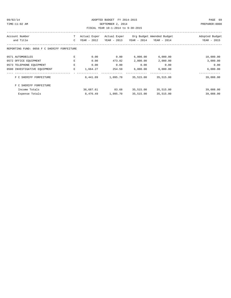### 09/02/14 ADOPTED BUDGET FY 2014-2015 PAGE 69 TIME:11:02 AM SEPTEMBER 2, 2014 PREPARER:0008 FISCAL YEAR 10-1-2014 to 9-30-2015

| Account Number                              | т | Actual Exper | Actual Exper  |               | Org Budget Amended Budget | Adopted Budget |
|---------------------------------------------|---|--------------|---------------|---------------|---------------------------|----------------|
| and Title                                   | C | YEAR - 2012  | $YEAR - 2013$ | $YEAR - 2014$ | YEAR - 2014               | YEAR - 2015    |
| REPORTING FUND: 0056 F C SHERIFF FORFEITURE |   |              |               |               |                           |                |
| 0571 AUTOMOBILES                            | Е | 0.00         | 0.00          | 6,000.00      | 6,000.00                  | 10,000.00      |
| 0572 OFFICE EQUIPMENT                       | E | 0.00         | 473.82        | 2,000.00      | 2,000.00                  | 3,000.00       |
| 0573 TELEPHONE EQUIPMENT                    | E | 0.00         | 0.00          | 0.00          | 0.00                      | 0.00           |
| 0580 INVESTIGATIVE EQUIPMENT                | E | 1,664.27     | 254.59        | 6,000.00      | 6,000.00                  | 6,000.00       |
| F C SHERIFF FORFEITURE                      |   | 8,441.09     | 1,095.70      | 35,515.00     | 35,515.00                 | 39,008.00      |
| F C SHERIFF FORFEITURE                      |   |              |               |               |                           |                |
| Income Totals                               |   | 36,687.61    | 83.68         | 35,515.00     | 35,515.00                 | 39,008.00      |
| Expense Totals                              |   | 8,476.49     | 1,095.70      | 35,515.00     | 35,515.00                 | 39,008.00      |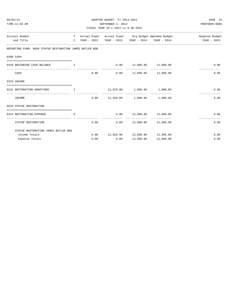| 09/02/14<br>TIME:11:02 AM                                                                 | PAGE 70<br>PREPARER: 0008                                                                                                                    |      |                                             |                            |                     |      |
|-------------------------------------------------------------------------------------------|----------------------------------------------------------------------------------------------------------------------------------------------|------|---------------------------------------------|----------------------------|---------------------|------|
| Account Number<br>and Title                                                               | T Actual Exper Actual Exper Org Budget Amended Budget And Adopted Budget<br>C YEAR - 2012 YEAR - 2013 YEAR - 2014 YEAR - 2014<br>YEAR - 2015 |      |                                             |                            |                     |      |
| REPORTING FUND: 0058 STATUE RESTORATION JAMES BUTLER BON                                  |                                                                                                                                              |      |                                             |                            |                     |      |
| 0300 CASH                                                                                 |                                                                                                                                              |      |                                             |                            |                     |      |
| 0158 BEGINNING CASH BALANCE                                                               | I                                                                                                                                            |      | $0.00$ 11,060.00 11,060.00<br>------------- |                            |                     | 0.00 |
| CASH                                                                                      |                                                                                                                                              | 0.00 | 0.00                                        |                            | 11,060.00 11,060.00 | 0.00 |
| 0370 INCOME                                                                               |                                                                                                                                              |      |                                             |                            |                     |      |
| 0131 RESTORATION DONATIONS<br>and the state of the Table<br>_____________________________ |                                                                                                                                              |      | $12,010.00$ $1,000.00$ $1,000.00$           |                            |                     | 0.00 |
| INCOME                                                                                    |                                                                                                                                              | 0.00 | 12,010.00   1,000.00   1,000.00             |                            |                     | 0.00 |
| 0510 STATUE RESTORATION<br>--------------------------------------                         |                                                                                                                                              |      |                                             |                            |                     |      |
| 0313 RESTORATION EXPENSE<br>-----------------                                             | E.                                                                                                                                           |      | 0.00                                        | 12,060.00 12,060.00        |                     | 0.00 |
| STATUE RESTORATION                                                                        |                                                                                                                                              | 0.00 |                                             | $0.00$ 12,060.00 12,060.00 |                     | 0.00 |
| STATUE RESTORATION JAMES BUTLER BON                                                       |                                                                                                                                              |      |                                             |                            |                     |      |

Income Totals 0.00 12,010.00 12,060.00 12,060.00 0.00 Expense Totals 0.00 0.00 12,060.00 12,060.00 0.00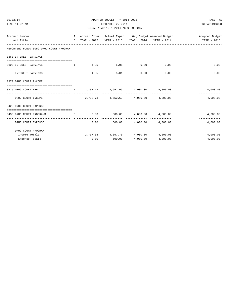### 09/02/14 ADOPTED BUDGET FY 2014-2015 PAGE 71 TIME:11:02 AM SEPTEMBER 2, 2014 PREPARER:0008 FISCAL YEAR 10-1-2014 to 9-30-2015

| Account Number                                                                       |              |                       |                                             |      |                                                   | T Actual Exper Actual Exper Org Budget Amended Budget North Adopted Budget |
|--------------------------------------------------------------------------------------|--------------|-----------------------|---------------------------------------------|------|---------------------------------------------------|----------------------------------------------------------------------------|
| and Title                                                                            |              |                       |                                             |      | C YEAR - 2012 YEAR - 2013 YEAR - 2014 YEAR - 2014 | <b>YEAR - 2015</b>                                                         |
| REPORTING FUND: 0059 DRUG COURT PROGRAM                                              |              |                       |                                             |      |                                                   |                                                                            |
| 0360 INTEREST EARNINGS                                                               |              |                       |                                             |      |                                                   |                                                                            |
| ---------------------------<br>0100 INTEREST EARNINGS                                | $\mathbf{L}$ |                       | $4.95$ $5.01$ $0.00$ $0.00$                 |      |                                                   | 0.00                                                                       |
| INTEREST EARNINGS                                                                    |              | 4.95                  | 5.01                                        | 0.00 | 0.00                                              | 0.00                                                                       |
| 0370 DRUG COURT INCOME                                                               |              |                       |                                             |      |                                                   |                                                                            |
| $I = 2,732.73$ $4,652.69$ $4,000.00$ $4,000.00$<br>0425 DRUG COURT FEE               |              |                       |                                             |      |                                                   | 4,000.00                                                                   |
| DRUG COURT INCOME                                                                    |              |                       | 2,732.73 4,652.69 4,000.00 4,000.00         |      |                                                   | 4,000.00                                                                   |
| 0425 DRUG COURT EXPENSE                                                              |              |                       |                                             |      |                                                   |                                                                            |
| ===================================<br>0433 DRUG COURT PROGRAMS<br><b>Example 20</b> |              |                       | $0.00$ 600.00 $4,000.00$ $4,000.00$         |      |                                                   | 4,000.00                                                                   |
| DRUG COURT EXPENSE                                                                   |              | -------------<br>0.00 | -------------                               |      | 600.00 4,000.00 4,000.00                          | 4,000.00                                                                   |
| DRUG COURT PROGRAM                                                                   |              |                       |                                             |      |                                                   |                                                                            |
| Income Totals                                                                        |              |                       | $2,737.68$ $4,657.70$ $4,000.00$ $4,000.00$ |      |                                                   | 4,000.00                                                                   |
| Expense Totals                                                                       |              | 0.00                  | 600.00                                      |      | 4,000.00 4,000.00                                 | 4,000.00                                                                   |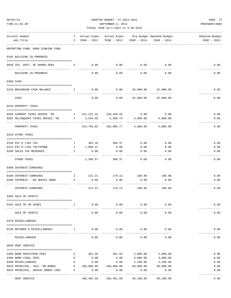${\small \texttt{ADOPTED BUDGET} \begin{tabular}{lcccccc} \texttt{O9/02/14} & \texttt{ADOPTED BUDGET} & \texttt{FY 2014-2015} & \texttt{PAGE 72} \\ & & & & & & & \texttt{SEPTEMBER 2, 2014} \\ & & & & & & & \texttt{SEPTEMBER 2, 2014} \\ & & & & & & \texttt{FISCAL YEAR 10-1-2014 to 9-30-2015} & \texttt{PREFAREF:0008} \\ & & & & & & \texttt{FISCAL YEAR 10-1-2014 to 9-30-2015}$ TIME:11:02 AM SEPTEMBER 2, 2014 PREPARER:0008 FISCAL YEAR 10-1-2014 to 9-30-2015

| Account Number                                                                                                                                     | T –          |                                                                         |                                                                                                              |                         | Actual Exper Actual Exper Org Budget Amended Budget | Adopted Budget        |
|----------------------------------------------------------------------------------------------------------------------------------------------------|--------------|-------------------------------------------------------------------------|--------------------------------------------------------------------------------------------------------------|-------------------------|-----------------------------------------------------|-----------------------|
| and Title                                                                                                                                          | $\mathbf C$  | YEAR - 2012                                                             |                                                                                                              | YEAR - 2013 YEAR - 2014 | YEAR - 2014                                         | YEAR - 2015           |
| REPORTING FUND: 0060 SINKING FUND                                                                                                                  |              |                                                                         |                                                                                                              |                         |                                                     |                       |
| 0165 BUILDING IN PROGRESS                                                                                                                          |              |                                                                         |                                                                                                              |                         |                                                     |                       |
| 0640 TEX. DEPT. OF HUMAN SERV.                                                                                                                     |              | 0.00<br>the control of the European State and                           | 0.00                                                                                                         | 0.00                    | 0.00                                                | 0.00                  |
| BUILDING IN PROGRESS                                                                                                                               |              | 0.00                                                                    | $- - - -$<br>0.00                                                                                            | ----------<br>0.00      | -------------<br>0.00                               | 0.00                  |
| 0300 CASH                                                                                                                                          |              |                                                                         |                                                                                                              |                         |                                                     |                       |
| 0110 BEGINNING CASH BALANCE                                                                                                                        |              | $I \qquad \qquad 0.00$                                                  | 0.00                                                                                                         |                         | 92,000.00 92,000.00                                 | 0.00                  |
| CASH                                                                                                                                               |              | 0.00                                                                    | -----------<br>0.00                                                                                          |                         | -------------<br>92,000.00 92,000.00                | ----------<br>0.00    |
| 0310 PROPERTY TAXES                                                                                                                                |              |                                                                         |                                                                                                              |                         |                                                     |                       |
|                                                                                                                                                    |              |                                                                         |                                                                                                              |                         |                                                     |                       |
| 0.00 0 0.00 0 0.00 0 1 151, 212.32 150, 449.03 0 100 0 100 0 100 0 100 0 100 0 100 0 100 0 100 0 100 0 100 0 1<br>0262 DELINQUENT TAXES SERIES '98 |              | I 3,544.50                                                              | 5,356.74                                                                                                     | 4,000.00                | 4,000.00                                            | 0.00<br>0.00          |
| PROPERTY TAXES                                                                                                                                     |              |                                                                         | -----------<br>$154,756.82$ $155,805.77$ $4,000.00$ $4,000.00$                                               | --------------          |                                                     | 0.00                  |
| 0318 OTHER TAXES                                                                                                                                   |              |                                                                         |                                                                                                              |                         |                                                     |                       |
| 0120 PAY N LIEU TAX                                                                                                                                | $\mathbb{I}$ |                                                                         | 393.10 386.37                                                                                                | 0.00                    | 0.00                                                | 0.00                  |
| 0121 PAY N LIEU TAX/NTMWD                                                                                                                          |              | I 1,006.47                                                              | 0.00                                                                                                         | 0.00                    | 0.00                                                | 0.00                  |
| 0160 SALES TAX REVENUES                                                                                                                            |              | $\mathbf{I}$ and $\mathbf{I}$ and $\mathbf{I}$ and $\mathbf{I}$<br>0.00 | 0.00                                                                                                         | 0.00                    | 0.00                                                | 0.00                  |
| -----------------------<br>OTHER TAXES                                                                                                             |              | 1,399.57                                                                | ------------<br>386.37                                                                                       | -----------<br>0.00     | . <u>.</u><br>0.00                                  | -----------<br>0.00   |
| 0360 INTEREST EARNINGS                                                                                                                             |              |                                                                         |                                                                                                              |                         |                                                     |                       |
| 0100 INTEREST EARNINGS                                                                                                                             |              |                                                                         | $\qquad \qquad \text{I} \qquad \qquad 221.21 \qquad \qquad 179.13 \qquad \qquad 100.00 \qquad \qquad 100.00$ |                         |                                                     | 0.00                  |
| 0200 INTEREST, '98 SERIAL BOND B E 6.00                                                                                                            |              |                                                                         | 0.00                                                                                                         | 0.00                    | 0.00                                                | 0.00                  |
| INTEREST EARNINGS                                                                                                                                  |              | 221.21                                                                  | ----------<br>179.13                                                                                         | ---------<br>100.00     | -----------<br>100.00                               | ----------<br>0.00    |
| 0364 SALE OF ASSETS                                                                                                                                |              |                                                                         |                                                                                                              |                         |                                                     |                       |
| 0162 SALE OF 30 ACRES                                                                                                                              | I.           | 0.00                                                                    | 0.00                                                                                                         | 0.00                    | 0.00                                                | 0.00                  |
| SALE OF ASSETS                                                                                                                                     |              | 0.00                                                                    | 0.00                                                                                                         | -------------<br>0.00   | ------------<br>0.00                                | -----------<br>0.00   |
| 0370 MISCELLANEOUS                                                                                                                                 |              |                                                                         |                                                                                                              |                         |                                                     |                       |
| 0130 REFUNDS & MISCELLANEOUS I                                                                                                                     |              | 0.00                                                                    | 0.00                                                                                                         |                         | $0.00$ 0.00                                         | 0.00                  |
|                                                                                                                                                    |              |                                                                         |                                                                                                              |                         | ------------ -------------                          |                       |
| MISCELLANEOUS                                                                                                                                      |              | 0.00                                                                    | 0.00                                                                                                         | 0.00                    | 0.00                                                | 0.00                  |
| 0620 DEBT SERVICE                                                                                                                                  |              |                                                                         |                                                                                                              |                         |                                                     |                       |
| 0309 BOND REGISTRAR FEES                                                                                                                           | E            | 481.50                                                                  | 481.50                                                                                                       | 2,000.00                | 2,000.00                                            | 0.00                  |
| 0400 BOND LEGAL FEES                                                                                                                               | E            | 0.00                                                                    | 0.00                                                                                                         | 3,000.00                | 3,000.00                                            | 0.00                  |
| 0490 MISCELLANEOUS                                                                                                                                 | $\mathbf{E}$ | 0.00                                                                    | 0.00                                                                                                         |                         | 2,100.00 2,100.00                                   | 0.00                  |
| 0628 PRINCIPAL, JAIL '98 BONDS E                                                                                                                   |              |                                                                         | 100,000.00 240,000.00                                                                                        |                         | 89,000.00 89,000.00                                 | 0.00                  |
| 0629 PRINCIPAL, SERIAL BONDS 1992 E                                                                                                                |              | 0.00                                                                    | 0.00<br>-------------                                                                                        | 0.00<br>-------------   | 0.00<br>-------------                               | 0.00<br>------------- |
| DEBT SERVICE                                                                                                                                       |              |                                                                         | 100,481.50 240,481.50 96,100.00 96,100.00                                                                    |                         |                                                     | 0.00                  |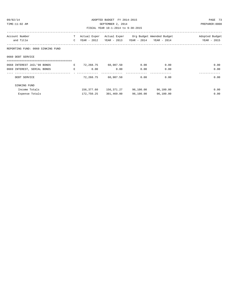# 09/02/14 ADOPTED BUDGET FY 2014-2015 PAGE 73 TIME:11:02 AM SEPTEMBER 2, 2014 PREPARER:0008

### FISCAL YEAR 10-1-2014 to 9-30-2015

| Account Number                    | T.             | Actual Exper | Actual Exper | Org Budget Amended Budget |           | Adopted Budget |
|-----------------------------------|----------------|--------------|--------------|---------------------------|-----------|----------------|
| and Title                         | $\mathbf{C}$   | YEAR - 2012  | YEAR - 2013  | YEAR - 2014 YEAR - 2014   |           | YEAR - 2015    |
| REPORTING FUND: 0060 SINKING FUND |                |              |              |                           |           |                |
| 0660 DEBT SERVICE                 |                |              |              |                           |           |                |
|                                   |                |              |              |                           |           |                |
| 0668 INTEREST JAIL'98 BONDS       | E              | 72,268.75    | 60,987.50    | 0.00                      | 0.00      | 0.00           |
| 0669 INTEREST, SERIAL BONDS       | $\mathbf{F}_i$ | 0.00         | 0.00         | 0.00                      | 0.00      | 0.00           |
|                                   |                |              |              |                           |           |                |
| DEBT SERVICE                      |                | 72,268.75    | 60,987.50    | 0.00                      | 0.00      | 0.00           |
| SINKING FUND                      |                |              |              |                           |           |                |
| Income Totals                     |                | 156,377.60   | 156,371.27   | 96,100.00                 | 96,100.00 | 0.00           |
| Expense Totals                    |                | 172,750.25   | 301,469.00   | 96,100.00                 | 96,100.00 | 0.00           |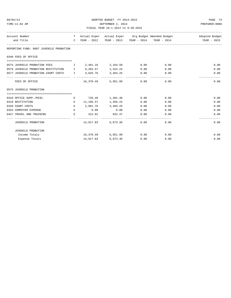### 09/02/14 ADOPTED BUDGET FY 2014-2015 PAGE 74 TIME:11:02 AM SEPTEMBER 2, 2014 PREPARER:0008 FISCAL YEAR 10-1-2014 to 9-30-2015

| Account Number                                                         |           |                                      |               |      | T Actual Exper Actual Exper Org Budget Amended Budget North Adopted Budget |
|------------------------------------------------------------------------|-----------|--------------------------------------|---------------|------|----------------------------------------------------------------------------|
| and Title                                                              |           |                                      |               |      |                                                                            |
| REPORTING FUND: 0087 JUVENILE PROBATION                                |           |                                      |               |      |                                                                            |
| 0340 FEES OF OFFICE                                                    |           |                                      |               |      |                                                                            |
| 0575 JUVENILE PROBATION FEES T 2,461.16 2,164.50 0.00 0.00             |           |                                      |               |      | 0.00                                                                       |
| 0576 JUVENILE PROBATION RESTITUTION 1 9,282.57 1,324.24 0.00 0.00      |           |                                      |               |      | 0.00                                                                       |
| 0.00 0577 JUVENILE PROBATION COURT COSTS 1 4,626.76 3,463.25 0.00 0.00 |           |                                      |               |      | 0.00                                                                       |
| FEES OF OFFICE                                                         |           | 16,370.49 6,951.99 0.00 0.00         |               |      | _____________<br>0.00                                                      |
| 0575 JUVENILE PROBATION                                                |           |                                      |               |      |                                                                            |
|                                                                        |           |                                      |               |      |                                                                            |
| 0310 OFFICE SUPP./MISC.                                                |           | 728.49 1,401.40 0.00 0.00            |               |      | 0.00                                                                       |
| $E = 11,195.57$ $1,356.24$ $0.00$ $0.00$<br>0319 RESTITUTION           |           |                                      |               |      | 0.00                                                                       |
| 0320 COURT COSTS $E$ 2,681.76 3,483.25 0.00                            |           |                                      |               | 0.00 | 0.00                                                                       |
| 0353 COMPUTER EXPENSE $\qquad \qquad$ E 0.00 0.00 0.00 0.00 0.00       |           |                                      |               |      | 0.00                                                                       |
| 0427 TRAVEL AND TRAINING $E$ 312.01 632.47 0.00 0.00                   |           |                                      |               |      | 0.00<br>-------------                                                      |
| JUVENILE PROBATION                                                     |           | $14,917.83$ 6,873.36 0.00 0.00       |               |      | 0.00                                                                       |
| JUVENILE PROBATION                                                     |           |                                      |               |      |                                                                            |
| Income Totals                                                          |           | $16.370.49$ $6.951.99$ $0.00$ $0.00$ |               |      | 0.00                                                                       |
| Expense Totals                                                         | 14,917.83 |                                      | 6,873.36 0.00 | 0.00 | 0.00                                                                       |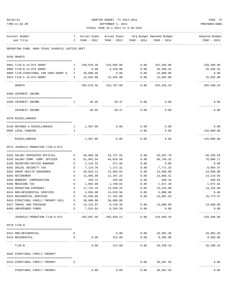| TIME:11:02 AM                                              |              | SEPTEMBER 2, 2014                  | PREPARER: 0008                                      |                                   |                             |                             |
|------------------------------------------------------------|--------------|------------------------------------|-----------------------------------------------------|-----------------------------------|-----------------------------|-----------------------------|
|                                                            |              | FISCAL YEAR 10-1-2014 to 9-30-2015 | ---------------------------------                   |                                   |                             |                             |
| Account Number                                             | T.           |                                    | Actual Exper Actual Exper Org Budget Amended Budget |                                   |                             | Adopted Budget              |
| and Title                                                  |              | C YEAR - 2012                      | YEAR - 2013                                         | YEAR - 2014                       | YEAR - 2014                 | YEAR - 2015                 |
| REPORTING FUND: 0089 TEXAS JUVENILE JUSTICE DEPT.          |              | _________________________          |                                                     |                                   |                             |                             |
| 0330 GRANTS                                                |              |                                    |                                                     |                                   |                             |                             |
| 0901 TJJD-A-14-074 GRANT                                   | I.           |                                    | 239,978.48 233,846.00                               | 0.00                              | 232,356.00                  | 220,498.00                  |
| 0906 TJJD-N-14-074 GRANT                                   |              | I 0.00                             | 4,259.00                                            | 0.00                              | 20,298.34                   | 20,298.34                   |
| 0908 TJJD-STRUCTURAL FAM.THER.GRANT A I                    |              | 30,000.00                          | 0.00                                                | 0.00                              | 25,000.00                   | 0.00                        |
| 0913 TJJD-C-14-074 GRANT                                   | $\mathbf{I}$ | 15,692.00                          | 15,692.00                                           | 0.00                              | 15,692.00                   | 15,692.00                   |
| GRANTS                                                     |              | -------------<br>285,670.48        | 253,797.00                                          | ----------<br>0.00                | ------------<br>293,346.34  | ------------<br>256,488.34  |
| 0360 INTEREST INCOME                                       |              |                                    |                                                     |                                   |                             |                             |
| 0189 INTEREST INCOME                                       | $\mathbf{I}$ |                                    | 36.05 39.47                                         | 0.00                              | 0.00                        | 0.00                        |
| INTEREST INCOME                                            |              | 36.05                              | 39.47                                               | -----------<br>0.00               | -----------<br>0.00         | ____________<br>0.00        |
| 0370 MISCELLANEOUS                                         |              |                                    |                                                     |                                   |                             |                             |
| 0.00 0.00 0.00 T 1,587.60 0.00                             |              |                                    |                                                     | 0.00                              | 0.00                        | 0.00                        |
| 0995 LOCAL FUNDING                                         | I.           |                                    |                                                     | 0.00                              | 0.00                        | 120,000.00                  |
| MISCELLANEOUS                                              |              | 1,587.60                           | 0.00                                                | ----------<br>0.00                | -----------<br>0.00         | -------------<br>120,000.00 |
| 0575 JUVENILE PROBATION TJJD-A-074                         |              |                                    |                                                     |                                   |                             |                             |
| 0102 SALARY APPOINTED OFFICIAL                             | Е            | 50,996.30                          | 52,727.82                                           | 0.00                              | 56,597.70                   | 58,295.63                   |
| 0103 SALARY COMM. CORR. OFFICER                            | E            | 61,942.54                          | 64,016.50                                           | 0.00                              | 68,746.32                   | 70,808.71                   |
| 0105 SECRETARY/OFFICE MANAGER                              | E            | 2,144.32                           | 671.66                                              | 0.00                              | 0.00                        | 0.00                        |
| 0201 SOCIAL SECURITY TAX                                   | E            | 7,124.70                           | 7,271.31                                            | 0.00                              | 7,771.33                    | 8,004.47                    |
| 0202 GROUP HEALTH INSURANCE                                | E            | 20,816.13                          | 22,504.64                                           | 0.00                              | 23,580.00                   | 24,990.00                   |
| 0203 RETIREMENT                                            | Е            | 11,605.98                          | 12,267.22                                           | 0.00                              | 13,850.51                   | 14,218.95                   |
| 0204 WORKERS' COMPENSATION                                 | E            | 320.73                             | 320.65                                              | 0.00                              | 658.16                      | 309.85                      |
| 0205 MEDICARE TAX                                          | Е            | 1,665.99                           | 1,700.64                                            | 0.00                              | 1,817.49                    | 1,872.02                    |
| 0310 OPERATING EXPENSES                                    | E            | 17,725.16                          | 15,849.25                                           | 0.00                              | 13,225.00                   | 13,225.00                   |
| 0414 NON-RESIDENTIAL SERVICES<br>0415 RESIDENTIAL SERVICES | Е<br>Е       | 4,056.00<br>32,550.00              | 14,819.50<br>27,345.00                              | 0.00<br>0.00                      | 5,000.00<br>14,801.93       | 0.00<br>15,773.37           |
| 0416 STRUCTURAL FAMILY THERAPY 2011                        | Е            | 30,000.00                          | 30,000.00                                           |                                   |                             |                             |
| 0427 TRAVEL AND TRAINING                                   | Е            | 15,223.97                          | 8,139.35                                            | 0.00                              | 13,000.00                   | 13,000.00                   |
| 0469 UNEXPENDED FUNDS                                      | E            | 7,515.64                           | 8,204.58                                            | 0.00                              | 0.00                        | 0.00                        |
| JUVENILE PROBATION TJJD-A-074                              |              | 263,687.46                         | ------------------------------<br>265,838.12        | 0.00                              | -------------<br>219,048.44 | -------------<br>220,498.00 |
| 0578 TJJD-N                                                |              |                                    |                                                     |                                   |                             |                             |
|                                                            |              |                                    |                                                     |                                   |                             |                             |
| 0414 NON-RESIDENTIAL                                       | Е            |                                    | 0.00                                                |                                   | $0.00$ 10,902.36            | 10,902.36<br>9,395.98       |
| 0415 RESIDENTIAL                                           | Е            | 0.00                               | $313.00-$                                           | 0.00<br>------------------------- | 9,395.98<br>-------------   | -------------               |
| TJJD-N                                                     |              | 0.00                               | $313.00 -$                                          | 0.00                              | 20,298.34                   | 20,298.34                   |
| 0581 STRUCTURAL FAMILY THERAPY                             |              |                                    |                                                     |                                   |                             |                             |
| 0416 STRUCTURAL FAMILY THERAPY                             | Е            |                                    |                                                     | 0.00                              | 38,307.56<br>-------------  | 0.00<br>-------------       |
|                                                            |              |                                    |                                                     |                                   |                             |                             |

STRUCTURAL FAMILY THERAPY 0.00 0.00 0.00 0.00 38,307.56 0.00 0.00

09/02/14 ADOPTED BUDGET FY 2014-2015 PAGE 75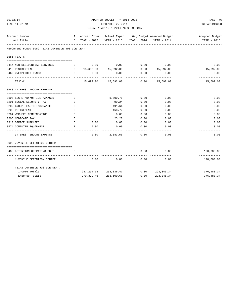| ADOPTED BUDGET FY 2014-2015<br>09/02/14                |                     |                       |                                                   |                     |                                                       | PAGE 76                     |  |
|--------------------------------------------------------|---------------------|-----------------------|---------------------------------------------------|---------------------|-------------------------------------------------------|-----------------------------|--|
| TIME:11:02 AM                                          |                     | SEPTEMBER 2, 2014     | PREPARER: 0008                                    |                     |                                                       |                             |  |
|                                                        |                     |                       | FISCAL YEAR 10-1-2014 to 9-30-2015                |                     |                                                       |                             |  |
| Account Number                                         |                     |                       |                                                   |                     | T Actual Exper Actual Exper Org Budget Amended Budget | Adopted Budget              |  |
| and Title                                              |                     |                       | C YEAR - 2012 YEAR - 2013 YEAR - 2014 YEAR - 2014 |                     |                                                       | YEAR - 2015                 |  |
| REPORTING FUND: 0089 TEXAS JUVENILE JUSTICE DEPT.      |                     |                       |                                                   |                     |                                                       |                             |  |
| 0586 TJJD-C                                            |                     |                       |                                                   |                     |                                                       |                             |  |
| 0414 NON-RESIDENTIAL SERVICES                          | $\mathbf{E}$        | 0.00                  | 0.00                                              | 0.00                | 0.00                                                  | 0.00                        |  |
| 0415 RESIDENTIAL                                       |                     | E 15,692.00 15,692.00 |                                                   |                     | $0.00$ 15,692.00                                      | 15,692.00                   |  |
| 0469 UNEXPENDED FUNDS                                  |                     | E 0.00                | 0.00                                              | 0.00                | 0.00                                                  | 0.00                        |  |
| TJJD-C                                                 |                     |                       | 15,692.00   15,692.00   0.00   15,692.00          |                     | -------------                                         | _____________<br>15,692.00  |  |
| 0588 INTEREST INCOME EXPENSE                           |                     |                       |                                                   |                     |                                                       |                             |  |
|                                                        |                     |                       |                                                   |                     |                                                       |                             |  |
| 0105 SECRETARY/OFFICE MANAGER                          | Е                   |                       | 1,600.76                                          | 0.00                | 0.00                                                  | 0.00                        |  |
| 0201 SOCIAL SECURITY TAX                               | Е                   |                       | 99.24                                             | 0.00                | 0.00                                                  | 0.00                        |  |
| 0202 GROUP HEALTH INSURANCE                            | E                   |                       | 491.64                                            | 0.00                | 0.00                                                  | 0.00                        |  |
| 0203 RETIREMENT                                        | Е                   |                       | 168.72                                            | 0.00                | 0.00                                                  | 0.00                        |  |
| 0204 WORKERS COMPENSATION                              | E                   |                       | 0.00                                              | 0.00                | 0.00                                                  | 0.00                        |  |
| 0205 MEDICARE TAX                                      | $\mathbf{E}$        |                       | 23.20                                             | 0.00                | 0.00                                                  | 0.00                        |  |
| 0310 OFFICE SUPPLIES                                   | E                   | 0.00                  | 0.00                                              | 0.00                | 0.00                                                  | 0.00                        |  |
| 0574 COMPUTER EQUIPMENT<br><u>------------ - - ---</u> | E.                  | 0.00                  | 0.00                                              | 0.00<br>----------- | 0.00<br>-----------                                   | 0.00                        |  |
| INTEREST INCOME EXPENSE                                |                     | 0.00                  | 2,383.56                                          | 0.00                | 0.00                                                  | 0.00                        |  |
| 0995 JUVENILE DETENTION CENTER                         |                     |                       |                                                   |                     |                                                       |                             |  |
|                                                        |                     |                       |                                                   |                     |                                                       |                             |  |
| 0408 DETENTION OPERATING COST                          | <b>Experience E</b> |                       |                                                   | 0.00                | 0.00                                                  | 120,000.00<br>------------- |  |
| JUVENILE DETENTION CENTER                              |                     | 0.00                  | 0.00                                              | 0.00                | 0.00                                                  | 120,000.00                  |  |
| TEXAS JUVENILE JUSTICE DEPT.                           |                     |                       |                                                   |                     |                                                       |                             |  |
| Income Totals                                          |                     |                       | 287, 294.13 253, 836.47                           | $0.00$ 293,346.34   |                                                       | 376,488.34                  |  |
| Expense Totals                                         |                     | 279,379.46            | 283,600.68                                        | 0.00                | 293, 346.34                                           | 376,488.34                  |  |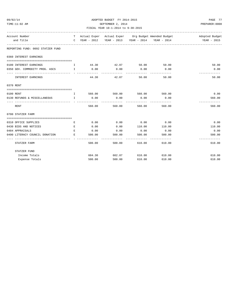| 09/02/14 |  |
|----------|--|
|----------|--|

### ADOPTED BUDGET FY 2014-2015 PAGE 77 TIME:11:02 AM SEPTEMBER 2, 2014 PREPARER:0008 FISCAL YEAR 10-1-2014 to 9-30-2015

| Account Number<br>and Title           |                                                                                                                                                                                                                                                                                                  |        |                             |                       |                         | T Actual Exper Actual Exper Org Budget Amended Budget National Adopted Budget<br>C YEAR - 2012 YEAR - 2013 YEAR - 2014 YEAR - 2014 YEAR - 2015 |
|---------------------------------------|--------------------------------------------------------------------------------------------------------------------------------------------------------------------------------------------------------------------------------------------------------------------------------------------------|--------|-----------------------------|-----------------------|-------------------------|------------------------------------------------------------------------------------------------------------------------------------------------|
| REPORTING FUND: 0092 STATZER FUND     |                                                                                                                                                                                                                                                                                                  |        |                             |                       |                         |                                                                                                                                                |
| 0360 INTEREST EARNINGS                |                                                                                                                                                                                                                                                                                                  |        |                             |                       |                         |                                                                                                                                                |
|                                       |                                                                                                                                                                                                                                                                                                  |        | 44.30 42.07                 |                       | 50.00 50.00             | 50.00                                                                                                                                          |
| 0100 INTEREST EARNINGS                | $\mathbf{I}$                                                                                                                                                                                                                                                                                     |        |                             |                       |                         |                                                                                                                                                |
| 0350 GOV. COMMODITY PROG. ASCS I      |                                                                                                                                                                                                                                                                                                  | 0.00   | 0.00<br>--------------      | 0.00<br>------------  | 0.00<br>-------------   | 0.00<br>-----------                                                                                                                            |
| INTEREST EARNINGS                     |                                                                                                                                                                                                                                                                                                  |        | 44.30 42.07                 | 50.00                 | 50.00                   | 50.00                                                                                                                                          |
| 0370 RENT                             |                                                                                                                                                                                                                                                                                                  |        |                             |                       |                         |                                                                                                                                                |
| 0100 RENT                             | $\mathbf{I}$ and $\mathbf{I}$ and $\mathbf{I}$ and $\mathbf{I}$ and $\mathbf{I}$ and $\mathbf{I}$ and $\mathbf{I}$ and $\mathbf{I}$ and $\mathbf{I}$ and $\mathbf{I}$ and $\mathbf{I}$ and $\mathbf{I}$ and $\mathbf{I}$ and $\mathbf{I}$ and $\mathbf{I}$ and $\mathbf{I}$ and $\mathbf{I}$ and |        | 560.00 560.00 560.00 560.00 |                       |                         | 0.00                                                                                                                                           |
| 0130 REFUNDS & MISCELLANEOUS 1 1 0.00 |                                                                                                                                                                                                                                                                                                  |        | 0.00<br>--------------      | 0.00                  | 0.00                    | 560.00                                                                                                                                         |
| RENT                                  |                                                                                                                                                                                                                                                                                                  |        | 560.00 560.00               | -----------<br>560.00 | -------------<br>560.00 | -------------<br>560.00                                                                                                                        |
| 0700 STATZER FARM                     |                                                                                                                                                                                                                                                                                                  |        |                             |                       |                         |                                                                                                                                                |
| 0310 OFFICE SUPPLIES                  | E                                                                                                                                                                                                                                                                                                | 0.00   | 0.00                        | $0.00$ 0.00           |                         | 0.00                                                                                                                                           |
| 0430 BIDS AND NOTICES                 | $E_{\rm c}$                                                                                                                                                                                                                                                                                      | 0.00   | 0.00                        | 110.00                | 110.00                  | 110.00                                                                                                                                         |
| 0484 APPRAISALS                       | <b>Example 20</b>                                                                                                                                                                                                                                                                                |        | $0.00$ 0.00                 | $0.00$ 0.00           |                         | 0.00                                                                                                                                           |
| 0490 LITERACY COUNCIL DONATION E      |                                                                                                                                                                                                                                                                                                  | 500.00 | 500.00                      | 500.00                | 500.00                  | 500.00                                                                                                                                         |
| STATZER FARM                          |                                                                                                                                                                                                                                                                                                  | 500.00 | 500.00                      | 610.00                | 610.00                  | ----------<br>610.00                                                                                                                           |
| STATZER FUND                          |                                                                                                                                                                                                                                                                                                  |        |                             |                       |                         |                                                                                                                                                |
| Income Totals                         |                                                                                                                                                                                                                                                                                                  |        | 604.30 602.07 610.00        |                       | 610.00                  | 610.00                                                                                                                                         |
| Expense Totals                        |                                                                                                                                                                                                                                                                                                  | 500.00 | 500.00                      | 610.00                | 610.00                  | 610.00                                                                                                                                         |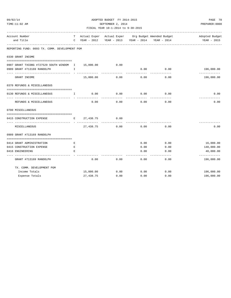| TIME:11:02 AM                                                                                                                                                                                                                                                                                                                    |              | SEPTEMBER 2, 2014<br>FISCAL YEAR 10-1-2014 to 9-30-2015 | PREPARER: 0008                     |             |                                                                                                                                           |                             |
|----------------------------------------------------------------------------------------------------------------------------------------------------------------------------------------------------------------------------------------------------------------------------------------------------------------------------------|--------------|---------------------------------------------------------|------------------------------------|-------------|-------------------------------------------------------------------------------------------------------------------------------------------|-----------------------------|
| Account Number<br>and Title                                                                                                                                                                                                                                                                                                      |              |                                                         |                                    |             | T Actual Exper Actual Exper Org Budget Amended Budget New Adopted Budget<br>C YEAR - 2012 YEAR - 2013 YEAR - 2014 YEAR - 2014 YEAR - 2015 |                             |
| REPORTING FUND: 0093 TX. COMM. DEVELOPMENT PGM                                                                                                                                                                                                                                                                                   |              |                                                         |                                    |             |                                                                                                                                           |                             |
| 0330 GRANT INCOME                                                                                                                                                                                                                                                                                                                |              |                                                         |                                    |             |                                                                                                                                           |                             |
| 0907 GRANT TXCDBG #727529 SOUTH WINDOM I 15,000.00 0.00<br>0909 GRANT #713169 RANDOLPH<br>$\mathbf{I}$ and $\mathbf{I}$ and $\mathbf{I}$                                                                                                                                                                                         |              |                                                         |                                    | 0.00        | 0.00                                                                                                                                      | 196,000.00                  |
| GRANT INCOME                                                                                                                                                                                                                                                                                                                     |              |                                                         | 15,000.00 0.00                     |             | -------------<br>0.00<br>0.00                                                                                                             | -------------<br>196,000.00 |
| 0370 REFUNDS & MISCELLANEOUS                                                                                                                                                                                                                                                                                                     |              |                                                         |                                    |             |                                                                                                                                           |                             |
| 0130 REFUNDS & MISCELLANEOUS<br>$\mathbf{I}$ and $\mathbf{I}$ and $\mathbf{I}$ and $\mathbf{I}$ and $\mathbf{I}$ and $\mathbf{I}$ and $\mathbf{I}$ and $\mathbf{I}$ and $\mathbf{I}$ and $\mathbf{I}$ and $\mathbf{I}$ and $\mathbf{I}$ and $\mathbf{I}$ and $\mathbf{I}$ and $\mathbf{I}$ and $\mathbf{I}$ and $\mathbf{I}$ and |              |                                                         | $0.00$ $0.00$ $0.00$ $0.00$ $0.00$ |             |                                                                                                                                           | 0.00<br>-------------       |
| REFUNDS & MISCELLANEOUS                                                                                                                                                                                                                                                                                                          |              | 0.00                                                    |                                    | $0.00$ 0.00 | 0.00                                                                                                                                      | 0.00                        |
| 0700 MISCELLANEOUS                                                                                                                                                                                                                                                                                                               |              |                                                         |                                    |             |                                                                                                                                           |                             |
| 0415 CONSTRUCTION EXPENSE                                                                                                                                                                                                                                                                                                        |              | E 27,438.75 0.00                                        |                                    |             |                                                                                                                                           |                             |
| MISCELLANEOUS                                                                                                                                                                                                                                                                                                                    |              | 27,438.75                                               |                                    | $0.00$ 0.00 | 0.00                                                                                                                                      | 0.00                        |
| 0909 GRANT #713169 RANDOLPH                                                                                                                                                                                                                                                                                                      |              |                                                         |                                    |             |                                                                                                                                           |                             |
| 0414 GRANT ADMINISTRATION<br>and the state of the Electronic                                                                                                                                                                                                                                                                     |              |                                                         |                                    | 0.00        | 0.00                                                                                                                                      | 16,000.00                   |
| 0415 CONSTRUCTION EXPENSE                                                                                                                                                                                                                                                                                                        | $\mathbf{E}$ |                                                         |                                    | 0.00        | 0.00                                                                                                                                      | 140,000.00                  |
| 0416 ENGINEERING                                                                                                                                                                                                                                                                                                                 | Е            |                                                         |                                    | 0.00        | 0.00<br>------------ -------------                                                                                                        | 40,000.00<br>-------------  |
| GRANT #713169 RANDOLPH                                                                                                                                                                                                                                                                                                           |              | 0.00                                                    | 0.00                               | 0.00        | 0.00                                                                                                                                      | 196,000.00                  |
| TX. COMM. DEVELOPMENT PGM                                                                                                                                                                                                                                                                                                        |              |                                                         |                                    |             |                                                                                                                                           |                             |
| Income Totals                                                                                                                                                                                                                                                                                                                    |              | 15,000.00                                               | 0.00                               | 0.00        | 0.00                                                                                                                                      | 196,000.00                  |

Expense Totals 27,438.75 0.00 0.00 0.00 196,000.00

09/02/14 ADOPTED BUDGET FY 2014-2015 PAGE 78